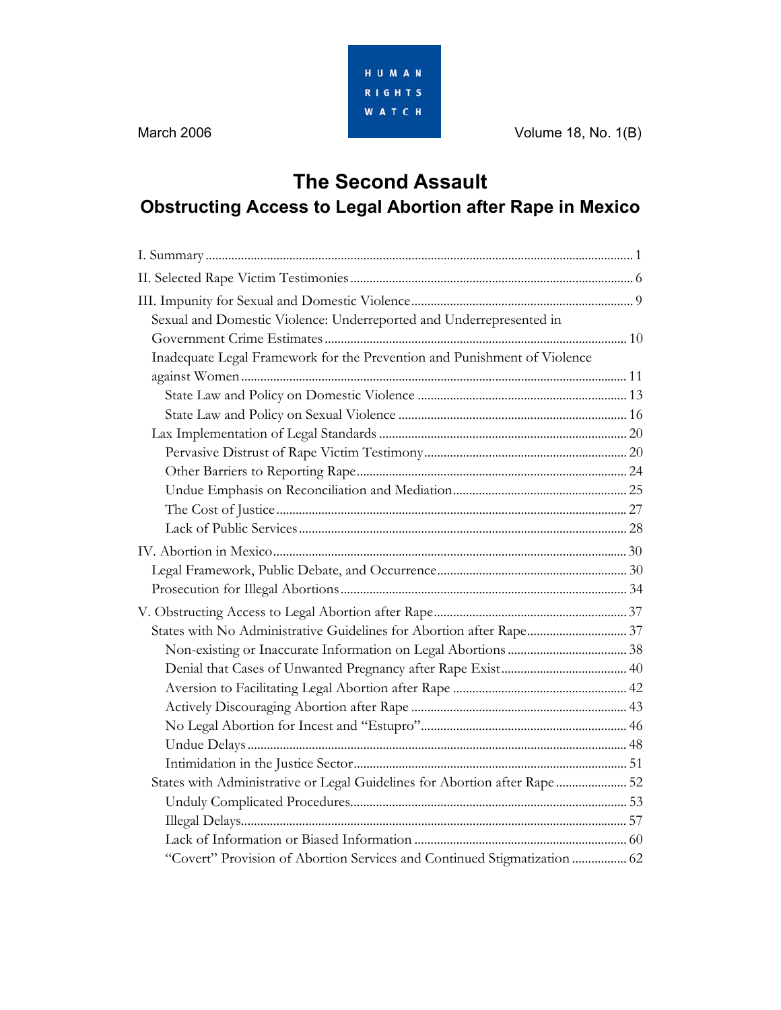

March 2006 **Volume 18, No. 1(B)** 

# **The Second Assault**

# **Obstructing Access to Legal Abortion after Rape in Mexico**

| Sexual and Domestic Violence: Underreported and Underrepresented in       |  |
|---------------------------------------------------------------------------|--|
|                                                                           |  |
| Inadequate Legal Framework for the Prevention and Punishment of Violence  |  |
|                                                                           |  |
|                                                                           |  |
|                                                                           |  |
|                                                                           |  |
|                                                                           |  |
|                                                                           |  |
|                                                                           |  |
|                                                                           |  |
|                                                                           |  |
|                                                                           |  |
|                                                                           |  |
|                                                                           |  |
|                                                                           |  |
|                                                                           |  |
|                                                                           |  |
|                                                                           |  |
|                                                                           |  |
|                                                                           |  |
|                                                                           |  |
|                                                                           |  |
|                                                                           |  |
| States with Administrative or Legal Guidelines for Abortion after Rape 52 |  |
|                                                                           |  |
|                                                                           |  |
|                                                                           |  |
| "Covert" Provision of Abortion Services and Continued Stigmatization  62  |  |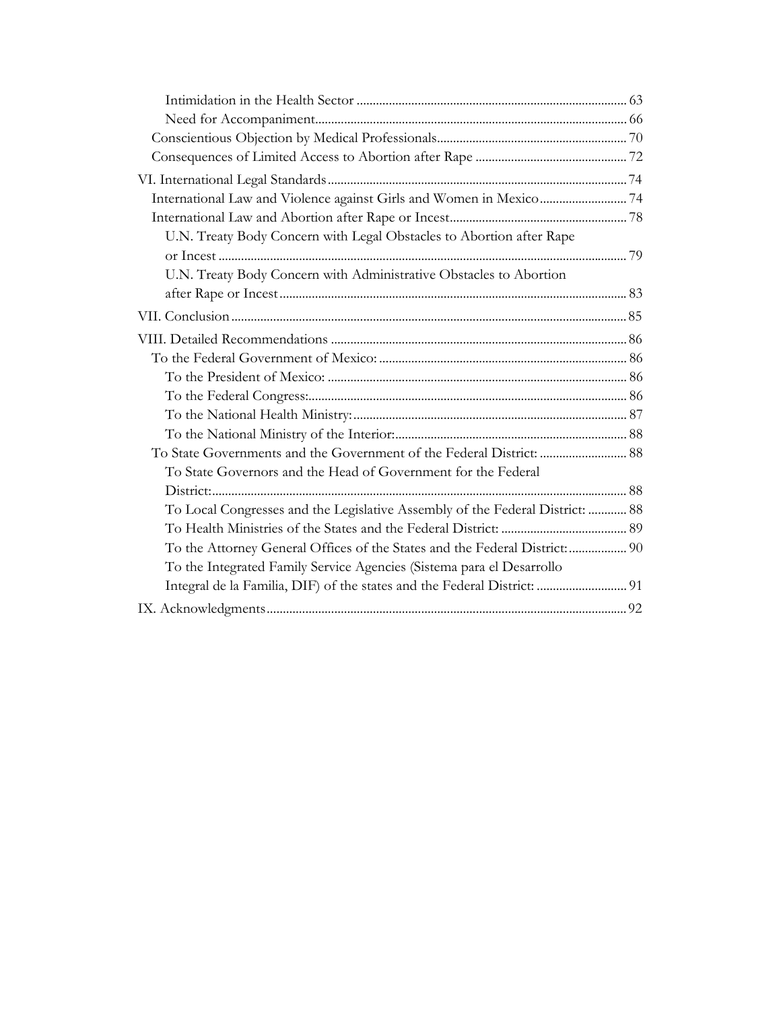| U.N. Treaty Body Concern with Legal Obstacles to Abortion after Rape          |  |
|-------------------------------------------------------------------------------|--|
|                                                                               |  |
| U.N. Treaty Body Concern with Administrative Obstacles to Abortion            |  |
|                                                                               |  |
|                                                                               |  |
|                                                                               |  |
|                                                                               |  |
|                                                                               |  |
|                                                                               |  |
|                                                                               |  |
|                                                                               |  |
| To State Governments and the Government of the Federal District:  88          |  |
| To State Governors and the Head of Government for the Federal                 |  |
|                                                                               |  |
| To Local Congresses and the Legislative Assembly of the Federal District:  88 |  |
|                                                                               |  |
| To the Attorney General Offices of the States and the Federal District: 90    |  |
| To the Integrated Family Service Agencies (Sistema para el Desarrollo         |  |
| Integral de la Familia, DIF) of the states and the Federal District:  91      |  |
|                                                                               |  |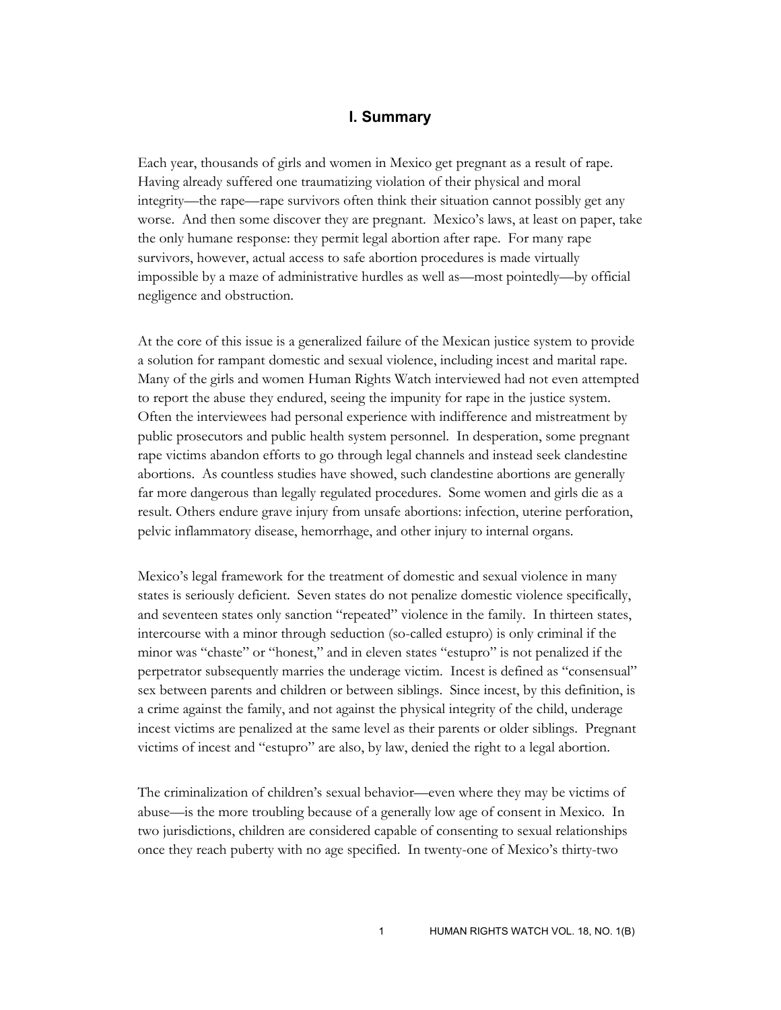#### **I. Summary**

Each year, thousands of girls and women in Mexico get pregnant as a result of rape. Having already suffered one traumatizing violation of their physical and moral integrity—the rape—rape survivors often think their situation cannot possibly get any worse. And then some discover they are pregnant. Mexico's laws, at least on paper, take the only humane response: they permit legal abortion after rape. For many rape survivors, however, actual access to safe abortion procedures is made virtually impossible by a maze of administrative hurdles as well as—most pointedly—by official negligence and obstruction.

At the core of this issue is a generalized failure of the Mexican justice system to provide a solution for rampant domestic and sexual violence, including incest and marital rape. Many of the girls and women Human Rights Watch interviewed had not even attempted to report the abuse they endured, seeing the impunity for rape in the justice system. Often the interviewees had personal experience with indifference and mistreatment by public prosecutors and public health system personnel. In desperation, some pregnant rape victims abandon efforts to go through legal channels and instead seek clandestine abortions. As countless studies have showed, such clandestine abortions are generally far more dangerous than legally regulated procedures. Some women and girls die as a result. Others endure grave injury from unsafe abortions: infection, uterine perforation, pelvic inflammatory disease, hemorrhage, and other injury to internal organs.

Mexico's legal framework for the treatment of domestic and sexual violence in many states is seriously deficient. Seven states do not penalize domestic violence specifically, and seventeen states only sanction "repeated" violence in the family. In thirteen states, intercourse with a minor through seduction (so-called estupro) is only criminal if the minor was "chaste" or "honest," and in eleven states "estupro" is not penalized if the perpetrator subsequently marries the underage victim. Incest is defined as "consensual" sex between parents and children or between siblings. Since incest, by this definition, is a crime against the family, and not against the physical integrity of the child, underage incest victims are penalized at the same level as their parents or older siblings. Pregnant victims of incest and "estupro" are also, by law, denied the right to a legal abortion.

The criminalization of children's sexual behavior—even where they may be victims of abuse—is the more troubling because of a generally low age of consent in Mexico. In two jurisdictions, children are considered capable of consenting to sexual relationships once they reach puberty with no age specified. In twenty-one of Mexico's thirty-two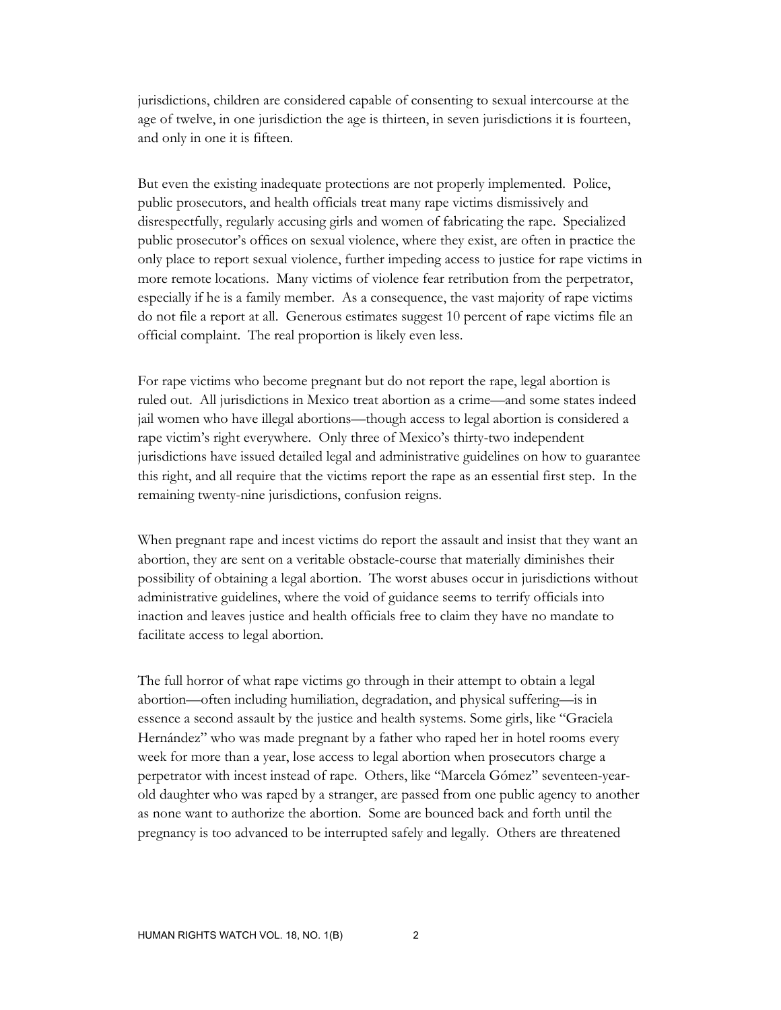jurisdictions, children are considered capable of consenting to sexual intercourse at the age of twelve, in one jurisdiction the age is thirteen, in seven jurisdictions it is fourteen, and only in one it is fifteen.

But even the existing inadequate protections are not properly implemented. Police, public prosecutors, and health officials treat many rape victims dismissively and disrespectfully, regularly accusing girls and women of fabricating the rape. Specialized public prosecutor's offices on sexual violence, where they exist, are often in practice the only place to report sexual violence, further impeding access to justice for rape victims in more remote locations. Many victims of violence fear retribution from the perpetrator, especially if he is a family member. As a consequence, the vast majority of rape victims do not file a report at all. Generous estimates suggest 10 percent of rape victims file an official complaint. The real proportion is likely even less.

For rape victims who become pregnant but do not report the rape, legal abortion is ruled out. All jurisdictions in Mexico treat abortion as a crime—and some states indeed jail women who have illegal abortions—though access to legal abortion is considered a rape victim's right everywhere. Only three of Mexico's thirty-two independent jurisdictions have issued detailed legal and administrative guidelines on how to guarantee this right, and all require that the victims report the rape as an essential first step. In the remaining twenty-nine jurisdictions, confusion reigns.

When pregnant rape and incest victims do report the assault and insist that they want an abortion, they are sent on a veritable obstacle-course that materially diminishes their possibility of obtaining a legal abortion. The worst abuses occur in jurisdictions without administrative guidelines, where the void of guidance seems to terrify officials into inaction and leaves justice and health officials free to claim they have no mandate to facilitate access to legal abortion.

The full horror of what rape victims go through in their attempt to obtain a legal abortion—often including humiliation, degradation, and physical suffering—is in essence a second assault by the justice and health systems. Some girls, like "Graciela Hernández" who was made pregnant by a father who raped her in hotel rooms every week for more than a year, lose access to legal abortion when prosecutors charge a perpetrator with incest instead of rape. Others, like "Marcela Gómez" seventeen-yearold daughter who was raped by a stranger, are passed from one public agency to another as none want to authorize the abortion. Some are bounced back and forth until the pregnancy is too advanced to be interrupted safely and legally. Others are threatened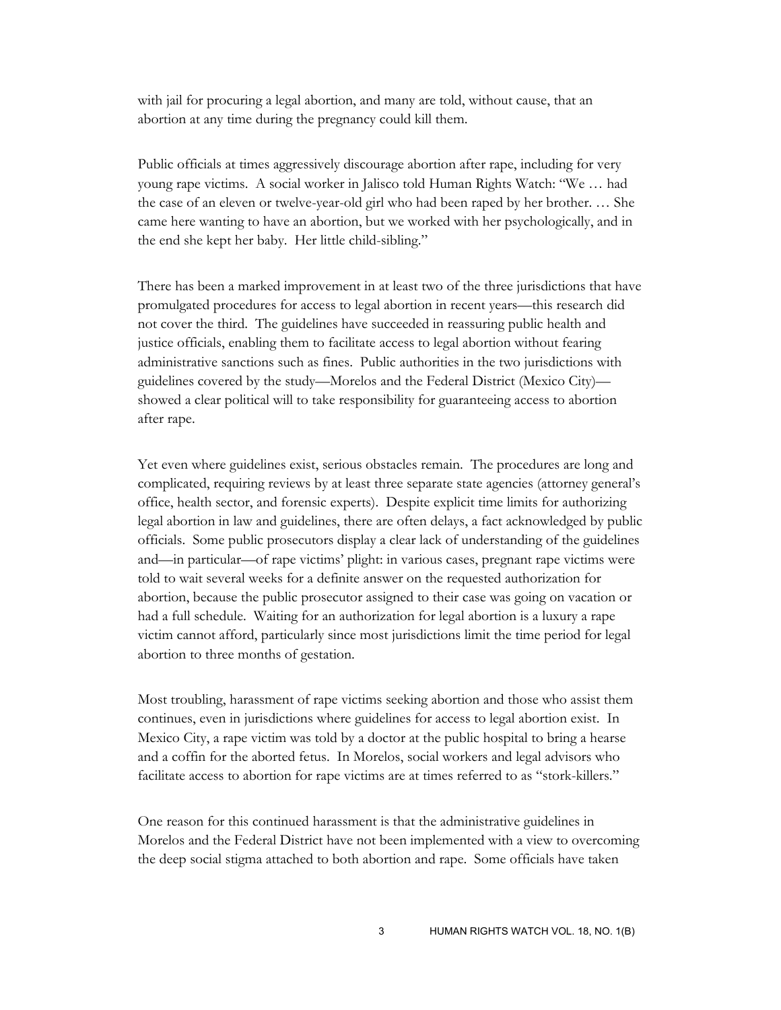with jail for procuring a legal abortion, and many are told, without cause, that an abortion at any time during the pregnancy could kill them.

Public officials at times aggressively discourage abortion after rape, including for very young rape victims. A social worker in Jalisco told Human Rights Watch: "We … had the case of an eleven or twelve-year-old girl who had been raped by her brother. … She came here wanting to have an abortion, but we worked with her psychologically, and in the end she kept her baby. Her little child-sibling."

There has been a marked improvement in at least two of the three jurisdictions that have promulgated procedures for access to legal abortion in recent years—this research did not cover the third. The guidelines have succeeded in reassuring public health and justice officials, enabling them to facilitate access to legal abortion without fearing administrative sanctions such as fines. Public authorities in the two jurisdictions with guidelines covered by the study—Morelos and the Federal District (Mexico City) showed a clear political will to take responsibility for guaranteeing access to abortion after rape.

Yet even where guidelines exist, serious obstacles remain. The procedures are long and complicated, requiring reviews by at least three separate state agencies (attorney general's office, health sector, and forensic experts). Despite explicit time limits for authorizing legal abortion in law and guidelines, there are often delays, a fact acknowledged by public officials. Some public prosecutors display a clear lack of understanding of the guidelines and—in particular—of rape victims' plight: in various cases, pregnant rape victims were told to wait several weeks for a definite answer on the requested authorization for abortion, because the public prosecutor assigned to their case was going on vacation or had a full schedule. Waiting for an authorization for legal abortion is a luxury a rape victim cannot afford, particularly since most jurisdictions limit the time period for legal abortion to three months of gestation.

Most troubling, harassment of rape victims seeking abortion and those who assist them continues, even in jurisdictions where guidelines for access to legal abortion exist. In Mexico City, a rape victim was told by a doctor at the public hospital to bring a hearse and a coffin for the aborted fetus. In Morelos, social workers and legal advisors who facilitate access to abortion for rape victims are at times referred to as "stork-killers."

One reason for this continued harassment is that the administrative guidelines in Morelos and the Federal District have not been implemented with a view to overcoming the deep social stigma attached to both abortion and rape. Some officials have taken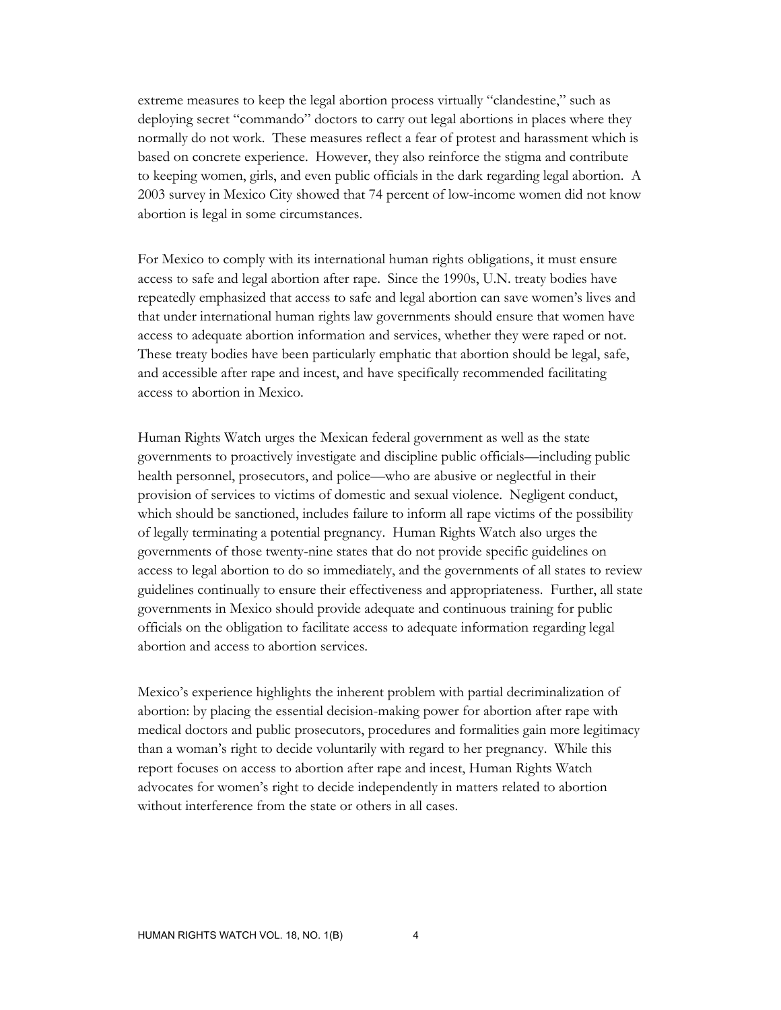extreme measures to keep the legal abortion process virtually "clandestine," such as deploying secret "commando" doctors to carry out legal abortions in places where they normally do not work. These measures reflect a fear of protest and harassment which is based on concrete experience. However, they also reinforce the stigma and contribute to keeping women, girls, and even public officials in the dark regarding legal abortion. A 2003 survey in Mexico City showed that 74 percent of low-income women did not know abortion is legal in some circumstances.

For Mexico to comply with its international human rights obligations, it must ensure access to safe and legal abortion after rape. Since the 1990s, U.N. treaty bodies have repeatedly emphasized that access to safe and legal abortion can save women's lives and that under international human rights law governments should ensure that women have access to adequate abortion information and services, whether they were raped or not. These treaty bodies have been particularly emphatic that abortion should be legal, safe, and accessible after rape and incest, and have specifically recommended facilitating access to abortion in Mexico.

Human Rights Watch urges the Mexican federal government as well as the state governments to proactively investigate and discipline public officials—including public health personnel, prosecutors, and police—who are abusive or neglectful in their provision of services to victims of domestic and sexual violence. Negligent conduct, which should be sanctioned, includes failure to inform all rape victims of the possibility of legally terminating a potential pregnancy. Human Rights Watch also urges the governments of those twenty-nine states that do not provide specific guidelines on access to legal abortion to do so immediately, and the governments of all states to review guidelines continually to ensure their effectiveness and appropriateness. Further, all state governments in Mexico should provide adequate and continuous training for public officials on the obligation to facilitate access to adequate information regarding legal abortion and access to abortion services.

Mexico's experience highlights the inherent problem with partial decriminalization of abortion: by placing the essential decision-making power for abortion after rape with medical doctors and public prosecutors, procedures and formalities gain more legitimacy than a woman's right to decide voluntarily with regard to her pregnancy. While this report focuses on access to abortion after rape and incest, Human Rights Watch advocates for women's right to decide independently in matters related to abortion without interference from the state or others in all cases.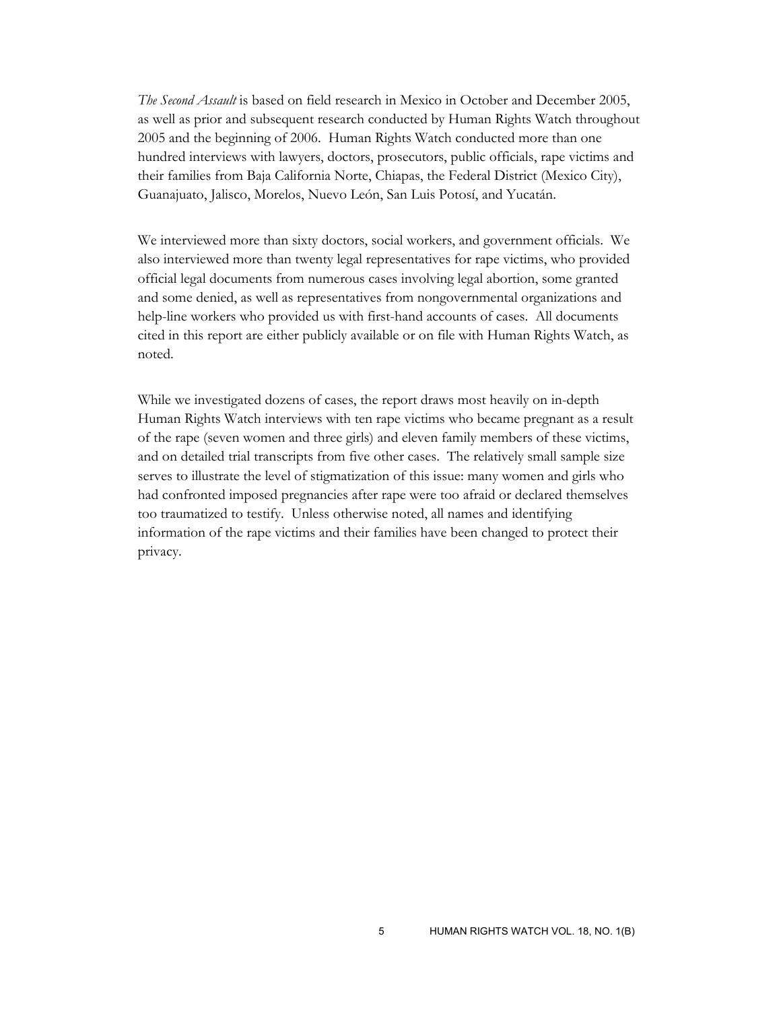*The Second Assault* is based on field research in Mexico in October and December 2005, as well as prior and subsequent research conducted by Human Rights Watch throughout 2005 and the beginning of 2006. Human Rights Watch conducted more than one hundred interviews with lawyers, doctors, prosecutors, public officials, rape victims and their families from Baja California Norte, Chiapas, the Federal District (Mexico City), Guanajuato, Jalisco, Morelos, Nuevo León, San Luis Potosí, and Yucatán.

We interviewed more than sixty doctors, social workers, and government officials. We also interviewed more than twenty legal representatives for rape victims, who provided official legal documents from numerous cases involving legal abortion, some granted and some denied, as well as representatives from nongovernmental organizations and help-line workers who provided us with first-hand accounts of cases. All documents cited in this report are either publicly available or on file with Human Rights Watch, as noted.

While we investigated dozens of cases, the report draws most heavily on in-depth Human Rights Watch interviews with ten rape victims who became pregnant as a result of the rape (seven women and three girls) and eleven family members of these victims, and on detailed trial transcripts from five other cases. The relatively small sample size serves to illustrate the level of stigmatization of this issue: many women and girls who had confronted imposed pregnancies after rape were too afraid or declared themselves too traumatized to testify. Unless otherwise noted, all names and identifying information of the rape victims and their families have been changed to protect their privacy.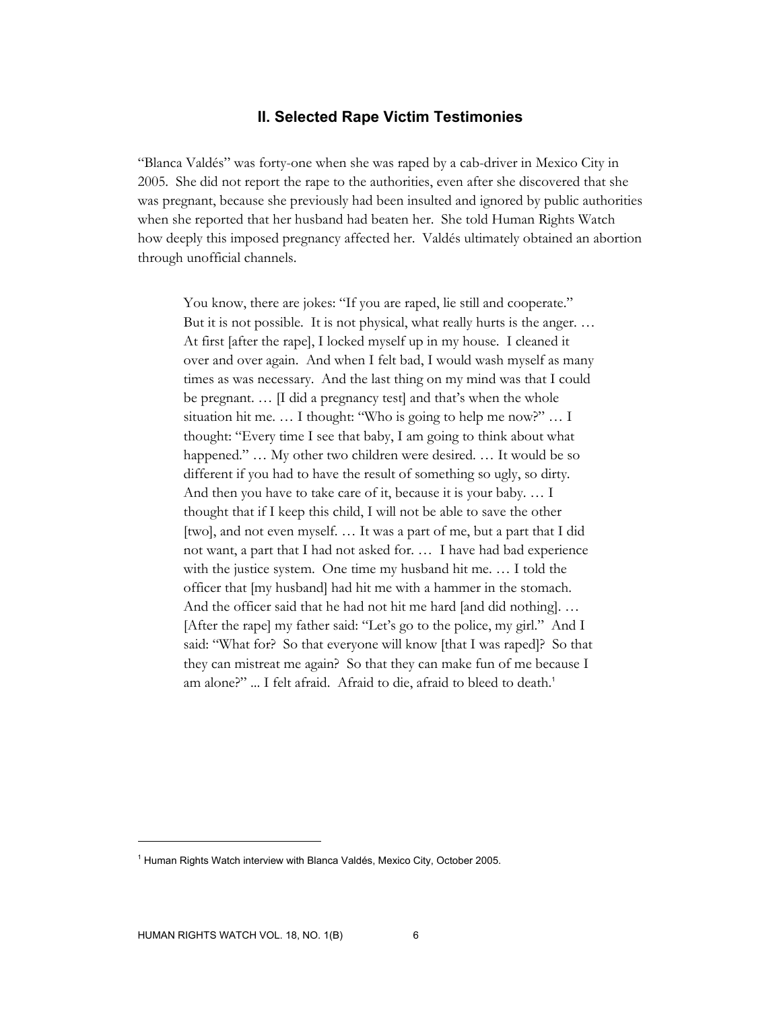#### **II. Selected Rape Victim Testimonies**

"Blanca Valdés" was forty-one when she was raped by a cab-driver in Mexico City in 2005. She did not report the rape to the authorities, even after she discovered that she was pregnant, because she previously had been insulted and ignored by public authorities when she reported that her husband had beaten her. She told Human Rights Watch how deeply this imposed pregnancy affected her. Valdés ultimately obtained an abortion through unofficial channels.

You know, there are jokes: "If you are raped, lie still and cooperate." But it is not possible. It is not physical, what really hurts is the anger. … At first [after the rape], I locked myself up in my house. I cleaned it over and over again. And when I felt bad, I would wash myself as many times as was necessary. And the last thing on my mind was that I could be pregnant. ... If did a pregnancy test] and that's when the whole situation hit me. … I thought: "Who is going to help me now?" … I thought: "Every time I see that baby, I am going to think about what happened." ... My other two children were desired. ... It would be so different if you had to have the result of something so ugly, so dirty. And then you have to take care of it, because it is your baby. … I thought that if I keep this child, I will not be able to save the other [two], and not even myself. … It was a part of me, but a part that I did not want, a part that I had not asked for. … I have had bad experience with the justice system. One time my husband hit me. … I told the officer that [my husband] had hit me with a hammer in the stomach. And the officer said that he had not hit me hard [and did nothing]. … [After the rape] my father said: "Let's go to the police, my girl." And I said: "What for? So that everyone will know [that I was raped]? So that they can mistreat me again? So that they can make fun of me because I am alone?" ... I felt afraid. Afraid to die, afraid to bleed to death.<sup>1</sup>

<sup>&</sup>lt;sup>1</sup> Human Rights Watch interview with Blanca Valdés, Mexico City, October 2005.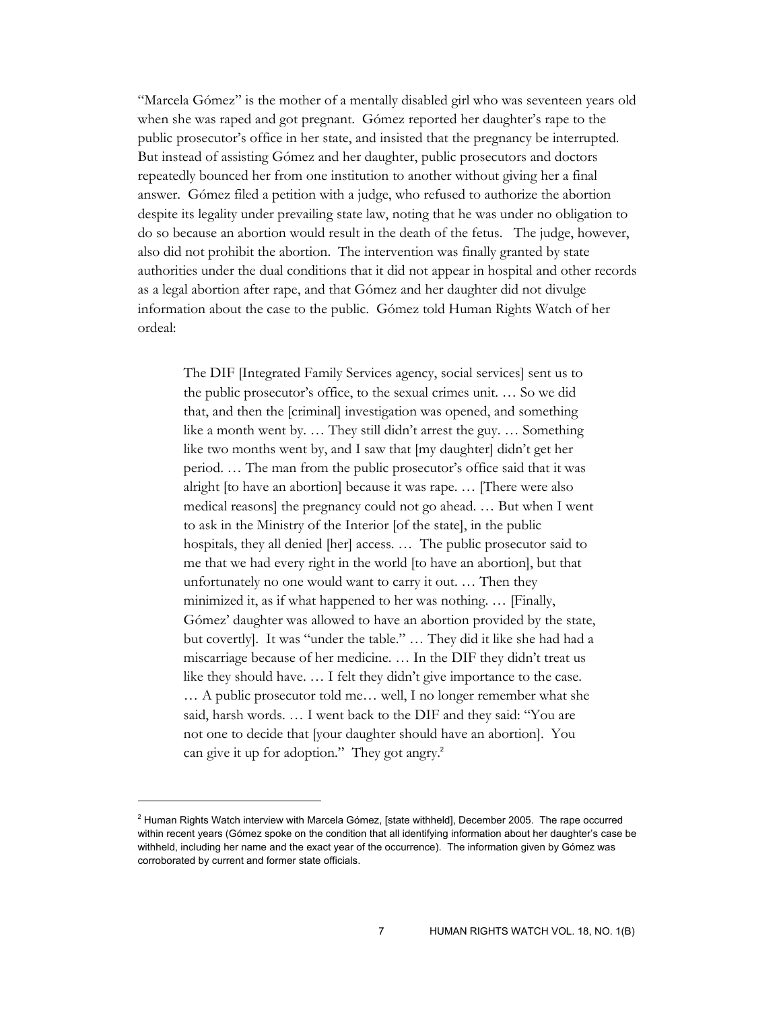"Marcela Gómez" is the mother of a mentally disabled girl who was seventeen years old when she was raped and got pregnant. Gómez reported her daughter's rape to the public prosecutor's office in her state, and insisted that the pregnancy be interrupted. But instead of assisting Gómez and her daughter, public prosecutors and doctors repeatedly bounced her from one institution to another without giving her a final answer. Gómez filed a petition with a judge, who refused to authorize the abortion despite its legality under prevailing state law, noting that he was under no obligation to do so because an abortion would result in the death of the fetus. The judge, however, also did not prohibit the abortion. The intervention was finally granted by state authorities under the dual conditions that it did not appear in hospital and other records as a legal abortion after rape, and that Gómez and her daughter did not divulge information about the case to the public. Gómez told Human Rights Watch of her ordeal:

The DIF [Integrated Family Services agency, social services] sent us to the public prosecutor's office, to the sexual crimes unit. … So we did that, and then the [criminal] investigation was opened, and something like a month went by. … They still didn't arrest the guy. … Something like two months went by, and I saw that [my daughter] didn't get her period. … The man from the public prosecutor's office said that it was alright [to have an abortion] because it was rape. … [There were also medical reasons] the pregnancy could not go ahead. … But when I went to ask in the Ministry of the Interior [of the state], in the public hospitals, they all denied [her] access. … The public prosecutor said to me that we had every right in the world [to have an abortion], but that unfortunately no one would want to carry it out. … Then they minimized it, as if what happened to her was nothing. … [Finally, Gómez' daughter was allowed to have an abortion provided by the state, but covertly]. It was "under the table." … They did it like she had had a miscarriage because of her medicine. … In the DIF they didn't treat us like they should have. … I felt they didn't give importance to the case. … A public prosecutor told me… well, I no longer remember what she said, harsh words. … I went back to the DIF and they said: "You are not one to decide that [your daughter should have an abortion]. You can give it up for adoption." They got angry.<sup>2</sup>

<sup>&</sup>lt;sup>2</sup> Human Rights Watch interview with Marcela Gómez, [state withheld], December 2005. The rape occurred within recent years (Gómez spoke on the condition that all identifying information about her daughter's case be withheld, including her name and the exact year of the occurrence). The information given by Gómez was corroborated by current and former state officials.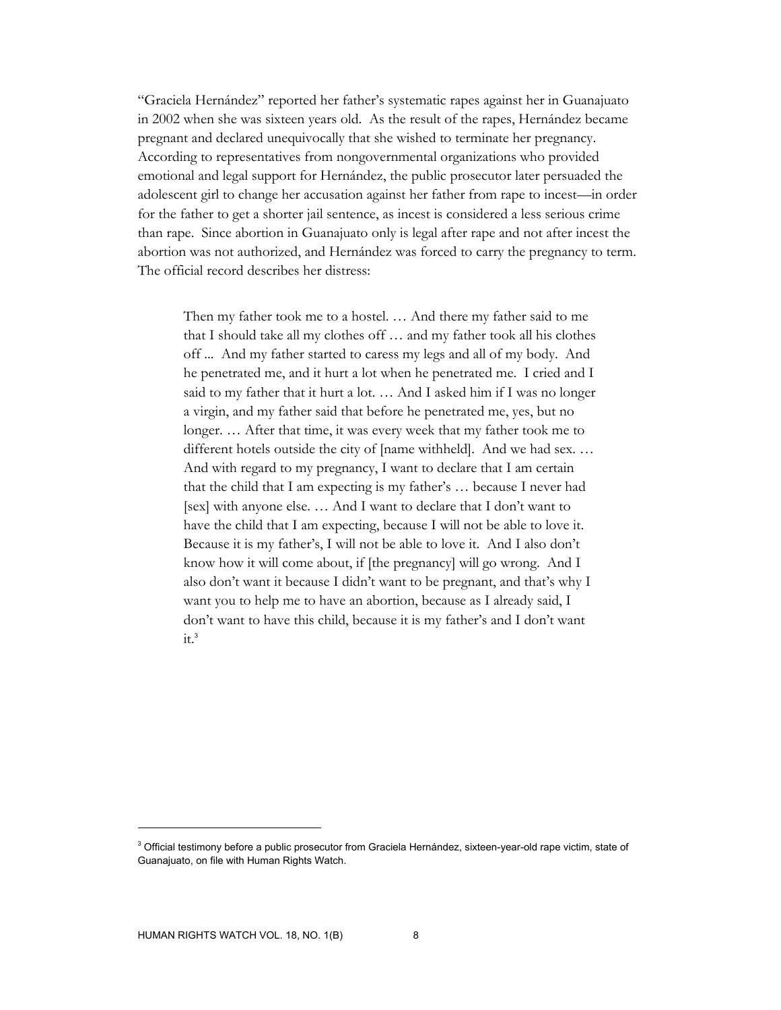"Graciela Hernández" reported her father's systematic rapes against her in Guanajuato in 2002 when she was sixteen years old. As the result of the rapes, Hernández became pregnant and declared unequivocally that she wished to terminate her pregnancy. According to representatives from nongovernmental organizations who provided emotional and legal support for Hernández, the public prosecutor later persuaded the adolescent girl to change her accusation against her father from rape to incest—in order for the father to get a shorter jail sentence, as incest is considered a less serious crime than rape. Since abortion in Guanajuato only is legal after rape and not after incest the abortion was not authorized, and Hernández was forced to carry the pregnancy to term. The official record describes her distress:

Then my father took me to a hostel. … And there my father said to me that I should take all my clothes off … and my father took all his clothes off ... And my father started to caress my legs and all of my body. And he penetrated me, and it hurt a lot when he penetrated me. I cried and I said to my father that it hurt a lot. … And I asked him if I was no longer a virgin, and my father said that before he penetrated me, yes, but no longer. … After that time, it was every week that my father took me to different hotels outside the city of [name withheld]. And we had sex. … And with regard to my pregnancy, I want to declare that I am certain that the child that I am expecting is my father's … because I never had [sex] with anyone else. … And I want to declare that I don't want to have the child that I am expecting, because I will not be able to love it. Because it is my father's, I will not be able to love it. And I also don't know how it will come about, if [the pregnancy] will go wrong. And I also don't want it because I didn't want to be pregnant, and that's why I want you to help me to have an abortion, because as I already said, I don't want to have this child, because it is my father's and I don't want  $it.<sup>3</sup>$ 

<sup>&</sup>lt;sup>3</sup> Official testimony before a public prosecutor from Graciela Hernández, sixteen-year-old rape victim, state of Guanajuato, on file with Human Rights Watch.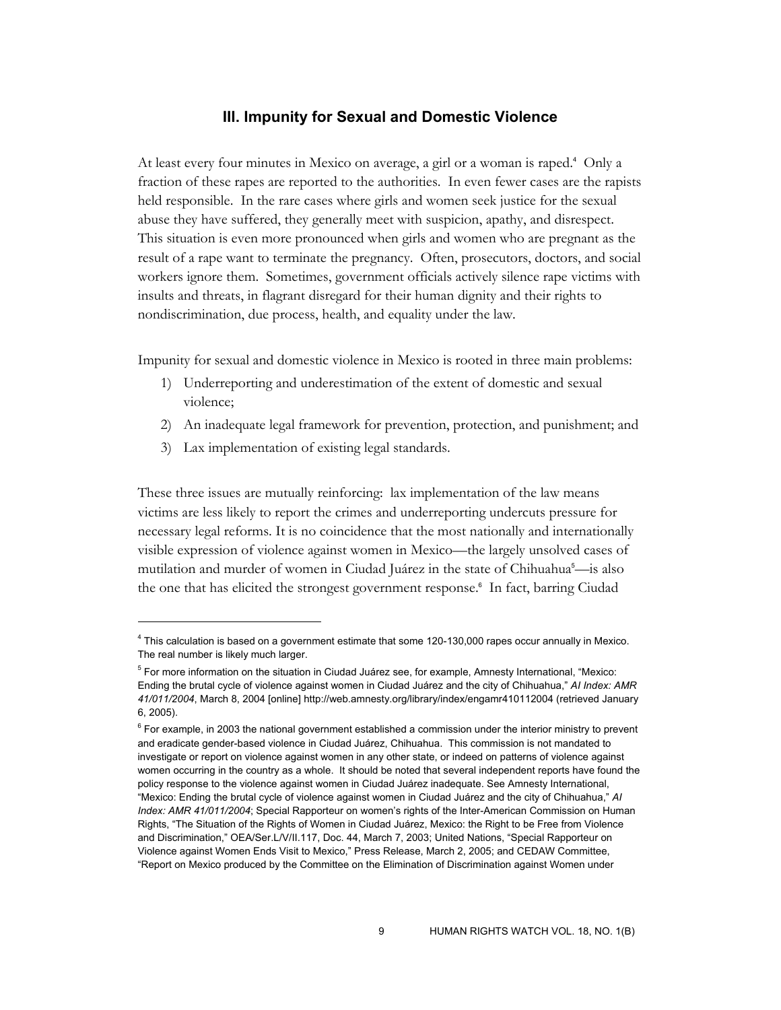#### **III. Impunity for Sexual and Domestic Violence**

At least every four minutes in Mexico on average, a girl or a woman is raped.<sup>4</sup> Only a fraction of these rapes are reported to the authorities. In even fewer cases are the rapists held responsible. In the rare cases where girls and women seek justice for the sexual abuse they have suffered, they generally meet with suspicion, apathy, and disrespect. This situation is even more pronounced when girls and women who are pregnant as the result of a rape want to terminate the pregnancy. Often, prosecutors, doctors, and social workers ignore them. Sometimes, government officials actively silence rape victims with insults and threats, in flagrant disregard for their human dignity and their rights to nondiscrimination, due process, health, and equality under the law.

Impunity for sexual and domestic violence in Mexico is rooted in three main problems:

- 1) Underreporting and underestimation of the extent of domestic and sexual violence;
- 2) An inadequate legal framework for prevention, protection, and punishment; and
- 3) Lax implementation of existing legal standards.

-

These three issues are mutually reinforcing: lax implementation of the law means victims are less likely to report the crimes and underreporting undercuts pressure for necessary legal reforms. It is no coincidence that the most nationally and internationally visible expression of violence against women in Mexico—the largely unsolved cases of mutilation and murder of women in Ciudad Juárez in the state of Chihuahua<sup>5</sup>—is also the one that has elicited the strongest government response.<sup>6</sup> In fact, barring Ciudad

<sup>4</sup> This calculation is based on a government estimate that some 120-130,000 rapes occur annually in Mexico. The real number is likely much larger.

<sup>&</sup>lt;sup>5</sup> For more information on the situation in Ciudad Juárez see, for example, Amnesty International, "Mexico: Ending the brutal cycle of violence against women in Ciudad Juárez and the city of Chihuahua," *AI Index: AMR 41/011/2004*, March 8, 2004 [online] http://web.amnesty.org/library/index/engamr410112004 (retrieved January 6, 2005).

<sup>&</sup>lt;sup>6</sup> For example, in 2003 the national government established a commission under the interior ministry to prevent and eradicate gender-based violence in Ciudad Juárez, Chihuahua. This commission is not mandated to investigate or report on violence against women in any other state, or indeed on patterns of violence against women occurring in the country as a whole. It should be noted that several independent reports have found the policy response to the violence against women in Ciudad Juárez inadequate. See Amnesty International, "Mexico: Ending the brutal cycle of violence against women in Ciudad Juárez and the city of Chihuahua," *AI Index: AMR 41/011/2004*; Special Rapporteur on women's rights of the Inter-American Commission on Human Rights, "The Situation of the Rights of Women in Ciudad Juárez, Mexico: the Right to be Free from Violence and Discrimination," OEA/Ser.L/V/II.117, Doc. 44, March 7, 2003; United Nations, "Special Rapporteur on Violence against Women Ends Visit to Mexico," Press Release, March 2, 2005; and CEDAW Committee, "Report on Mexico produced by the Committee on the Elimination of Discrimination against Women under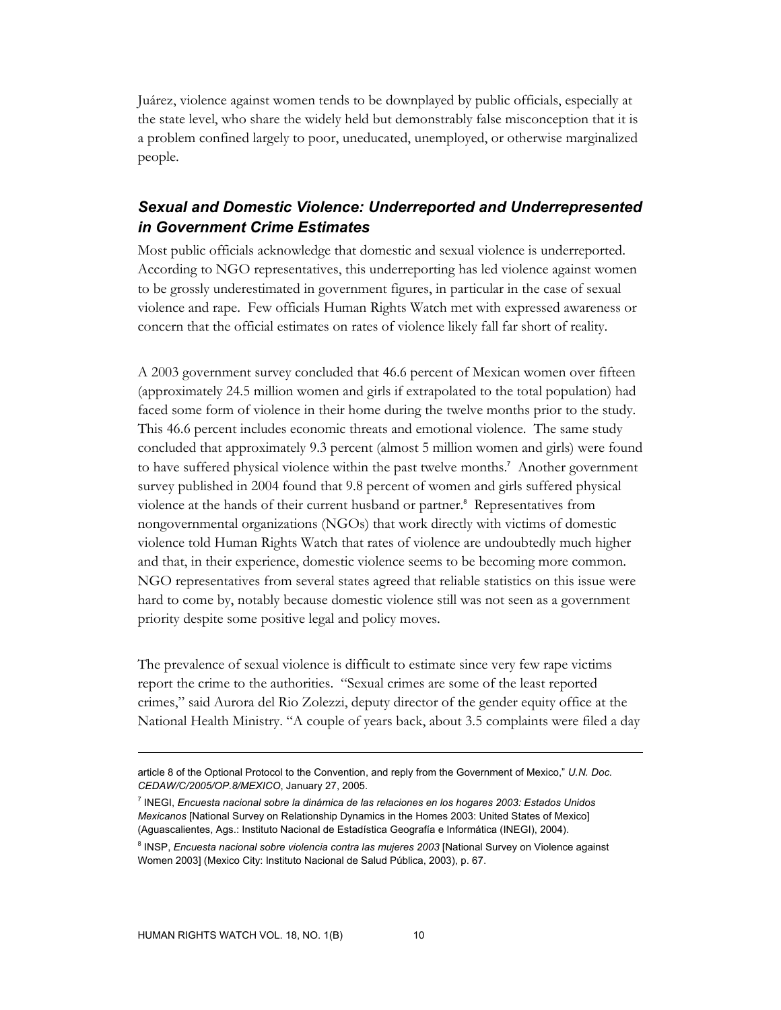Juárez, violence against women tends to be downplayed by public officials, especially at the state level, who share the widely held but demonstrably false misconception that it is a problem confined largely to poor, uneducated, unemployed, or otherwise marginalized people.

## *Sexual and Domestic Violence: Underreported and Underrepresented in Government Crime Estimates*

Most public officials acknowledge that domestic and sexual violence is underreported. According to NGO representatives, this underreporting has led violence against women to be grossly underestimated in government figures, in particular in the case of sexual violence and rape. Few officials Human Rights Watch met with expressed awareness or concern that the official estimates on rates of violence likely fall far short of reality.

A 2003 government survey concluded that 46.6 percent of Mexican women over fifteen (approximately 24.5 million women and girls if extrapolated to the total population) had faced some form of violence in their home during the twelve months prior to the study. This 46.6 percent includes economic threats and emotional violence. The same study concluded that approximately 9.3 percent (almost 5 million women and girls) were found to have suffered physical violence within the past twelve months.<sup>7</sup> Another government survey published in 2004 found that 9.8 percent of women and girls suffered physical violence at the hands of their current husband or partner.<sup>8</sup> Representatives from nongovernmental organizations (NGOs) that work directly with victims of domestic violence told Human Rights Watch that rates of violence are undoubtedly much higher and that, in their experience, domestic violence seems to be becoming more common. NGO representatives from several states agreed that reliable statistics on this issue were hard to come by, notably because domestic violence still was not seen as a government priority despite some positive legal and policy moves.

The prevalence of sexual violence is difficult to estimate since very few rape victims report the crime to the authorities. "Sexual crimes are some of the least reported crimes," said Aurora del Rio Zolezzi, deputy director of the gender equity office at the National Health Ministry. "A couple of years back, about 3.5 complaints were filed a day

article 8 of the Optional Protocol to the Convention, and reply from the Government of Mexico," *U.N. Doc. CEDAW/C/2005/OP.8/MEXICO*, January 27, 2005.

<sup>7</sup> INEGI, *Encuesta nacional sobre la dinámica de las relaciones en los hogares 2003: Estados Unidos Mexicanos* [National Survey on Relationship Dynamics in the Homes 2003: United States of Mexico] (Aguascalientes, Ags.: Instituto Nacional de Estadística Geografía e Informática (INEGI), 2004).

<sup>8</sup> INSP, *Encuesta nacional sobre violencia contra las mujeres 2003* [National Survey on Violence against Women 2003] (Mexico City: Instituto Nacional de Salud Pública, 2003), p. 67.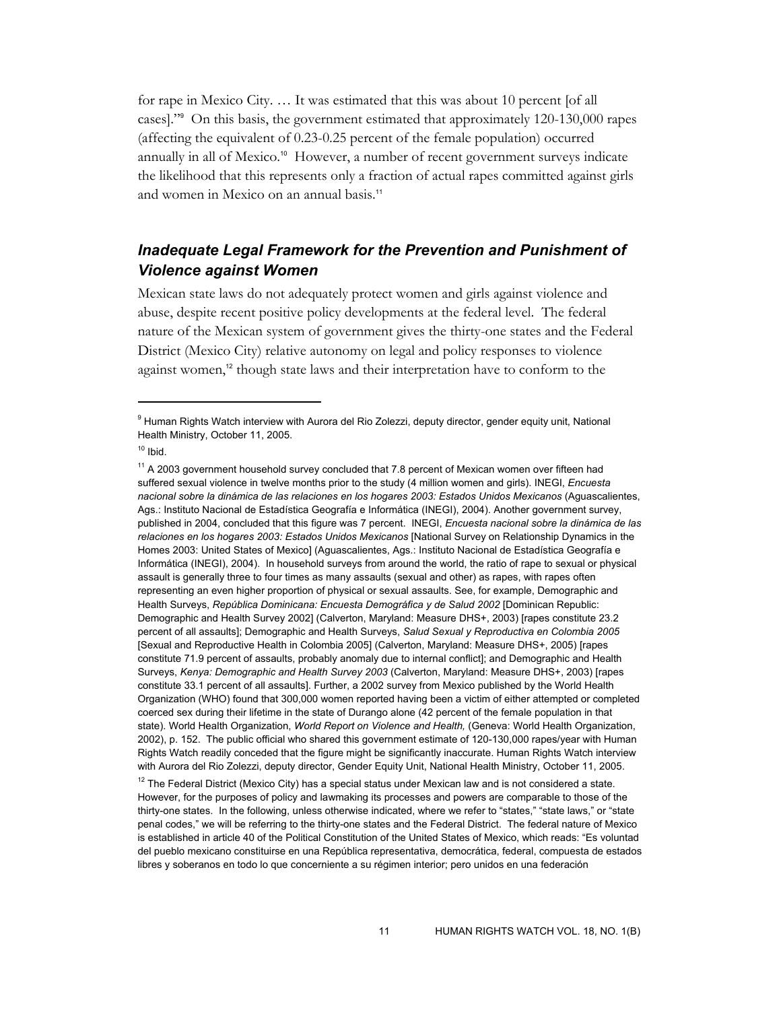for rape in Mexico City. … It was estimated that this was about 10 percent [of all cases]."<sup>9</sup> On this basis, the government estimated that approximately 120-130,000 rapes (affecting the equivalent of 0.23-0.25 percent of the female population) occurred annually in all of Mexico.10 However, a number of recent government surveys indicate the likelihood that this represents only a fraction of actual rapes committed against girls and women in Mexico on an annual basis.<sup>11</sup>

## *Inadequate Legal Framework for the Prevention and Punishment of Violence against Women*

Mexican state laws do not adequately protect women and girls against violence and abuse, despite recent positive policy developments at the federal level. The federal nature of the Mexican system of government gives the thirty-one states and the Federal District (Mexico City) relative autonomy on legal and policy responses to violence against women,<sup>12</sup> though state laws and their interpretation have to conform to the

<sup>&</sup>lt;sup>9</sup> Human Rights Watch interview with Aurora del Rio Zolezzi, deputy director, gender equity unit, National Health Ministry, October 11, 2005.

 $10$  Ibid.

<sup>&</sup>lt;sup>11</sup> A 2003 government household survey concluded that 7.8 percent of Mexican women over fifteen had suffered sexual violence in twelve months prior to the study (4 million women and girls). INEGI, *Encuesta nacional sobre la dinámica de las relaciones en los hogares 2003: Estados Unidos Mexicanos* (Aguascalientes, Ags.: Instituto Nacional de Estadística Geografía e Informática (INEGI), 2004). Another government survey, published in 2004, concluded that this figure was 7 percent. INEGI, *Encuesta nacional sobre la dinámica de las relaciones en los hogares 2003: Estados Unidos Mexicanos* [National Survey on Relationship Dynamics in the Homes 2003: United States of Mexico] (Aguascalientes, Ags.: Instituto Nacional de Estadística Geografía e Informática (INEGI), 2004). In household surveys from around the world, the ratio of rape to sexual or physical assault is generally three to four times as many assaults (sexual and other) as rapes, with rapes often representing an even higher proportion of physical or sexual assaults. See, for example, Demographic and Health Surveys, *República Dominicana: Encuesta Demográfica y de Salud 2002* [Dominican Republic: Demographic and Health Survey 2002] (Calverton, Maryland: Measure DHS+, 2003) [rapes constitute 23.2 percent of all assaults]; Demographic and Health Surveys, *Salud Sexual y Reproductiva en Colombia 2005* [Sexual and Reproductive Health in Colombia 2005] (Calverton, Maryland: Measure DHS+, 2005) [rapes constitute 71.9 percent of assaults, probably anomaly due to internal conflict]; and Demographic and Health Surveys, *Kenya: Demographic and Health Survey 2003* (Calverton, Maryland: Measure DHS+, 2003) [rapes constitute 33.1 percent of all assaults]. Further, a 2002 survey from Mexico published by the World Health Organization (WHO) found that 300,000 women reported having been a victim of either attempted or completed coerced sex during their lifetime in the state of Durango alone (42 percent of the female population in that state). World Health Organization, *World Report on Violence and Health,* (Geneva: World Health Organization, 2002), p. 152. The public official who shared this government estimate of 120-130,000 rapes/year with Human Rights Watch readily conceded that the figure might be significantly inaccurate. Human Rights Watch interview with Aurora del Rio Zolezzi, deputy director, Gender Equity Unit, National Health Ministry, October 11, 2005.

 $12$  The Federal District (Mexico City) has a special status under Mexican law and is not considered a state. However, for the purposes of policy and lawmaking its processes and powers are comparable to those of the thirty-one states. In the following, unless otherwise indicated, where we refer to "states," "state laws," or "state penal codes," we will be referring to the thirty-one states and the Federal District. The federal nature of Mexico is established in article 40 of the Political Constitution of the United States of Mexico, which reads: "Es voluntad del pueblo mexicano constituirse en una República representativa, democrática, federal, compuesta de estados libres y soberanos en todo lo que concerniente a su régimen interior; pero unidos en una federación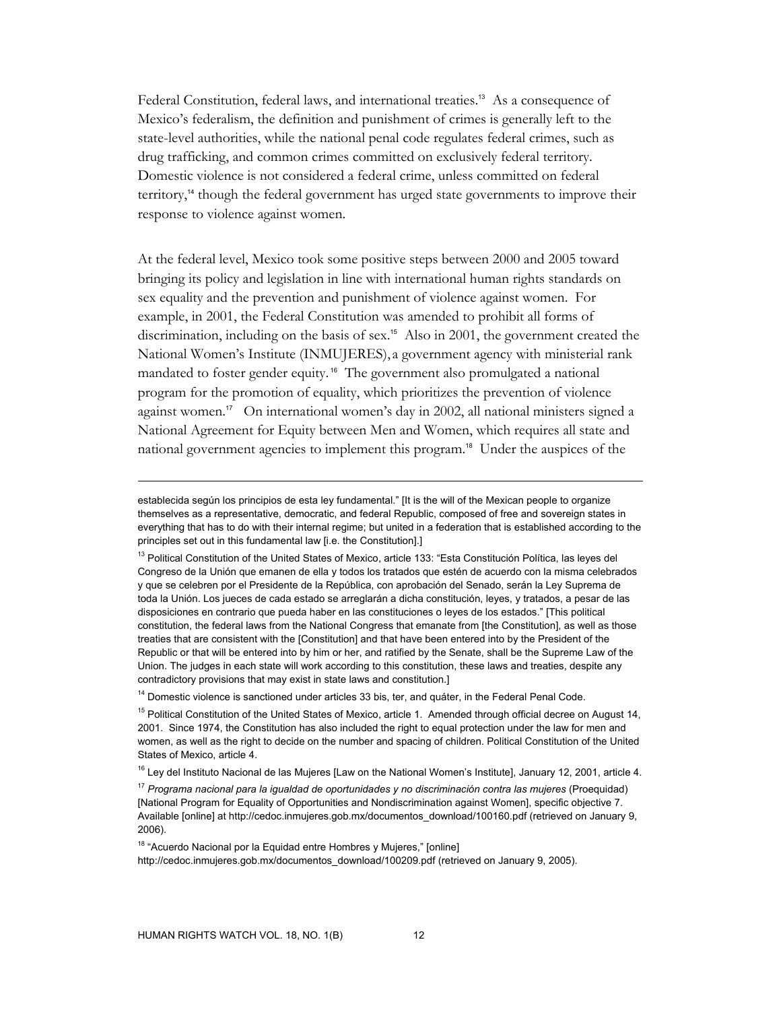Federal Constitution, federal laws, and international treaties.<sup>13</sup> As a consequence of Mexico's federalism, the definition and punishment of crimes is generally left to the state-level authorities, while the national penal code regulates federal crimes, such as drug trafficking, and common crimes committed on exclusively federal territory. Domestic violence is not considered a federal crime, unless committed on federal territory,14 though the federal government has urged state governments to improve their response to violence against women.

At the federal level, Mexico took some positive steps between 2000 and 2005 toward bringing its policy and legislation in line with international human rights standards on sex equality and the prevention and punishment of violence against women. For example, in 2001, the Federal Constitution was amended to prohibit all forms of discrimination, including on the basis of sex.15 Also in 2001, the government created the National Women's Institute (INMUJERES), a government agency with ministerial rank mandated to foster gender equity. 16 The government also promulgated a national program for the promotion of equality, which prioritizes the prevention of violence against women.17 On international women's day in 2002, all national ministers signed a National Agreement for Equity between Men and Women, which requires all state and national government agencies to implement this program.18 Under the auspices of the

http://cedoc.inmujeres.gob.mx/documentos\_download/100209.pdf (retrieved on January 9, 2005).

establecida según los principios de esta ley fundamental." [It is the will of the Mexican people to organize themselves as a representative, democratic, and federal Republic, composed of free and sovereign states in everything that has to do with their internal regime; but united in a federation that is established according to the principles set out in this fundamental law [i.e. the Constitution].]

<sup>&</sup>lt;sup>13</sup> Political Constitution of the United States of Mexico, article 133: "Esta Constitución Política, las leyes del Congreso de la Unión que emanen de ella y todos los tratados que estén de acuerdo con la misma celebrados y que se celebren por el Presidente de la República, con aprobación del Senado, serán la Ley Suprema de toda la Unión. Los jueces de cada estado se arreglarán a dicha constitución, leyes, y tratados, a pesar de las disposiciones en contrario que pueda haber en las constituciones o leyes de los estados." [This political constitution, the federal laws from the National Congress that emanate from [the Constitution], as well as those treaties that are consistent with the [Constitution] and that have been entered into by the President of the Republic or that will be entered into by him or her, and ratified by the Senate, shall be the Supreme Law of the Union. The judges in each state will work according to this constitution, these laws and treaties, despite any contradictory provisions that may exist in state laws and constitution.]

<sup>&</sup>lt;sup>14</sup> Domestic violence is sanctioned under articles 33 bis, ter, and quáter, in the Federal Penal Code.

<sup>&</sup>lt;sup>15</sup> Political Constitution of the United States of Mexico, article 1. Amended through official decree on August 14, 2001. Since 1974, the Constitution has also included the right to equal protection under the law for men and women, as well as the right to decide on the number and spacing of children. Political Constitution of the United States of Mexico, article 4.

<sup>&</sup>lt;sup>16</sup> Ley del Instituto Nacional de las Mujeres [Law on the National Women's Institute], January 12, 2001, article 4.

<sup>17</sup> *Programa nacional para la igualdad de oportunidades y no discriminación contra las mujeres* (Proequidad) [National Program for Equality of Opportunities and Nondiscrimination against Women], specific objective 7. Available [online] at http://cedoc.inmujeres.gob.mx/documentos\_download/100160.pdf (retrieved on January 9, 2006).

<sup>&</sup>lt;sup>18</sup> "Acuerdo Nacional por la Equidad entre Hombres y Mujeres," [online]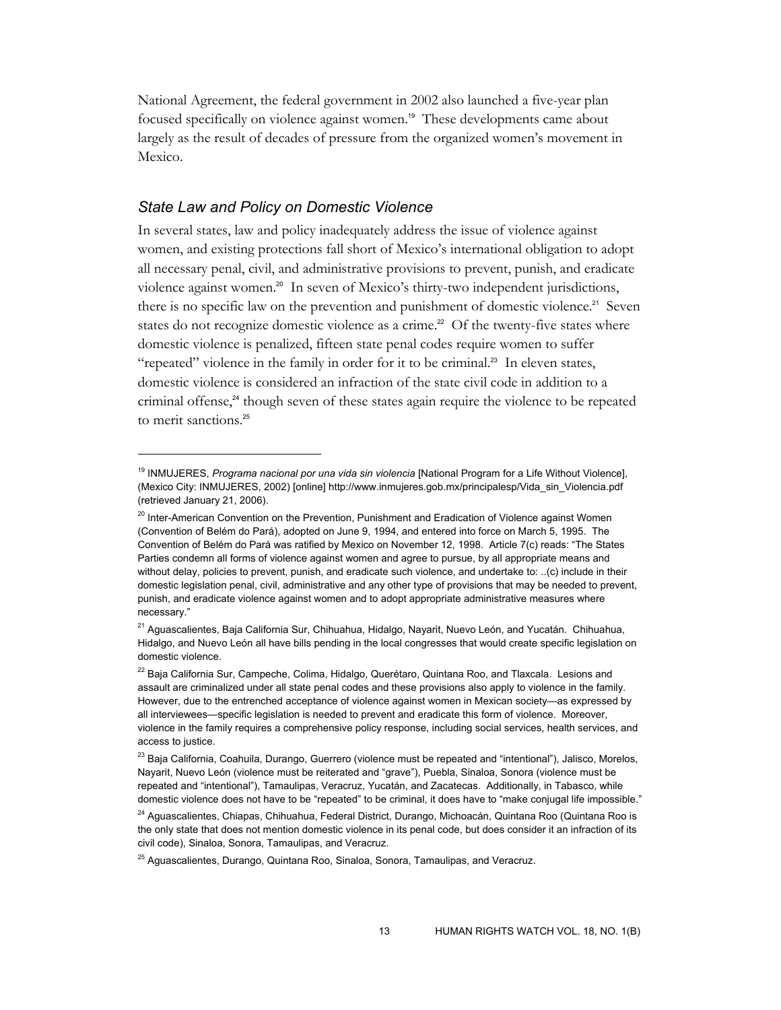National Agreement, the federal government in 2002 also launched a five-year plan focused specifically on violence against women.19 These developments came about largely as the result of decades of pressure from the organized women's movement in Mexico.

#### *State Law and Policy on Domestic Violence*

 $\overline{a}$ 

In several states, law and policy inadequately address the issue of violence against women, and existing protections fall short of Mexico's international obligation to adopt all necessary penal, civil, and administrative provisions to prevent, punish, and eradicate violence against women.<sup>20</sup> In seven of Mexico's thirty-two independent jurisdictions, there is no specific law on the prevention and punishment of domestic violence.<sup>21</sup> Seven states do not recognize domestic violence as a crime.<sup>22</sup> Of the twenty-five states where domestic violence is penalized, fifteen state penal codes require women to suffer "repeated" violence in the family in order for it to be criminal.<sup>23</sup> In eleven states, domestic violence is considered an infraction of the state civil code in addition to a criminal offense,<sup>24</sup> though seven of these states again require the violence to be repeated to merit sanctions.<sup>25</sup>

<sup>19</sup> INMUJERES, *Programa nacional por una vida sin violencia* [National Program for a Life Without Violence], (Mexico City: INMUJERES, 2002) [online] http://www.inmujeres.gob.mx/principalesp/Vida\_sin\_Violencia.pdf (retrieved January 21, 2006).

<sup>&</sup>lt;sup>20</sup> Inter-American Convention on the Prevention, Punishment and Eradication of Violence against Women (Convention of Belém do Pará), adopted on June 9, 1994, and entered into force on March 5, 1995. The Convention of Belém do Pará was ratified by Mexico on November 12, 1998. Article 7(c) reads: "The States Parties condemn all forms of violence against women and agree to pursue, by all appropriate means and without delay, policies to prevent, punish, and eradicate such violence, and undertake to: ..(c) include in their domestic legislation penal, civil, administrative and any other type of provisions that may be needed to prevent, punish, and eradicate violence against women and to adopt appropriate administrative measures where necessary."

<sup>&</sup>lt;sup>21</sup> Aguascalientes, Baja California Sur, Chihuahua, Hidalgo, Nayarit, Nuevo León, and Yucatán. Chihuahua, Hidalgo, and Nuevo León all have bills pending in the local congresses that would create specific legislation on domestic violence.

<sup>&</sup>lt;sup>22</sup> Baja California Sur, Campeche, Colima, Hidalgo, Querétaro, Quintana Roo, and Tlaxcala. Lesions and assault are criminalized under all state penal codes and these provisions also apply to violence in the family. However, due to the entrenched acceptance of violence against women in Mexican society—as expressed by all interviewees—specific legislation is needed to prevent and eradicate this form of violence. Moreover, violence in the family requires a comprehensive policy response, including social services, health services, and access to justice.

<sup>&</sup>lt;sup>23</sup> Baja California, Coahuila, Durango, Guerrero (violence must be repeated and "intentional"), Jalisco, Morelos, Nayarit, Nuevo León (violence must be reiterated and "grave"), Puebla, Sinaloa, Sonora (violence must be repeated and "intentional"), Tamaulipas, Veracruz, Yucatán, and Zacatecas. Additionally, in Tabasco, while domestic violence does not have to be "repeated" to be criminal, it does have to "make conjugal life impossible."

<sup>&</sup>lt;sup>24</sup> Aguascalientes, Chiapas, Chihuahua, Federal District, Durango, Michoacán, Quintana Roo (Quintana Roo is the only state that does not mention domestic violence in its penal code, but does consider it an infraction of its civil code), Sinaloa, Sonora, Tamaulipas, and Veracruz.

<sup>&</sup>lt;sup>25</sup> Aguascalientes, Durango, Quintana Roo, Sinaloa, Sonora, Tamaulipas, and Veracruz.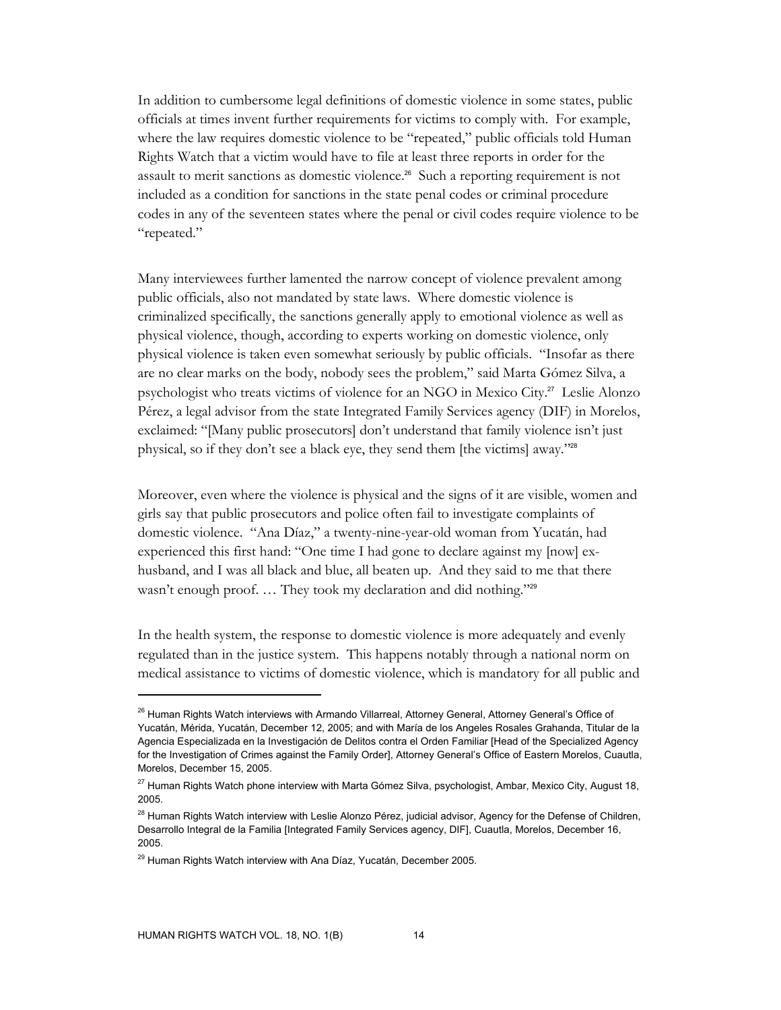In addition to cumbersome legal definitions of domestic violence in some states, public officials at times invent further requirements for victims to comply with. For example, where the law requires domestic violence to be "repeated," public officials told Human Rights Watch that a victim would have to file at least three reports in order for the assault to merit sanctions as domestic violence.<sup>26</sup> Such a reporting requirement is not included as a condition for sanctions in the state penal codes or criminal procedure codes in any of the seventeen states where the penal or civil codes require violence to be "repeated."

Many interviewees further lamented the narrow concept of violence prevalent among public officials, also not mandated by state laws. Where domestic violence is criminalized specifically, the sanctions generally apply to emotional violence as well as physical violence, though, according to experts working on domestic violence, only physical violence is taken even somewhat seriously by public officials. "Insofar as there are no clear marks on the body, nobody sees the problem," said Marta Gómez Silva, a psychologist who treats victims of violence for an NGO in Mexico City.27 Leslie Alonzo Pérez, a legal advisor from the state Integrated Family Services agency (DIF) in Morelos, exclaimed: "[Many public prosecutors] don't understand that family violence isn't just physical, so if they don't see a black eye, they send them [the victims] away."<sup>28</sup>

Moreover, even where the violence is physical and the signs of it are visible, women and girls say that public prosecutors and police often fail to investigate complaints of domestic violence. "Ana Díaz," a twenty-nine-year-old woman from Yucatán, had experienced this first hand: "One time I had gone to declare against my [now] exhusband, and I was all black and blue, all beaten up. And they said to me that there wasn't enough proof. ... They took my declaration and did nothing."<sup>29</sup>

In the health system, the response to domestic violence is more adequately and evenly regulated than in the justice system. This happens notably through a national norm on medical assistance to victims of domestic violence, which is mandatory for all public and

<sup>&</sup>lt;sup>26</sup> Human Rights Watch interviews with Armando Villarreal, Attorney General, Attorney General's Office of Yucatán, Mérida, Yucatán, December 12, 2005; and with María de los Angeles Rosales Grahanda, Titular de la Agencia Especializada en la Investigación de Delitos contra el Orden Familiar [Head of the Specialized Agency for the Investigation of Crimes against the Family Order], Attorney General's Office of Eastern Morelos, Cuautla, Morelos, December 15, 2005.

<sup>&</sup>lt;sup>27</sup> Human Rights Watch phone interview with Marta Gómez Silva, psychologist, Ambar, Mexico City, August 18, 2005.

<sup>&</sup>lt;sup>28</sup> Human Rights Watch interview with Leslie Alonzo Pérez, judicial advisor, Agency for the Defense of Children, Desarrollo Integral de la Familia [Integrated Family Services agency, DIF], Cuautla, Morelos, December 16, 2005.

<sup>&</sup>lt;sup>29</sup> Human Rights Watch interview with Ana Díaz, Yucatán, December 2005.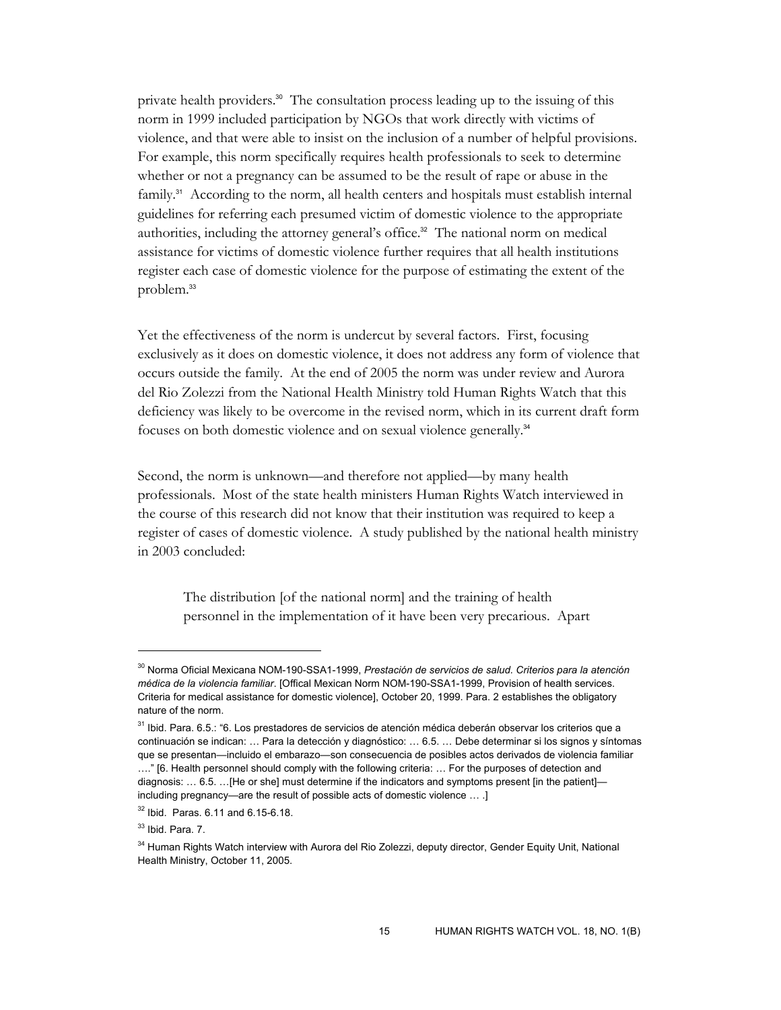private health providers.30 The consultation process leading up to the issuing of this norm in 1999 included participation by NGOs that work directly with victims of violence, and that were able to insist on the inclusion of a number of helpful provisions. For example, this norm specifically requires health professionals to seek to determine whether or not a pregnancy can be assumed to be the result of rape or abuse in the family.<sup>31</sup> According to the norm, all health centers and hospitals must establish internal guidelines for referring each presumed victim of domestic violence to the appropriate authorities, including the attorney general's office.<sup>32</sup> The national norm on medical assistance for victims of domestic violence further requires that all health institutions register each case of domestic violence for the purpose of estimating the extent of the problem.<sup>33</sup>

Yet the effectiveness of the norm is undercut by several factors. First, focusing exclusively as it does on domestic violence, it does not address any form of violence that occurs outside the family. At the end of 2005 the norm was under review and Aurora del Rio Zolezzi from the National Health Ministry told Human Rights Watch that this deficiency was likely to be overcome in the revised norm, which in its current draft form focuses on both domestic violence and on sexual violence generally.<sup>34</sup>

Second, the norm is unknown—and therefore not applied—by many health professionals. Most of the state health ministers Human Rights Watch interviewed in the course of this research did not know that their institution was required to keep a register of cases of domestic violence. A study published by the national health ministry in 2003 concluded:

The distribution [of the national norm] and the training of health personnel in the implementation of it have been very precarious. Apart

<sup>30</sup> Norma Oficial Mexicana NOM-190-SSA1-1999, *Prestación de servicios de salud. Criterios para la atención médica de la violencia familiar*. [Offical Mexican Norm NOM-190-SSA1-1999, Provision of health services. Criteria for medical assistance for domestic violence], October 20, 1999. Para. 2 establishes the obligatory nature of the norm.

<sup>31</sup> Ibid. Para. 6.5.: "6. Los prestadores de servicios de atención médica deberán observar los criterios que a continuación se indican: … Para la detección y diagnóstico: … 6.5. … Debe determinar si los signos y síntomas que se presentan—incluido el embarazo—son consecuencia de posibles actos derivados de violencia familiar …." [6. Health personnel should comply with the following criteria: … For the purposes of detection and diagnosis: ... 6.5. … [He or she] must determine if the indicators and symptoms present [in the patient] including pregnancy—are the result of possible acts of domestic violence … .]

<sup>32</sup> Ibid. Paras. 6.11 and 6.15-6.18.

 $33$  Ibid. Para. 7.

<sup>&</sup>lt;sup>34</sup> Human Rights Watch interview with Aurora del Rio Zolezzi, deputy director, Gender Equity Unit, National Health Ministry, October 11, 2005.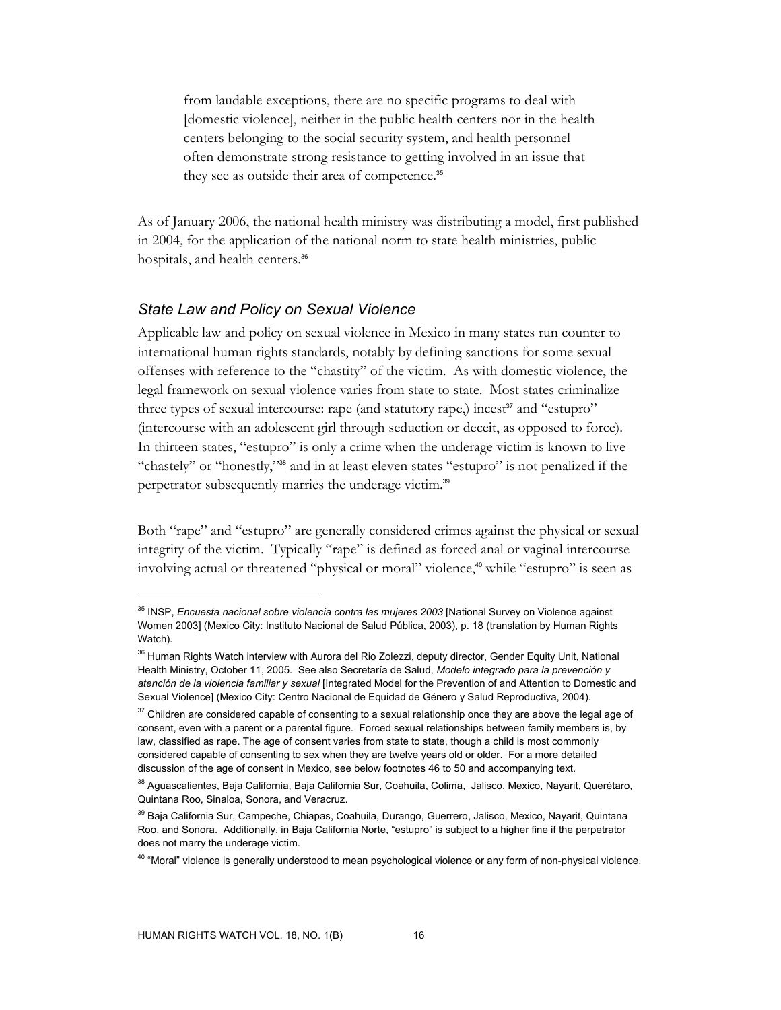from laudable exceptions, there are no specific programs to deal with [domestic violence], neither in the public health centers nor in the health centers belonging to the social security system, and health personnel often demonstrate strong resistance to getting involved in an issue that they see as outside their area of competence.<sup>35</sup>

As of January 2006, the national health ministry was distributing a model, first published in 2004, for the application of the national norm to state health ministries, public hospitals, and health centers.<sup>36</sup>

#### *State Law and Policy on Sexual Violence*

Applicable law and policy on sexual violence in Mexico in many states run counter to international human rights standards, notably by defining sanctions for some sexual offenses with reference to the "chastity" of the victim. As with domestic violence, the legal framework on sexual violence varies from state to state. Most states criminalize three types of sexual intercourse: rape (and statutory rape,) incest<sup>37</sup> and "estupro" (intercourse with an adolescent girl through seduction or deceit, as opposed to force). In thirteen states, "estupro" is only a crime when the underage victim is known to live "chastely" or "honestly,"38 and in at least eleven states "estupro" is not penalized if the perpetrator subsequently marries the underage victim.<sup>39</sup>

Both "rape" and "estupro" are generally considered crimes against the physical or sexual integrity of the victim. Typically "rape" is defined as forced anal or vaginal intercourse involving actual or threatened "physical or moral" violence,<sup>40</sup> while "estupro" is seen as

<sup>35</sup> INSP, *Encuesta nacional sobre violencia contra las mujeres 2003* [National Survey on Violence against Women 2003] (Mexico City: Instituto Nacional de Salud Pública, 2003), p. 18 (translation by Human Rights Watch).

<sup>&</sup>lt;sup>36</sup> Human Rights Watch interview with Aurora del Rio Zolezzi, deputy director, Gender Equity Unit, National Health Ministry, October 11, 2005. See also Secretaría de Salud, *Modelo integrado para la prevención y atención de la violencia familiar y sexual* [Integrated Model for the Prevention of and Attention to Domestic and Sexual Violence] (Mexico City: Centro Nacional de Equidad de Género y Salud Reproductiva, 2004).

<sup>&</sup>lt;sup>37</sup> Children are considered capable of consenting to a sexual relationship once they are above the legal age of consent, even with a parent or a parental figure. Forced sexual relationships between family members is, by law, classified as rape. The age of consent varies from state to state, though a child is most commonly considered capable of consenting to sex when they are twelve years old or older. For a more detailed discussion of the age of consent in Mexico, see below footnotes 46 to 50 and accompanying text.

<sup>&</sup>lt;sup>38</sup> Aguascalientes, Baja California, Baja California Sur, Coahuila, Colima, Jalisco, Mexico, Nayarit, Querétaro, Quintana Roo, Sinaloa, Sonora, and Veracruz.

<sup>&</sup>lt;sup>39</sup> Baja California Sur, Campeche, Chiapas, Coahuila, Durango, Guerrero, Jalisco, Mexico, Nayarit, Quintana Roo, and Sonora. Additionally, in Baja California Norte, "estupro" is subject to a higher fine if the perpetrator does not marry the underage victim.

<sup>&</sup>lt;sup>40</sup> "Moral" violence is generally understood to mean psychological violence or any form of non-physical violence.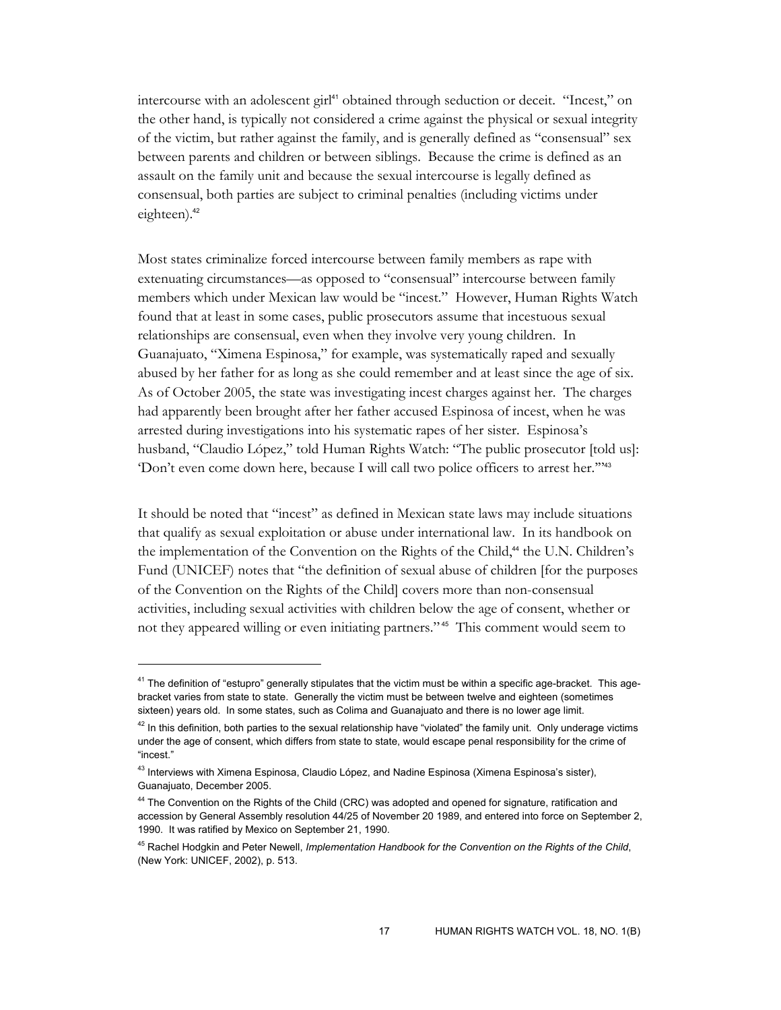intercourse with an adolescent girl<sup>41</sup> obtained through seduction or deceit. "Incest," on the other hand, is typically not considered a crime against the physical or sexual integrity of the victim, but rather against the family, and is generally defined as "consensual" sex between parents and children or between siblings. Because the crime is defined as an assault on the family unit and because the sexual intercourse is legally defined as consensual, both parties are subject to criminal penalties (including victims under eighteen).<sup>42</sup>

Most states criminalize forced intercourse between family members as rape with extenuating circumstances—as opposed to "consensual" intercourse between family members which under Mexican law would be "incest." However, Human Rights Watch found that at least in some cases, public prosecutors assume that incestuous sexual relationships are consensual, even when they involve very young children. In Guanajuato, "Ximena Espinosa," for example, was systematically raped and sexually abused by her father for as long as she could remember and at least since the age of six. As of October 2005, the state was investigating incest charges against her. The charges had apparently been brought after her father accused Espinosa of incest, when he was arrested during investigations into his systematic rapes of her sister. Espinosa's husband, "Claudio López," told Human Rights Watch: "The public prosecutor [told us]: 'Don't even come down here, because I will call two police officers to arrest her.'"<sup>43</sup>

It should be noted that "incest" as defined in Mexican state laws may include situations that qualify as sexual exploitation or abuse under international law. In its handbook on the implementation of the Convention on the Rights of the Child,<sup>44</sup> the U.N. Children's Fund (UNICEF) notes that "the definition of sexual abuse of children [for the purposes of the Convention on the Rights of the Child] covers more than non-consensual activities, including sexual activities with children below the age of consent, whether or not they appeared willing or even initiating partners." 45 This comment would seem to

<sup>&</sup>lt;sup>41</sup> The definition of "estupro" generally stipulates that the victim must be within a specific age-bracket. This agebracket varies from state to state. Generally the victim must be between twelve and eighteen (sometimes sixteen) years old. In some states, such as Colima and Guanajuato and there is no lower age limit.

 $42$  In this definition, both parties to the sexual relationship have "violated" the family unit. Only underage victims under the age of consent, which differs from state to state, would escape penal responsibility for the crime of "incest."

<sup>43</sup> Interviews with Ximena Espinosa, Claudio López, and Nadine Espinosa (Ximena Espinosa's sister), Guanajuato, December 2005.

<sup>&</sup>lt;sup>44</sup> The Convention on the Rights of the Child (CRC) was adopted and opened for signature, ratification and accession by General Assembly resolution 44/25 of November 20 1989, and entered into force on September 2, 1990. It was ratified by Mexico on September 21, 1990.

<sup>45</sup> Rachel Hodgkin and Peter Newell, *Implementation Handbook for the Convention on the Rights of the Child*, (New York: UNICEF, 2002), p. 513.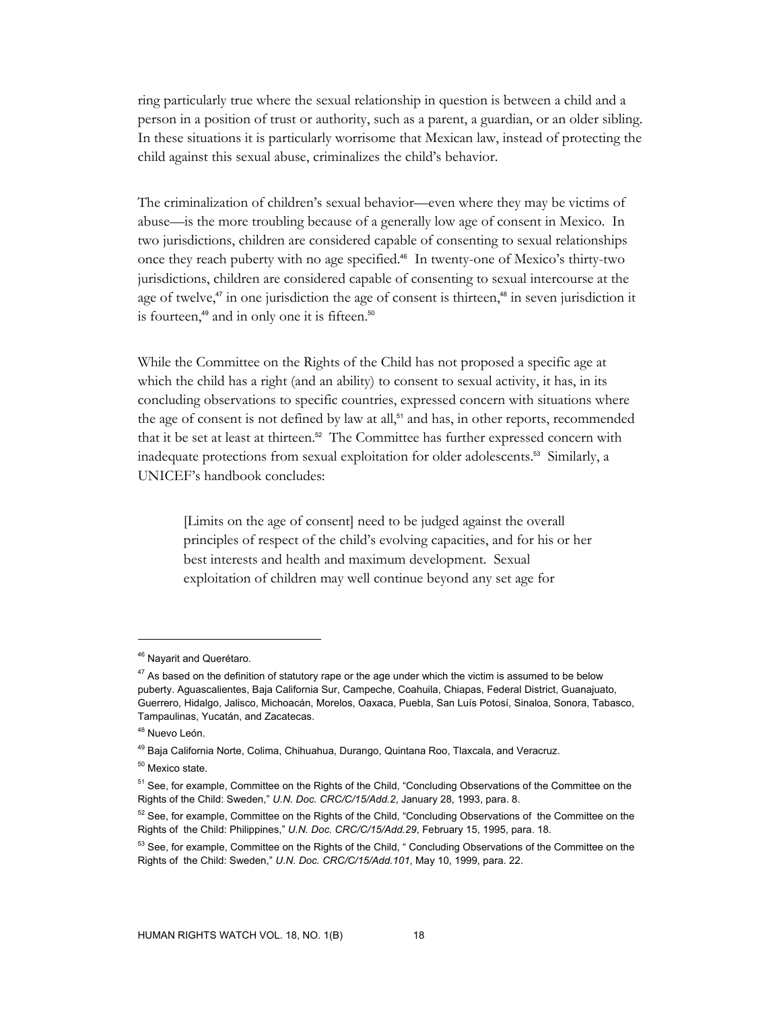ring particularly true where the sexual relationship in question is between a child and a person in a position of trust or authority, such as a parent, a guardian, or an older sibling. In these situations it is particularly worrisome that Mexican law, instead of protecting the child against this sexual abuse, criminalizes the child's behavior.

The criminalization of children's sexual behavior—even where they may be victims of abuse—is the more troubling because of a generally low age of consent in Mexico. In two jurisdictions, children are considered capable of consenting to sexual relationships once they reach puberty with no age specified.<sup>46</sup> In twenty-one of Mexico's thirty-two jurisdictions, children are considered capable of consenting to sexual intercourse at the age of twelve,<sup>47</sup> in one jurisdiction the age of consent is thirteen,<sup>48</sup> in seven jurisdiction it is fourteen,<sup>49</sup> and in only one it is fifteen.<sup>50</sup>

While the Committee on the Rights of the Child has not proposed a specific age at which the child has a right (and an ability) to consent to sexual activity, it has, in its concluding observations to specific countries, expressed concern with situations where the age of consent is not defined by law at all,<sup>51</sup> and has, in other reports, recommended that it be set at least at thirteen.<sup>52</sup> The Committee has further expressed concern with inadequate protections from sexual exploitation for older adolescents.53 Similarly, a UNICEF's handbook concludes:

[Limits on the age of consent] need to be judged against the overall principles of respect of the child's evolving capacities, and for his or her best interests and health and maximum development. Sexual exploitation of children may well continue beyond any set age for

<sup>&</sup>lt;sup>46</sup> Nayarit and Querétaro.

 $47$  As based on the definition of statutory rape or the age under which the victim is assumed to be below puberty. Aguascalientes, Baja California Sur, Campeche, Coahuila, Chiapas, Federal District, Guanajuato, Guerrero, Hidalgo, Jalisco, Michoacán, Morelos, Oaxaca, Puebla, San Luís Potosí, Sinaloa, Sonora, Tabasco, Tampaulinas, Yucatán, and Zacatecas.

<sup>&</sup>lt;sup>48</sup> Nuevo León.

<sup>49</sup> Baja California Norte, Colima, Chihuahua, Durango, Quintana Roo, Tlaxcala, and Veracruz.

<sup>50</sup> Mexico state.

<sup>&</sup>lt;sup>51</sup> See, for example, Committee on the Rights of the Child, "Concluding Observations of the Committee on the Rights of the Child: Sweden," *U.N. Doc. CRC/C/15/Add.2*, January 28, 1993, para. 8.

 $52$  See, for example, Committee on the Rights of the Child, "Concluding Observations of the Committee on the Rights of the Child: Philippines," *U.N. Doc. CRC/C/15/Add.29*, February 15, 1995, para. 18.

<sup>&</sup>lt;sup>53</sup> See, for example, Committee on the Rights of the Child, " Concluding Observations of the Committee on the Rights of the Child: Sweden," *U.N. Doc. CRC/C/15/Add.101*, May 10, 1999, para. 22.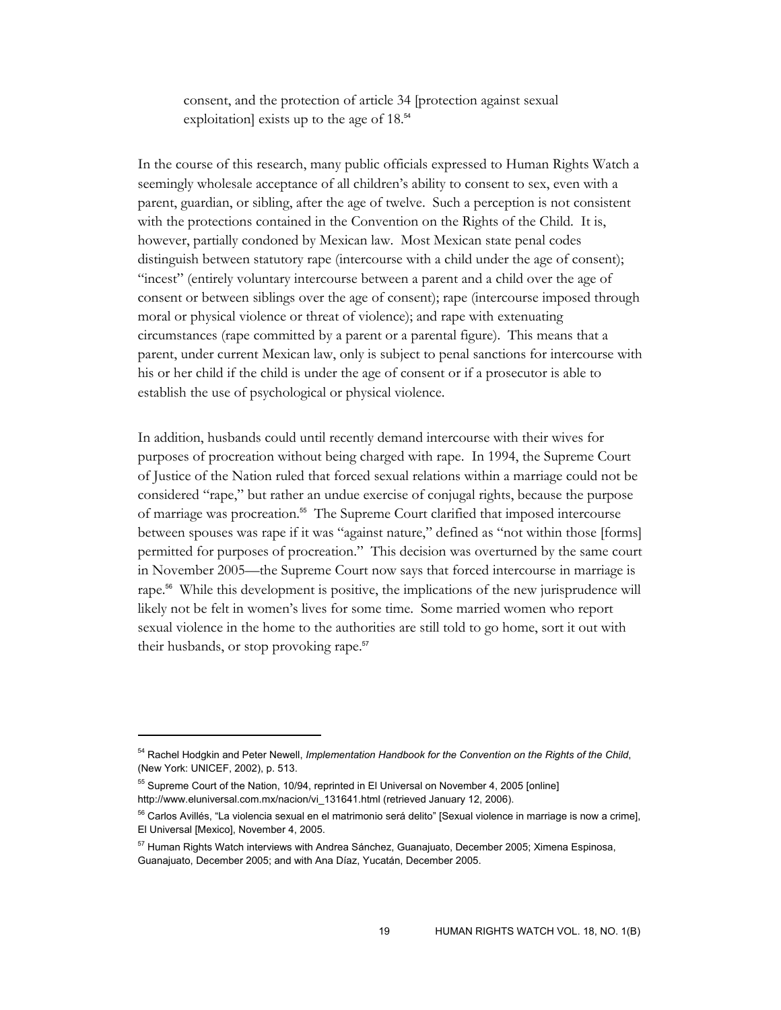consent, and the protection of article 34 [protection against sexual exploitation] exists up to the age of 18.<sup>54</sup>

In the course of this research, many public officials expressed to Human Rights Watch a seemingly wholesale acceptance of all children's ability to consent to sex, even with a parent, guardian, or sibling, after the age of twelve. Such a perception is not consistent with the protections contained in the Convention on the Rights of the Child. It is, however, partially condoned by Mexican law. Most Mexican state penal codes distinguish between statutory rape (intercourse with a child under the age of consent); "incest" (entirely voluntary intercourse between a parent and a child over the age of consent or between siblings over the age of consent); rape (intercourse imposed through moral or physical violence or threat of violence); and rape with extenuating circumstances (rape committed by a parent or a parental figure). This means that a parent, under current Mexican law, only is subject to penal sanctions for intercourse with his or her child if the child is under the age of consent or if a prosecutor is able to establish the use of psychological or physical violence.

In addition, husbands could until recently demand intercourse with their wives for purposes of procreation without being charged with rape. In 1994, the Supreme Court of Justice of the Nation ruled that forced sexual relations within a marriage could not be considered "rape," but rather an undue exercise of conjugal rights, because the purpose of marriage was procreation.55 The Supreme Court clarified that imposed intercourse between spouses was rape if it was "against nature," defined as "not within those [forms] permitted for purposes of procreation." This decision was overturned by the same court in November 2005—the Supreme Court now says that forced intercourse in marriage is rape.<sup>56</sup> While this development is positive, the implications of the new jurisprudence will likely not be felt in women's lives for some time. Some married women who report sexual violence in the home to the authorities are still told to go home, sort it out with their husbands, or stop provoking rape.<sup>57</sup>

<sup>54</sup> Rachel Hodgkin and Peter Newell, *Implementation Handbook for the Convention on the Rights of the Child*, (New York: UNICEF, 2002), p. 513.

<sup>&</sup>lt;sup>55</sup> Supreme Court of the Nation, 10/94, reprinted in El Universal on November 4, 2005 [online] http://www.eluniversal.com.mx/nacion/vi\_131641.html (retrieved January 12, 2006).

<sup>&</sup>lt;sup>56</sup> Carlos Avillés, "La violencia sexual en el matrimonio será delito" [Sexual violence in marriage is now a crime], El Universal [Mexico], November 4, 2005.

<sup>57</sup> Human Rights Watch interviews with Andrea Sánchez, Guanajuato, December 2005; Ximena Espinosa, Guanajuato, December 2005; and with Ana Díaz, Yucatán, December 2005.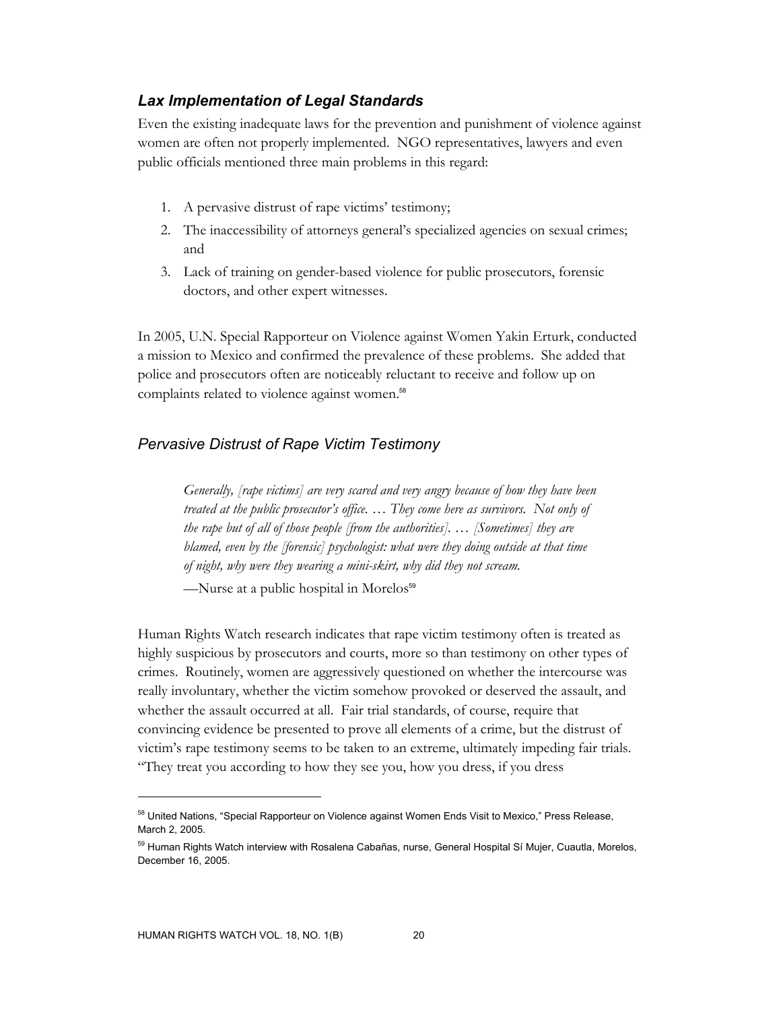#### *Lax Implementation of Legal Standards*

Even the existing inadequate laws for the prevention and punishment of violence against women are often not properly implemented. NGO representatives, lawyers and even public officials mentioned three main problems in this regard:

- 1. A pervasive distrust of rape victims' testimony;
- 2. The inaccessibility of attorneys general's specialized agencies on sexual crimes; and
- 3. Lack of training on gender-based violence for public prosecutors, forensic doctors, and other expert witnesses.

In 2005, U.N. Special Rapporteur on Violence against Women Yakin Erturk, conducted a mission to Mexico and confirmed the prevalence of these problems. She added that police and prosecutors often are noticeably reluctant to receive and follow up on complaints related to violence against women.<sup>58</sup>

#### *Pervasive Distrust of Rape Victim Testimony*

*Generally, [rape victims] are very scared and very angry because of how they have been treated at the public prosecutor's office. … They come here as survivors. Not only of the rape but of all of those people [from the authorities]. … [Sometimes] they are blamed, even by the [forensic] psychologist: what were they doing outside at that time of night, why were they wearing a mini-skirt, why did they not scream.* 

 $-Murse$  at a public hospital in Morelos<sup>59</sup>

Human Rights Watch research indicates that rape victim testimony often is treated as highly suspicious by prosecutors and courts, more so than testimony on other types of crimes. Routinely, women are aggressively questioned on whether the intercourse was really involuntary, whether the victim somehow provoked or deserved the assault, and whether the assault occurred at all. Fair trial standards, of course, require that convincing evidence be presented to prove all elements of a crime, but the distrust of victim's rape testimony seems to be taken to an extreme, ultimately impeding fair trials. "They treat you according to how they see you, how you dress, if you dress

<sup>&</sup>lt;sup>58</sup> United Nations, "Special Rapporteur on Violence against Women Ends Visit to Mexico," Press Release, March 2, 2005.

<sup>&</sup>lt;sup>59</sup> Human Rights Watch interview with Rosalena Cabañas, nurse, General Hospital Sí Mujer, Cuautla, Morelos, December 16, 2005.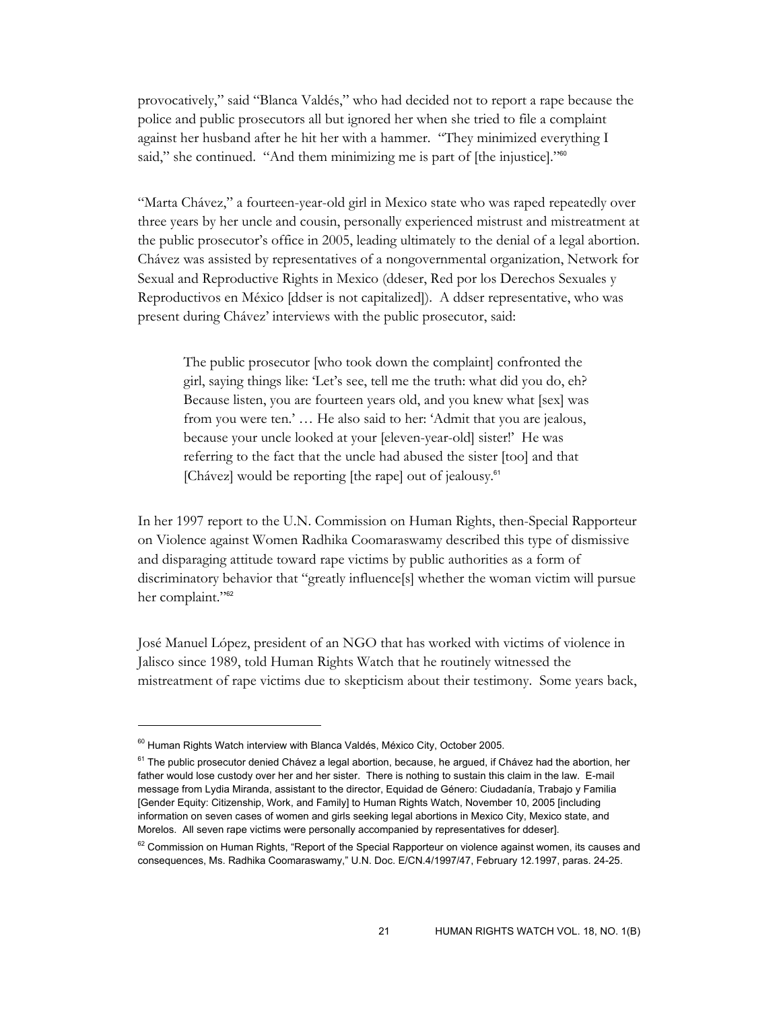provocatively," said "Blanca Valdés," who had decided not to report a rape because the police and public prosecutors all but ignored her when she tried to file a complaint against her husband after he hit her with a hammer. "They minimized everything I said," she continued. "And them minimizing me is part of [the injustice]."<sup>60</sup>

"Marta Chávez," a fourteen-year-old girl in Mexico state who was raped repeatedly over three years by her uncle and cousin, personally experienced mistrust and mistreatment at the public prosecutor's office in 2005, leading ultimately to the denial of a legal abortion. Chávez was assisted by representatives of a nongovernmental organization, Network for Sexual and Reproductive Rights in Mexico (ddeser, Red por los Derechos Sexuales y Reproductivos en México [ddser is not capitalized]). A ddser representative, who was present during Chávez' interviews with the public prosecutor, said:

The public prosecutor [who took down the complaint] confronted the girl, saying things like: 'Let's see, tell me the truth: what did you do, eh? Because listen, you are fourteen years old, and you knew what [sex] was from you were ten.' … He also said to her: 'Admit that you are jealous, because your uncle looked at your [eleven-year-old] sister!' He was referring to the fact that the uncle had abused the sister [too] and that [Chávez] would be reporting [the rape] out of jealousy.<sup>61</sup>]

In her 1997 report to the U.N. Commission on Human Rights, then-Special Rapporteur on Violence against Women Radhika Coomaraswamy described this type of dismissive and disparaging attitude toward rape victims by public authorities as a form of discriminatory behavior that "greatly influence[s] whether the woman victim will pursue her complaint."<sup>62</sup>

José Manuel López, president of an NGO that has worked with victims of violence in Jalisco since 1989, told Human Rights Watch that he routinely witnessed the mistreatment of rape victims due to skepticism about their testimony. Some years back,

<sup>&</sup>lt;sup>60</sup> Human Rights Watch interview with Blanca Valdés, México City, October 2005.

 $61$  The public prosecutor denied Chávez a legal abortion, because, he argued, if Chávez had the abortion, her father would lose custody over her and her sister. There is nothing to sustain this claim in the law. E-mail message from Lydia Miranda, assistant to the director, Equidad de Género: Ciudadanía, Trabajo y Familia [Gender Equity: Citizenship, Work, and Family] to Human Rights Watch, November 10, 2005 [including information on seven cases of women and girls seeking legal abortions in Mexico City, Mexico state, and Morelos. All seven rape victims were personally accompanied by representatives for ddeser].

 $62$  Commission on Human Rights, "Report of the Special Rapporteur on violence against women, its causes and consequences, Ms. Radhika Coomaraswamy," U.N. Doc. E/CN.4/1997/47, February 12.1997, paras. 24-25.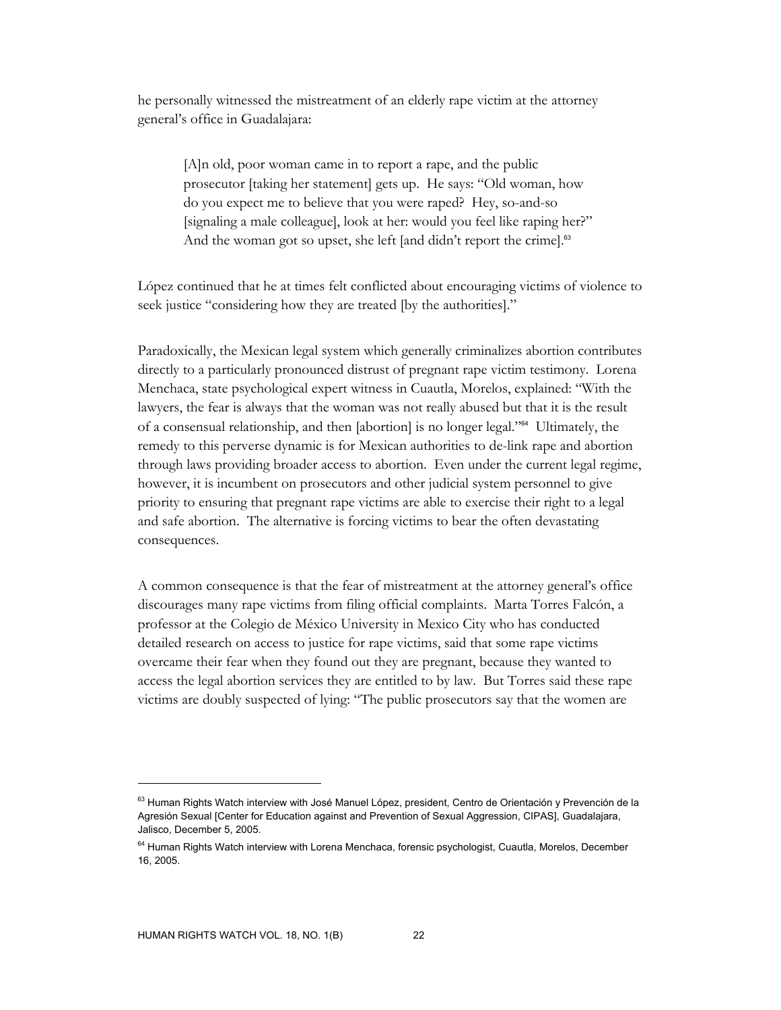he personally witnessed the mistreatment of an elderly rape victim at the attorney general's office in Guadalajara:

[A]n old, poor woman came in to report a rape, and the public prosecutor [taking her statement] gets up. He says: "Old woman, how do you expect me to believe that you were raped? Hey, so-and-so [signaling a male colleague], look at her: would you feel like raping her?" And the woman got so upset, she left [and didn't report the crime].<sup>63</sup>

López continued that he at times felt conflicted about encouraging victims of violence to seek justice "considering how they are treated [by the authorities]."

Paradoxically, the Mexican legal system which generally criminalizes abortion contributes directly to a particularly pronounced distrust of pregnant rape victim testimony. Lorena Menchaca, state psychological expert witness in Cuautla, Morelos, explained: "With the lawyers, the fear is always that the woman was not really abused but that it is the result of a consensual relationship, and then [abortion] is no longer legal."64 Ultimately, the remedy to this perverse dynamic is for Mexican authorities to de-link rape and abortion through laws providing broader access to abortion. Even under the current legal regime, however, it is incumbent on prosecutors and other judicial system personnel to give priority to ensuring that pregnant rape victims are able to exercise their right to a legal and safe abortion. The alternative is forcing victims to bear the often devastating consequences.

A common consequence is that the fear of mistreatment at the attorney general's office discourages many rape victims from filing official complaints. Marta Torres Falcón, a professor at the Colegio de México University in Mexico City who has conducted detailed research on access to justice for rape victims, said that some rape victims overcame their fear when they found out they are pregnant, because they wanted to access the legal abortion services they are entitled to by law. But Torres said these rape victims are doubly suspected of lying: "The public prosecutors say that the women are

<sup>&</sup>lt;sup>63</sup> Human Rights Watch interview with José Manuel López, president, Centro de Orientación y Prevención de la Agresión Sexual [Center for Education against and Prevention of Sexual Aggression, CIPAS], Guadalajara, Jalisco, December 5, 2005.

<sup>&</sup>lt;sup>64</sup> Human Rights Watch interview with Lorena Menchaca, forensic psychologist, Cuautla, Morelos, December 16, 2005.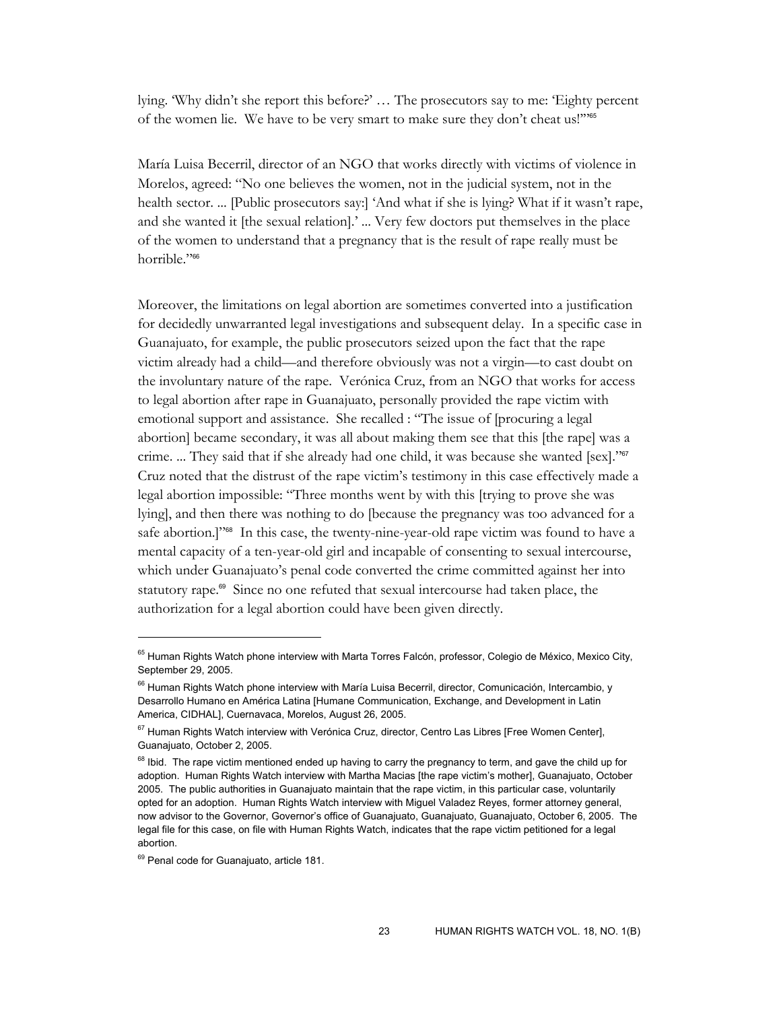lying. 'Why didn't she report this before?' … The prosecutors say to me: 'Eighty percent of the women lie. We have to be very smart to make sure they don't cheat us!'"<sup>65</sup>

María Luisa Becerril, director of an NGO that works directly with victims of violence in Morelos, agreed: "No one believes the women, not in the judicial system, not in the health sector. ... [Public prosecutors say:] 'And what if she is lying? What if it wasn't rape, and she wanted it [the sexual relation].' ... Very few doctors put themselves in the place of the women to understand that a pregnancy that is the result of rape really must be horrible."<sup>66</sup>

Moreover, the limitations on legal abortion are sometimes converted into a justification for decidedly unwarranted legal investigations and subsequent delay. In a specific case in Guanajuato, for example, the public prosecutors seized upon the fact that the rape victim already had a child—and therefore obviously was not a virgin—to cast doubt on the involuntary nature of the rape. Verónica Cruz, from an NGO that works for access to legal abortion after rape in Guanajuato, personally provided the rape victim with emotional support and assistance. She recalled : "The issue of [procuring a legal abortion] became secondary, it was all about making them see that this [the rape] was a crime. ... They said that if she already had one child, it was because she wanted [sex]."<sup>67</sup> Cruz noted that the distrust of the rape victim's testimony in this case effectively made a legal abortion impossible: "Three months went by with this [trying to prove she was lying], and then there was nothing to do [because the pregnancy was too advanced for a safe abortion.]"<sup>68</sup> In this case, the twenty-nine-year-old rape victim was found to have a mental capacity of a ten-year-old girl and incapable of consenting to sexual intercourse, which under Guanajuato's penal code converted the crime committed against her into statutory rape.<sup>69</sup> Since no one refuted that sexual intercourse had taken place, the authorization for a legal abortion could have been given directly.

<sup>&</sup>lt;sup>65</sup> Human Rights Watch phone interview with Marta Torres Falcón, professor, Colegio de México, Mexico City, September 29, 2005.

<sup>&</sup>lt;sup>66</sup> Human Rights Watch phone interview with María Luisa Becerril, director, Comunicación, Intercambio, y Desarrollo Humano en América Latina [Humane Communication, Exchange, and Development in Latin America, CIDHAL], Cuernavaca, Morelos, August 26, 2005.

<sup>&</sup>lt;sup>67</sup> Human Rights Watch interview with Verónica Cruz, director, Centro Las Libres [Free Women Center], Guanajuato, October 2, 2005.

<sup>&</sup>lt;sup>68</sup> Ibid. The rape victim mentioned ended up having to carry the pregnancy to term, and gave the child up for adoption. Human Rights Watch interview with Martha Macias [the rape victim's mother], Guanajuato, October 2005. The public authorities in Guanajuato maintain that the rape victim, in this particular case, voluntarily opted for an adoption. Human Rights Watch interview with Miguel Valadez Reyes, former attorney general, now advisor to the Governor, Governor's office of Guanajuato, Guanajuato, Guanajuato, October 6, 2005. The legal file for this case, on file with Human Rights Watch, indicates that the rape victim petitioned for a legal abortion.

<sup>&</sup>lt;sup>69</sup> Penal code for Guanajuato, article 181.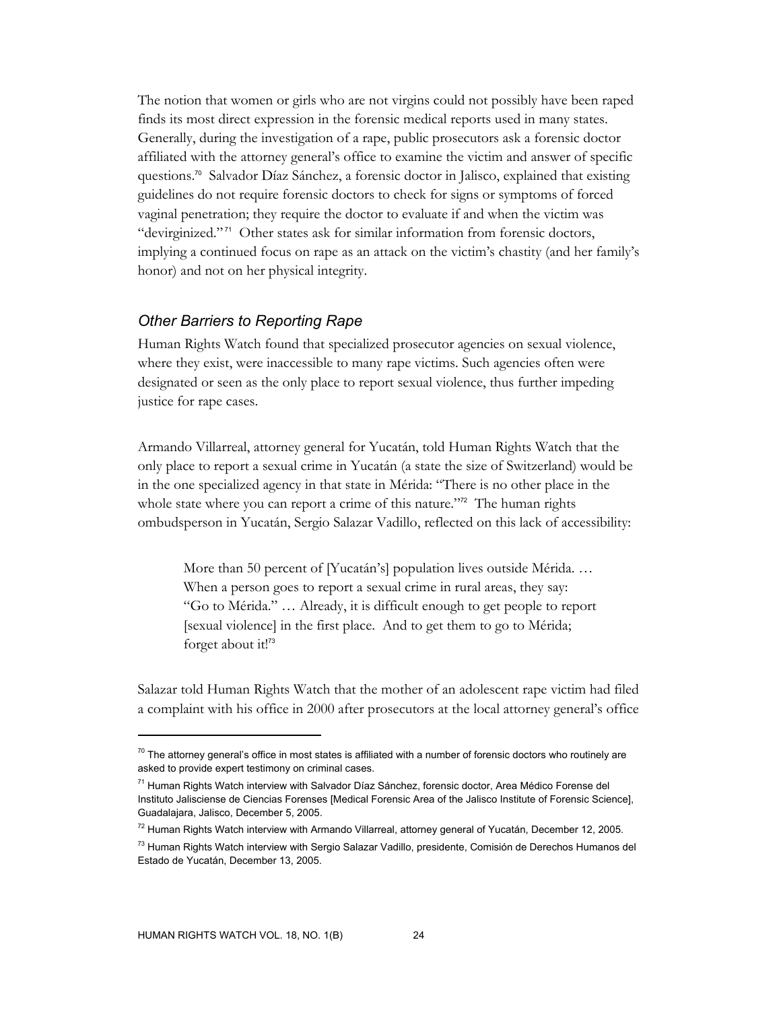The notion that women or girls who are not virgins could not possibly have been raped finds its most direct expression in the forensic medical reports used in many states. Generally, during the investigation of a rape, public prosecutors ask a forensic doctor affiliated with the attorney general's office to examine the victim and answer of specific questions.<sup>70</sup> Salvador Díaz Sánchez, a forensic doctor in Jalisco, explained that existing guidelines do not require forensic doctors to check for signs or symptoms of forced vaginal penetration; they require the doctor to evaluate if and when the victim was "devirginized."<sup>71</sup> Other states ask for similar information from forensic doctors, implying a continued focus on rape as an attack on the victim's chastity (and her family's honor) and not on her physical integrity.

#### *Other Barriers to Reporting Rape*

Human Rights Watch found that specialized prosecutor agencies on sexual violence, where they exist, were inaccessible to many rape victims. Such agencies often were designated or seen as the only place to report sexual violence, thus further impeding justice for rape cases.

Armando Villarreal, attorney general for Yucatán, told Human Rights Watch that the only place to report a sexual crime in Yucatán (a state the size of Switzerland) would be in the one specialized agency in that state in Mérida: "There is no other place in the whole state where you can report a crime of this nature."<sup>72</sup> The human rights ombudsperson in Yucatán, Sergio Salazar Vadillo, reflected on this lack of accessibility:

More than 50 percent of [Yucatán's] population lives outside Mérida. … When a person goes to report a sexual crime in rural areas, they say: "Go to Mérida." … Already, it is difficult enough to get people to report [sexual violence] in the first place. And to get them to go to Mérida; forget about it!<sup>73</sup>

Salazar told Human Rights Watch that the mother of an adolescent rape victim had filed a complaint with his office in 2000 after prosecutors at the local attorney general's office

 $70$  The attorney general's office in most states is affiliated with a number of forensic doctors who routinely are asked to provide expert testimony on criminal cases.

<sup>71</sup> Human Rights Watch interview with Salvador Díaz Sánchez, forensic doctor, Area Médico Forense del Instituto Jalisciense de Ciencias Forenses [Medical Forensic Area of the Jalisco Institute of Forensic Science], Guadalajara, Jalisco, December 5, 2005.

 $72$  Human Rights Watch interview with Armando Villarreal, attorney general of Yucatán, December 12, 2005.

<sup>&</sup>lt;sup>73</sup> Human Rights Watch interview with Sergio Salazar Vadillo, presidente, Comisión de Derechos Humanos del Estado de Yucatán, December 13, 2005.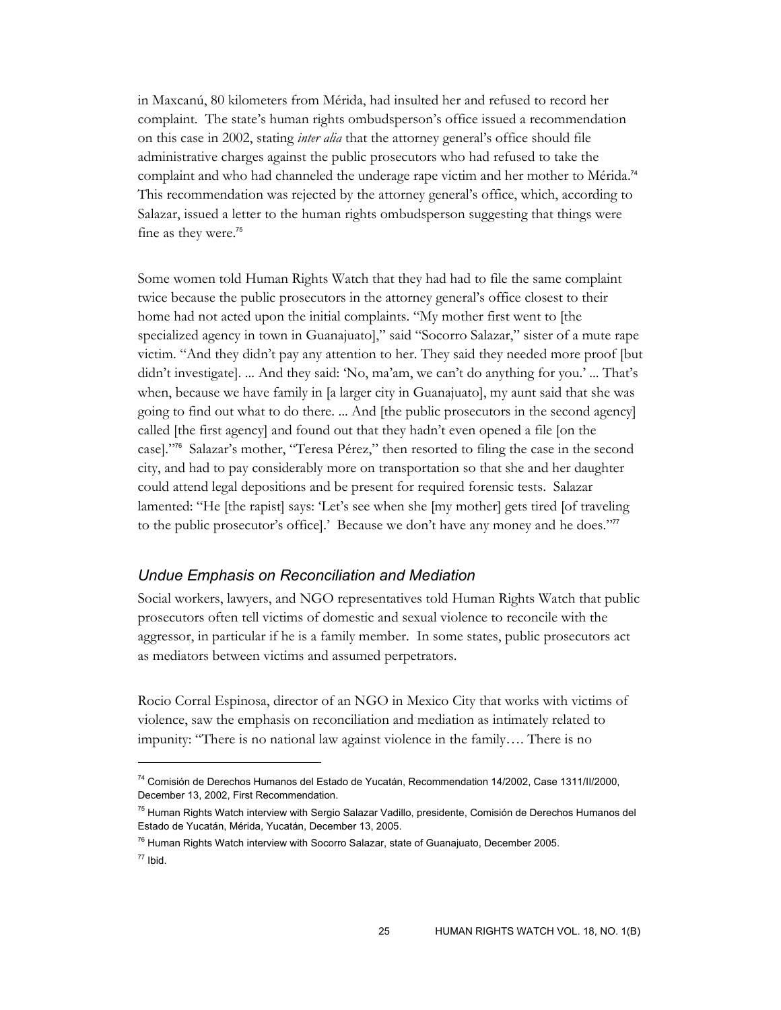in Maxcanú, 80 kilometers from Mérida, had insulted her and refused to record her complaint. The state's human rights ombudsperson's office issued a recommendation on this case in 2002, stating *inter alia* that the attorney general's office should file administrative charges against the public prosecutors who had refused to take the complaint and who had channeled the underage rape victim and her mother to Mérida.<sup>74</sup> This recommendation was rejected by the attorney general's office, which, according to Salazar, issued a letter to the human rights ombudsperson suggesting that things were fine as they were.<sup>75</sup>

Some women told Human Rights Watch that they had had to file the same complaint twice because the public prosecutors in the attorney general's office closest to their home had not acted upon the initial complaints. "My mother first went to [the specialized agency in town in Guanajuato]," said "Socorro Salazar," sister of a mute rape victim. "And they didn't pay any attention to her. They said they needed more proof [but didn't investigate]. ... And they said: 'No, ma'am, we can't do anything for you.' ... That's when, because we have family in [a larger city in Guanajuato], my aunt said that she was going to find out what to do there. ... And [the public prosecutors in the second agency] called [the first agency] and found out that they hadn't even opened a file [on the case]."76 Salazar's mother, "Teresa Pérez," then resorted to filing the case in the second city, and had to pay considerably more on transportation so that she and her daughter could attend legal depositions and be present for required forensic tests. Salazar lamented: "He [the rapist] says: 'Let's see when she [my mother] gets tired [of traveling to the public prosecutor's office].' Because we don't have any money and he does.'"7

#### *Undue Emphasis on Reconciliation and Mediation*

Social workers, lawyers, and NGO representatives told Human Rights Watch that public prosecutors often tell victims of domestic and sexual violence to reconcile with the aggressor, in particular if he is a family member. In some states, public prosecutors act as mediators between victims and assumed perpetrators.

Rocio Corral Espinosa, director of an NGO in Mexico City that works with victims of violence, saw the emphasis on reconciliation and mediation as intimately related to impunity: "There is no national law against violence in the family…. There is no

<sup>74</sup> Comisión de Derechos Humanos del Estado de Yucatán, Recommendation 14/2002, Case 1311/II/2000, December 13, 2002, First Recommendation.

<sup>75</sup> Human Rights Watch interview with Sergio Salazar Vadillo, presidente, Comisión de Derechos Humanos del Estado de Yucatán, Mérida, Yucatán, December 13, 2005.

<sup>&</sup>lt;sup>76</sup> Human Rights Watch interview with Socorro Salazar, state of Guanajuato, December 2005.

 $77$  Ibid.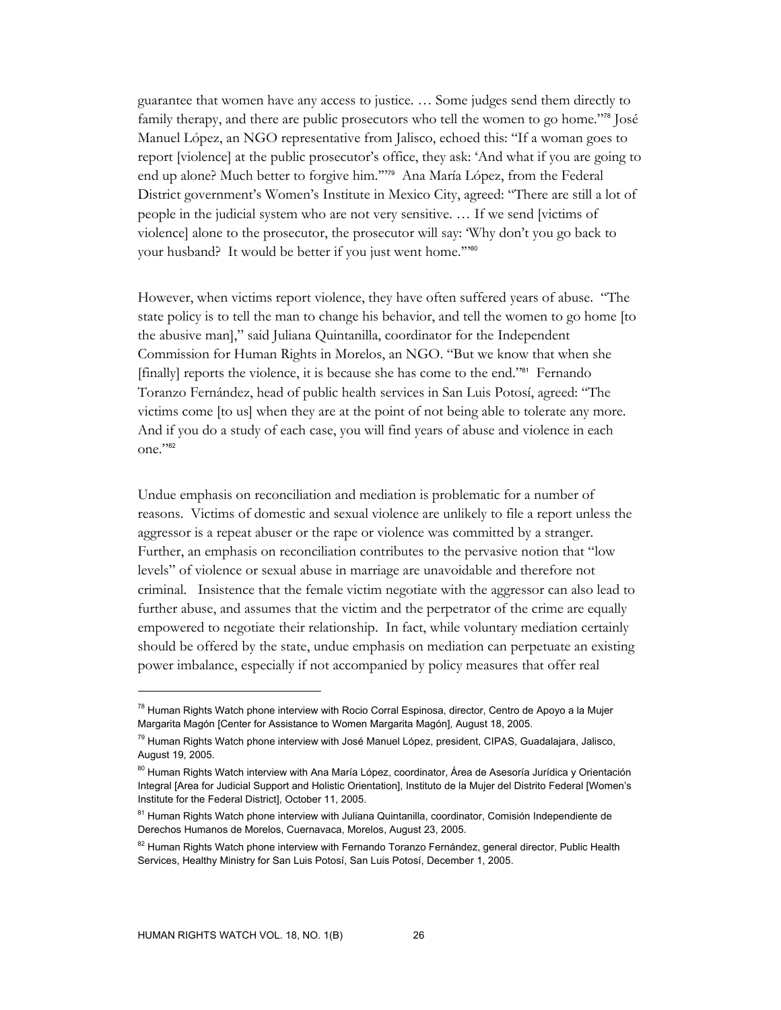guarantee that women have any access to justice. … Some judges send them directly to family therapy, and there are public prosecutors who tell the women to go home."78 José Manuel López, an NGO representative from Jalisco, echoed this: "If a woman goes to report [violence] at the public prosecutor's office, they ask: 'And what if you are going to end up alone? Much better to forgive him.'"79 Ana María López, from the Federal District government's Women's Institute in Mexico City, agreed: "There are still a lot of people in the judicial system who are not very sensitive. … If we send [victims of violence] alone to the prosecutor, the prosecutor will say: 'Why don't you go back to your husband? It would be better if you just went home."<sup>300</sup>

However, when victims report violence, they have often suffered years of abuse. "The state policy is to tell the man to change his behavior, and tell the women to go home [to the abusive man]," said Juliana Quintanilla, coordinator for the Independent Commission for Human Rights in Morelos, an NGO. "But we know that when she [finally] reports the violence, it is because she has come to the end."81 Fernando Toranzo Fernández, head of public health services in San Luis Potosí, agreed: "The victims come [to us] when they are at the point of not being able to tolerate any more. And if you do a study of each case, you will find years of abuse and violence in each one."<sup>82</sup>

Undue emphasis on reconciliation and mediation is problematic for a number of reasons. Victims of domestic and sexual violence are unlikely to file a report unless the aggressor is a repeat abuser or the rape or violence was committed by a stranger. Further, an emphasis on reconciliation contributes to the pervasive notion that "low levels" of violence or sexual abuse in marriage are unavoidable and therefore not criminal. Insistence that the female victim negotiate with the aggressor can also lead to further abuse, and assumes that the victim and the perpetrator of the crime are equally empowered to negotiate their relationship. In fact, while voluntary mediation certainly should be offered by the state, undue emphasis on mediation can perpetuate an existing power imbalance, especially if not accompanied by policy measures that offer real

<sup>78</sup> Human Rights Watch phone interview with Rocio Corral Espinosa, director, Centro de Apoyo a la Mujer Margarita Magón [Center for Assistance to Women Margarita Magón], August 18, 2005.

<sup>&</sup>lt;sup>79</sup> Human Rights Watch phone interview with José Manuel López, president, CIPAS, Guadalajara, Jalisco, August 19, 2005.

<sup>80</sup> Human Rights Watch interview with Ana María López, coordinator, Área de Asesoría Jurídica y Orientación Integral [Area for Judicial Support and Holistic Orientation], Instituto de la Mujer del Distrito Federal [Women's Institute for the Federal District], October 11, 2005.

<sup>&</sup>lt;sup>81</sup> Human Rights Watch phone interview with Juliana Quintanilla, coordinator, Comisión Independiente de Derechos Humanos de Morelos, Cuernavaca, Morelos, August 23, 2005.

<sup>&</sup>lt;sup>82</sup> Human Rights Watch phone interview with Fernando Toranzo Fernández, general director, Public Health Services, Healthy Ministry for San Luis Potosí, San Luis Potosí, December 1, 2005.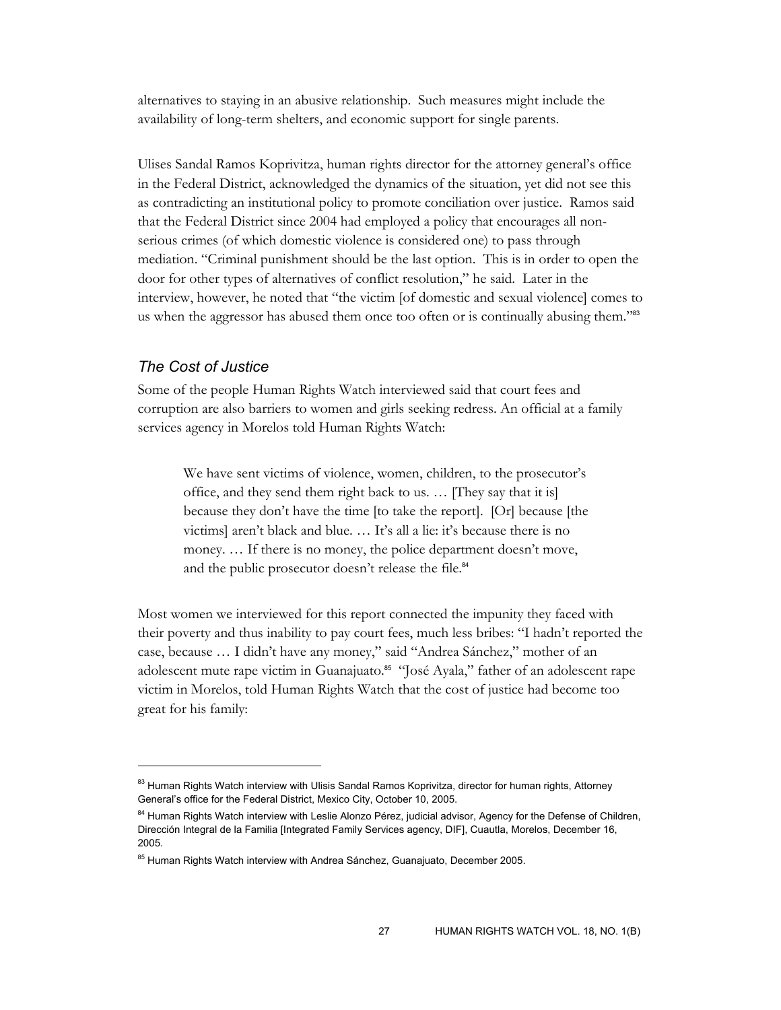alternatives to staying in an abusive relationship. Such measures might include the availability of long-term shelters, and economic support for single parents.

Ulises Sandal Ramos Koprivitza, human rights director for the attorney general's office in the Federal District, acknowledged the dynamics of the situation, yet did not see this as contradicting an institutional policy to promote conciliation over justice. Ramos said that the Federal District since 2004 had employed a policy that encourages all nonserious crimes (of which domestic violence is considered one) to pass through mediation. "Criminal punishment should be the last option. This is in order to open the door for other types of alternatives of conflict resolution," he said. Later in the interview, however, he noted that "the victim [of domestic and sexual violence] comes to us when the aggressor has abused them once too often or is continually abusing them."<sup>83</sup>

#### *The Cost of Justice*

 $\overline{a}$ 

Some of the people Human Rights Watch interviewed said that court fees and corruption are also barriers to women and girls seeking redress. An official at a family services agency in Morelos told Human Rights Watch:

We have sent victims of violence, women, children, to the prosecutor's office, and they send them right back to us. … [They say that it is] because they don't have the time [to take the report]. [Or] because [the victims] aren't black and blue. … It's all a lie: it's because there is no money. … If there is no money, the police department doesn't move, and the public prosecutor doesn't release the file.<sup>84</sup>

Most women we interviewed for this report connected the impunity they faced with their poverty and thus inability to pay court fees, much less bribes: "I hadn't reported the case, because … I didn't have any money," said "Andrea Sánchez," mother of an adolescent mute rape victim in Guanajuato.<sup>85</sup> "José Ayala," father of an adolescent rape victim in Morelos, told Human Rights Watch that the cost of justice had become too great for his family:

<sup>83</sup> Human Rights Watch interview with Ulisis Sandal Ramos Koprivitza, director for human rights, Attorney General's office for the Federal District, Mexico City, October 10, 2005.

<sup>&</sup>lt;sup>84</sup> Human Rights Watch interview with Leslie Alonzo Pérez, judicial advisor, Agency for the Defense of Children, Dirección Integral de la Familia [Integrated Family Services agency, DIF], Cuautla, Morelos, December 16, 2005.

<sup>&</sup>lt;sup>85</sup> Human Rights Watch interview with Andrea Sánchez, Guanajuato, December 2005.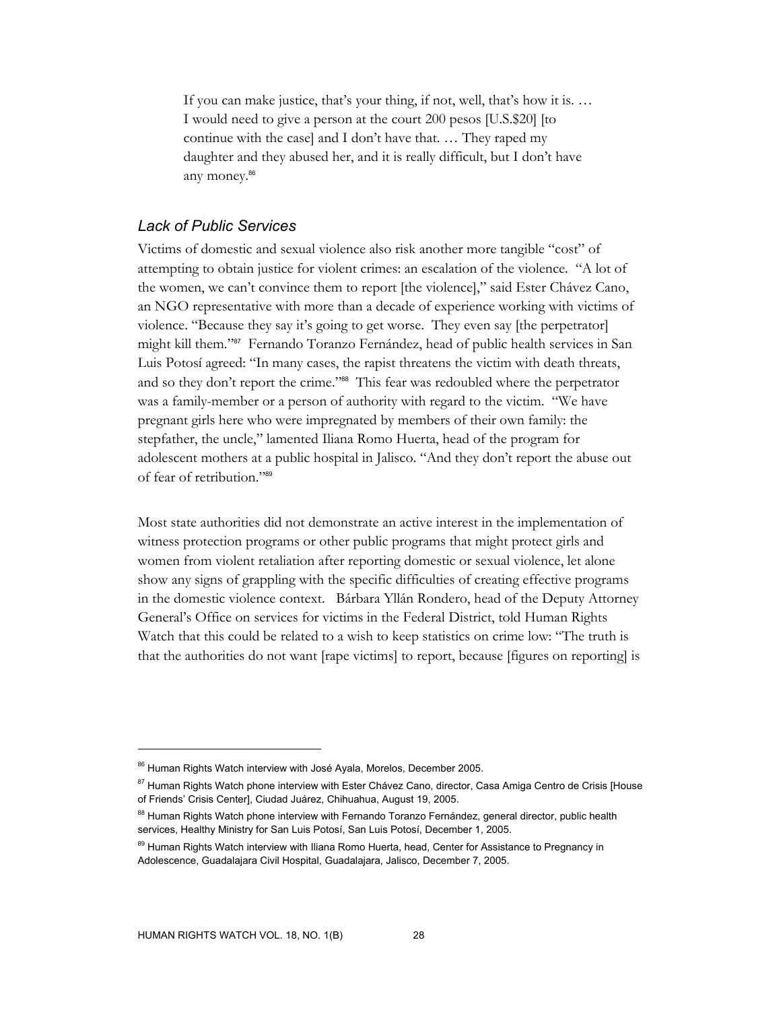If you can make justice, that's your thing, if not, well, that's how it is. … I would need to give a person at the court 200 pesos [U.S.\$20] [to continue with the case] and I don't have that. … They raped my daughter and they abused her, and it is really difficult, but I don't have any money.<sup>86</sup>

#### *Lack of Public Services*

Victims of domestic and sexual violence also risk another more tangible "cost" of attempting to obtain justice for violent crimes: an escalation of the violence. "A lot of the women, we can't convince them to report [the violence]," said Ester Chávez Cano, an NGO representative with more than a decade of experience working with victims of violence. "Because they say it's going to get worse. They even say [the perpetrator] might kill them."87 Fernando Toranzo Fernández, head of public health services in San Luis Potosí agreed: "In many cases, the rapist threatens the victim with death threats, and so they don't report the crime."88 This fear was redoubled where the perpetrator was a family-member or a person of authority with regard to the victim. "We have pregnant girls here who were impregnated by members of their own family: the stepfather, the uncle," lamented Iliana Romo Huerta, head of the program for adolescent mothers at a public hospital in Jalisco. "And they don't report the abuse out of fear of retribution."<sup>89</sup>

Most state authorities did not demonstrate an active interest in the implementation of witness protection programs or other public programs that might protect girls and women from violent retaliation after reporting domestic or sexual violence, let alone show any signs of grappling with the specific difficulties of creating effective programs in the domestic violence context. Bárbara Yllán Rondero, head of the Deputy Attorney General's Office on services for victims in the Federal District, told Human Rights Watch that this could be related to a wish to keep statistics on crime low: "The truth is that the authorities do not want [rape victims] to report, because [figures on reporting] is

<sup>86</sup> Human Rights Watch interview with José Ayala, Morelos, December 2005.

<sup>&</sup>lt;sup>87</sup> Human Rights Watch phone interview with Ester Chávez Cano, director, Casa Amiga Centro de Crisis [House of Friends' Crisis Center], Ciudad Juárez, Chihuahua, August 19, 2005.

<sup>&</sup>lt;sup>88</sup> Human Rights Watch phone interview with Fernando Toranzo Fernández, general director, public health services, Healthy Ministry for San Luis Potosí, San Luis Potosí, December 1, 2005.

<sup>89</sup> Human Rights Watch interview with Iliana Romo Huerta, head, Center for Assistance to Pregnancy in Adolescence, Guadalajara Civil Hospital, Guadalajara, Jalisco, December 7, 2005.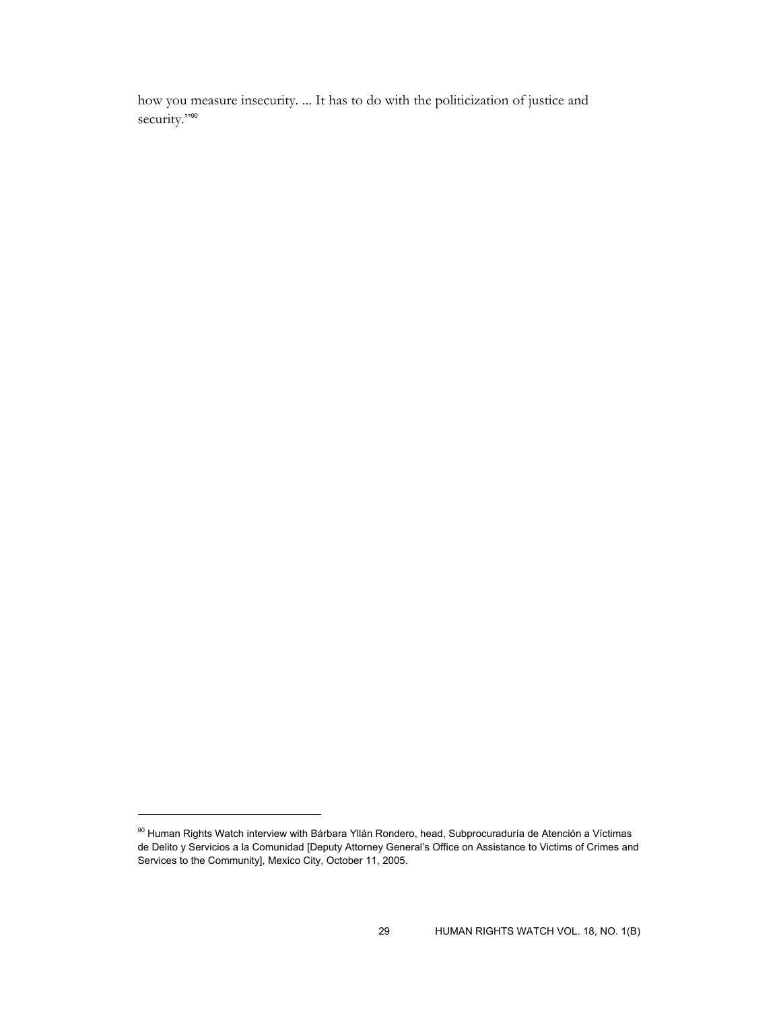how you measure insecurity. ... It has to do with the politicization of justice and security."90

<sup>&</sup>lt;sup>90</sup> Human Rights Watch interview with Bárbara Yllán Rondero, head, Subprocuraduría de Atención a Víctimas de Delito y Servicios a la Comunidad [Deputy Attorney General's Office on Assistance to Victims of Crimes and Services to the Community], Mexico City, October 11, 2005.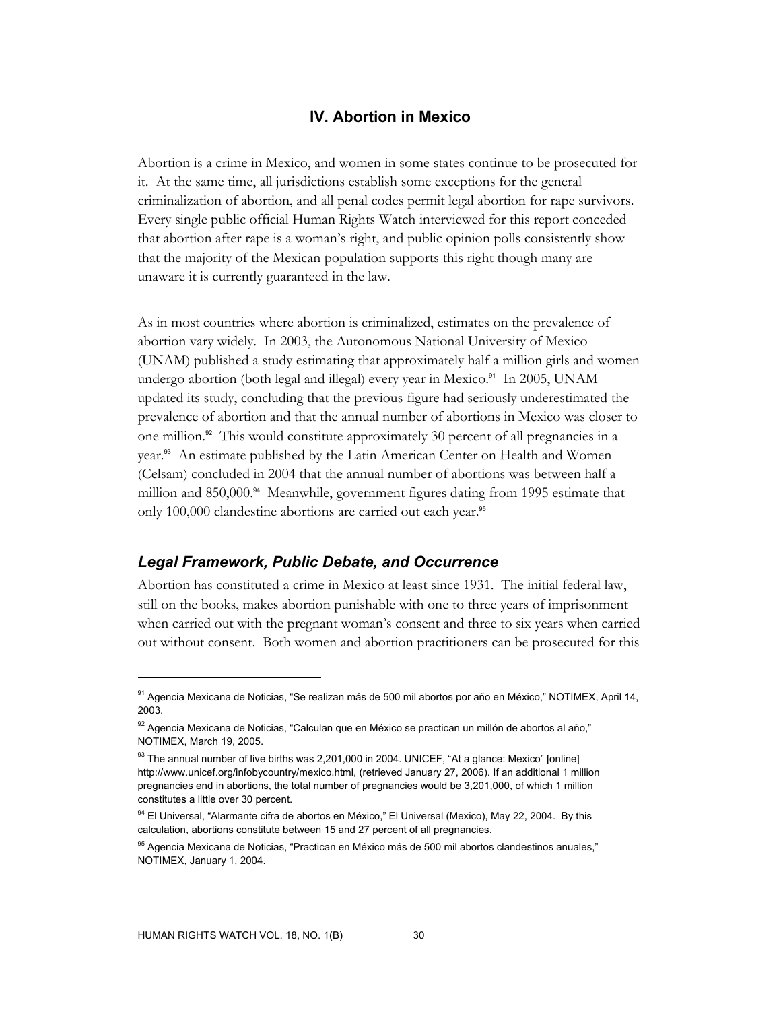#### **IV. Abortion in Mexico**

Abortion is a crime in Mexico, and women in some states continue to be prosecuted for it. At the same time, all jurisdictions establish some exceptions for the general criminalization of abortion, and all penal codes permit legal abortion for rape survivors. Every single public official Human Rights Watch interviewed for this report conceded that abortion after rape is a woman's right, and public opinion polls consistently show that the majority of the Mexican population supports this right though many are unaware it is currently guaranteed in the law.

As in most countries where abortion is criminalized, estimates on the prevalence of abortion vary widely. In 2003, the Autonomous National University of Mexico (UNAM) published a study estimating that approximately half a million girls and women undergo abortion (both legal and illegal) every year in Mexico.<sup>91</sup> In 2005, UNAM updated its study, concluding that the previous figure had seriously underestimated the prevalence of abortion and that the annual number of abortions in Mexico was closer to one million.<sup>92</sup> This would constitute approximately 30 percent of all pregnancies in a year.<sup>93</sup> An estimate published by the Latin American Center on Health and Women (Celsam) concluded in 2004 that the annual number of abortions was between half a million and 850,000.<sup>94</sup> Meanwhile, government figures dating from 1995 estimate that only 100,000 clandestine abortions are carried out each year.<sup>95</sup>

#### *Legal Framework, Public Debate, and Occurrence*

Abortion has constituted a crime in Mexico at least since 1931. The initial federal law, still on the books, makes abortion punishable with one to three years of imprisonment when carried out with the pregnant woman's consent and three to six years when carried out without consent. Both women and abortion practitioners can be prosecuted for this

<sup>91</sup> Agencia Mexicana de Noticias, "Se realizan más de 500 mil abortos por año en México," NOTIMEX, April 14, 2003.

<sup>&</sup>lt;sup>92</sup> Agencia Mexicana de Noticias, "Calculan que en México se practican un millón de abortos al año," NOTIMEX, March 19, 2005.

<sup>93</sup> The annual number of live births was 2,201,000 in 2004. UNICEF, "At a glance: Mexico" [online] http://www.unicef.org/infobycountry/mexico.html, (retrieved January 27, 2006). If an additional 1 million pregnancies end in abortions, the total number of pregnancies would be 3,201,000, of which 1 million constitutes a little over 30 percent.

<sup>94</sup> El Universal, "Alarmante cifra de abortos en México," El Universal (Mexico), May 22, 2004. By this calculation, abortions constitute between 15 and 27 percent of all pregnancies.

<sup>&</sup>lt;sup>95</sup> Agencia Mexicana de Noticias, "Practican en México más de 500 mil abortos clandestinos anuales," NOTIMEX, January 1, 2004.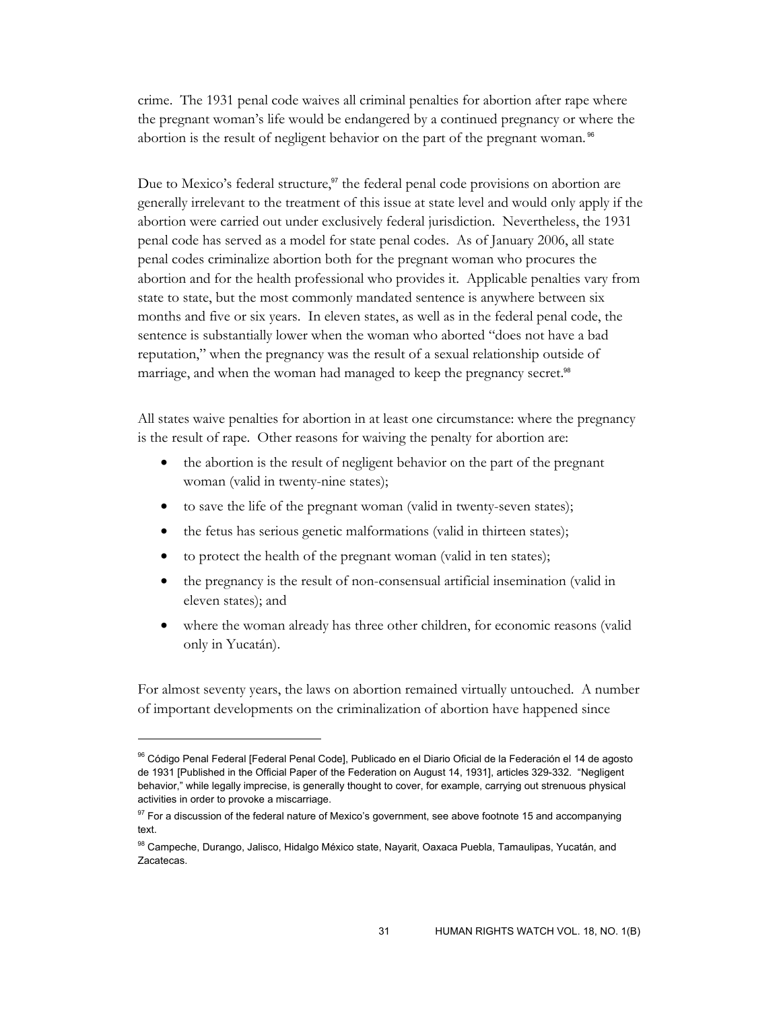crime. The 1931 penal code waives all criminal penalties for abortion after rape where the pregnant woman's life would be endangered by a continued pregnancy or where the abortion is the result of negligent behavior on the part of the pregnant woman.<sup>96</sup>

Due to Mexico's federal structure, $\mathbf{S}$ <sup>or</sup> the federal penal code provisions on abortion are generally irrelevant to the treatment of this issue at state level and would only apply if the abortion were carried out under exclusively federal jurisdiction. Nevertheless, the 1931 penal code has served as a model for state penal codes. As of January 2006, all state penal codes criminalize abortion both for the pregnant woman who procures the abortion and for the health professional who provides it. Applicable penalties vary from state to state, but the most commonly mandated sentence is anywhere between six months and five or six years. In eleven states, as well as in the federal penal code, the sentence is substantially lower when the woman who aborted "does not have a bad reputation," when the pregnancy was the result of a sexual relationship outside of marriage, and when the woman had managed to keep the pregnancy secret.<sup>98</sup>

All states waive penalties for abortion in at least one circumstance: where the pregnancy is the result of rape. Other reasons for waiving the penalty for abortion are:

- the abortion is the result of negligent behavior on the part of the pregnant woman (valid in twenty-nine states);
- to save the life of the pregnant woman (valid in twenty-seven states);
- the fetus has serious genetic malformations (valid in thirteen states);
- to protect the health of the pregnant woman (valid in ten states);

-

- the pregnancy is the result of non-consensual artificial insemination (valid in eleven states); and
- where the woman already has three other children, for economic reasons (valid only in Yucatán).

For almost seventy years, the laws on abortion remained virtually untouched. A number of important developments on the criminalization of abortion have happened since

<sup>&</sup>lt;sup>96</sup> Código Penal Federal [Federal Penal Code], Publicado en el Diario Oficial de la Federación el 14 de agosto de 1931 [Published in the Official Paper of the Federation on August 14, 1931], articles 329-332. "Negligent behavior," while legally imprecise, is generally thought to cover, for example, carrying out strenuous physical activities in order to provoke a miscarriage.

<sup>&</sup>lt;sup>97</sup> For a discussion of the federal nature of Mexico's government, see above footnote 15 and accompanying text.

<sup>&</sup>lt;sup>98</sup> Campeche, Durango, Jalisco, Hidalgo México state, Nayarit, Oaxaca Puebla, Tamaulipas, Yucatán, and Zacatecas.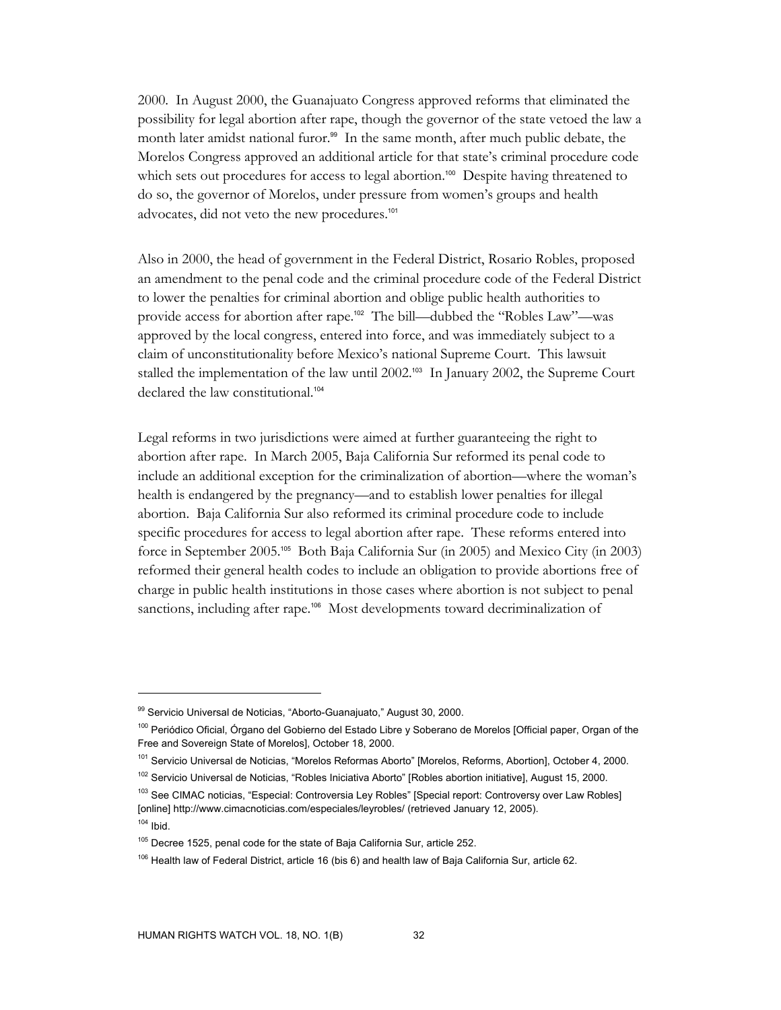2000. In August 2000, the Guanajuato Congress approved reforms that eliminated the possibility for legal abortion after rape, though the governor of the state vetoed the law a month later amidst national furor.99 In the same month, after much public debate, the Morelos Congress approved an additional article for that state's criminal procedure code which sets out procedures for access to legal abortion.<sup>100</sup> Despite having threatened to do so, the governor of Morelos, under pressure from women's groups and health advocates, did not veto the new procedures.<sup>101</sup>

Also in 2000, the head of government in the Federal District, Rosario Robles, proposed an amendment to the penal code and the criminal procedure code of the Federal District to lower the penalties for criminal abortion and oblige public health authorities to provide access for abortion after rape.102 The bill—dubbed the "Robles Law"—was approved by the local congress, entered into force, and was immediately subject to a claim of unconstitutionality before Mexico's national Supreme Court. This lawsuit stalled the implementation of the law until 2002.<sup>103</sup> In January 2002, the Supreme Court declared the law constitutional.<sup>104</sup>

Legal reforms in two jurisdictions were aimed at further guaranteeing the right to abortion after rape. In March 2005, Baja California Sur reformed its penal code to include an additional exception for the criminalization of abortion—where the woman's health is endangered by the pregnancy—and to establish lower penalties for illegal abortion. Baja California Sur also reformed its criminal procedure code to include specific procedures for access to legal abortion after rape. These reforms entered into force in September 2005.105 Both Baja California Sur (in 2005) and Mexico City (in 2003) reformed their general health codes to include an obligation to provide abortions free of charge in public health institutions in those cases where abortion is not subject to penal sanctions, including after rape.<sup>106</sup> Most developments toward decriminalization of

<sup>99</sup> Servicio Universal de Noticias, "Aborto-Guanajuato," August 30, 2000.

<sup>&</sup>lt;sup>100</sup> Periódico Oficial, Órgano del Gobierno del Estado Libre y Soberano de Morelos [Official paper, Organ of the Free and Sovereign State of Morelos], October 18, 2000.

<sup>101</sup> Servicio Universal de Noticias, "Morelos Reformas Aborto" [Morelos, Reforms, Abortion], October 4, 2000.

<sup>&</sup>lt;sup>102</sup> Servicio Universal de Noticias, "Robles Iniciativa Aborto" [Robles abortion initiative], August 15, 2000.

<sup>&</sup>lt;sup>103</sup> See CIMAC noticias, "Especial: Controversia Ley Robles" [Special report: Controversy over Law Robles] [online] http://www.cimacnoticias.com/especiales/leyrobles/ (retrieved January 12, 2005).  $104$  Ibid.

<sup>&</sup>lt;sup>105</sup> Decree 1525, penal code for the state of Baja California Sur, article 252.

<sup>&</sup>lt;sup>106</sup> Health law of Federal District, article 16 (bis 6) and health law of Baja California Sur, article 62.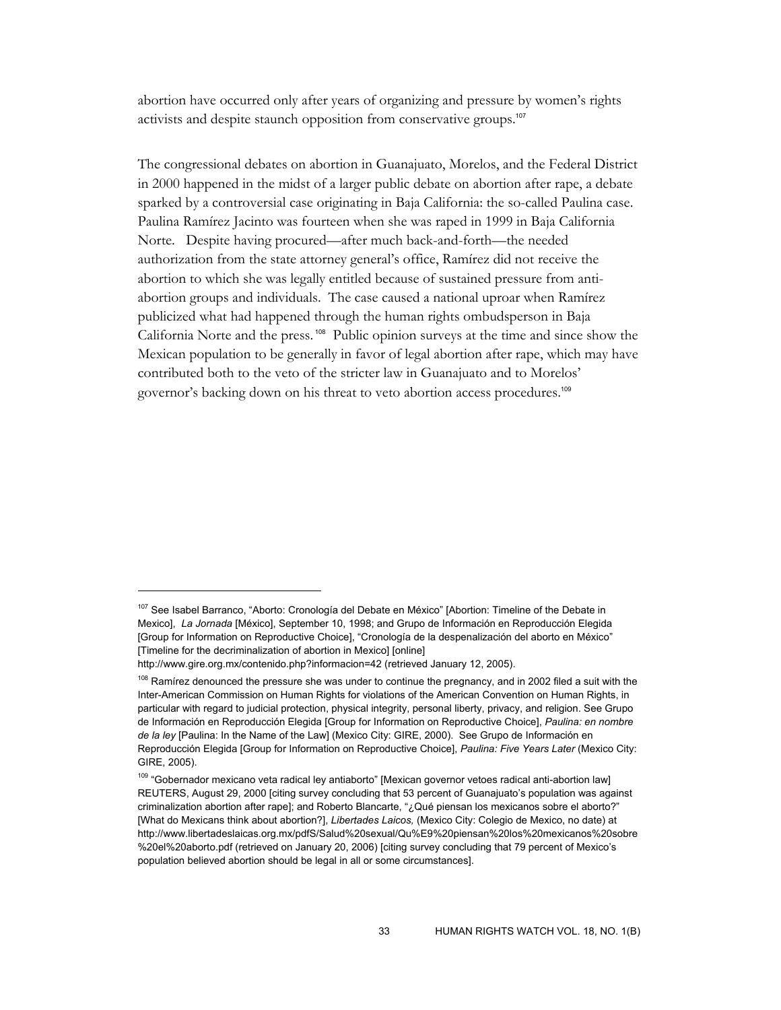abortion have occurred only after years of organizing and pressure by women's rights activists and despite staunch opposition from conservative groups.<sup>107</sup>

The congressional debates on abortion in Guanajuato, Morelos, and the Federal District in 2000 happened in the midst of a larger public debate on abortion after rape, a debate sparked by a controversial case originating in Baja California: the so-called Paulina case. Paulina Ramírez Jacinto was fourteen when she was raped in 1999 in Baja California Norte. Despite having procured—after much back-and-forth—the needed authorization from the state attorney general's office, Ramírez did not receive the abortion to which she was legally entitled because of sustained pressure from antiabortion groups and individuals. The case caused a national uproar when Ramírez publicized what had happened through the human rights ombudsperson in Baja California Norte and the press. 108 Public opinion surveys at the time and since show the Mexican population to be generally in favor of legal abortion after rape, which may have contributed both to the veto of the stricter law in Guanajuato and to Morelos' governor's backing down on his threat to veto abortion access procedures.<sup>109</sup>

<sup>&</sup>lt;sup>107</sup> See Isabel Barranco, "Aborto: Cronología del Debate en México" [Abortion: Timeline of the Debate in Mexico], *La Jornada* [México], September 10, 1998; and Grupo de Información en Reproducción Elegida [Group for Information on Reproductive Choice], "Cronología de la despenalización del aborto en México" [Timeline for the decriminalization of abortion in Mexico] [online]

http://www.gire.org.mx/contenido.php?informacion=42 (retrieved January 12, 2005).

<sup>&</sup>lt;sup>108</sup> Ramírez denounced the pressure she was under to continue the pregnancy, and in 2002 filed a suit with the Inter-American Commission on Human Rights for violations of the American Convention on Human Rights, in particular with regard to judicial protection, physical integrity, personal liberty, privacy, and religion. See Grupo de Información en Reproducción Elegida [Group for Information on Reproductive Choice], *Paulina: en nombre de la ley* [Paulina: In the Name of the Law] (Mexico City: GIRE, 2000). See Grupo de Información en Reproducción Elegida [Group for Information on Reproductive Choice], *Paulina: Five Years Later* (Mexico City: GIRE, 2005).

<sup>109 &</sup>quot;Gobernador mexicano veta radical ley antiaborto" [Mexican governor vetoes radical anti-abortion law] REUTERS, August 29, 2000 [citing survey concluding that 53 percent of Guanajuato's population was against criminalization abortion after rape]; and Roberto Blancarte, "¿Qué piensan los mexicanos sobre el aborto?" [What do Mexicans think about abortion?], *Libertades Laicos,* (Mexico City: Colegio de Mexico, no date) at http://www.libertadeslaicas.org.mx/pdfS/Salud%20sexual/Qu%E9%20piensan%20los%20mexicanos%20sobre %20el%20aborto.pdf (retrieved on January 20, 2006) [citing survey concluding that 79 percent of Mexico's population believed abortion should be legal in all or some circumstances].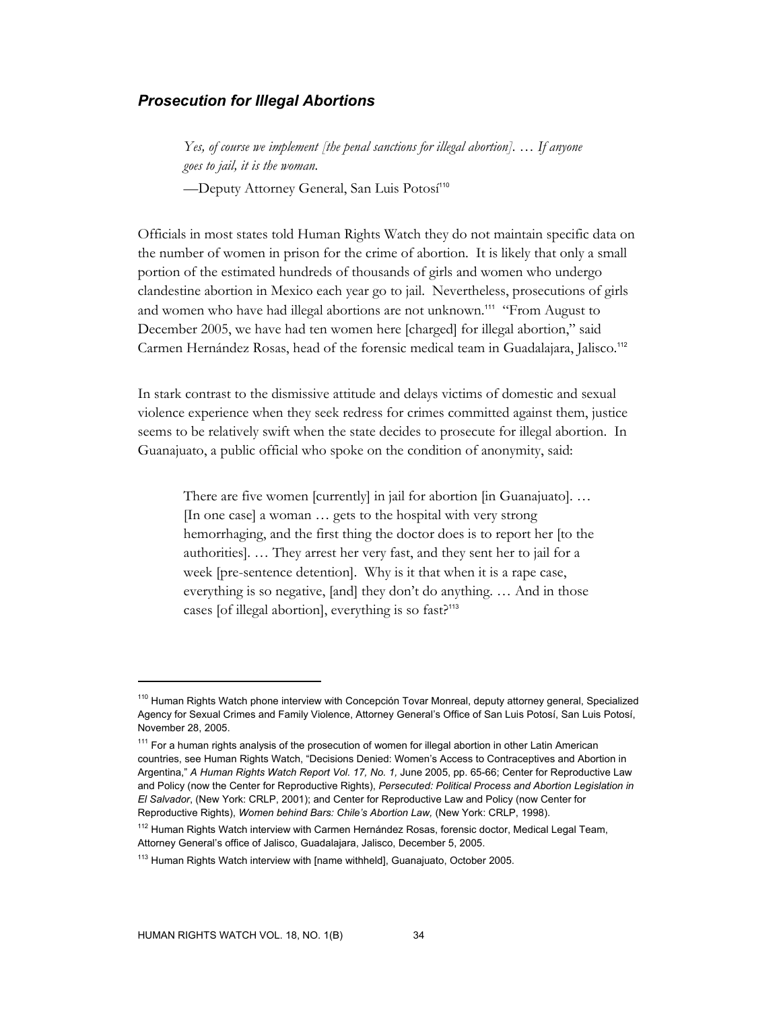#### *Prosecution for Illegal Abortions*

*Yes, of course we implement [the penal sanctions for illegal abortion]. … If anyone goes to jail, it is the woman.*  -Deputy Attorney General, San Luis Potosí<sup>110</sup>

Officials in most states told Human Rights Watch they do not maintain specific data on the number of women in prison for the crime of abortion. It is likely that only a small portion of the estimated hundreds of thousands of girls and women who undergo clandestine abortion in Mexico each year go to jail. Nevertheless, prosecutions of girls and women who have had illegal abortions are not unknown.<sup>111</sup> "From August to December 2005, we have had ten women here [charged] for illegal abortion," said Carmen Hernández Rosas, head of the forensic medical team in Guadalajara, Jalisco.<sup>112</sup>

In stark contrast to the dismissive attitude and delays victims of domestic and sexual violence experience when they seek redress for crimes committed against them, justice seems to be relatively swift when the state decides to prosecute for illegal abortion. In Guanajuato, a public official who spoke on the condition of anonymity, said:

There are five women [currently] in jail for abortion [in Guanajuato].... [In one case] a woman … gets to the hospital with very strong hemorrhaging, and the first thing the doctor does is to report her [to the authorities]. … They arrest her very fast, and they sent her to jail for a week [pre-sentence detention]. Why is it that when it is a rape case, everything is so negative, [and] they don't do anything. … And in those cases [of illegal abortion], everything is so fast?<sup>113</sup>

<sup>&</sup>lt;sup>110</sup> Human Rights Watch phone interview with Concepción Tovar Monreal, deputy attorney general, Specialized Agency for Sexual Crimes and Family Violence, Attorney General's Office of San Luis Potosí, San Luis Potosí, November 28, 2005.

<sup>&</sup>lt;sup>111</sup> For a human rights analysis of the prosecution of women for illegal abortion in other Latin American countries, see Human Rights Watch, "Decisions Denied: Women's Access to Contraceptives and Abortion in Argentina," *A Human Rights Watch Report Vol. 17, No. 1,* June 2005, pp. 65-66; Center for Reproductive Law and Policy (now the Center for Reproductive Rights), *Persecuted: Political Process and Abortion Legislation in El Salvador*, (New York: CRLP, 2001); and Center for Reproductive Law and Policy (now Center for Reproductive Rights), *Women behind Bars: Chile's Abortion Law,* (New York: CRLP, 1998).

<sup>&</sup>lt;sup>112</sup> Human Rights Watch interview with Carmen Hernández Rosas, forensic doctor, Medical Legal Team, Attorney General's office of Jalisco, Guadalajara, Jalisco, December 5, 2005.

<sup>&</sup>lt;sup>113</sup> Human Rights Watch interview with [name withheld], Guanajuato, October 2005.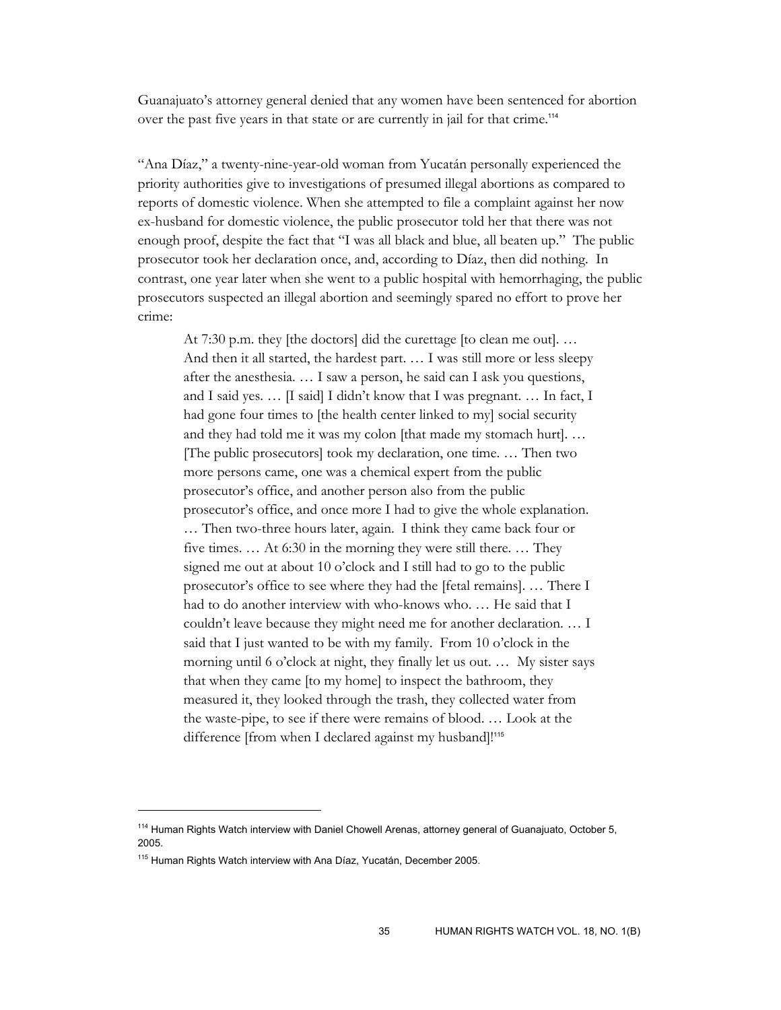Guanajuato's attorney general denied that any women have been sentenced for abortion over the past five years in that state or are currently in jail for that crime.<sup>114</sup>

"Ana Díaz," a twenty-nine-year-old woman from Yucatán personally experienced the priority authorities give to investigations of presumed illegal abortions as compared to reports of domestic violence. When she attempted to file a complaint against her now ex-husband for domestic violence, the public prosecutor told her that there was not enough proof, despite the fact that "I was all black and blue, all beaten up." The public prosecutor took her declaration once, and, according to Díaz, then did nothing. In contrast, one year later when she went to a public hospital with hemorrhaging, the public prosecutors suspected an illegal abortion and seemingly spared no effort to prove her crime:

At 7:30 p.m. they [the doctors] did the curettage [to clean me out]. … And then it all started, the hardest part. … I was still more or less sleepy after the anesthesia. … I saw a person, he said can I ask you questions, and I said yes. … [I said] I didn't know that I was pregnant. … In fact, I had gone four times to [the health center linked to my] social security and they had told me it was my colon [that made my stomach hurt]. … [The public prosecutors] took my declaration, one time. … Then two more persons came, one was a chemical expert from the public prosecutor's office, and another person also from the public prosecutor's office, and once more I had to give the whole explanation. … Then two-three hours later, again. I think they came back four or five times. … At 6:30 in the morning they were still there. … They signed me out at about 10 o'clock and I still had to go to the public prosecutor's office to see where they had the [fetal remains]. … There I had to do another interview with who-knows who. … He said that I couldn't leave because they might need me for another declaration. … I said that I just wanted to be with my family. From 10 o'clock in the morning until 6 o'clock at night, they finally let us out. … My sister says that when they came [to my home] to inspect the bathroom, they measured it, they looked through the trash, they collected water from the waste-pipe, to see if there were remains of blood. … Look at the difference [from when I declared against my husband]!<sup>115</sup>

<sup>&</sup>lt;sup>114</sup> Human Rights Watch interview with Daniel Chowell Arenas, attorney general of Guanajuato, October 5, 2005.

<sup>&</sup>lt;sup>115</sup> Human Rights Watch interview with Ana Díaz, Yucatán, December 2005.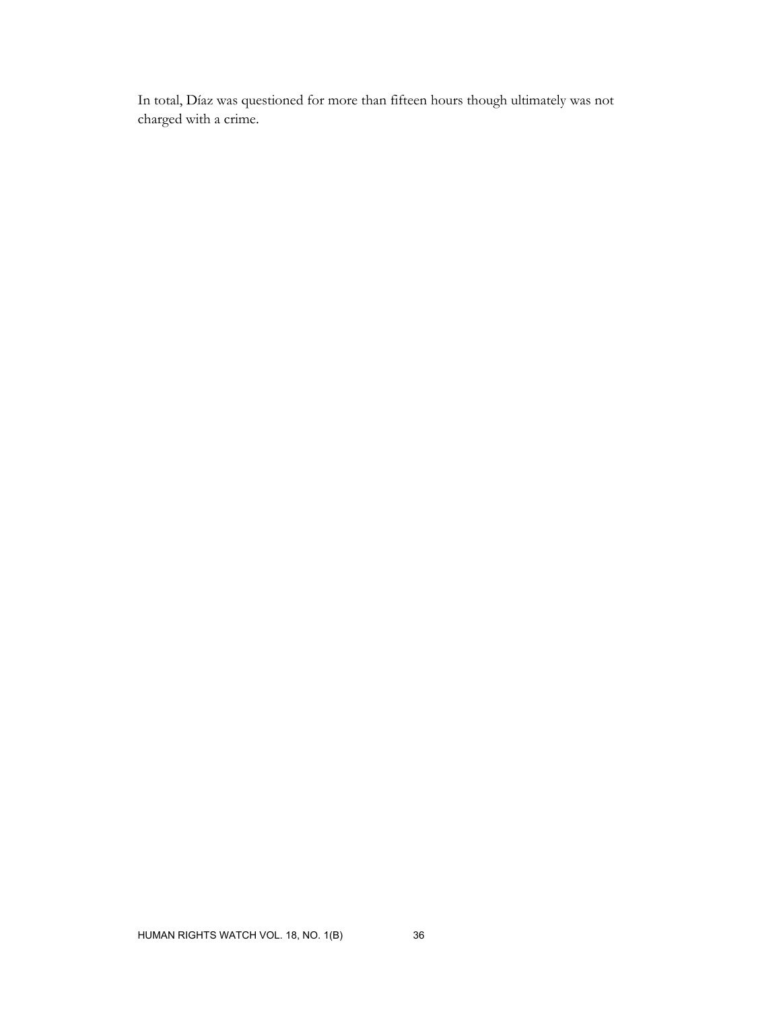In total, Díaz was questioned for more than fifteen hours though ultimately was not charged with a crime.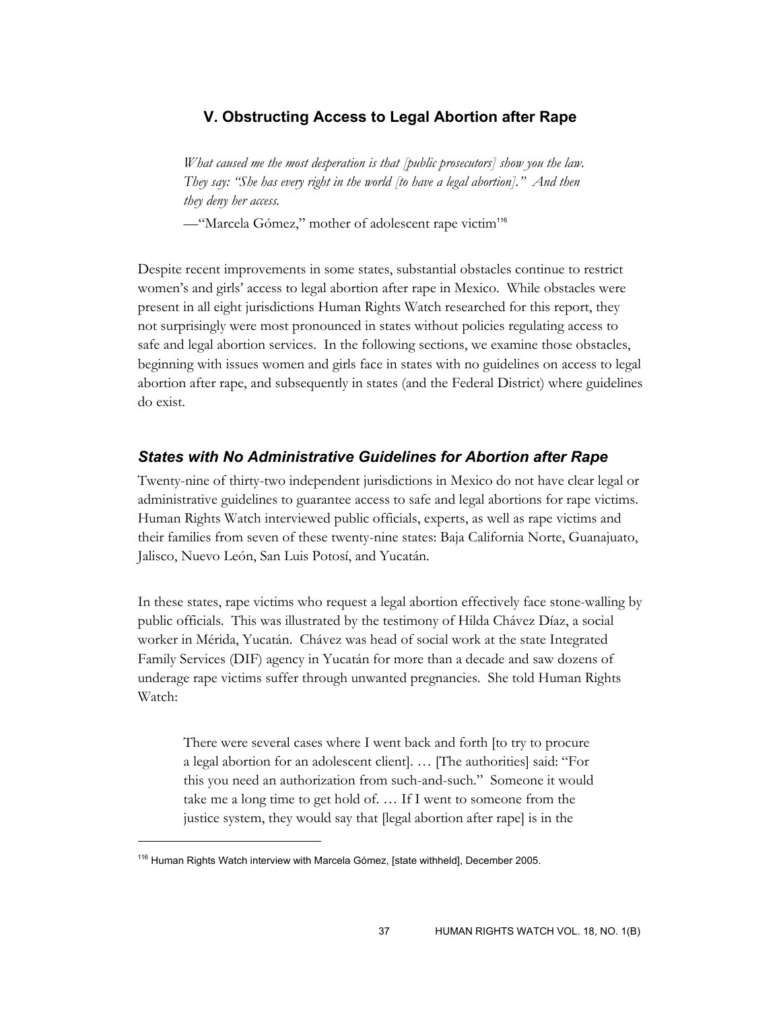# **V. Obstructing Access to Legal Abortion after Rape**

*What caused me the most desperation is that [public prosecutors] show you the law. They say: "She has every right in the world [to have a legal abortion]." And then they deny her access.* 

—"Marcela Gómez," mother of adolescent rape victim<sup>116</sup>

Despite recent improvements in some states, substantial obstacles continue to restrict women's and girls' access to legal abortion after rape in Mexico. While obstacles were present in all eight jurisdictions Human Rights Watch researched for this report, they not surprisingly were most pronounced in states without policies regulating access to safe and legal abortion services. In the following sections, we examine those obstacles, beginning with issues women and girls face in states with no guidelines on access to legal abortion after rape, and subsequently in states (and the Federal District) where guidelines do exist.

# *States with No Administrative Guidelines for Abortion after Rape*

Twenty-nine of thirty-two independent jurisdictions in Mexico do not have clear legal or administrative guidelines to guarantee access to safe and legal abortions for rape victims. Human Rights Watch interviewed public officials, experts, as well as rape victims and their families from seven of these twenty-nine states: Baja California Norte, Guanajuato, Jalisco, Nuevo León, San Luis Potosí, and Yucatán.

In these states, rape victims who request a legal abortion effectively face stone-walling by public officials. This was illustrated by the testimony of Hilda Chávez Díaz, a social worker in Mérida, Yucatán. Chávez was head of social work at the state Integrated Family Services (DIF) agency in Yucatán for more than a decade and saw dozens of underage rape victims suffer through unwanted pregnancies. She told Human Rights Watch:

There were several cases where I went back and forth [to try to procure a legal abortion for an adolescent client]. … [The authorities] said: "For this you need an authorization from such-and-such." Someone it would take me a long time to get hold of. … If I went to someone from the justice system, they would say that [legal abortion after rape] is in the

<sup>&</sup>lt;sup>116</sup> Human Rights Watch interview with Marcela Gómez, [state withheld], December 2005.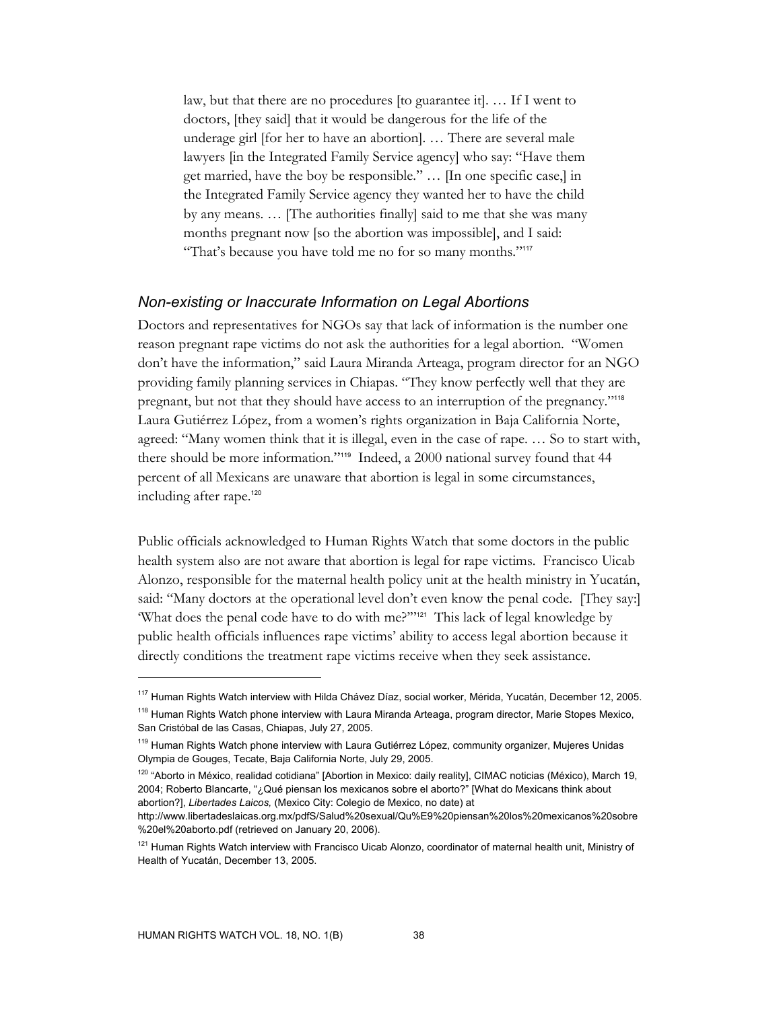law, but that there are no procedures [to guarantee it]. … If I went to doctors, [they said] that it would be dangerous for the life of the underage girl [for her to have an abortion]. … There are several male lawyers [in the Integrated Family Service agency] who say: "Have them get married, have the boy be responsible." … [In one specific case,] in the Integrated Family Service agency they wanted her to have the child by any means. … [The authorities finally] said to me that she was many months pregnant now [so the abortion was impossible], and I said: "That's because you have told me no for so many months."<sup>117</sup>

#### *Non-existing or Inaccurate Information on Legal Abortions*

Doctors and representatives for NGOs say that lack of information is the number one reason pregnant rape victims do not ask the authorities for a legal abortion. "Women don't have the information," said Laura Miranda Arteaga, program director for an NGO providing family planning services in Chiapas. "They know perfectly well that they are pregnant, but not that they should have access to an interruption of the pregnancy."<sup>118</sup> Laura Gutiérrez López, from a women's rights organization in Baja California Norte, agreed: "Many women think that it is illegal, even in the case of rape. … So to start with, there should be more information."119 Indeed, a 2000 national survey found that 44 percent of all Mexicans are unaware that abortion is legal in some circumstances, including after rape.<sup>120</sup>

Public officials acknowledged to Human Rights Watch that some doctors in the public health system also are not aware that abortion is legal for rape victims. Francisco Uicab Alonzo, responsible for the maternal health policy unit at the health ministry in Yucatán, said: "Many doctors at the operational level don't even know the penal code. [They say:] 'What does the penal code have to do with me?''<sup>121</sup> This lack of legal knowledge by public health officials influences rape victims' ability to access legal abortion because it directly conditions the treatment rape victims receive when they seek assistance.

<sup>117</sup> Human Rights Watch interview with Hilda Chávez Díaz, social worker, Mérida, Yucatán, December 12, 2005. <sup>118</sup> Human Rights Watch phone interview with Laura Miranda Arteaga, program director, Marie Stopes Mexico, San Cristóbal de las Casas, Chiapas, July 27, 2005.

<sup>&</sup>lt;sup>119</sup> Human Rights Watch phone interview with Laura Gutiérrez López, community organizer, Mujeres Unidas Olympia de Gouges, Tecate, Baja California Norte, July 29, 2005.

<sup>&</sup>lt;sup>120</sup> "Aborto in México, realidad cotidiana" [Abortion in Mexico: daily reality], CIMAC noticias (México), March 19, 2004; Roberto Blancarte, "¿Qué piensan los mexicanos sobre el aborto?" [What do Mexicans think about abortion?], *Libertades Laicos,* (Mexico City: Colegio de Mexico, no date) at

http://www.libertadeslaicas.org.mx/pdfS/Salud%20sexual/Qu%E9%20piensan%20los%20mexicanos%20sobre %20el%20aborto.pdf (retrieved on January 20, 2006).

<sup>&</sup>lt;sup>121</sup> Human Rights Watch interview with Francisco Uicab Alonzo, coordinator of maternal health unit, Ministry of Health of Yucatán, December 13, 2005.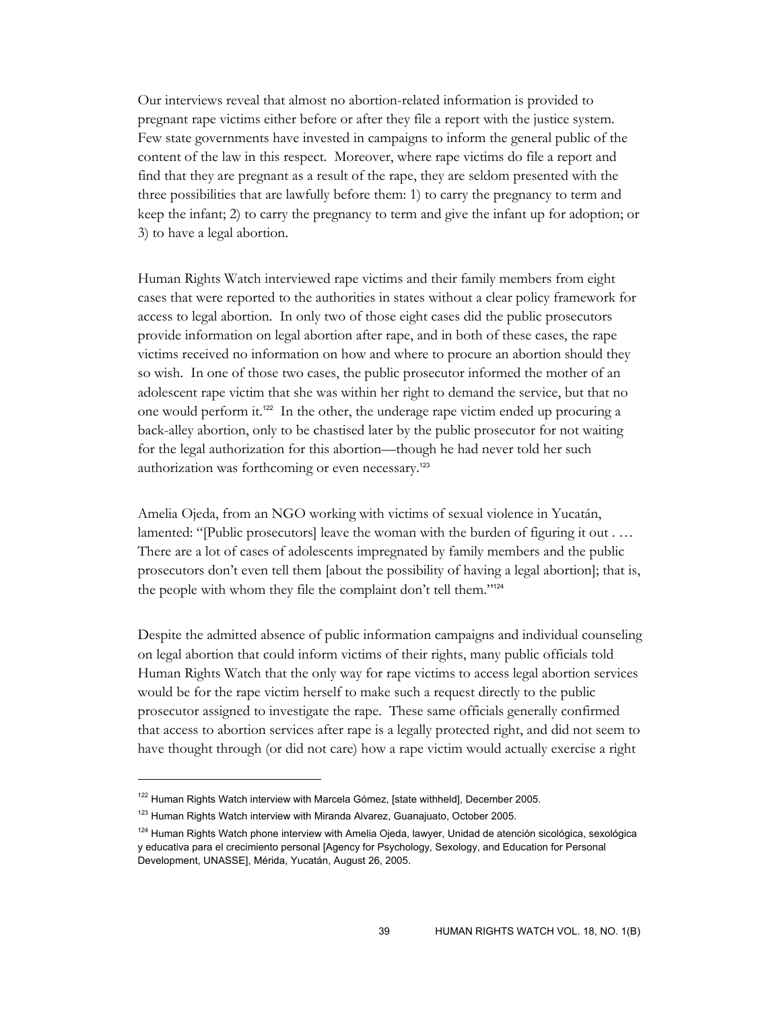Our interviews reveal that almost no abortion-related information is provided to pregnant rape victims either before or after they file a report with the justice system. Few state governments have invested in campaigns to inform the general public of the content of the law in this respect. Moreover, where rape victims do file a report and find that they are pregnant as a result of the rape, they are seldom presented with the three possibilities that are lawfully before them: 1) to carry the pregnancy to term and keep the infant; 2) to carry the pregnancy to term and give the infant up for adoption; or 3) to have a legal abortion.

Human Rights Watch interviewed rape victims and their family members from eight cases that were reported to the authorities in states without a clear policy framework for access to legal abortion. In only two of those eight cases did the public prosecutors provide information on legal abortion after rape, and in both of these cases, the rape victims received no information on how and where to procure an abortion should they so wish. In one of those two cases, the public prosecutor informed the mother of an adolescent rape victim that she was within her right to demand the service, but that no one would perform it.122 In the other, the underage rape victim ended up procuring a back-alley abortion, only to be chastised later by the public prosecutor for not waiting for the legal authorization for this abortion—though he had never told her such authorization was forthcoming or even necessary.<sup>123</sup>

Amelia Ojeda, from an NGO working with victims of sexual violence in Yucatán, lamented: "[Public prosecutors] leave the woman with the burden of figuring it out . … There are a lot of cases of adolescents impregnated by family members and the public prosecutors don't even tell them [about the possibility of having a legal abortion]; that is, the people with whom they file the complaint don't tell them."<sup>124</sup>

Despite the admitted absence of public information campaigns and individual counseling on legal abortion that could inform victims of their rights, many public officials told Human Rights Watch that the only way for rape victims to access legal abortion services would be for the rape victim herself to make such a request directly to the public prosecutor assigned to investigate the rape. These same officials generally confirmed that access to abortion services after rape is a legally protected right, and did not seem to have thought through (or did not care) how a rape victim would actually exercise a right

<sup>&</sup>lt;sup>122</sup> Human Rights Watch interview with Marcela Gómez, [state withheld], December 2005.

<sup>&</sup>lt;sup>123</sup> Human Rights Watch interview with Miranda Alvarez, Guanajuato, October 2005.

<sup>&</sup>lt;sup>124</sup> Human Rights Watch phone interview with Amelia Ojeda, lawyer, Unidad de atención sicológica, sexológica y educativa para el crecimiento personal [Agency for Psychology, Sexology, and Education for Personal Development, UNASSE], Mérida, Yucatán, August 26, 2005.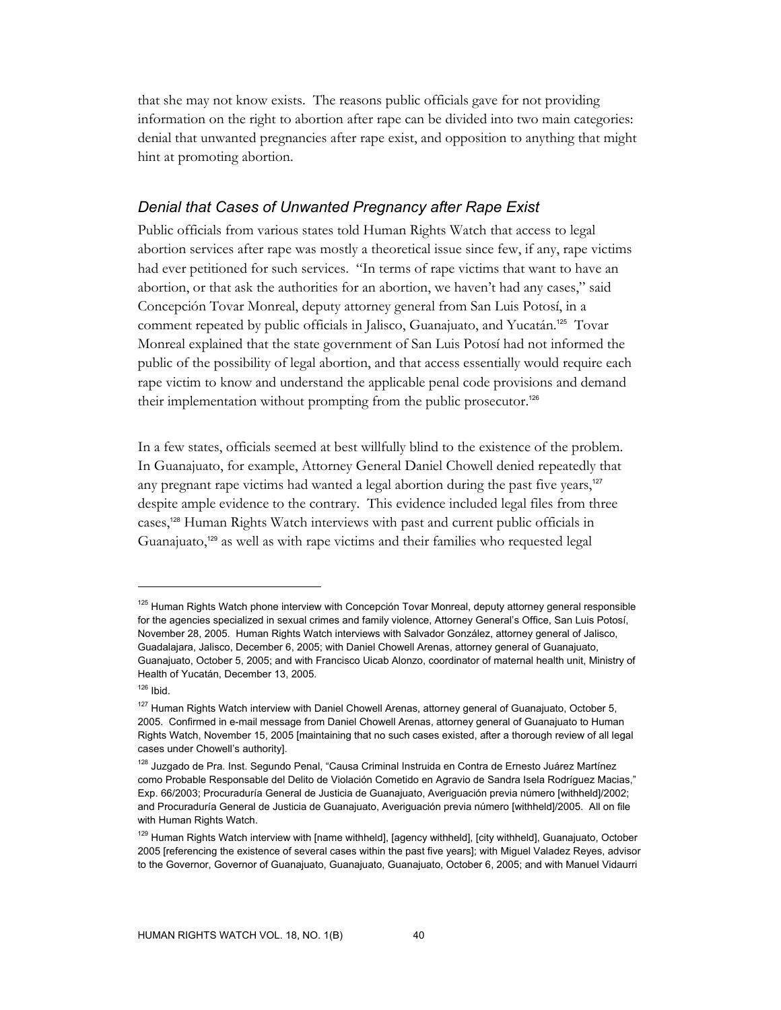that she may not know exists. The reasons public officials gave for not providing information on the right to abortion after rape can be divided into two main categories: denial that unwanted pregnancies after rape exist, and opposition to anything that might hint at promoting abortion.

### *Denial that Cases of Unwanted Pregnancy after Rape Exist*

Public officials from various states told Human Rights Watch that access to legal abortion services after rape was mostly a theoretical issue since few, if any, rape victims had ever petitioned for such services. "In terms of rape victims that want to have an abortion, or that ask the authorities for an abortion, we haven't had any cases," said Concepción Tovar Monreal, deputy attorney general from San Luis Potosí, in a comment repeated by public officials in Jalisco, Guanajuato, and Yucatán.<sup>125</sup> Tovar Monreal explained that the state government of San Luis Potosí had not informed the public of the possibility of legal abortion, and that access essentially would require each rape victim to know and understand the applicable penal code provisions and demand their implementation without prompting from the public prosecutor.<sup>126</sup>

In a few states, officials seemed at best willfully blind to the existence of the problem. In Guanajuato, for example, Attorney General Daniel Chowell denied repeatedly that any pregnant rape victims had wanted a legal abortion during the past five years,<sup>127</sup> despite ample evidence to the contrary. This evidence included legal files from three cases,128 Human Rights Watch interviews with past and current public officials in Guanajuato,<sup>129</sup> as well as with rape victims and their families who requested legal

<sup>&</sup>lt;sup>125</sup> Human Rights Watch phone interview with Concepción Tovar Monreal, deputy attorney general responsible for the agencies specialized in sexual crimes and family violence, Attorney General's Office, San Luis Potosí, November 28, 2005. Human Rights Watch interviews with Salvador González, attorney general of Jalisco, Guadalajara, Jalisco, December 6, 2005; with Daniel Chowell Arenas, attorney general of Guanajuato, Guanajuato, October 5, 2005; and with Francisco Uicab Alonzo, coordinator of maternal health unit, Ministry of Health of Yucatán, December 13, 2005.

 $126$  Ibid.

<sup>&</sup>lt;sup>127</sup> Human Rights Watch interview with Daniel Chowell Arenas, attorney general of Guanajuato, October 5, 2005. Confirmed in e-mail message from Daniel Chowell Arenas, attorney general of Guanajuato to Human Rights Watch, November 15, 2005 [maintaining that no such cases existed, after a thorough review of all legal cases under Chowell's authority].

<sup>&</sup>lt;sup>128</sup> Juzgado de Pra. Inst. Segundo Penal, "Causa Criminal Instruida en Contra de Ernesto Juárez Martínez como Probable Responsable del Delito de Violación Cometido en Agravio de Sandra Isela Rodríguez Macias," Exp. 66/2003; Procuraduría General de Justicia de Guanajuato, Averiguación previa número [withheld]/2002; and Procuraduría General de Justicia de Guanajuato, Averiguación previa número [withheld]/2005. All on file with Human Rights Watch.

<sup>&</sup>lt;sup>129</sup> Human Rights Watch interview with [name withheld], [agency withheld], [city withheld], Guanajuato, October 2005 [referencing the existence of several cases within the past five years]; with Miguel Valadez Reyes, advisor to the Governor, Governor of Guanajuato, Guanajuato, Guanajuato, October 6, 2005; and with Manuel Vidaurri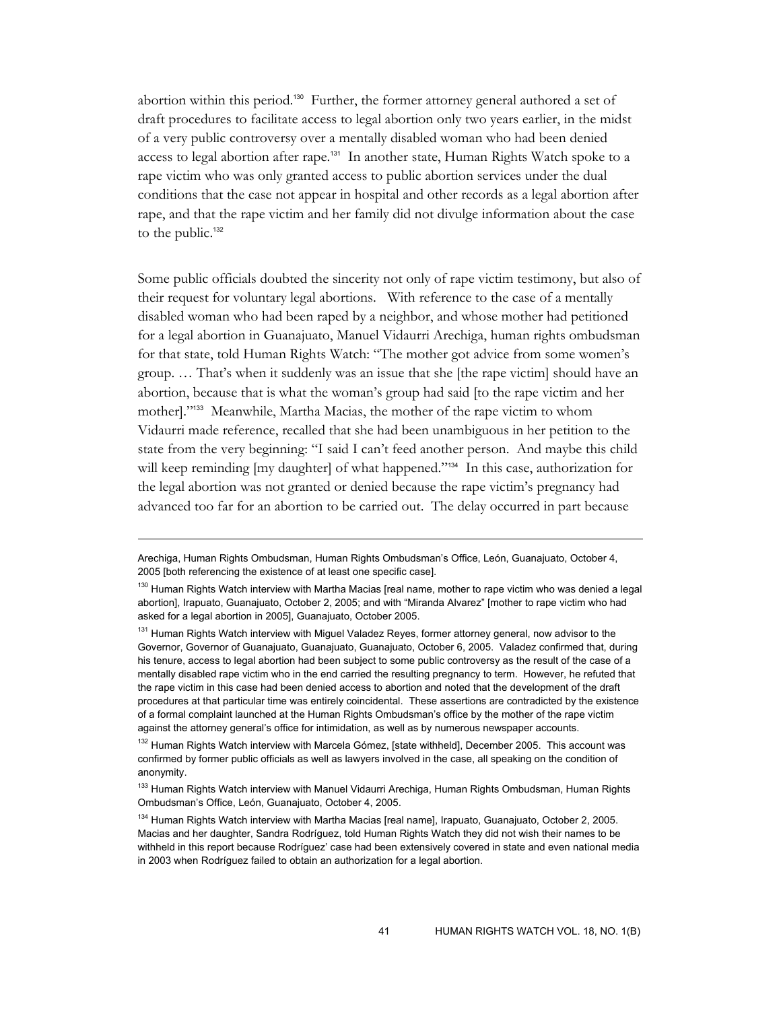abortion within this period.130 Further, the former attorney general authored a set of draft procedures to facilitate access to legal abortion only two years earlier, in the midst of a very public controversy over a mentally disabled woman who had been denied access to legal abortion after rape.131 In another state, Human Rights Watch spoke to a rape victim who was only granted access to public abortion services under the dual conditions that the case not appear in hospital and other records as a legal abortion after rape, and that the rape victim and her family did not divulge information about the case to the public.<sup>132</sup>

Some public officials doubted the sincerity not only of rape victim testimony, but also of their request for voluntary legal abortions. With reference to the case of a mentally disabled woman who had been raped by a neighbor, and whose mother had petitioned for a legal abortion in Guanajuato, Manuel Vidaurri Arechiga, human rights ombudsman for that state, told Human Rights Watch: "The mother got advice from some women's group. … That's when it suddenly was an issue that she [the rape victim] should have an abortion, because that is what the woman's group had said [to the rape victim and her mother]."133 Meanwhile, Martha Macias, the mother of the rape victim to whom Vidaurri made reference, recalled that she had been unambiguous in her petition to the state from the very beginning: "I said I can't feed another person. And maybe this child will keep reminding [my daughter] of what happened."<sup>34</sup> In this case, authorization for the legal abortion was not granted or denied because the rape victim's pregnancy had advanced too far for an abortion to be carried out. The delay occurred in part because

Arechiga, Human Rights Ombudsman, Human Rights Ombudsman's Office, León, Guanajuato, October 4, 2005 [both referencing the existence of at least one specific case].

<sup>&</sup>lt;sup>130</sup> Human Rights Watch interview with Martha Macias [real name, mother to rape victim who was denied a legal abortion], Irapuato, Guanajuato, October 2, 2005; and with "Miranda Alvarez" [mother to rape victim who had asked for a legal abortion in 2005], Guanajuato, October 2005.

<sup>&</sup>lt;sup>131</sup> Human Rights Watch interview with Miguel Valadez Reyes, former attorney general, now advisor to the Governor, Governor of Guanajuato, Guanajuato, Guanajuato, October 6, 2005. Valadez confirmed that, during his tenure, access to legal abortion had been subject to some public controversy as the result of the case of a mentally disabled rape victim who in the end carried the resulting pregnancy to term. However, he refuted that the rape victim in this case had been denied access to abortion and noted that the development of the draft procedures at that particular time was entirely coincidental. These assertions are contradicted by the existence of a formal complaint launched at the Human Rights Ombudsman's office by the mother of the rape victim against the attorney general's office for intimidation, as well as by numerous newspaper accounts.

<sup>&</sup>lt;sup>132</sup> Human Rights Watch interview with Marcela Gómez, [state withheld], December 2005. This account was confirmed by former public officials as well as lawyers involved in the case, all speaking on the condition of anonymity.

<sup>&</sup>lt;sup>133</sup> Human Rights Watch interview with Manuel Vidaurri Arechiga, Human Rights Ombudsman, Human Rights Ombudsman's Office, León, Guanajuato, October 4, 2005.

<sup>&</sup>lt;sup>134</sup> Human Rights Watch interview with Martha Macias [real name], Irapuato, Guanajuato, October 2, 2005. Macias and her daughter, Sandra Rodríguez, told Human Rights Watch they did not wish their names to be withheld in this report because Rodríguez' case had been extensively covered in state and even national media in 2003 when Rodríguez failed to obtain an authorization for a legal abortion.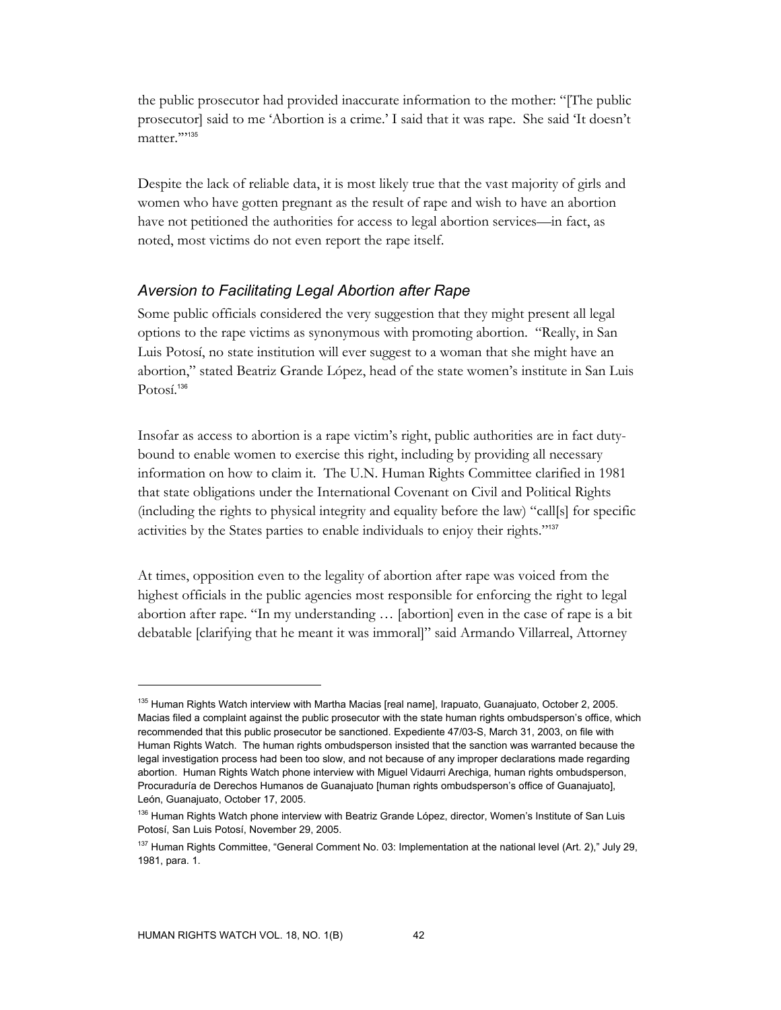the public prosecutor had provided inaccurate information to the mother: "[The public prosecutor] said to me 'Abortion is a crime.' I said that it was rape. She said 'It doesn't matter.""135

Despite the lack of reliable data, it is most likely true that the vast majority of girls and women who have gotten pregnant as the result of rape and wish to have an abortion have not petitioned the authorities for access to legal abortion services—in fact, as noted, most victims do not even report the rape itself.

# *Aversion to Facilitating Legal Abortion after Rape*

Some public officials considered the very suggestion that they might present all legal options to the rape victims as synonymous with promoting abortion. "Really, in San Luis Potosí, no state institution will ever suggest to a woman that she might have an abortion," stated Beatriz Grande López, head of the state women's institute in San Luis Potosí.<sup>136</sup>

Insofar as access to abortion is a rape victim's right, public authorities are in fact dutybound to enable women to exercise this right, including by providing all necessary information on how to claim it. The U.N. Human Rights Committee clarified in 1981 that state obligations under the International Covenant on Civil and Political Rights (including the rights to physical integrity and equality before the law) "call[s] for specific activities by the States parties to enable individuals to enjoy their rights."<sup>137</sup>

At times, opposition even to the legality of abortion after rape was voiced from the highest officials in the public agencies most responsible for enforcing the right to legal abortion after rape. "In my understanding … [abortion] even in the case of rape is a bit debatable [clarifying that he meant it was immoral]" said Armando Villarreal, Attorney

<sup>&</sup>lt;sup>135</sup> Human Rights Watch interview with Martha Macias [real name], Irapuato, Guanajuato, October 2, 2005. Macias filed a complaint against the public prosecutor with the state human rights ombudsperson's office, which recommended that this public prosecutor be sanctioned. Expediente 47/03-S, March 31, 2003, on file with Human Rights Watch. The human rights ombudsperson insisted that the sanction was warranted because the legal investigation process had been too slow, and not because of any improper declarations made regarding abortion. Human Rights Watch phone interview with Miguel Vidaurri Arechiga, human rights ombudsperson, Procuraduría de Derechos Humanos de Guanajuato [human rights ombudsperson's office of Guanajuato], León, Guanajuato, October 17, 2005.

<sup>&</sup>lt;sup>136</sup> Human Rights Watch phone interview with Beatriz Grande López, director, Women's Institute of San Luis Potosí, San Luis Potosí, November 29, 2005.

<sup>&</sup>lt;sup>137</sup> Human Rights Committee, "General Comment No. 03: Implementation at the national level (Art. 2)," July 29, 1981, para. 1.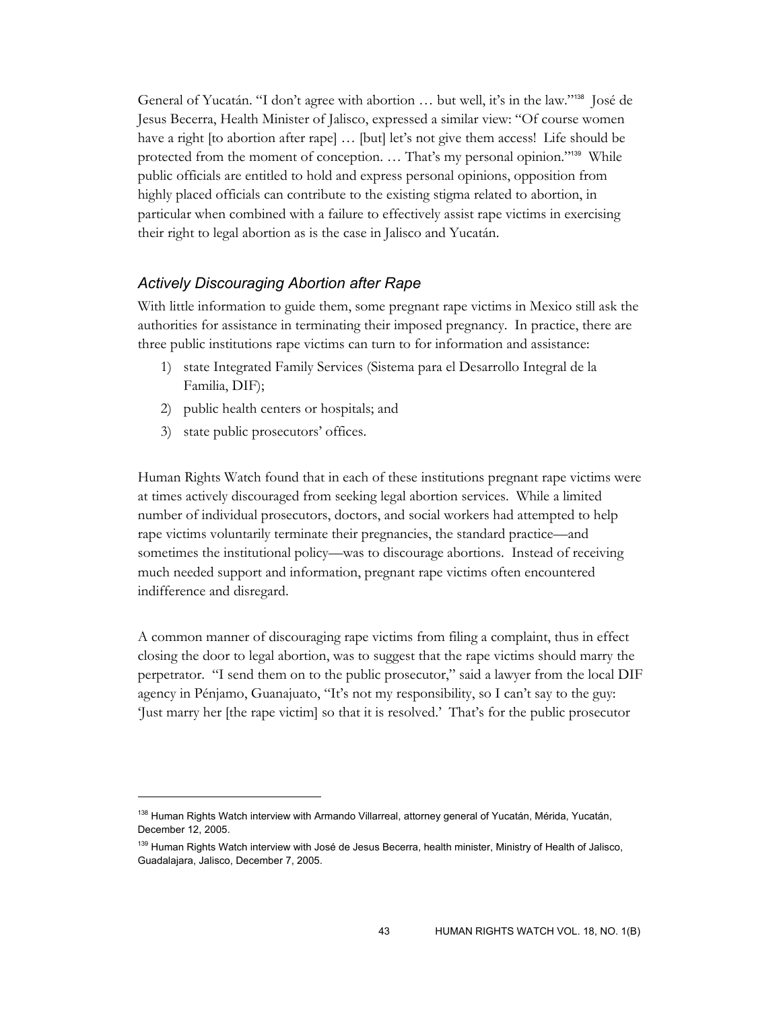General of Yucatán. "I don't agree with abortion … but well, it's in the law."138 José de Jesus Becerra, Health Minister of Jalisco, expressed a similar view: "Of course women have a right [to abortion after rape] ... [but] let's not give them access! Life should be protected from the moment of conception. … That's my personal opinion."139 While public officials are entitled to hold and express personal opinions, opposition from highly placed officials can contribute to the existing stigma related to abortion, in particular when combined with a failure to effectively assist rape victims in exercising their right to legal abortion as is the case in Jalisco and Yucatán.

## *Actively Discouraging Abortion after Rape*

With little information to guide them, some pregnant rape victims in Mexico still ask the authorities for assistance in terminating their imposed pregnancy. In practice, there are three public institutions rape victims can turn to for information and assistance:

- 1) state Integrated Family Services (Sistema para el Desarrollo Integral de la Familia, DIF);
- 2) public health centers or hospitals; and
- 3) state public prosecutors' offices.

 $\overline{a}$ 

Human Rights Watch found that in each of these institutions pregnant rape victims were at times actively discouraged from seeking legal abortion services. While a limited number of individual prosecutors, doctors, and social workers had attempted to help rape victims voluntarily terminate their pregnancies, the standard practice—and sometimes the institutional policy—was to discourage abortions. Instead of receiving much needed support and information, pregnant rape victims often encountered indifference and disregard.

A common manner of discouraging rape victims from filing a complaint, thus in effect closing the door to legal abortion, was to suggest that the rape victims should marry the perpetrator. "I send them on to the public prosecutor," said a lawyer from the local DIF agency in Pénjamo, Guanajuato, "It's not my responsibility, so I can't say to the guy: 'Just marry her [the rape victim] so that it is resolved.' That's for the public prosecutor

<sup>&</sup>lt;sup>138</sup> Human Rights Watch interview with Armando Villarreal, attorney general of Yucatán, Mérida, Yucatán, December 12, 2005.

<sup>&</sup>lt;sup>139</sup> Human Rights Watch interview with José de Jesus Becerra, health minister, Ministry of Health of Jalisco, Guadalajara, Jalisco, December 7, 2005.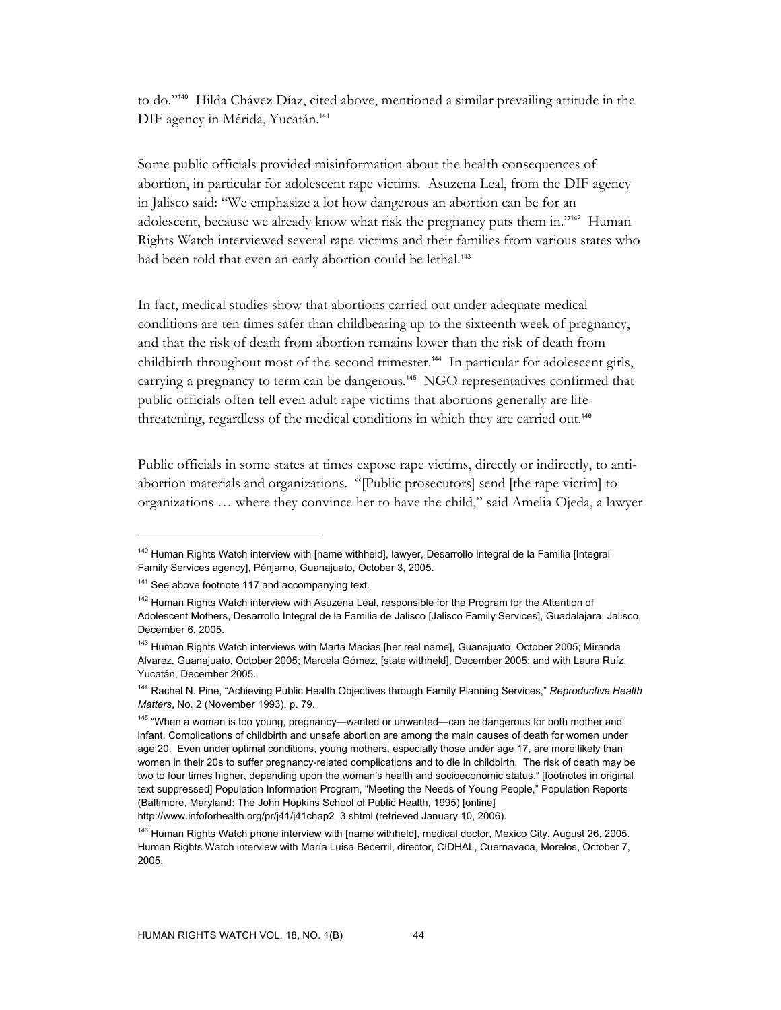to do."140 Hilda Chávez Díaz, cited above, mentioned a similar prevailing attitude in the DIF agency in Mérida, Yucatán.<sup>141</sup>

Some public officials provided misinformation about the health consequences of abortion, in particular for adolescent rape victims. Asuzena Leal, from the DIF agency in Jalisco said: "We emphasize a lot how dangerous an abortion can be for an adolescent, because we already know what risk the pregnancy puts them in."142 Human Rights Watch interviewed several rape victims and their families from various states who had been told that even an early abortion could be lethal.<sup>143</sup>

In fact, medical studies show that abortions carried out under adequate medical conditions are ten times safer than childbearing up to the sixteenth week of pregnancy, and that the risk of death from abortion remains lower than the risk of death from childbirth throughout most of the second trimester.144 In particular for adolescent girls, carrying a pregnancy to term can be dangerous.145 NGO representatives confirmed that public officials often tell even adult rape victims that abortions generally are lifethreatening, regardless of the medical conditions in which they are carried out.<sup>146</sup>

Public officials in some states at times expose rape victims, directly or indirectly, to antiabortion materials and organizations. "[Public prosecutors] send [the rape victim] to organizations … where they convince her to have the child," said Amelia Ojeda, a lawyer

<sup>&</sup>lt;sup>140</sup> Human Rights Watch interview with [name withheld], lawyer, Desarrollo Integral de la Familia [Integral Family Services agency], Pénjamo, Guanajuato, October 3, 2005.

<sup>&</sup>lt;sup>141</sup> See above footnote 117 and accompanying text.

<sup>&</sup>lt;sup>142</sup> Human Rights Watch interview with Asuzena Leal, responsible for the Program for the Attention of Adolescent Mothers, Desarrollo Integral de la Familia de Jalisco [Jalisco Family Services], Guadalajara, Jalisco, December 6, 2005.

<sup>&</sup>lt;sup>143</sup> Human Rights Watch interviews with Marta Macias [her real name], Guanajuato, October 2005; Miranda Alvarez, Guanajuato, October 2005; Marcela Gómez, [state withheld], December 2005; and with Laura Ruíz, Yucatán, December 2005.

<sup>144</sup> Rachel N. Pine, "Achieving Public Health Objectives through Family Planning Services," *Reproductive Health Matters*, No. 2 (November 1993), p. 79.

<sup>&</sup>lt;sup>145</sup> "When a woman is too young, pregnancy—wanted or unwanted—can be dangerous for both mother and infant. Complications of childbirth and unsafe abortion are among the main causes of death for women under age 20. Even under optimal conditions, young mothers, especially those under age 17, are more likely than women in their 20s to suffer pregnancy-related complications and to die in childbirth. The risk of death may be two to four times higher, depending upon the woman's health and socioeconomic status." [footnotes in original text suppressed] Population Information Program, "Meeting the Needs of Young People," Population Reports (Baltimore, Maryland: The John Hopkins School of Public Health, 1995) [online] http://www.infoforhealth.org/pr/j41/j41chap2\_3.shtml (retrieved January 10, 2006).

<sup>&</sup>lt;sup>146</sup> Human Rights Watch phone interview with [name withheld], medical doctor, Mexico City, August 26, 2005. Human Rights Watch interview with María Luisa Becerril, director, CIDHAL, Cuernavaca, Morelos, October 7, 2005.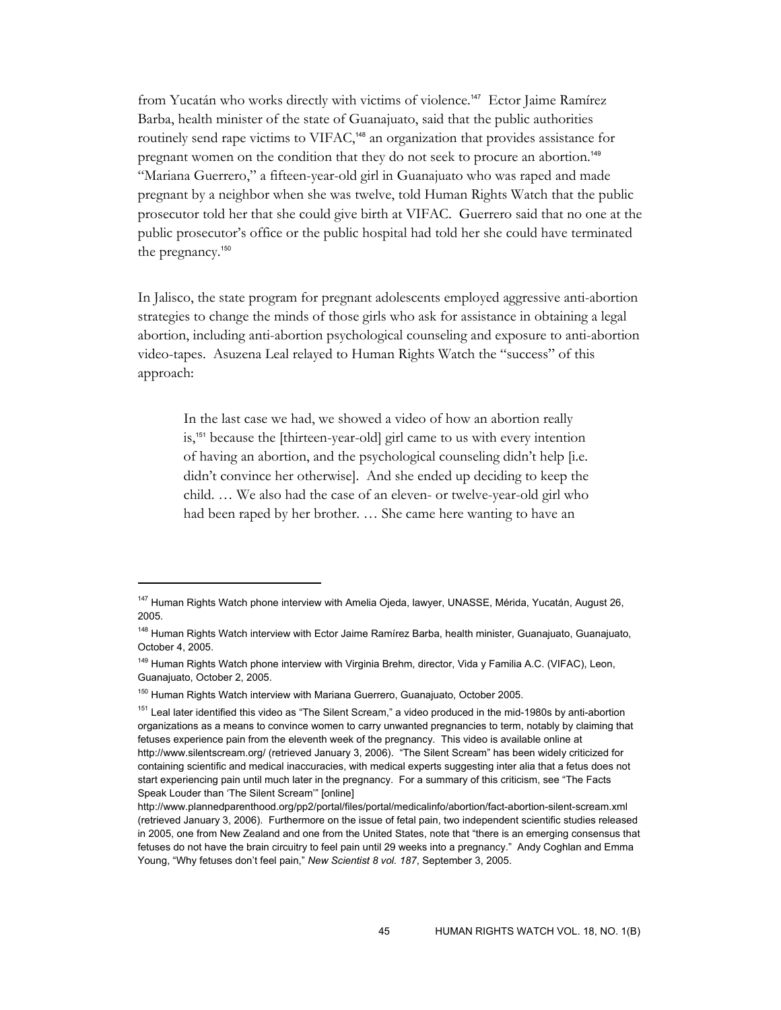from Yucatán who works directly with victims of violence.147 Ector Jaime Ramírez Barba, health minister of the state of Guanajuato, said that the public authorities routinely send rape victims to VIFAC,<sup>148</sup> an organization that provides assistance for pregnant women on the condition that they do not seek to procure an abortion.<sup>149</sup> "Mariana Guerrero," a fifteen-year-old girl in Guanajuato who was raped and made pregnant by a neighbor when she was twelve, told Human Rights Watch that the public prosecutor told her that she could give birth at VIFAC. Guerrero said that no one at the public prosecutor's office or the public hospital had told her she could have terminated the pregnancy.<sup>150</sup>

In Jalisco, the state program for pregnant adolescents employed aggressive anti-abortion strategies to change the minds of those girls who ask for assistance in obtaining a legal abortion, including anti-abortion psychological counseling and exposure to anti-abortion video-tapes. Asuzena Leal relayed to Human Rights Watch the "success" of this approach:

In the last case we had, we showed a video of how an abortion really is,151 because the [thirteen-year-old] girl came to us with every intention of having an abortion, and the psychological counseling didn't help [i.e. didn't convince her otherwise]. And she ended up deciding to keep the child. … We also had the case of an eleven- or twelve-year-old girl who had been raped by her brother. … She came here wanting to have an

<sup>&</sup>lt;sup>147</sup> Human Rights Watch phone interview with Amelia Ojeda, lawyer, UNASSE, Mérida, Yucatán, August 26, 2005.

<sup>&</sup>lt;sup>148</sup> Human Rights Watch interview with Ector Jaime Ramírez Barba, health minister, Guanajuato, Guanajuato, October 4, 2005.

<sup>149</sup> Human Rights Watch phone interview with Virginia Brehm, director, Vida y Familia A.C. (VIFAC), Leon, Guanajuato, October 2, 2005.

<sup>&</sup>lt;sup>150</sup> Human Rights Watch interview with Mariana Guerrero, Guanajuato, October 2005.

<sup>&</sup>lt;sup>151</sup> Leal later identified this video as "The Silent Scream," a video produced in the mid-1980s by anti-abortion organizations as a means to convince women to carry unwanted pregnancies to term, notably by claiming that fetuses experience pain from the eleventh week of the pregnancy. This video is available online at http://www.silentscream.org/ (retrieved January 3, 2006). "The Silent Scream" has been widely criticized for containing scientific and medical inaccuracies, with medical experts suggesting inter alia that a fetus does not start experiencing pain until much later in the pregnancy. For a summary of this criticism, see "The Facts Speak Louder than 'The Silent Scream'" [online]

http://www.plannedparenthood.org/pp2/portal/files/portal/medicalinfo/abortion/fact-abortion-silent-scream.xml (retrieved January 3, 2006). Furthermore on the issue of fetal pain, two independent scientific studies released in 2005, one from New Zealand and one from the United States, note that "there is an emerging consensus that fetuses do not have the brain circuitry to feel pain until 29 weeks into a pregnancy." Andy Coghlan and Emma Young, "Why fetuses don't feel pain," *New Scientist 8 vol. 187*, September 3, 2005.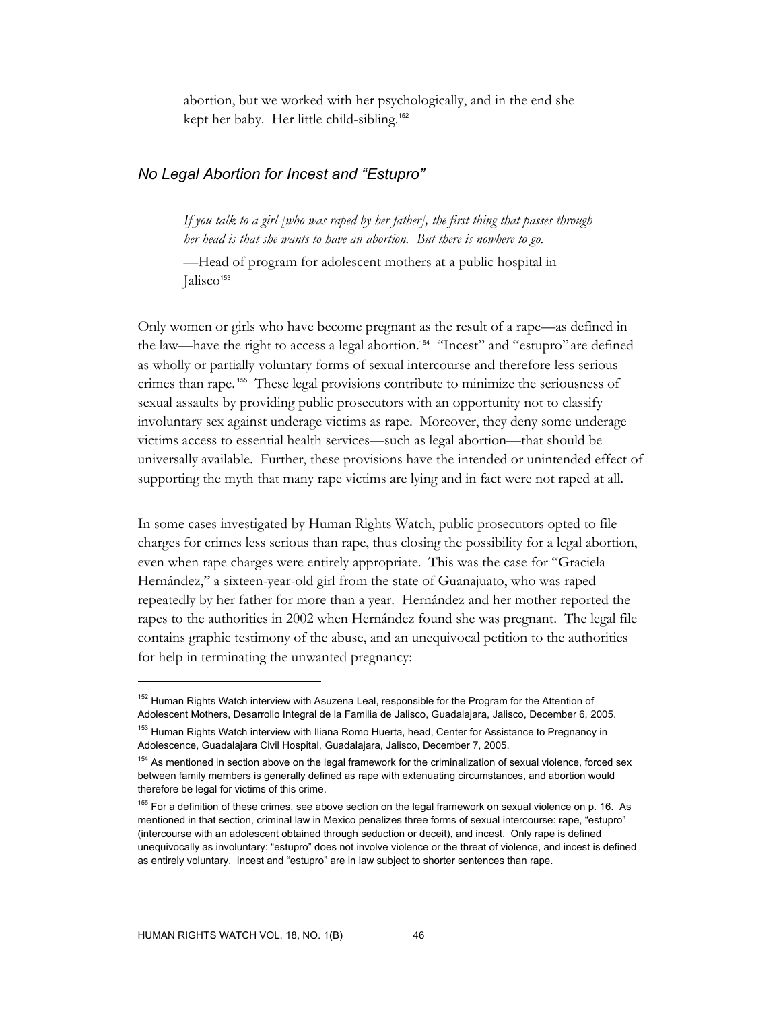abortion, but we worked with her psychologically, and in the end she kept her baby. Her little child-sibling.<sup>152</sup>

## *No Legal Abortion for Incest and "Estupro"*

*If you talk to a girl [who was raped by her father], the first thing that passes through her head is that she wants to have an abortion. But there is nowhere to go.* 

—Head of program for adolescent mothers at a public hospital in Jalisco<sup>153</sup>

Only women or girls who have become pregnant as the result of a rape—as defined in the law—have the right to access a legal abortion.154 "Incest" and "estupro" are defined as wholly or partially voluntary forms of sexual intercourse and therefore less serious crimes than rape. 155 These legal provisions contribute to minimize the seriousness of sexual assaults by providing public prosecutors with an opportunity not to classify involuntary sex against underage victims as rape. Moreover, they deny some underage victims access to essential health services—such as legal abortion—that should be universally available. Further, these provisions have the intended or unintended effect of supporting the myth that many rape victims are lying and in fact were not raped at all.

In some cases investigated by Human Rights Watch, public prosecutors opted to file charges for crimes less serious than rape, thus closing the possibility for a legal abortion, even when rape charges were entirely appropriate. This was the case for "Graciela Hernández," a sixteen-year-old girl from the state of Guanajuato, who was raped repeatedly by her father for more than a year. Hernández and her mother reported the rapes to the authorities in 2002 when Hernández found she was pregnant. The legal file contains graphic testimony of the abuse, and an unequivocal petition to the authorities for help in terminating the unwanted pregnancy:

<sup>&</sup>lt;sup>152</sup> Human Rights Watch interview with Asuzena Leal, responsible for the Program for the Attention of Adolescent Mothers, Desarrollo Integral de la Familia de Jalisco, Guadalajara, Jalisco, December 6, 2005.

<sup>&</sup>lt;sup>153</sup> Human Rights Watch interview with Iliana Romo Huerta, head, Center for Assistance to Pregnancy in Adolescence, Guadalajara Civil Hospital, Guadalajara, Jalisco, December 7, 2005.

<sup>&</sup>lt;sup>154</sup> As mentioned in section above on the legal framework for the criminalization of sexual violence, forced sex between family members is generally defined as rape with extenuating circumstances, and abortion would therefore be legal for victims of this crime.

<sup>&</sup>lt;sup>155</sup> For a definition of these crimes, see above section on the legal framework on sexual violence on p. 16. As mentioned in that section, criminal law in Mexico penalizes three forms of sexual intercourse: rape, "estupro" (intercourse with an adolescent obtained through seduction or deceit), and incest. Only rape is defined unequivocally as involuntary: "estupro" does not involve violence or the threat of violence, and incest is defined as entirely voluntary. Incest and "estupro" are in law subject to shorter sentences than rape.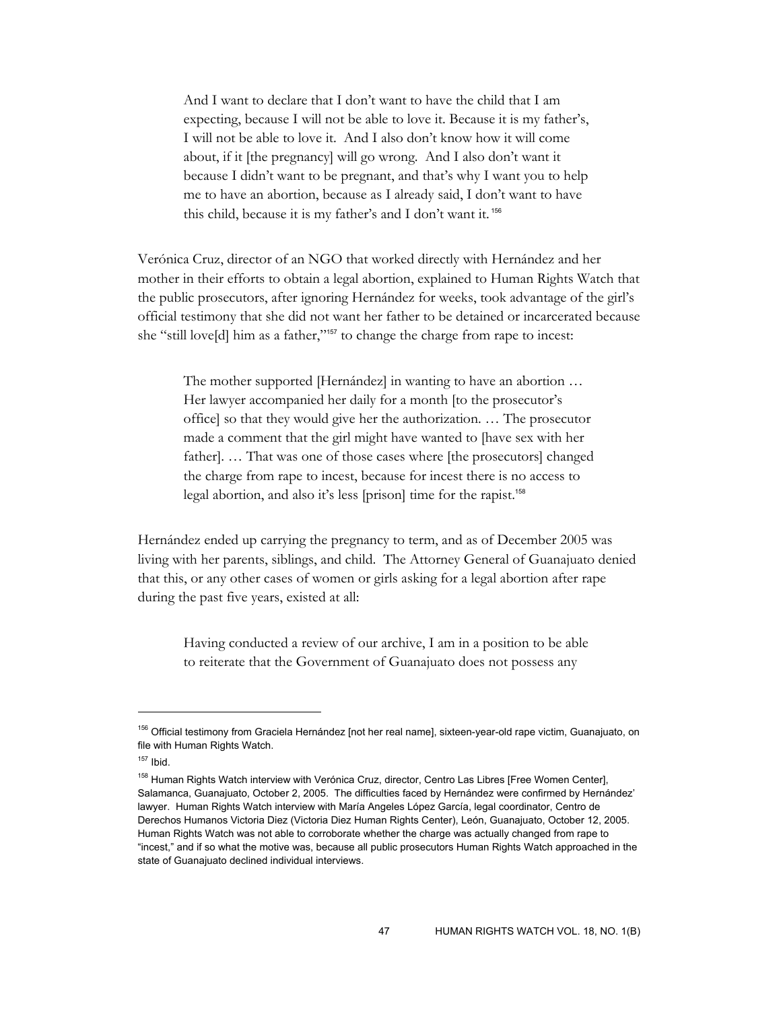And I want to declare that I don't want to have the child that I am expecting, because I will not be able to love it. Because it is my father's, I will not be able to love it. And I also don't know how it will come about, if it [the pregnancy] will go wrong. And I also don't want it because I didn't want to be pregnant, and that's why I want you to help me to have an abortion, because as I already said, I don't want to have this child, because it is my father's and I don't want it.<sup>156</sup>

Verónica Cruz, director of an NGO that worked directly with Hernández and her mother in their efforts to obtain a legal abortion, explained to Human Rights Watch that the public prosecutors, after ignoring Hernández for weeks, took advantage of the girl's official testimony that she did not want her father to be detained or incarcerated because she "still love[d] him as a father,"157 to change the charge from rape to incest:

The mother supported [Hernández] in wanting to have an abortion ... Her lawyer accompanied her daily for a month [to the prosecutor's office] so that they would give her the authorization. … The prosecutor made a comment that the girl might have wanted to [have sex with her father]. … That was one of those cases where [the prosecutors] changed the charge from rape to incest, because for incest there is no access to legal abortion, and also it's less [prison] time for the rapist.<sup>158</sup>

Hernández ended up carrying the pregnancy to term, and as of December 2005 was living with her parents, siblings, and child. The Attorney General of Guanajuato denied that this, or any other cases of women or girls asking for a legal abortion after rape during the past five years, existed at all:

Having conducted a review of our archive, I am in a position to be able to reiterate that the Government of Guanajuato does not possess any

<sup>&</sup>lt;sup>156</sup> Official testimony from Graciela Hernández [not her real name], sixteen-year-old rape victim, Guanajuato, on file with Human Rights Watch.

 $157$  Ibid.

<sup>&</sup>lt;sup>158</sup> Human Rights Watch interview with Verónica Cruz, director, Centro Las Libres [Free Women Center], Salamanca, Guanajuato, October 2, 2005. The difficulties faced by Hernández were confirmed by Hernández' lawyer. Human Rights Watch interview with María Angeles López García, legal coordinator, Centro de Derechos Humanos Victoria Diez (Victoria Diez Human Rights Center), León, Guanajuato, October 12, 2005. Human Rights Watch was not able to corroborate whether the charge was actually changed from rape to "incest," and if so what the motive was, because all public prosecutors Human Rights Watch approached in the state of Guanajuato declined individual interviews.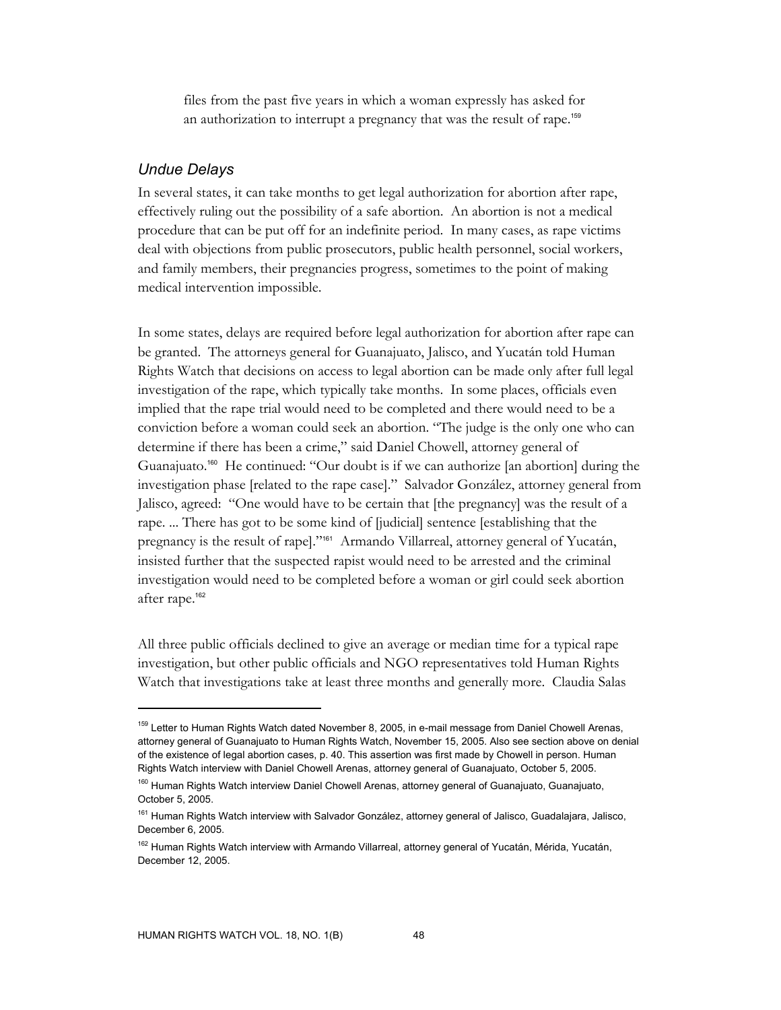files from the past five years in which a woman expressly has asked for an authorization to interrupt a pregnancy that was the result of rape.<sup>159</sup>

### *Undue Delays*

In several states, it can take months to get legal authorization for abortion after rape, effectively ruling out the possibility of a safe abortion. An abortion is not a medical procedure that can be put off for an indefinite period. In many cases, as rape victims deal with objections from public prosecutors, public health personnel, social workers, and family members, their pregnancies progress, sometimes to the point of making medical intervention impossible.

In some states, delays are required before legal authorization for abortion after rape can be granted. The attorneys general for Guanajuato, Jalisco, and Yucatán told Human Rights Watch that decisions on access to legal abortion can be made only after full legal investigation of the rape, which typically take months. In some places, officials even implied that the rape trial would need to be completed and there would need to be a conviction before a woman could seek an abortion. "The judge is the only one who can determine if there has been a crime," said Daniel Chowell, attorney general of Guanajuato.160 He continued: "Our doubt is if we can authorize [an abortion] during the investigation phase [related to the rape case]." Salvador González, attorney general from Jalisco, agreed: "One would have to be certain that [the pregnancy] was the result of a rape. ... There has got to be some kind of [judicial] sentence [establishing that the pregnancy is the result of rape]."161 Armando Villarreal, attorney general of Yucatán, insisted further that the suspected rapist would need to be arrested and the criminal investigation would need to be completed before a woman or girl could seek abortion after rape.<sup>162</sup>

All three public officials declined to give an average or median time for a typical rape investigation, but other public officials and NGO representatives told Human Rights Watch that investigations take at least three months and generally more. Claudia Salas

<sup>&</sup>lt;sup>159</sup> Letter to Human Rights Watch dated November 8, 2005, in e-mail message from Daniel Chowell Arenas, attorney general of Guanajuato to Human Rights Watch, November 15, 2005. Also see section above on denial of the existence of legal abortion cases, p. 40. This assertion was first made by Chowell in person. Human Rights Watch interview with Daniel Chowell Arenas, attorney general of Guanajuato, October 5, 2005.

<sup>&</sup>lt;sup>160</sup> Human Rights Watch interview Daniel Chowell Arenas, attorney general of Guanajuato, Guanajuato, October 5, 2005.

<sup>&</sup>lt;sup>161</sup> Human Rights Watch interview with Salvador González, attorney general of Jalisco, Guadalajara, Jalisco, December 6, 2005.

<sup>&</sup>lt;sup>162</sup> Human Rights Watch interview with Armando Villarreal, attorney general of Yucatán, Mérida, Yucatán, December 12, 2005.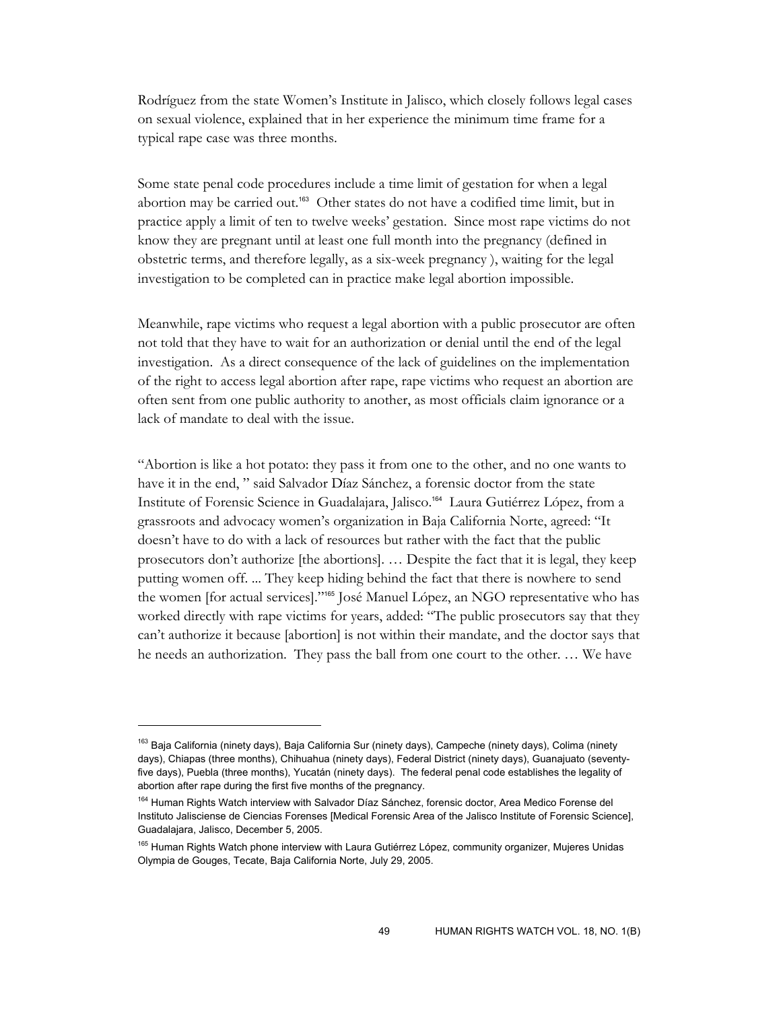Rodríguez from the state Women's Institute in Jalisco, which closely follows legal cases on sexual violence, explained that in her experience the minimum time frame for a typical rape case was three months.

Some state penal code procedures include a time limit of gestation for when a legal abortion may be carried out.163 Other states do not have a codified time limit, but in practice apply a limit of ten to twelve weeks' gestation. Since most rape victims do not know they are pregnant until at least one full month into the pregnancy (defined in obstetric terms, and therefore legally, as a six-week pregnancy ), waiting for the legal investigation to be completed can in practice make legal abortion impossible.

Meanwhile, rape victims who request a legal abortion with a public prosecutor are often not told that they have to wait for an authorization or denial until the end of the legal investigation. As a direct consequence of the lack of guidelines on the implementation of the right to access legal abortion after rape, rape victims who request an abortion are often sent from one public authority to another, as most officials claim ignorance or a lack of mandate to deal with the issue.

"Abortion is like a hot potato: they pass it from one to the other, and no one wants to have it in the end, " said Salvador Díaz Sánchez, a forensic doctor from the state Institute of Forensic Science in Guadalajara, Jalisco.164 Laura Gutiérrez López, from a grassroots and advocacy women's organization in Baja California Norte, agreed: "It doesn't have to do with a lack of resources but rather with the fact that the public prosecutors don't authorize [the abortions]. … Despite the fact that it is legal, they keep putting women off. ... They keep hiding behind the fact that there is nowhere to send the women [for actual services]."165 José Manuel López, an NGO representative who has worked directly with rape victims for years, added: "The public prosecutors say that they can't authorize it because [abortion] is not within their mandate, and the doctor says that he needs an authorization. They pass the ball from one court to the other. … We have

<sup>&</sup>lt;sup>163</sup> Baja California (ninety days), Baja California Sur (ninety days), Campeche (ninety days), Colima (ninety days), Chiapas (three months), Chihuahua (ninety days), Federal District (ninety days), Guanajuato (seventyfive days), Puebla (three months), Yucatán (ninety days). The federal penal code establishes the legality of abortion after rape during the first five months of the pregnancy.

<sup>164</sup> Human Rights Watch interview with Salvador Díaz Sánchez, forensic doctor, Area Medico Forense del Instituto Jalisciense de Ciencias Forenses [Medical Forensic Area of the Jalisco Institute of Forensic Science], Guadalajara, Jalisco, December 5, 2005.

<sup>&</sup>lt;sup>165</sup> Human Rights Watch phone interview with Laura Gutiérrez López, community organizer, Mujeres Unidas Olympia de Gouges, Tecate, Baja California Norte, July 29, 2005.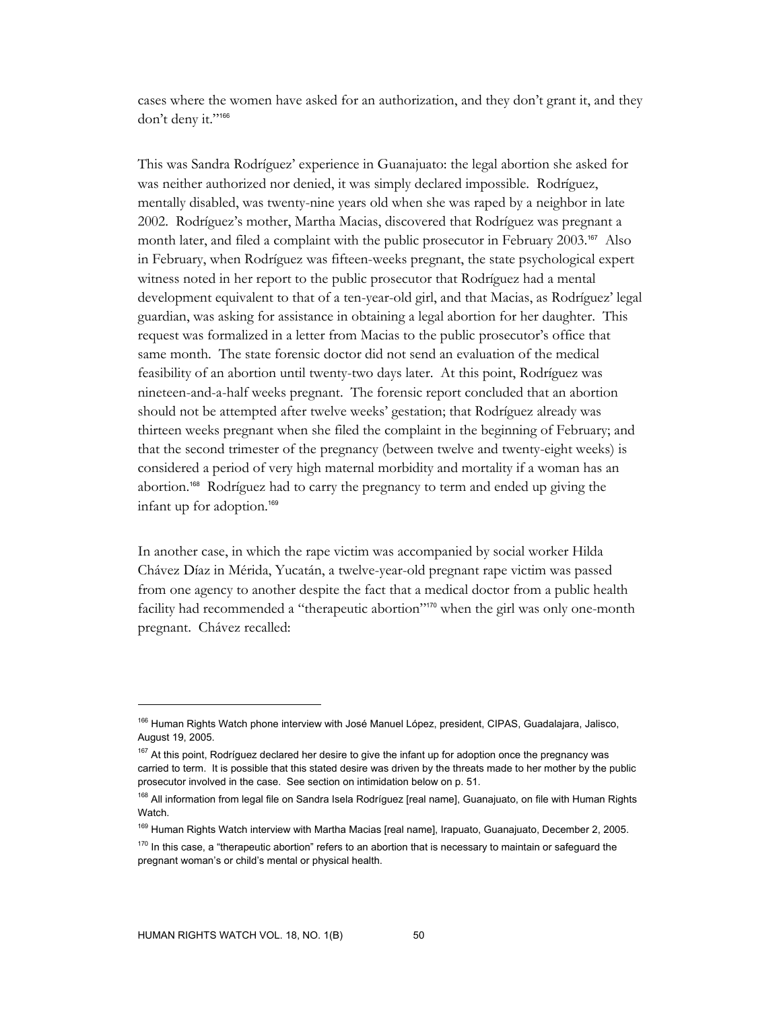cases where the women have asked for an authorization, and they don't grant it, and they don't deny it."166

This was Sandra Rodríguez' experience in Guanajuato: the legal abortion she asked for was neither authorized nor denied, it was simply declared impossible. Rodríguez, mentally disabled, was twenty-nine years old when she was raped by a neighbor in late 2002. Rodríguez's mother, Martha Macias, discovered that Rodríguez was pregnant a month later, and filed a complaint with the public prosecutor in February  $2003^{167}$  Also in February, when Rodríguez was fifteen-weeks pregnant, the state psychological expert witness noted in her report to the public prosecutor that Rodríguez had a mental development equivalent to that of a ten-year-old girl, and that Macias, as Rodríguez' legal guardian, was asking for assistance in obtaining a legal abortion for her daughter. This request was formalized in a letter from Macias to the public prosecutor's office that same month. The state forensic doctor did not send an evaluation of the medical feasibility of an abortion until twenty-two days later. At this point, Rodríguez was nineteen-and-a-half weeks pregnant. The forensic report concluded that an abortion should not be attempted after twelve weeks' gestation; that Rodríguez already was thirteen weeks pregnant when she filed the complaint in the beginning of February; and that the second trimester of the pregnancy (between twelve and twenty-eight weeks) is considered a period of very high maternal morbidity and mortality if a woman has an abortion.168 Rodríguez had to carry the pregnancy to term and ended up giving the infant up for adoption.<sup>169</sup>

In another case, in which the rape victim was accompanied by social worker Hilda Chávez Díaz in Mérida, Yucatán, a twelve-year-old pregnant rape victim was passed from one agency to another despite the fact that a medical doctor from a public health facility had recommended a "therapeutic abortion"170 when the girl was only one-month pregnant. Chávez recalled:

<sup>&</sup>lt;sup>166</sup> Human Rights Watch phone interview with José Manuel López, president, CIPAS, Guadalajara, Jalisco, August 19, 2005.

<sup>&</sup>lt;sup>167</sup> At this point, Rodríguez declared her desire to give the infant up for adoption once the pregnancy was carried to term. It is possible that this stated desire was driven by the threats made to her mother by the public prosecutor involved in the case. See section on intimidation below on p. 51.

<sup>&</sup>lt;sup>168</sup> All information from legal file on Sandra Isela Rodríguez [real name], Guanajuato, on file with Human Rights Watch.

<sup>&</sup>lt;sup>169</sup> Human Rights Watch interview with Martha Macias [real name], Irapuato, Guanajuato, December 2, 2005.

 $170$  In this case, a "therapeutic abortion" refers to an abortion that is necessary to maintain or safeguard the pregnant woman's or child's mental or physical health.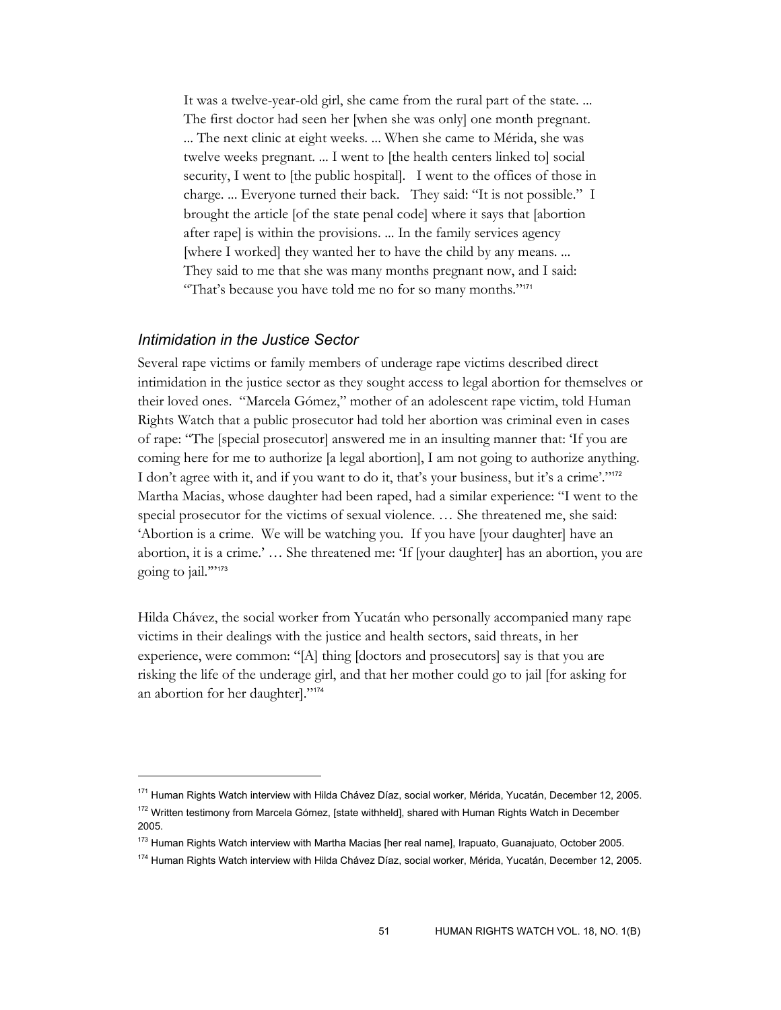It was a twelve-year-old girl, she came from the rural part of the state. ... The first doctor had seen her [when she was only] one month pregnant. ... The next clinic at eight weeks. ... When she came to Mérida, she was twelve weeks pregnant. ... I went to [the health centers linked to] social security, I went to [the public hospital]. I went to the offices of those in charge. ... Everyone turned their back. They said: "It is not possible." I brought the article [of the state penal code] where it says that [abortion after rape] is within the provisions. ... In the family services agency [where I worked] they wanted her to have the child by any means. ... They said to me that she was many months pregnant now, and I said: "That's because you have told me no for so many months."<sup>171</sup>

### *Intimidation in the Justice Sector*

-

Several rape victims or family members of underage rape victims described direct intimidation in the justice sector as they sought access to legal abortion for themselves or their loved ones. "Marcela Gómez," mother of an adolescent rape victim, told Human Rights Watch that a public prosecutor had told her abortion was criminal even in cases of rape: "The [special prosecutor] answered me in an insulting manner that: 'If you are coming here for me to authorize [a legal abortion], I am not going to authorize anything. I don't agree with it, and if you want to do it, that's your business, but it's a crime'."<sup>172</sup> Martha Macias, whose daughter had been raped, had a similar experience: "I went to the special prosecutor for the victims of sexual violence. … She threatened me, she said: 'Abortion is a crime. We will be watching you. If you have [your daughter] have an abortion, it is a crime.' … She threatened me: 'If [your daughter] has an abortion, you are going to jail.'"<sup>173</sup>

Hilda Chávez, the social worker from Yucatán who personally accompanied many rape victims in their dealings with the justice and health sectors, said threats, in her experience, were common: "[A] thing [doctors and prosecutors] say is that you are risking the life of the underage girl, and that her mother could go to jail [for asking for an abortion for her daughter]."<sup>174</sup>

<sup>171</sup> Human Rights Watch interview with Hilda Chávez Díaz, social worker, Mérida, Yucatán, December 12, 2005. <sup>172</sup> Written testimony from Marcela Gómez, [state withheld], shared with Human Rights Watch in December 2005.

<sup>&</sup>lt;sup>173</sup> Human Rights Watch interview with Martha Macias [her real name], Irapuato, Guanajuato, October 2005.

<sup>174</sup> Human Rights Watch interview with Hilda Chávez Díaz, social worker, Mérida, Yucatán, December 12, 2005.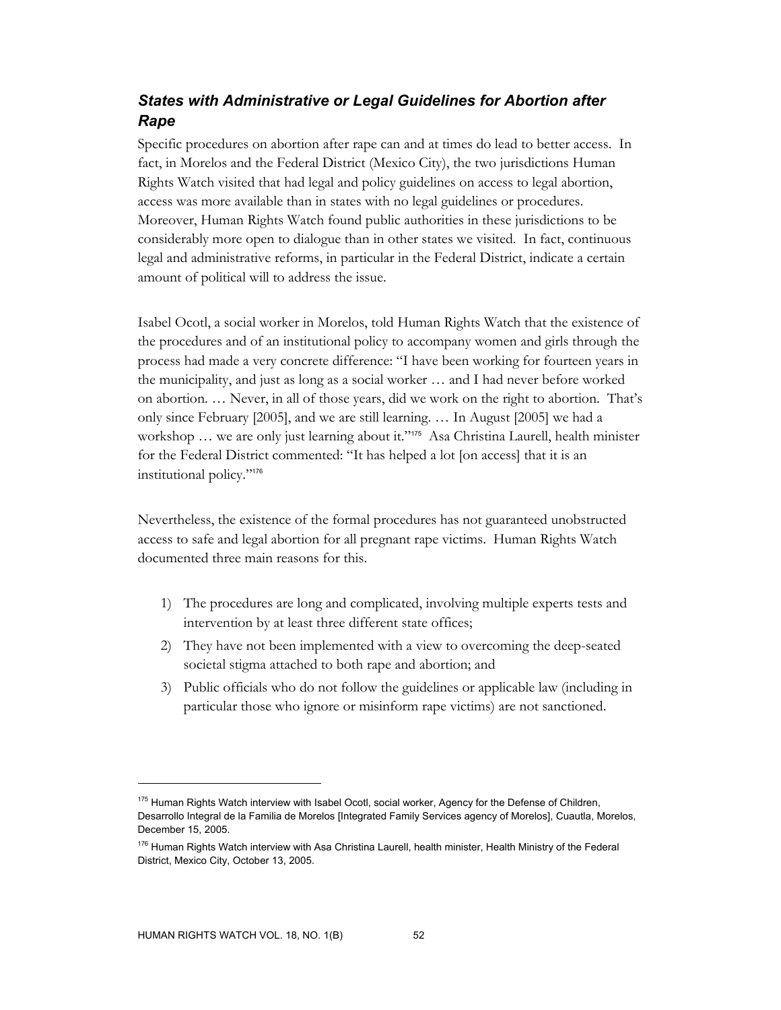# *States with Administrative or Legal Guidelines for Abortion after Rape*

Specific procedures on abortion after rape can and at times do lead to better access. In fact, in Morelos and the Federal District (Mexico City), the two jurisdictions Human Rights Watch visited that had legal and policy guidelines on access to legal abortion, access was more available than in states with no legal guidelines or procedures. Moreover, Human Rights Watch found public authorities in these jurisdictions to be considerably more open to dialogue than in other states we visited. In fact, continuous legal and administrative reforms, in particular in the Federal District, indicate a certain amount of political will to address the issue.

Isabel Ocotl, a social worker in Morelos, told Human Rights Watch that the existence of the procedures and of an institutional policy to accompany women and girls through the process had made a very concrete difference: "I have been working for fourteen years in the municipality, and just as long as a social worker … and I had never before worked on abortion. … Never, in all of those years, did we work on the right to abortion. That's only since February [2005], and we are still learning. … In August [2005] we had a workshop ... we are only just learning about it."<sup>175</sup> Asa Christina Laurell, health minister for the Federal District commented: "It has helped a lot [on access] that it is an institutional policy."<sup>176</sup>

Nevertheless, the existence of the formal procedures has not guaranteed unobstructed access to safe and legal abortion for all pregnant rape victims. Human Rights Watch documented three main reasons for this.

- 1) The procedures are long and complicated, involving multiple experts tests and intervention by at least three different state offices;
- 2) They have not been implemented with a view to overcoming the deep-seated societal stigma attached to both rape and abortion; and
- 3) Public officials who do not follow the guidelines or applicable law (including in particular those who ignore or misinform rape victims) are not sanctioned.

<sup>&</sup>lt;sup>175</sup> Human Rights Watch interview with Isabel Ocotl, social worker, Agency for the Defense of Children, Desarrollo Integral de la Familia de Morelos [Integrated Family Services agency of Morelos], Cuautla, Morelos, December 15, 2005.

<sup>&</sup>lt;sup>176</sup> Human Rights Watch interview with Asa Christina Laurell, health minister, Health Ministry of the Federal District, Mexico City, October 13, 2005.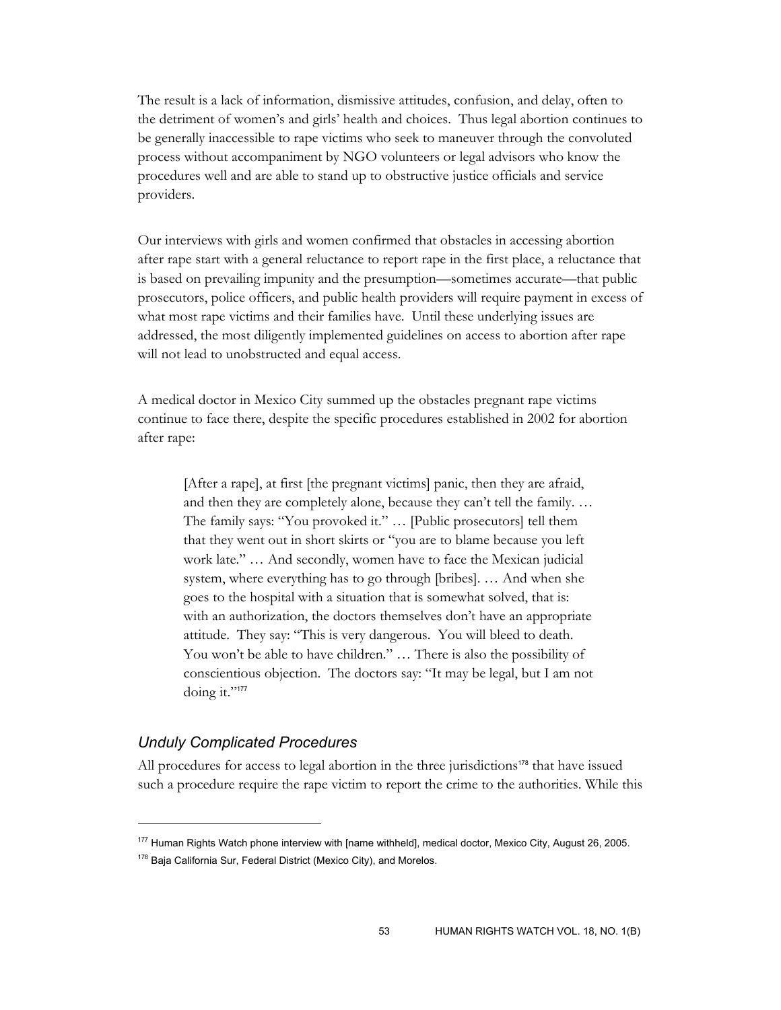The result is a lack of information, dismissive attitudes, confusion, and delay, often to the detriment of women's and girls' health and choices. Thus legal abortion continues to be generally inaccessible to rape victims who seek to maneuver through the convoluted process without accompaniment by NGO volunteers or legal advisors who know the procedures well and are able to stand up to obstructive justice officials and service providers.

Our interviews with girls and women confirmed that obstacles in accessing abortion after rape start with a general reluctance to report rape in the first place, a reluctance that is based on prevailing impunity and the presumption—sometimes accurate—that public prosecutors, police officers, and public health providers will require payment in excess of what most rape victims and their families have. Until these underlying issues are addressed, the most diligently implemented guidelines on access to abortion after rape will not lead to unobstructed and equal access.

A medical doctor in Mexico City summed up the obstacles pregnant rape victims continue to face there, despite the specific procedures established in 2002 for abortion after rape:

[After a rape], at first [the pregnant victims] panic, then they are afraid, and then they are completely alone, because they can't tell the family. … The family says: "You provoked it." … [Public prosecutors] tell them that they went out in short skirts or "you are to blame because you left work late." … And secondly, women have to face the Mexican judicial system, where everything has to go through [bribes]. … And when she goes to the hospital with a situation that is somewhat solved, that is: with an authorization, the doctors themselves don't have an appropriate attitude. They say: "This is very dangerous. You will bleed to death. You won't be able to have children." … There is also the possibility of conscientious objection. The doctors say: "It may be legal, but I am not doing it."<sup>177</sup>

# *Unduly Complicated Procedures*

-

All procedures for access to legal abortion in the three jurisdictions<sup>178</sup> that have issued such a procedure require the rape victim to report the crime to the authorities. While this

<sup>&</sup>lt;sup>177</sup> Human Rights Watch phone interview with [name withheld], medical doctor, Mexico City, August 26, 2005. 178 Baja California Sur, Federal District (Mexico City), and Morelos.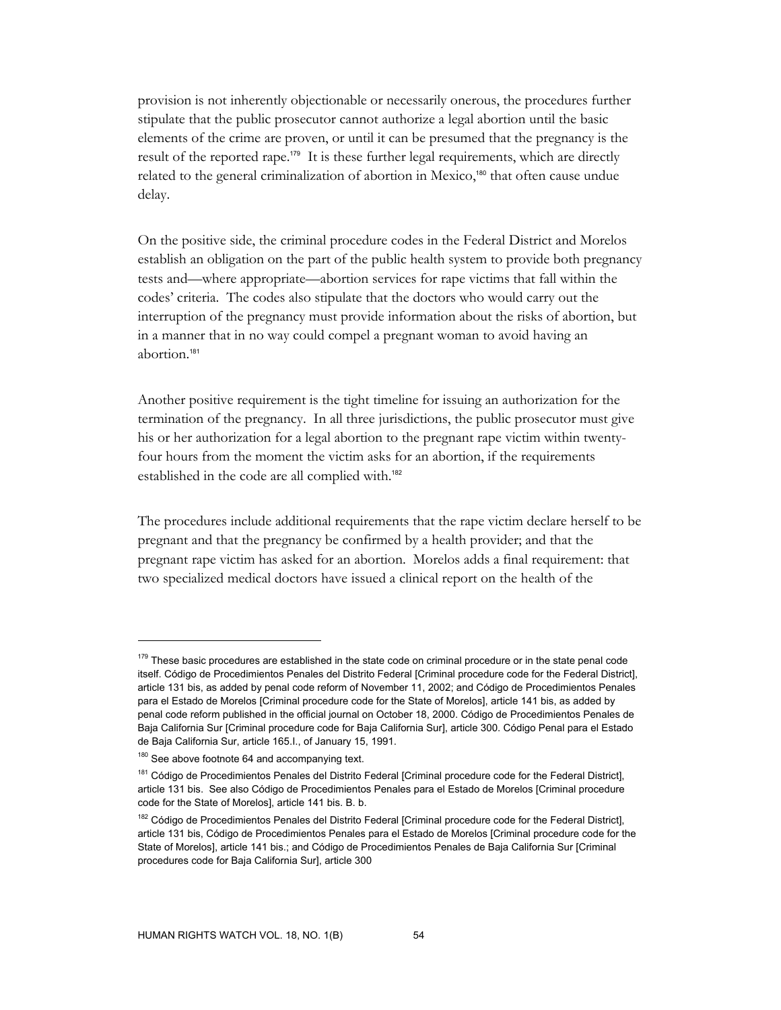provision is not inherently objectionable or necessarily onerous, the procedures further stipulate that the public prosecutor cannot authorize a legal abortion until the basic elements of the crime are proven, or until it can be presumed that the pregnancy is the result of the reported rape.179 It is these further legal requirements, which are directly related to the general criminalization of abortion in Mexico,<sup>180</sup> that often cause undue delay.

On the positive side, the criminal procedure codes in the Federal District and Morelos establish an obligation on the part of the public health system to provide both pregnancy tests and—where appropriate—abortion services for rape victims that fall within the codes' criteria. The codes also stipulate that the doctors who would carry out the interruption of the pregnancy must provide information about the risks of abortion, but in a manner that in no way could compel a pregnant woman to avoid having an abortion.<sup>181</sup>

Another positive requirement is the tight timeline for issuing an authorization for the termination of the pregnancy. In all three jurisdictions, the public prosecutor must give his or her authorization for a legal abortion to the pregnant rape victim within twentyfour hours from the moment the victim asks for an abortion, if the requirements established in the code are all complied with.<sup>182</sup>

The procedures include additional requirements that the rape victim declare herself to be pregnant and that the pregnancy be confirmed by a health provider; and that the pregnant rape victim has asked for an abortion. Morelos adds a final requirement: that two specialized medical doctors have issued a clinical report on the health of the

<sup>&</sup>lt;sup>179</sup> These basic procedures are established in the state code on criminal procedure or in the state penal code itself. Código de Procedimientos Penales del Distrito Federal [Criminal procedure code for the Federal District], article 131 bis, as added by penal code reform of November 11, 2002; and Código de Procedimientos Penales para el Estado de Morelos [Criminal procedure code for the State of Morelos], article 141 bis, as added by penal code reform published in the official journal on October 18, 2000. Código de Procedimientos Penales de Baja California Sur [Criminal procedure code for Baja California Sur], article 300. Código Penal para el Estado de Baja California Sur, article 165.I., of January 15, 1991.

<sup>&</sup>lt;sup>180</sup> See above footnote 64 and accompanying text.

<sup>&</sup>lt;sup>181</sup> Código de Procedimientos Penales del Distrito Federal [Criminal procedure code for the Federal District], article 131 bis. See also Código de Procedimientos Penales para el Estado de Morelos [Criminal procedure code for the State of Morelos], article 141 bis. B. b.

<sup>&</sup>lt;sup>182</sup> Código de Procedimientos Penales del Distrito Federal [Criminal procedure code for the Federal District], article 131 bis, Código de Procedimientos Penales para el Estado de Morelos [Criminal procedure code for the State of Morelos], article 141 bis.; and Código de Procedimientos Penales de Baja California Sur [Criminal procedures code for Baja California Sur], article 300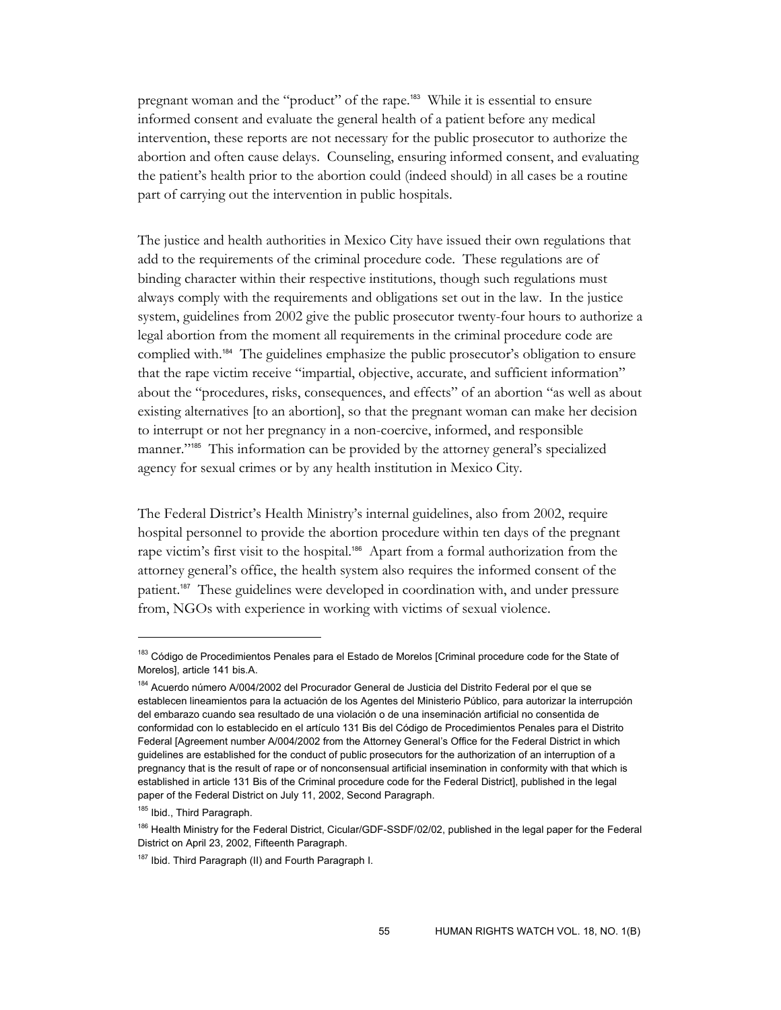pregnant woman and the "product" of the rape.183 While it is essential to ensure informed consent and evaluate the general health of a patient before any medical intervention, these reports are not necessary for the public prosecutor to authorize the abortion and often cause delays. Counseling, ensuring informed consent, and evaluating the patient's health prior to the abortion could (indeed should) in all cases be a routine part of carrying out the intervention in public hospitals.

The justice and health authorities in Mexico City have issued their own regulations that add to the requirements of the criminal procedure code. These regulations are of binding character within their respective institutions, though such regulations must always comply with the requirements and obligations set out in the law. In the justice system, guidelines from 2002 give the public prosecutor twenty-four hours to authorize a legal abortion from the moment all requirements in the criminal procedure code are complied with.184 The guidelines emphasize the public prosecutor's obligation to ensure that the rape victim receive "impartial, objective, accurate, and sufficient information" about the "procedures, risks, consequences, and effects" of an abortion "as well as about existing alternatives [to an abortion], so that the pregnant woman can make her decision to interrupt or not her pregnancy in a non-coercive, informed, and responsible manner."<sup>185</sup> This information can be provided by the attorney general's specialized agency for sexual crimes or by any health institution in Mexico City.

The Federal District's Health Ministry's internal guidelines, also from 2002, require hospital personnel to provide the abortion procedure within ten days of the pregnant rape victim's first visit to the hospital.<sup>186</sup> Apart from a formal authorization from the attorney general's office, the health system also requires the informed consent of the patient.187 These guidelines were developed in coordination with, and under pressure from, NGOs with experience in working with victims of sexual violence.

<sup>183</sup> Código de Procedimientos Penales para el Estado de Morelos [Criminal procedure code for the State of Morelos], article 141 bis.A.

<sup>184</sup> Acuerdo número A/004/2002 del Procurador General de Justicia del Distrito Federal por el que se establecen lineamientos para la actuación de los Agentes del Ministerio Público, para autorizar la interrupción del embarazo cuando sea resultado de una violación o de una inseminación artificial no consentida de conformidad con lo establecido en el artículo 131 Bis del Código de Procedimientos Penales para el Distrito Federal [Agreement number A/004/2002 from the Attorney General's Office for the Federal District in which guidelines are established for the conduct of public prosecutors for the authorization of an interruption of a pregnancy that is the result of rape or of nonconsensual artificial insemination in conformity with that which is established in article 131 Bis of the Criminal procedure code for the Federal District], published in the legal paper of the Federal District on July 11, 2002, Second Paragraph.

<sup>185</sup> Ibid., Third Paragraph.

<sup>&</sup>lt;sup>186</sup> Health Ministry for the Federal District, Cicular/GDF-SSDF/02/02, published in the legal paper for the Federal District on April 23, 2002, Fifteenth Paragraph.

<sup>&</sup>lt;sup>187</sup> Ibid. Third Paragraph (II) and Fourth Paragraph I.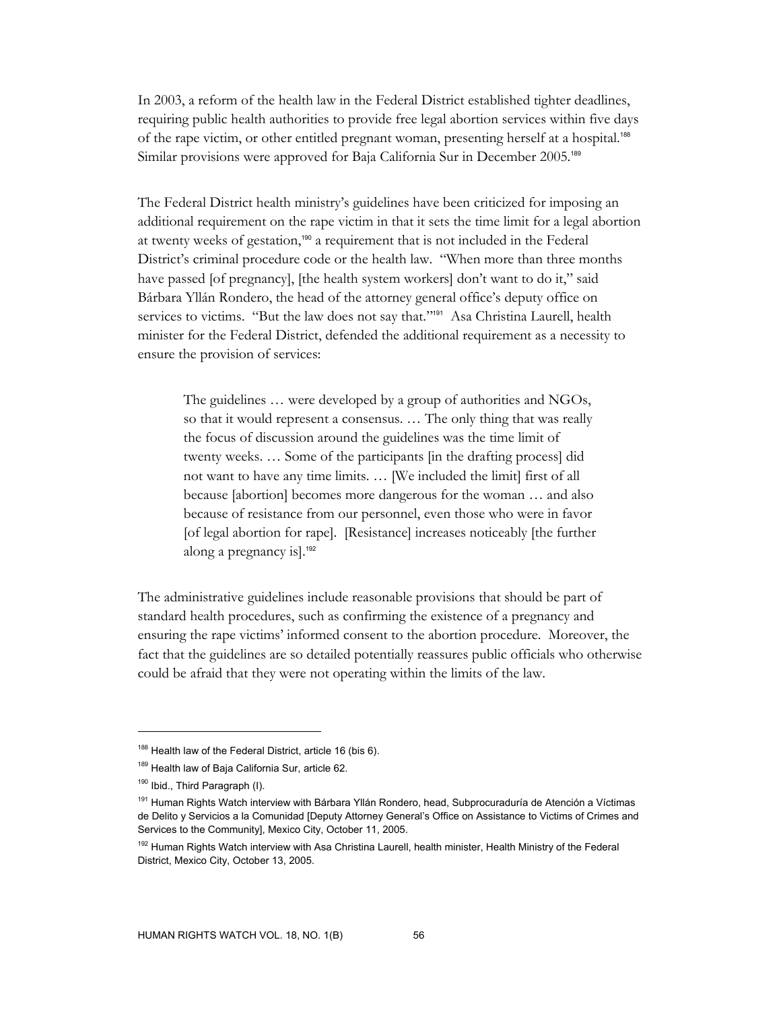In 2003, a reform of the health law in the Federal District established tighter deadlines, requiring public health authorities to provide free legal abortion services within five days of the rape victim, or other entitled pregnant woman, presenting herself at a hospital.<sup>188</sup> Similar provisions were approved for Baja California Sur in December 2005.<sup>189</sup>

The Federal District health ministry's guidelines have been criticized for imposing an additional requirement on the rape victim in that it sets the time limit for a legal abortion at twenty weeks of gestation,190 a requirement that is not included in the Federal District's criminal procedure code or the health law. "When more than three months have passed [of pregnancy], [the health system workers] don't want to do it," said Bárbara Yllán Rondero, the head of the attorney general office's deputy office on services to victims. "But the law does not say that."<sup>191</sup> Asa Christina Laurell, health minister for the Federal District, defended the additional requirement as a necessity to ensure the provision of services:

The guidelines … were developed by a group of authorities and NGOs, so that it would represent a consensus. … The only thing that was really the focus of discussion around the guidelines was the time limit of twenty weeks. … Some of the participants [in the drafting process] did not want to have any time limits. … [We included the limit] first of all because [abortion] becomes more dangerous for the woman … and also because of resistance from our personnel, even those who were in favor [of legal abortion for rape]. [Resistance] increases noticeably [the further along a pregnancy isl.<sup>192</sup>

The administrative guidelines include reasonable provisions that should be part of standard health procedures, such as confirming the existence of a pregnancy and ensuring the rape victims' informed consent to the abortion procedure. Moreover, the fact that the guidelines are so detailed potentially reassures public officials who otherwise could be afraid that they were not operating within the limits of the law.

<sup>&</sup>lt;sup>188</sup> Health law of the Federal District, article 16 (bis 6).

<sup>189</sup> Health law of Baja California Sur, article 62.

<sup>190</sup> Ibid., Third Paragraph (I).

<sup>&</sup>lt;sup>191</sup> Human Rights Watch interview with Bárbara Yllán Rondero, head, Subprocuraduría de Atención a Víctimas de Delito y Servicios a la Comunidad [Deputy Attorney General's Office on Assistance to Victims of Crimes and Services to the Community], Mexico City, October 11, 2005.

<sup>&</sup>lt;sup>192</sup> Human Rights Watch interview with Asa Christina Laurell, health minister, Health Ministry of the Federal District, Mexico City, October 13, 2005.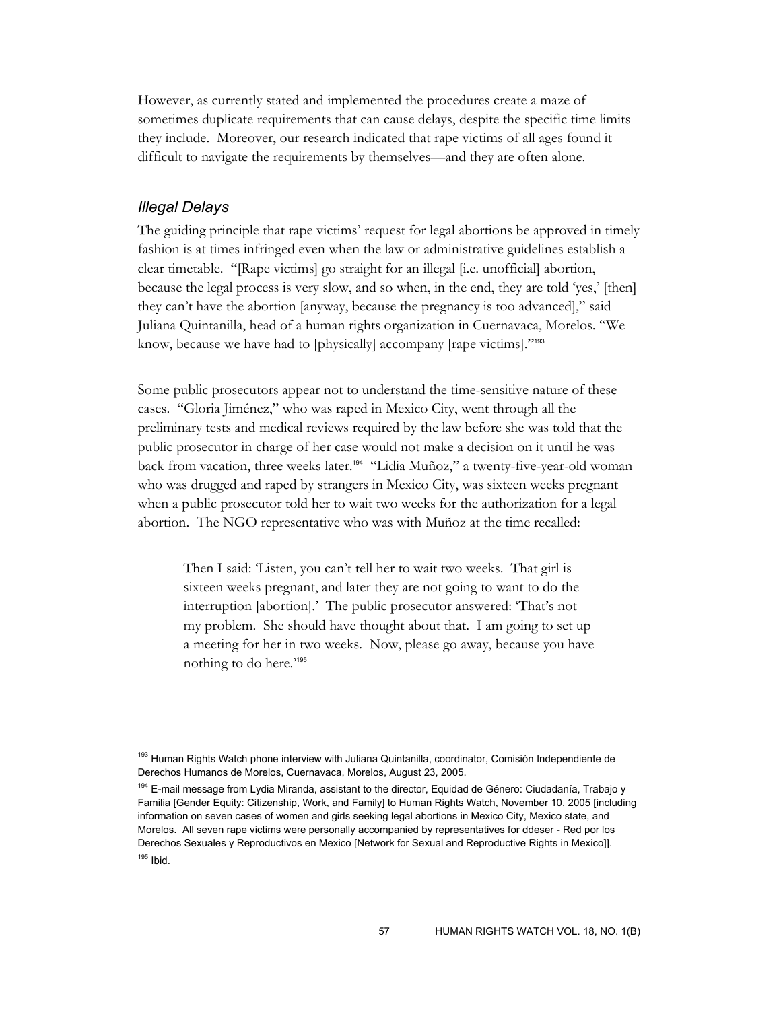However, as currently stated and implemented the procedures create a maze of sometimes duplicate requirements that can cause delays, despite the specific time limits they include. Moreover, our research indicated that rape victims of all ages found it difficult to navigate the requirements by themselves—and they are often alone.

### *Illegal Delays*

 $\overline{a}$ 

The guiding principle that rape victims' request for legal abortions be approved in timely fashion is at times infringed even when the law or administrative guidelines establish a clear timetable. "[Rape victims] go straight for an illegal [i.e. unofficial] abortion, because the legal process is very slow, and so when, in the end, they are told 'yes,' [then] they can't have the abortion [anyway, because the pregnancy is too advanced]," said Juliana Quintanilla, head of a human rights organization in Cuernavaca, Morelos. "We know, because we have had to [physically] accompany [rape victims]."<sup>193</sup>

Some public prosecutors appear not to understand the time-sensitive nature of these cases. "Gloria Jiménez," who was raped in Mexico City, went through all the preliminary tests and medical reviews required by the law before she was told that the public prosecutor in charge of her case would not make a decision on it until he was back from vacation, three weeks later.194 "Lidia Muñoz," a twenty-five-year-old woman who was drugged and raped by strangers in Mexico City, was sixteen weeks pregnant when a public prosecutor told her to wait two weeks for the authorization for a legal abortion. The NGO representative who was with Muñoz at the time recalled:

Then I said: 'Listen, you can't tell her to wait two weeks. That girl is sixteen weeks pregnant, and later they are not going to want to do the interruption [abortion].' The public prosecutor answered: 'That's not my problem. She should have thought about that. I am going to set up a meeting for her in two weeks. Now, please go away, because you have nothing to do here.'<sup>195</sup>

<sup>&</sup>lt;sup>193</sup> Human Rights Watch phone interview with Juliana Quintanilla, coordinator, Comisión Independiente de Derechos Humanos de Morelos, Cuernavaca, Morelos, August 23, 2005.

<sup>&</sup>lt;sup>194</sup> E-mail message from Lydia Miranda, assistant to the director, Equidad de Género: Ciudadanía, Trabajo y Familia [Gender Equity: Citizenship, Work, and Family] to Human Rights Watch, November 10, 2005 [including information on seven cases of women and girls seeking legal abortions in Mexico City, Mexico state, and Morelos. All seven rape victims were personally accompanied by representatives for ddeser - Red por los Derechos Sexuales y Reproductivos en Mexico [Network for Sexual and Reproductive Rights in Mexico]].  $195$  Ibid.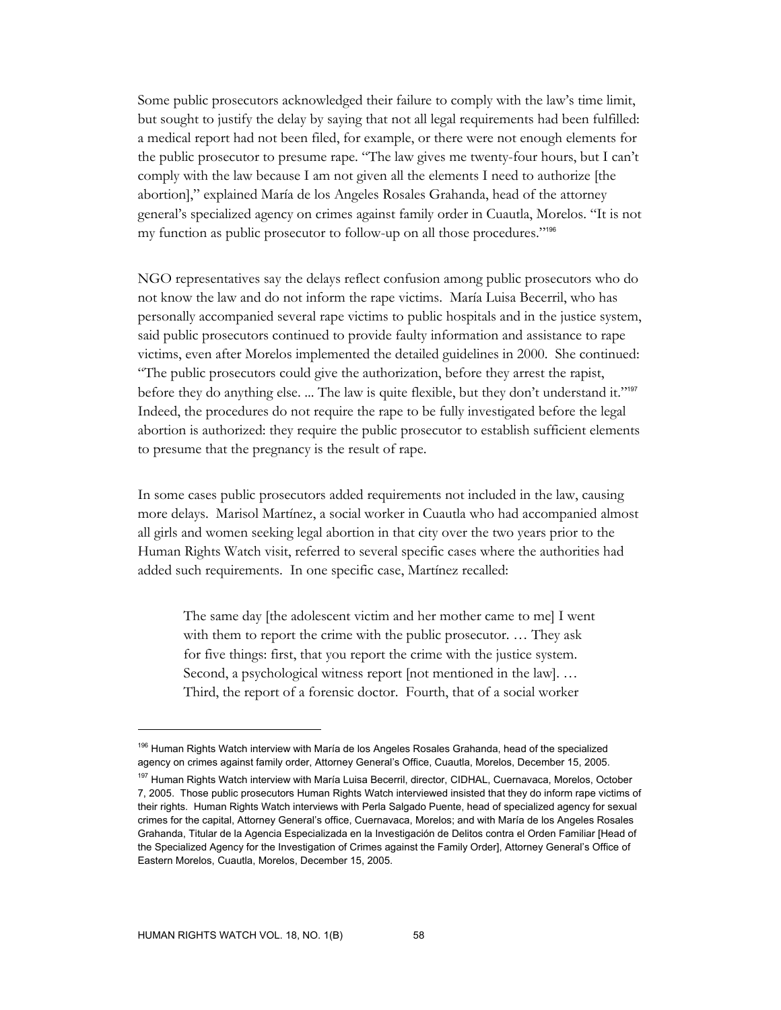Some public prosecutors acknowledged their failure to comply with the law's time limit, but sought to justify the delay by saying that not all legal requirements had been fulfilled: a medical report had not been filed, for example, or there were not enough elements for the public prosecutor to presume rape. "The law gives me twenty-four hours, but I can't comply with the law because I am not given all the elements I need to authorize [the abortion]," explained María de los Angeles Rosales Grahanda, head of the attorney general's specialized agency on crimes against family order in Cuautla, Morelos. "It is not my function as public prosecutor to follow-up on all those procedures."<sup>196</sup>

NGO representatives say the delays reflect confusion among public prosecutors who do not know the law and do not inform the rape victims. María Luisa Becerril, who has personally accompanied several rape victims to public hospitals and in the justice system, said public prosecutors continued to provide faulty information and assistance to rape victims, even after Morelos implemented the detailed guidelines in 2000. She continued: "The public prosecutors could give the authorization, before they arrest the rapist, before they do anything else. ... The law is quite flexible, but they don't understand it."<sup>197</sup> Indeed, the procedures do not require the rape to be fully investigated before the legal abortion is authorized: they require the public prosecutor to establish sufficient elements to presume that the pregnancy is the result of rape.

In some cases public prosecutors added requirements not included in the law, causing more delays. Marisol Martínez, a social worker in Cuautla who had accompanied almost all girls and women seeking legal abortion in that city over the two years prior to the Human Rights Watch visit, referred to several specific cases where the authorities had added such requirements. In one specific case, Martínez recalled:

The same day [the adolescent victim and her mother came to me] I went with them to report the crime with the public prosecutor. ... They ask for five things: first, that you report the crime with the justice system. Second, a psychological witness report [not mentioned in the law]. … Third, the report of a forensic doctor. Fourth, that of a social worker

<sup>&</sup>lt;sup>196</sup> Human Rights Watch interview with María de los Angeles Rosales Grahanda, head of the specialized agency on crimes against family order, Attorney General's Office, Cuautla, Morelos, December 15, 2005.

<sup>&</sup>lt;sup>197</sup> Human Rights Watch interview with María Luisa Becerril, director, CIDHAL, Cuernavaca, Morelos, October 7, 2005. Those public prosecutors Human Rights Watch interviewed insisted that they do inform rape victims of their rights. Human Rights Watch interviews with Perla Salgado Puente, head of specialized agency for sexual crimes for the capital, Attorney General's office, Cuernavaca, Morelos; and with María de los Angeles Rosales Grahanda, Titular de la Agencia Especializada en la Investigación de Delitos contra el Orden Familiar [Head of the Specialized Agency for the Investigation of Crimes against the Family Order], Attorney General's Office of Eastern Morelos, Cuautla, Morelos, December 15, 2005.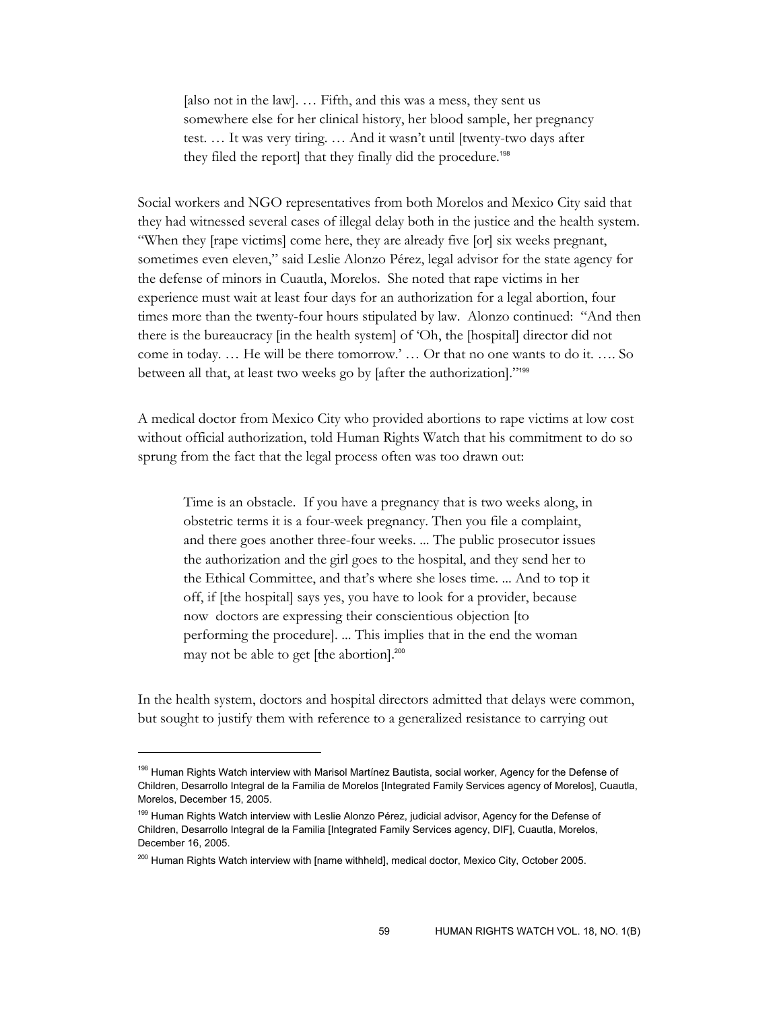[also not in the law]. … Fifth, and this was a mess, they sent us somewhere else for her clinical history, her blood sample, her pregnancy test. … It was very tiring. … And it wasn't until [twenty-two days after they filed the report] that they finally did the procedure.<sup>198</sup>

Social workers and NGO representatives from both Morelos and Mexico City said that they had witnessed several cases of illegal delay both in the justice and the health system. "When they [rape victims] come here, they are already five [or] six weeks pregnant, sometimes even eleven," said Leslie Alonzo Pérez, legal advisor for the state agency for the defense of minors in Cuautla, Morelos. She noted that rape victims in her experience must wait at least four days for an authorization for a legal abortion, four times more than the twenty-four hours stipulated by law. Alonzo continued: "And then there is the bureaucracy [in the health system] of 'Oh, the [hospital] director did not come in today. … He will be there tomorrow.' … Or that no one wants to do it. …. So between all that, at least two weeks go by [after the authorization]."<sup>199</sup>

A medical doctor from Mexico City who provided abortions to rape victims at low cost without official authorization, told Human Rights Watch that his commitment to do so sprung from the fact that the legal process often was too drawn out:

Time is an obstacle. If you have a pregnancy that is two weeks along, in obstetric terms it is a four-week pregnancy. Then you file a complaint, and there goes another three-four weeks. ... The public prosecutor issues the authorization and the girl goes to the hospital, and they send her to the Ethical Committee, and that's where she loses time. ... And to top it off, if [the hospital] says yes, you have to look for a provider, because now doctors are expressing their conscientious objection [to performing the procedure]. ... This implies that in the end the woman may not be able to get [the abortion].<sup>200</sup>

In the health system, doctors and hospital directors admitted that delays were common, but sought to justify them with reference to a generalized resistance to carrying out

<sup>&</sup>lt;sup>198</sup> Human Rights Watch interview with Marisol Martínez Bautista, social worker, Agency for the Defense of Children, Desarrollo Integral de la Familia de Morelos [Integrated Family Services agency of Morelos], Cuautla, Morelos, December 15, 2005.

<sup>199</sup> Human Rights Watch interview with Leslie Alonzo Pérez, judicial advisor, Agency for the Defense of Children, Desarrollo Integral de la Familia [Integrated Family Services agency, DIF], Cuautla, Morelos, December 16, 2005.

<sup>&</sup>lt;sup>200</sup> Human Rights Watch interview with [name withheld], medical doctor, Mexico City, October 2005.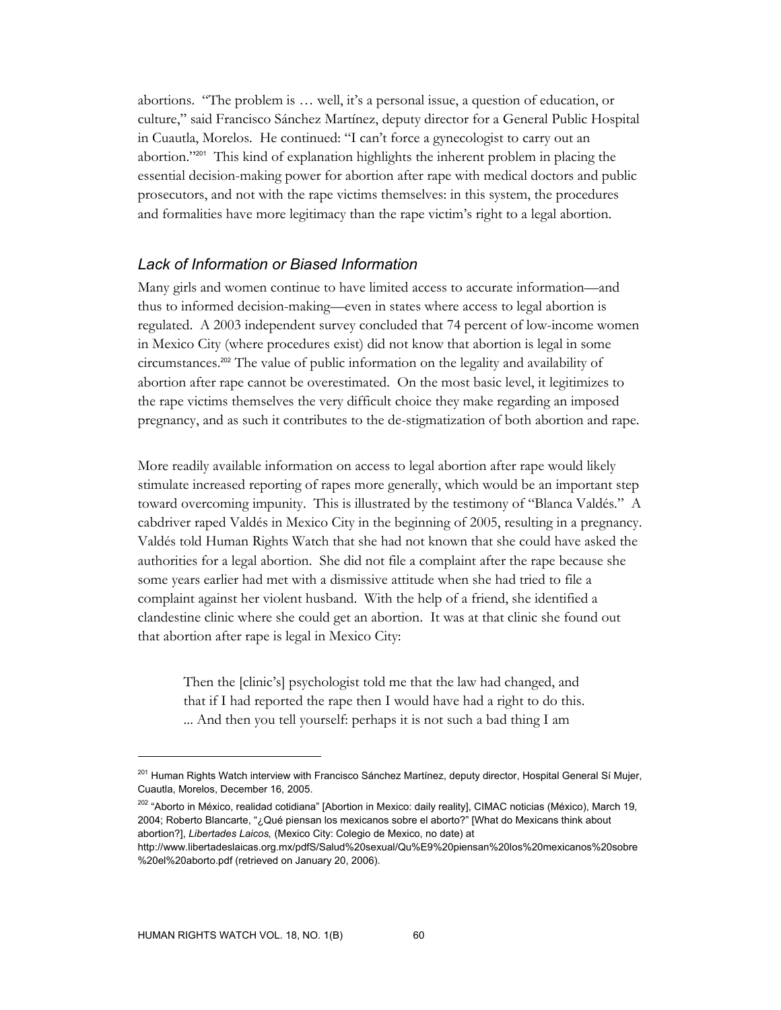abortions. "The problem is … well, it's a personal issue, a question of education, or culture," said Francisco Sánchez Martínez, deputy director for a General Public Hospital in Cuautla, Morelos. He continued: "I can't force a gynecologist to carry out an abortion."201 This kind of explanation highlights the inherent problem in placing the essential decision-making power for abortion after rape with medical doctors and public prosecutors, and not with the rape victims themselves: in this system, the procedures and formalities have more legitimacy than the rape victim's right to a legal abortion.

### *Lack of Information or Biased Information*

Many girls and women continue to have limited access to accurate information—and thus to informed decision-making—even in states where access to legal abortion is regulated. A 2003 independent survey concluded that 74 percent of low-income women in Mexico City (where procedures exist) did not know that abortion is legal in some circumstances.202 The value of public information on the legality and availability of abortion after rape cannot be overestimated. On the most basic level, it legitimizes to the rape victims themselves the very difficult choice they make regarding an imposed pregnancy, and as such it contributes to the de-stigmatization of both abortion and rape.

More readily available information on access to legal abortion after rape would likely stimulate increased reporting of rapes more generally, which would be an important step toward overcoming impunity. This is illustrated by the testimony of "Blanca Valdés." A cabdriver raped Valdés in Mexico City in the beginning of 2005, resulting in a pregnancy. Valdés told Human Rights Watch that she had not known that she could have asked the authorities for a legal abortion. She did not file a complaint after the rape because she some years earlier had met with a dismissive attitude when she had tried to file a complaint against her violent husband. With the help of a friend, she identified a clandestine clinic where she could get an abortion. It was at that clinic she found out that abortion after rape is legal in Mexico City:

Then the [clinic's] psychologist told me that the law had changed, and that if I had reported the rape then I would have had a right to do this. ... And then you tell yourself: perhaps it is not such a bad thing I am

<sup>&</sup>lt;sup>201</sup> Human Rights Watch interview with Francisco Sánchez Martínez, deputy director, Hospital General Sí Mujer, Cuautla, Morelos, December 16, 2005.

<sup>&</sup>lt;sup>202</sup> "Aborto in México, realidad cotidiana" [Abortion in Mexico: daily reality], CIMAC noticias (México), March 19, 2004; Roberto Blancarte, "¿Qué piensan los mexicanos sobre el aborto?" [What do Mexicans think about abortion?], *Libertades Laicos,* (Mexico City: Colegio de Mexico, no date) at

http://www.libertadeslaicas.org.mx/pdfS/Salud%20sexual/Qu%E9%20piensan%20los%20mexicanos%20sobre %20el%20aborto.pdf (retrieved on January 20, 2006).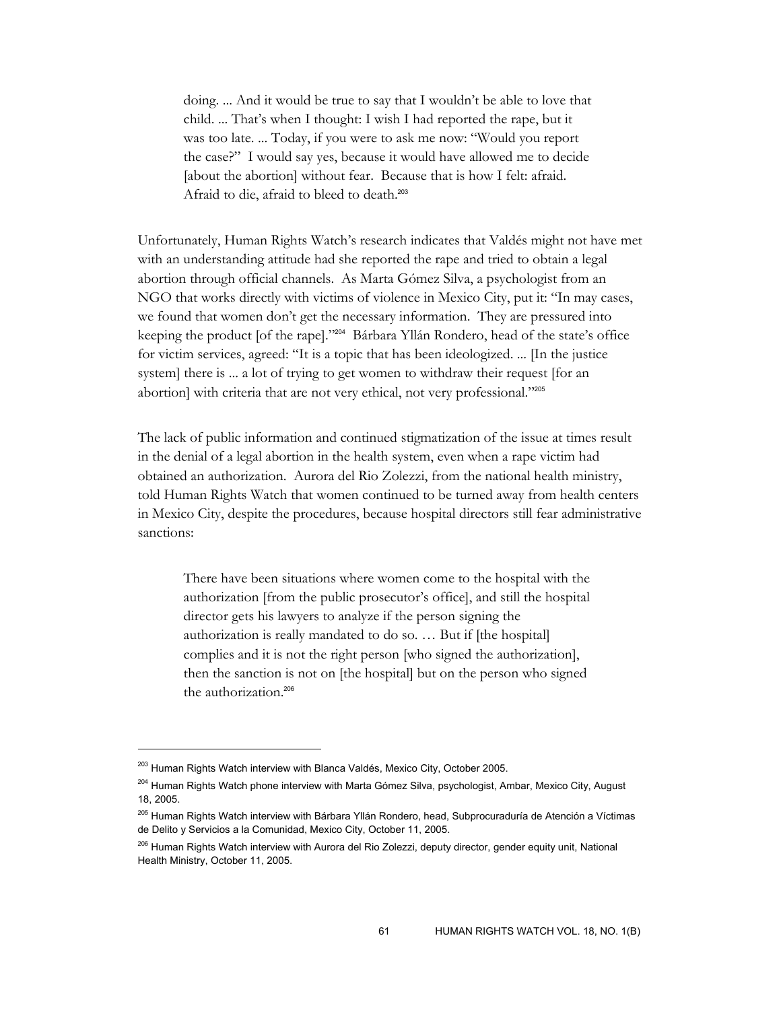doing. ... And it would be true to say that I wouldn't be able to love that child. ... That's when I thought: I wish I had reported the rape, but it was too late. ... Today, if you were to ask me now: "Would you report the case?" I would say yes, because it would have allowed me to decide [about the abortion] without fear. Because that is how I felt: afraid. Afraid to die, afraid to bleed to death.<sup>203</sup>

Unfortunately, Human Rights Watch's research indicates that Valdés might not have met with an understanding attitude had she reported the rape and tried to obtain a legal abortion through official channels. As Marta Gómez Silva, a psychologist from an NGO that works directly with victims of violence in Mexico City, put it: "In may cases, we found that women don't get the necessary information. They are pressured into keeping the product [of the rape]."204 Bárbara Yllán Rondero, head of the state's office for victim services, agreed: "It is a topic that has been ideologized. ... [In the justice system] there is ... a lot of trying to get women to withdraw their request [for an abortion] with criteria that are not very ethical, not very professional."<sup>205</sup>

The lack of public information and continued stigmatization of the issue at times result in the denial of a legal abortion in the health system, even when a rape victim had obtained an authorization. Aurora del Rio Zolezzi, from the national health ministry, told Human Rights Watch that women continued to be turned away from health centers in Mexico City, despite the procedures, because hospital directors still fear administrative sanctions:

There have been situations where women come to the hospital with the authorization [from the public prosecutor's office], and still the hospital director gets his lawyers to analyze if the person signing the authorization is really mandated to do so. … But if [the hospital] complies and it is not the right person [who signed the authorization], then the sanction is not on [the hospital] but on the person who signed the authorization.<sup>206</sup>

<sup>&</sup>lt;sup>203</sup> Human Rights Watch interview with Blanca Valdés, Mexico City, October 2005.

<sup>&</sup>lt;sup>204</sup> Human Rights Watch phone interview with Marta Gómez Silva, psychologist, Ambar, Mexico City, August 18, 2005.

<sup>&</sup>lt;sup>205</sup> Human Rights Watch interview with Bárbara Yllán Rondero, head, Subprocuraduría de Atención a Víctimas de Delito y Servicios a la Comunidad, Mexico City, October 11, 2005.

<sup>&</sup>lt;sup>206</sup> Human Rights Watch interview with Aurora del Rio Zolezzi, deputy director, gender equity unit, National Health Ministry, October 11, 2005.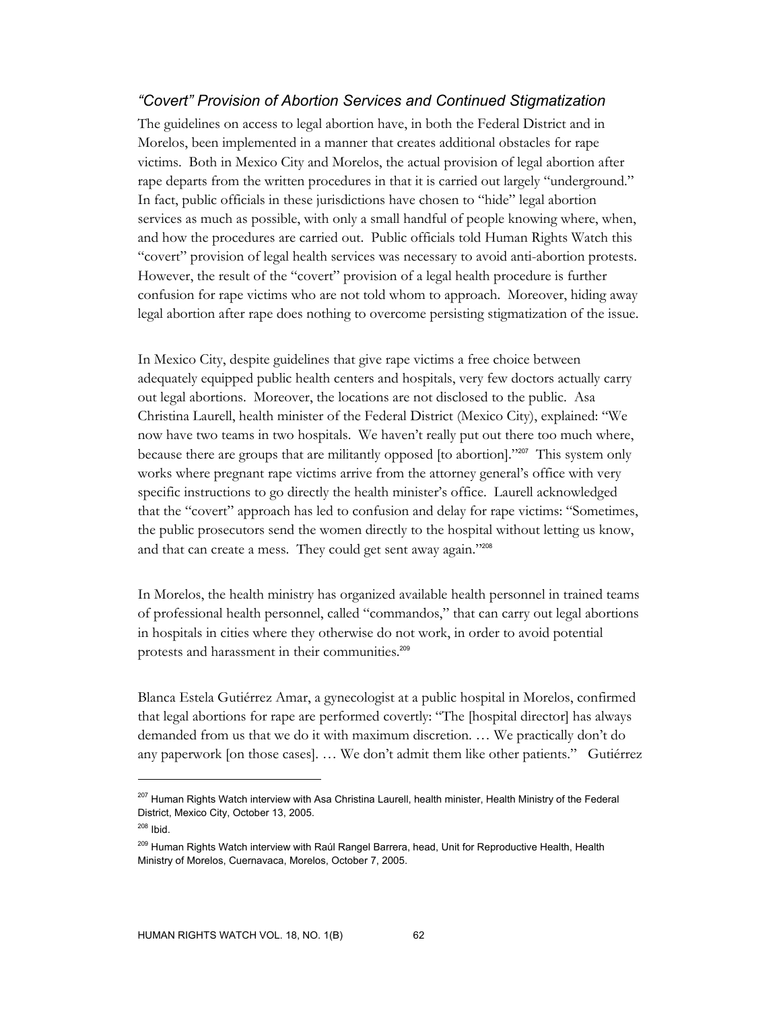## *"Covert" Provision of Abortion Services and Continued Stigmatization*

The guidelines on access to legal abortion have, in both the Federal District and in Morelos, been implemented in a manner that creates additional obstacles for rape victims. Both in Mexico City and Morelos, the actual provision of legal abortion after rape departs from the written procedures in that it is carried out largely "underground." In fact, public officials in these jurisdictions have chosen to "hide" legal abortion services as much as possible, with only a small handful of people knowing where, when, and how the procedures are carried out. Public officials told Human Rights Watch this "covert" provision of legal health services was necessary to avoid anti-abortion protests. However, the result of the "covert" provision of a legal health procedure is further confusion for rape victims who are not told whom to approach. Moreover, hiding away legal abortion after rape does nothing to overcome persisting stigmatization of the issue.

In Mexico City, despite guidelines that give rape victims a free choice between adequately equipped public health centers and hospitals, very few doctors actually carry out legal abortions. Moreover, the locations are not disclosed to the public. Asa Christina Laurell, health minister of the Federal District (Mexico City), explained: "We now have two teams in two hospitals. We haven't really put out there too much where, because there are groups that are militantly opposed [to abortion]."207 This system only works where pregnant rape victims arrive from the attorney general's office with very specific instructions to go directly the health minister's office. Laurell acknowledged that the "covert" approach has led to confusion and delay for rape victims: "Sometimes, the public prosecutors send the women directly to the hospital without letting us know, and that can create a mess. They could get sent away again."<sup>208</sup>

In Morelos, the health ministry has organized available health personnel in trained teams of professional health personnel, called "commandos," that can carry out legal abortions in hospitals in cities where they otherwise do not work, in order to avoid potential protests and harassment in their communities.<sup>209</sup>

Blanca Estela Gutiérrez Amar, a gynecologist at a public hospital in Morelos, confirmed that legal abortions for rape are performed covertly: "The [hospital director] has always demanded from us that we do it with maximum discretion. … We practically don't do any paperwork [on those cases]. … We don't admit them like other patients." Gutiérrez

<sup>&</sup>lt;sup>207</sup> Human Rights Watch interview with Asa Christina Laurell, health minister, Health Ministry of the Federal District, Mexico City, October 13, 2005.

 $208$  Ibid.

<sup>&</sup>lt;sup>209</sup> Human Rights Watch interview with Raúl Rangel Barrera, head, Unit for Reproductive Health, Health Ministry of Morelos, Cuernavaca, Morelos, October 7, 2005.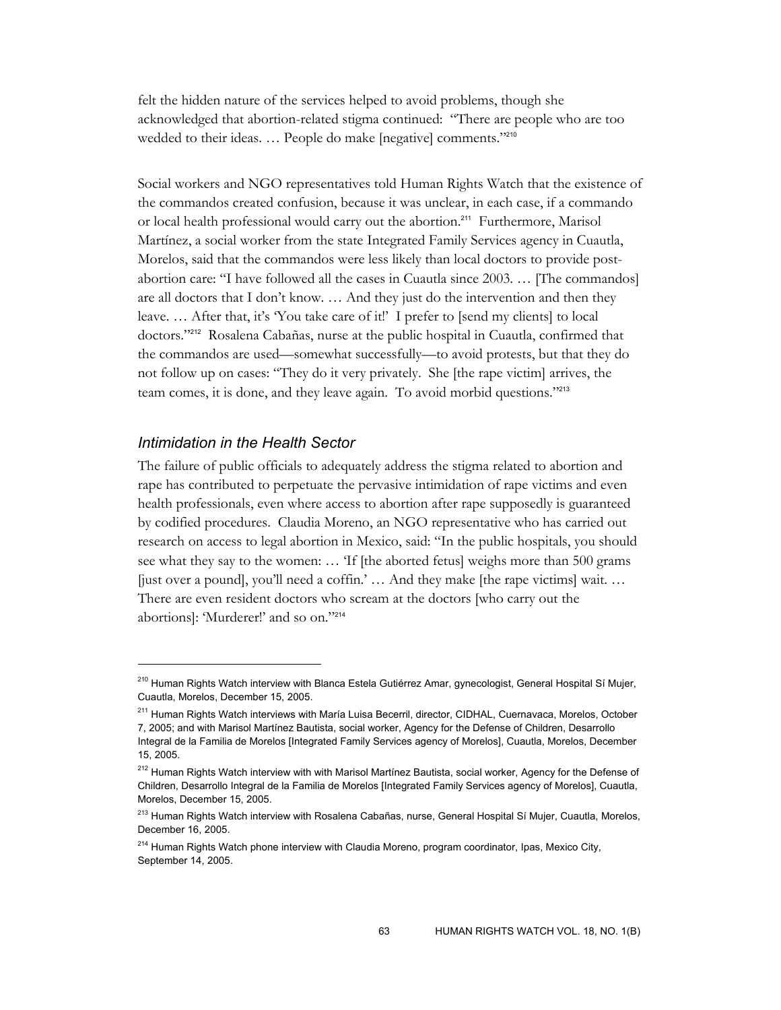felt the hidden nature of the services helped to avoid problems, though she acknowledged that abortion-related stigma continued: "There are people who are too wedded to their ideas. ... People do make [negative] comments."210

Social workers and NGO representatives told Human Rights Watch that the existence of the commandos created confusion, because it was unclear, in each case, if a commando or local health professional would carry out the abortion.<sup>211</sup> Furthermore, Marisol Martínez, a social worker from the state Integrated Family Services agency in Cuautla, Morelos, said that the commandos were less likely than local doctors to provide postabortion care: "I have followed all the cases in Cuautla since 2003. … [The commandos] are all doctors that I don't know. … And they just do the intervention and then they leave. … After that, it's 'You take care of it!' I prefer to [send my clients] to local doctors."212 Rosalena Cabañas, nurse at the public hospital in Cuautla, confirmed that the commandos are used—somewhat successfully—to avoid protests, but that they do not follow up on cases: "They do it very privately. She [the rape victim] arrives, the team comes, it is done, and they leave again. To avoid morbid questions."213

# *Intimidation in the Health Sector*

 $\overline{a}$ 

The failure of public officials to adequately address the stigma related to abortion and rape has contributed to perpetuate the pervasive intimidation of rape victims and even health professionals, even where access to abortion after rape supposedly is guaranteed by codified procedures. Claudia Moreno, an NGO representative who has carried out research on access to legal abortion in Mexico, said: "In the public hospitals, you should see what they say to the women: … 'If [the aborted fetus] weighs more than 500 grams [just over a pound], you'll need a coffin.' … And they make [the rape victims] wait. … There are even resident doctors who scream at the doctors [who carry out the abortions]: 'Murderer!' and so on."<sup>214</sup>

<sup>&</sup>lt;sup>210</sup> Human Rights Watch interview with Blanca Estela Gutiérrez Amar, gynecologist, General Hospital Sí Mujer, Cuautla, Morelos, December 15, 2005.

<sup>&</sup>lt;sup>211</sup> Human Rights Watch interviews with María Luisa Becerril, director, CIDHAL, Cuernavaca, Morelos, October 7, 2005; and with Marisol Martínez Bautista, social worker, Agency for the Defense of Children, Desarrollo Integral de la Familia de Morelos [Integrated Family Services agency of Morelos], Cuautla, Morelos, December 15, 2005.

<sup>&</sup>lt;sup>212</sup> Human Rights Watch interview with with Marisol Martínez Bautista, social worker, Agency for the Defense of Children, Desarrollo Integral de la Familia de Morelos [Integrated Family Services agency of Morelos], Cuautla, Morelos, December 15, 2005.

<sup>&</sup>lt;sup>213</sup> Human Rights Watch interview with Rosalena Cabañas, nurse, General Hospital Sí Mujer, Cuautla, Morelos, December 16, 2005.

<sup>&</sup>lt;sup>214</sup> Human Rights Watch phone interview with Claudia Moreno, program coordinator, Ipas, Mexico City, September 14, 2005.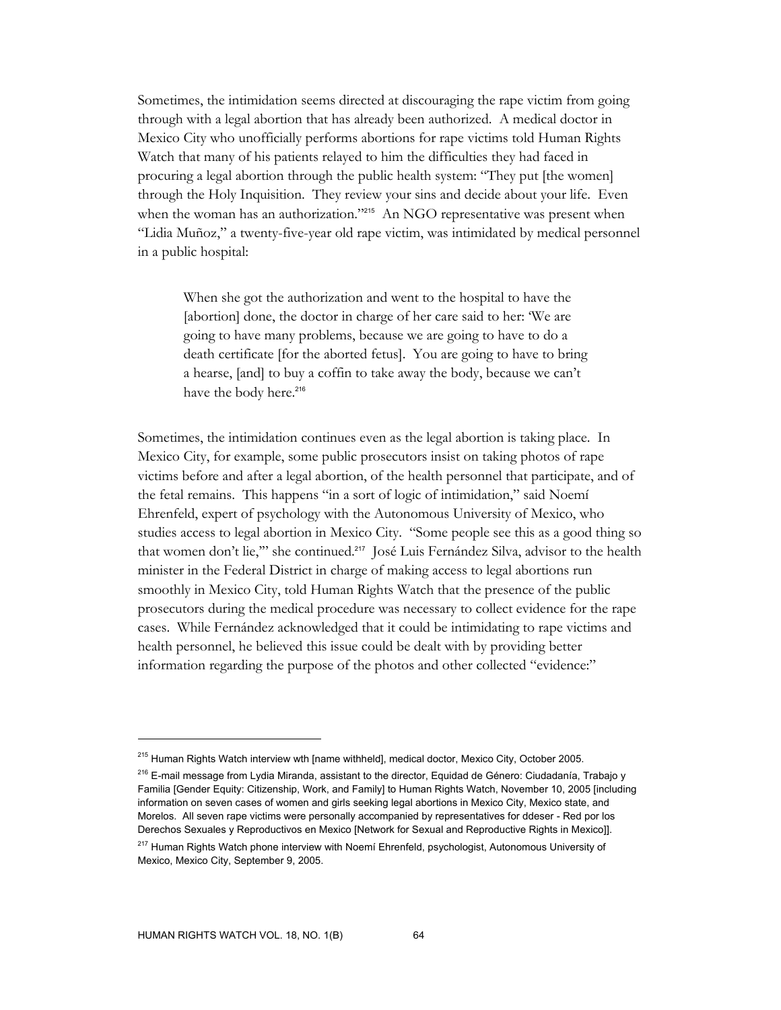Sometimes, the intimidation seems directed at discouraging the rape victim from going through with a legal abortion that has already been authorized. A medical doctor in Mexico City who unofficially performs abortions for rape victims told Human Rights Watch that many of his patients relayed to him the difficulties they had faced in procuring a legal abortion through the public health system: "They put [the women] through the Holy Inquisition. They review your sins and decide about your life. Even when the woman has an authorization."<sup>215</sup> An NGO representative was present when "Lidia Muñoz," a twenty-five-year old rape victim, was intimidated by medical personnel in a public hospital:

When she got the authorization and went to the hospital to have the [abortion] done, the doctor in charge of her care said to her: 'We are going to have many problems, because we are going to have to do a death certificate [for the aborted fetus]. You are going to have to bring a hearse, [and] to buy a coffin to take away the body, because we can't have the body here.<sup>216</sup>

Sometimes, the intimidation continues even as the legal abortion is taking place. In Mexico City, for example, some public prosecutors insist on taking photos of rape victims before and after a legal abortion, of the health personnel that participate, and of the fetal remains. This happens "in a sort of logic of intimidation," said Noemí Ehrenfeld, expert of psychology with the Autonomous University of Mexico, who studies access to legal abortion in Mexico City. "Some people see this as a good thing so that women don't lie," she continued.<sup>217</sup> José Luis Fernández Silva, advisor to the health minister in the Federal District in charge of making access to legal abortions run smoothly in Mexico City, told Human Rights Watch that the presence of the public prosecutors during the medical procedure was necessary to collect evidence for the rape cases. While Fernández acknowledged that it could be intimidating to rape victims and health personnel, he believed this issue could be dealt with by providing better information regarding the purpose of the photos and other collected "evidence:"

<sup>&</sup>lt;sup>215</sup> Human Rights Watch interview wth [name withheld], medical doctor, Mexico City, October 2005.

<sup>&</sup>lt;sup>216</sup> E-mail message from Lydia Miranda, assistant to the director, Equidad de Género: Ciudadanía, Trabajo y Familia [Gender Equity: Citizenship, Work, and Family] to Human Rights Watch, November 10, 2005 [including information on seven cases of women and girls seeking legal abortions in Mexico City, Mexico state, and Morelos. All seven rape victims were personally accompanied by representatives for ddeser - Red por los Derechos Sexuales y Reproductivos en Mexico [Network for Sexual and Reproductive Rights in Mexico]].

<sup>&</sup>lt;sup>217</sup> Human Rights Watch phone interview with Noemí Ehrenfeld, psychologist, Autonomous University of Mexico, Mexico City, September 9, 2005.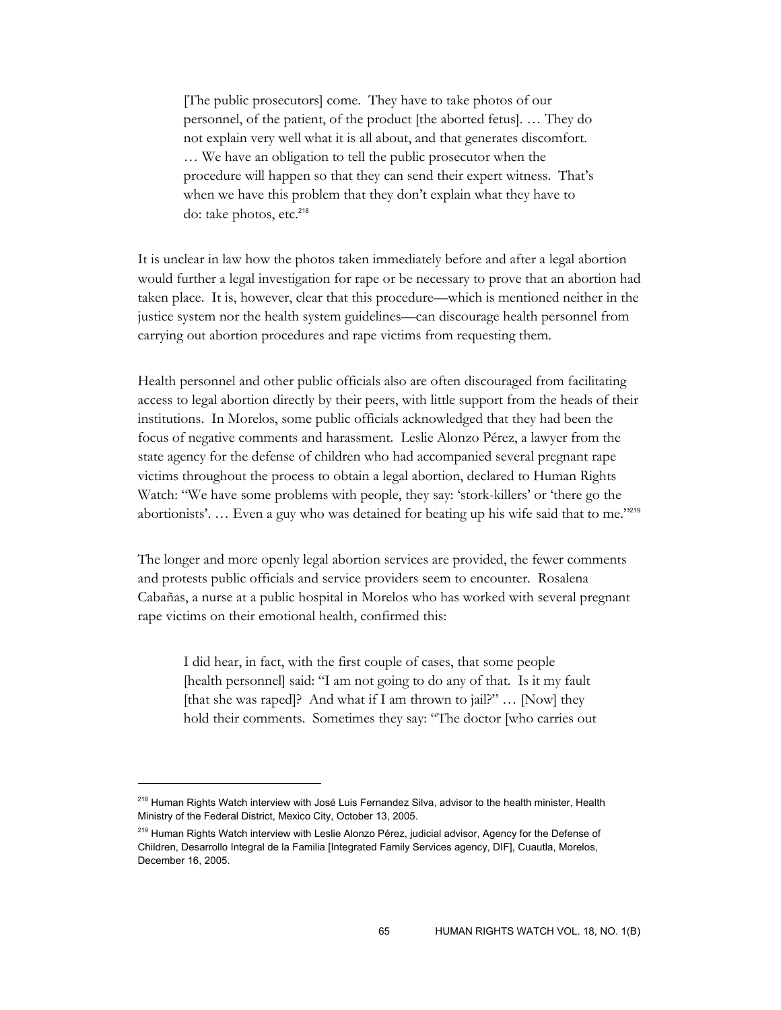[The public prosecutors] come. They have to take photos of our personnel, of the patient, of the product [the aborted fetus]. … They do not explain very well what it is all about, and that generates discomfort. … We have an obligation to tell the public prosecutor when the procedure will happen so that they can send their expert witness. That's when we have this problem that they don't explain what they have to do: take photos, etc.<sup>218</sup>

It is unclear in law how the photos taken immediately before and after a legal abortion would further a legal investigation for rape or be necessary to prove that an abortion had taken place. It is, however, clear that this procedure—which is mentioned neither in the justice system nor the health system guidelines—can discourage health personnel from carrying out abortion procedures and rape victims from requesting them.

Health personnel and other public officials also are often discouraged from facilitating access to legal abortion directly by their peers, with little support from the heads of their institutions. In Morelos, some public officials acknowledged that they had been the focus of negative comments and harassment. Leslie Alonzo Pérez, a lawyer from the state agency for the defense of children who had accompanied several pregnant rape victims throughout the process to obtain a legal abortion, declared to Human Rights Watch: "We have some problems with people, they say: 'stork-killers' or 'there go the abortionists'. … Even a guy who was detained for beating up his wife said that to me."<sup>219</sup>

The longer and more openly legal abortion services are provided, the fewer comments and protests public officials and service providers seem to encounter. Rosalena Cabañas, a nurse at a public hospital in Morelos who has worked with several pregnant rape victims on their emotional health, confirmed this:

I did hear, in fact, with the first couple of cases, that some people [health personnel] said: "I am not going to do any of that. Is it my fault [that she was raped]? And what if I am thrown to jail?" ... [Now] they hold their comments. Sometimes they say: "The doctor [who carries out

<sup>&</sup>lt;sup>218</sup> Human Rights Watch interview with José Luis Fernandez Silva, advisor to the health minister, Health Ministry of the Federal District, Mexico City, October 13, 2005.

<sup>&</sup>lt;sup>219</sup> Human Rights Watch interview with Leslie Alonzo Pérez, judicial advisor, Agency for the Defense of Children, Desarrollo Integral de la Familia [Integrated Family Services agency, DIF], Cuautla, Morelos, December 16, 2005.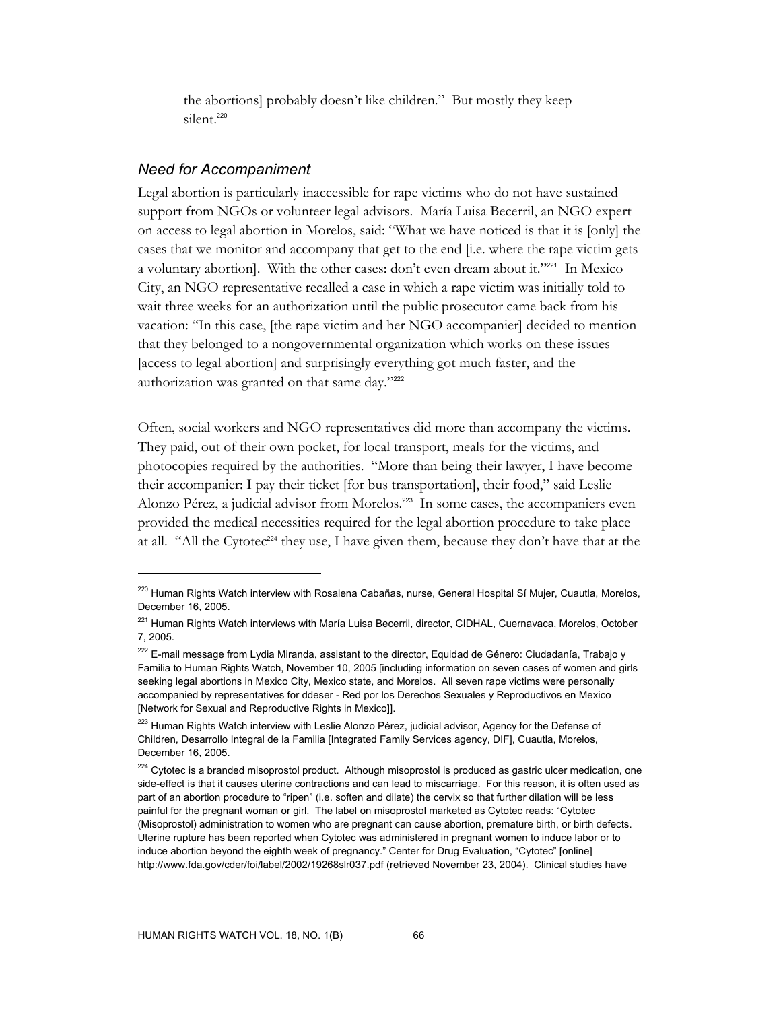the abortions] probably doesn't like children." But mostly they keep silent.<sup>220</sup>

### *Need for Accompaniment*

 $\overline{a}$ 

Legal abortion is particularly inaccessible for rape victims who do not have sustained support from NGOs or volunteer legal advisors. María Luisa Becerril, an NGO expert on access to legal abortion in Morelos, said: "What we have noticed is that it is [only] the cases that we monitor and accompany that get to the end [i.e. where the rape victim gets a voluntary abortion]. With the other cases: don't even dream about it."221 In Mexico City, an NGO representative recalled a case in which a rape victim was initially told to wait three weeks for an authorization until the public prosecutor came back from his vacation: "In this case, [the rape victim and her NGO accompanier] decided to mention that they belonged to a nongovernmental organization which works on these issues [access to legal abortion] and surprisingly everything got much faster, and the authorization was granted on that same day."<sup>222</sup>

Often, social workers and NGO representatives did more than accompany the victims. They paid, out of their own pocket, for local transport, meals for the victims, and photocopies required by the authorities. "More than being their lawyer, I have become their accompanier: I pay their ticket [for bus transportation], their food," said Leslie Alonzo Pérez, a judicial advisor from Morelos.223 In some cases, the accompaniers even provided the medical necessities required for the legal abortion procedure to take place at all. "All the Cytotec<sup>224</sup> they use, I have given them, because they don't have that at the

<sup>&</sup>lt;sup>220</sup> Human Rights Watch interview with Rosalena Cabañas, nurse, General Hospital Sí Mujer, Cuautla, Morelos, December 16, 2005.

<sup>&</sup>lt;sup>221</sup> Human Rights Watch interviews with María Luisa Becerril, director, CIDHAL, Cuernavaca, Morelos, October 7, 2005.

<sup>&</sup>lt;sup>222</sup> E-mail message from Lydia Miranda, assistant to the director, Equidad de Género: Ciudadanía, Trabajo y Familia to Human Rights Watch, November 10, 2005 [including information on seven cases of women and girls seeking legal abortions in Mexico City, Mexico state, and Morelos. All seven rape victims were personally accompanied by representatives for ddeser - Red por los Derechos Sexuales y Reproductivos en Mexico [Network for Sexual and Reproductive Rights in Mexico]].

<sup>&</sup>lt;sup>223</sup> Human Rights Watch interview with Leslie Alonzo Pérez, judicial advisor, Agency for the Defense of Children, Desarrollo Integral de la Familia [Integrated Family Services agency, DIF], Cuautla, Morelos, December 16, 2005.

<sup>&</sup>lt;sup>224</sup> Cytotec is a branded misoprostol product. Although misoprostol is produced as gastric ulcer medication, one side-effect is that it causes uterine contractions and can lead to miscarriage. For this reason, it is often used as part of an abortion procedure to "ripen" (i.e. soften and dilate) the cervix so that further dilation will be less painful for the pregnant woman or girl. The label on misoprostol marketed as Cytotec reads: "Cytotec (Misoprostol) administration to women who are pregnant can cause abortion, premature birth, or birth defects. Uterine rupture has been reported when Cytotec was administered in pregnant women to induce labor or to induce abortion beyond the eighth week of pregnancy." Center for Drug Evaluation, "Cytotec" [online] http://www.fda.gov/cder/foi/label/2002/19268slr037.pdf (retrieved November 23, 2004). Clinical studies have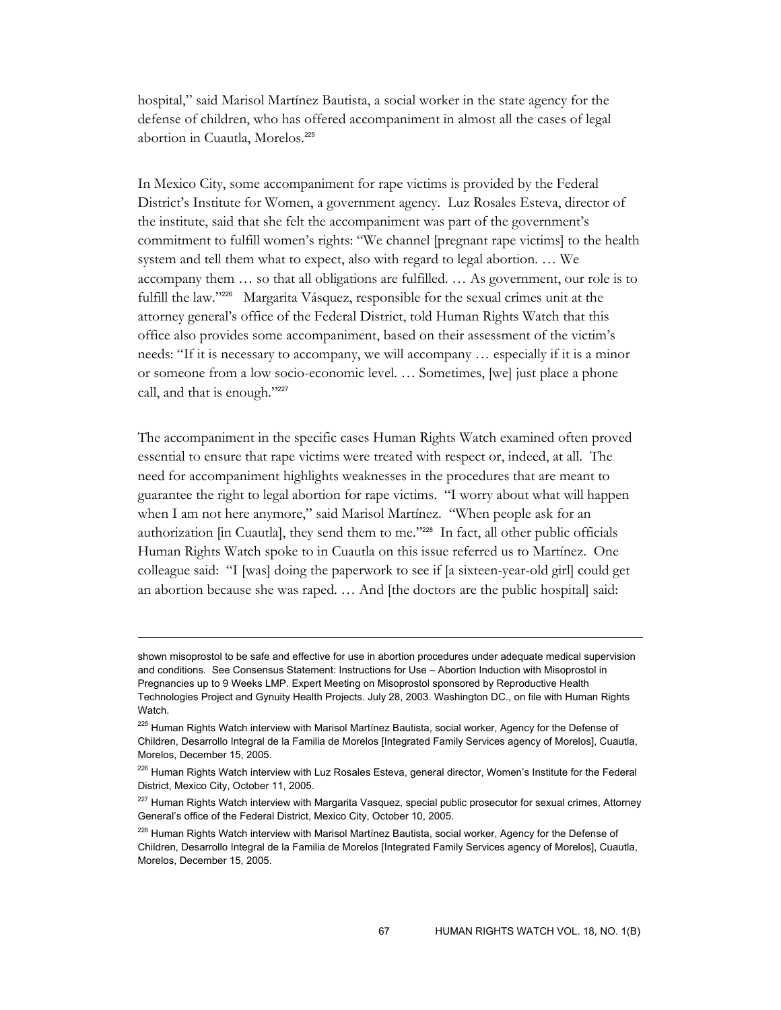hospital," said Marisol Martínez Bautista, a social worker in the state agency for the defense of children, who has offered accompaniment in almost all the cases of legal abortion in Cuautla, Morelos.<sup>225</sup>

In Mexico City, some accompaniment for rape victims is provided by the Federal District's Institute for Women, a government agency. Luz Rosales Esteva, director of the institute, said that she felt the accompaniment was part of the government's commitment to fulfill women's rights: "We channel [pregnant rape victims] to the health system and tell them what to expect, also with regard to legal abortion. … We accompany them … so that all obligations are fulfilled. … As government, our role is to fulfill the law."226 Margarita Vásquez, responsible for the sexual crimes unit at the attorney general's office of the Federal District, told Human Rights Watch that this office also provides some accompaniment, based on their assessment of the victim's needs: "If it is necessary to accompany, we will accompany … especially if it is a minor or someone from a low socio-economic level. … Sometimes, [we] just place a phone call, and that is enough."227

The accompaniment in the specific cases Human Rights Watch examined often proved essential to ensure that rape victims were treated with respect or, indeed, at all. The need for accompaniment highlights weaknesses in the procedures that are meant to guarantee the right to legal abortion for rape victims. "I worry about what will happen when I am not here anymore," said Marisol Martínez. "When people ask for an authorization [in Cuautla], they send them to me."228 In fact, all other public officials Human Rights Watch spoke to in Cuautla on this issue referred us to Martínez. One colleague said: "I [was] doing the paperwork to see if [a sixteen-year-old girl] could get an abortion because she was raped. … And [the doctors are the public hospital] said:

shown misoprostol to be safe and effective for use in abortion procedures under adequate medical supervision and conditions. See Consensus Statement: Instructions for Use – Abortion Induction with Misoprostol in Pregnancies up to 9 Weeks LMP. Expert Meeting on Misoprostol sponsored by Reproductive Health Technologies Project and Gynuity Health Projects. July 28, 2003. Washington DC., on file with Human Rights Watch.

<sup>&</sup>lt;sup>225</sup> Human Rights Watch interview with Marisol Martínez Bautista, social worker, Agency for the Defense of Children, Desarrollo Integral de la Familia de Morelos [Integrated Family Services agency of Morelos], Cuautla, Morelos, December 15, 2005.

<sup>&</sup>lt;sup>226</sup> Human Rights Watch interview with Luz Rosales Esteva, general director, Women's Institute for the Federal District, Mexico City, October 11, 2005.

<sup>&</sup>lt;sup>227</sup> Human Rights Watch interview with Margarita Vasquez, special public prosecutor for sexual crimes, Attorney General's office of the Federal District, Mexico City, October 10, 2005.

<sup>&</sup>lt;sup>228</sup> Human Rights Watch interview with Marisol Martínez Bautista, social worker, Agency for the Defense of Children, Desarrollo Integral de la Familia de Morelos [Integrated Family Services agency of Morelos], Cuautla, Morelos, December 15, 2005.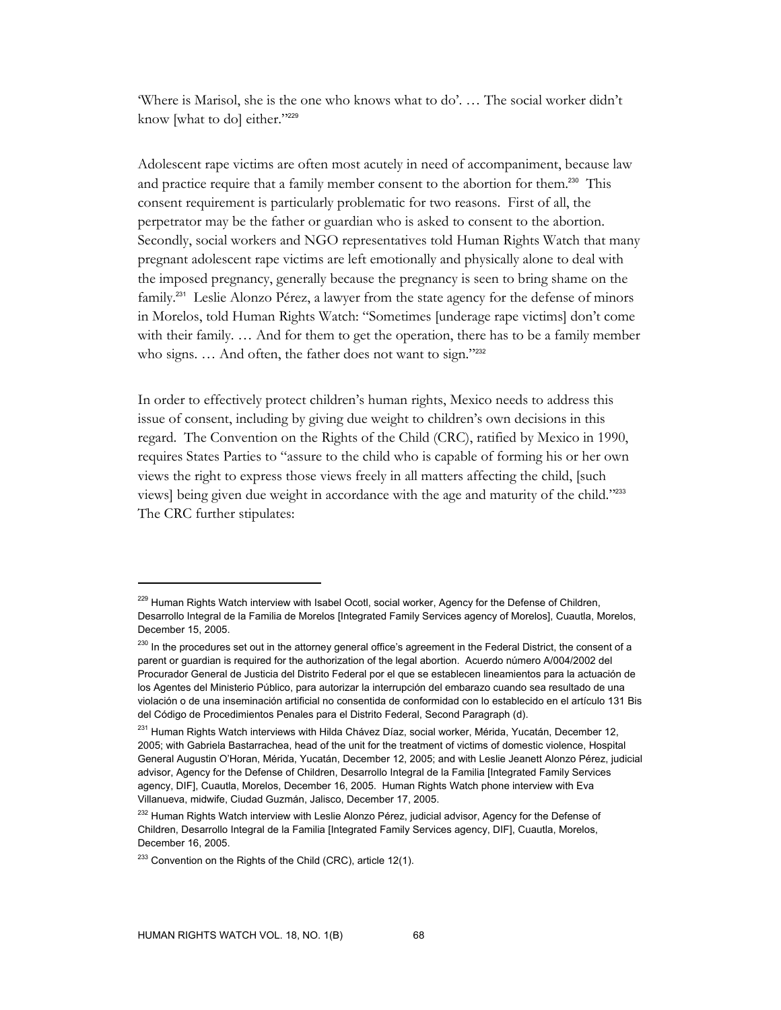'Where is Marisol, she is the one who knows what to do'. … The social worker didn't know [what to do] either."229

Adolescent rape victims are often most acutely in need of accompaniment, because law and practice require that a family member consent to the abortion for them.<sup>230</sup> This consent requirement is particularly problematic for two reasons. First of all, the perpetrator may be the father or guardian who is asked to consent to the abortion. Secondly, social workers and NGO representatives told Human Rights Watch that many pregnant adolescent rape victims are left emotionally and physically alone to deal with the imposed pregnancy, generally because the pregnancy is seen to bring shame on the family.231 Leslie Alonzo Pérez, a lawyer from the state agency for the defense of minors in Morelos, told Human Rights Watch: "Sometimes [underage rape victims] don't come with their family. … And for them to get the operation, there has to be a family member who signs. ... And often, the father does not want to sign."232

In order to effectively protect children's human rights, Mexico needs to address this issue of consent, including by giving due weight to children's own decisions in this regard. The Convention on the Rights of the Child (CRC), ratified by Mexico in 1990, requires States Parties to "assure to the child who is capable of forming his or her own views the right to express those views freely in all matters affecting the child, [such views] being given due weight in accordance with the age and maturity of the child."<sup>233</sup> The CRC further stipulates:

<sup>&</sup>lt;sup>229</sup> Human Rights Watch interview with Isabel Ocotl, social worker, Agency for the Defense of Children, Desarrollo Integral de la Familia de Morelos [Integrated Family Services agency of Morelos], Cuautla, Morelos, December 15, 2005.

<sup>&</sup>lt;sup>230</sup> In the procedures set out in the attorney general office's agreement in the Federal District, the consent of a parent or guardian is required for the authorization of the legal abortion. Acuerdo número A/004/2002 del Procurador General de Justicia del Distrito Federal por el que se establecen lineamientos para la actuación de los Agentes del Ministerio Público, para autorizar la interrupción del embarazo cuando sea resultado de una violación o de una inseminación artificial no consentida de conformidad con lo establecido en el artículo 131 Bis del Código de Procedimientos Penales para el Distrito Federal, Second Paragraph (d).

<sup>&</sup>lt;sup>231</sup> Human Rights Watch interviews with Hilda Chávez Díaz, social worker, Mérida, Yucatán, December 12, 2005; with Gabriela Bastarrachea, head of the unit for the treatment of victims of domestic violence, Hospital General Augustin O'Horan, Mérida, Yucatán, December 12, 2005; and with Leslie Jeanett Alonzo Pérez, judicial advisor, Agency for the Defense of Children, Desarrollo Integral de la Familia [Integrated Family Services agency, DIF], Cuautla, Morelos, December 16, 2005. Human Rights Watch phone interview with Eva Villanueva, midwife, Ciudad Guzmán, Jalisco, December 17, 2005.

<sup>&</sup>lt;sup>232</sup> Human Rights Watch interview with Leslie Alonzo Pérez, judicial advisor, Agency for the Defense of Children, Desarrollo Integral de la Familia [Integrated Family Services agency, DIF], Cuautla, Morelos, December 16, 2005.

 $233$  Convention on the Rights of the Child (CRC), article 12(1).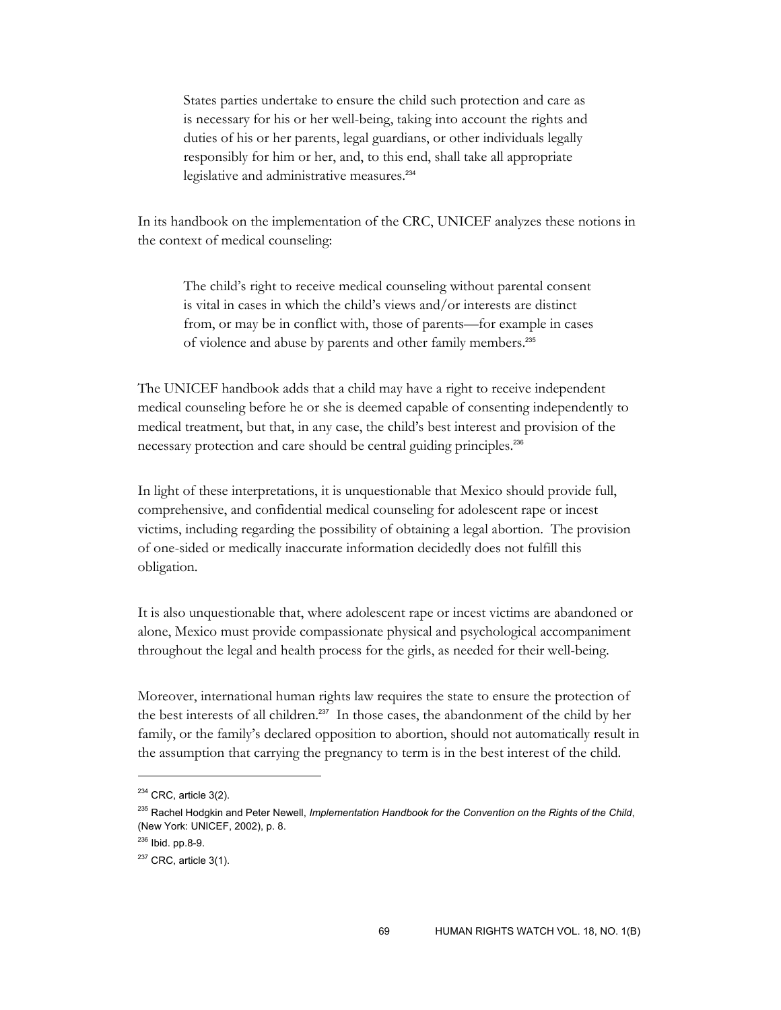States parties undertake to ensure the child such protection and care as is necessary for his or her well-being, taking into account the rights and duties of his or her parents, legal guardians, or other individuals legally responsibly for him or her, and, to this end, shall take all appropriate legislative and administrative measures.<sup>234</sup>

In its handbook on the implementation of the CRC, UNICEF analyzes these notions in the context of medical counseling:

The child's right to receive medical counseling without parental consent is vital in cases in which the child's views and/or interests are distinct from, or may be in conflict with, those of parents—for example in cases of violence and abuse by parents and other family members.<sup>235</sup>

The UNICEF handbook adds that a child may have a right to receive independent medical counseling before he or she is deemed capable of consenting independently to medical treatment, but that, in any case, the child's best interest and provision of the necessary protection and care should be central guiding principles.<sup>236</sup>

In light of these interpretations, it is unquestionable that Mexico should provide full, comprehensive, and confidential medical counseling for adolescent rape or incest victims, including regarding the possibility of obtaining a legal abortion. The provision of one-sided or medically inaccurate information decidedly does not fulfill this obligation.

It is also unquestionable that, where adolescent rape or incest victims are abandoned or alone, Mexico must provide compassionate physical and psychological accompaniment throughout the legal and health process for the girls, as needed for their well-being.

Moreover, international human rights law requires the state to ensure the protection of the best interests of all children.<sup>237</sup> In those cases, the abandonment of the child by her family, or the family's declared opposition to abortion, should not automatically result in the assumption that carrying the pregnancy to term is in the best interest of the child.

 $234$  CRC, article 3(2).

<sup>235</sup> Rachel Hodgkin and Peter Newell, *Implementation Handbook for the Convention on the Rights of the Child*, (New York: UNICEF, 2002), p. 8.

<sup>236</sup> Ibid. pp.8-9.

 $237$  CRC, article 3(1).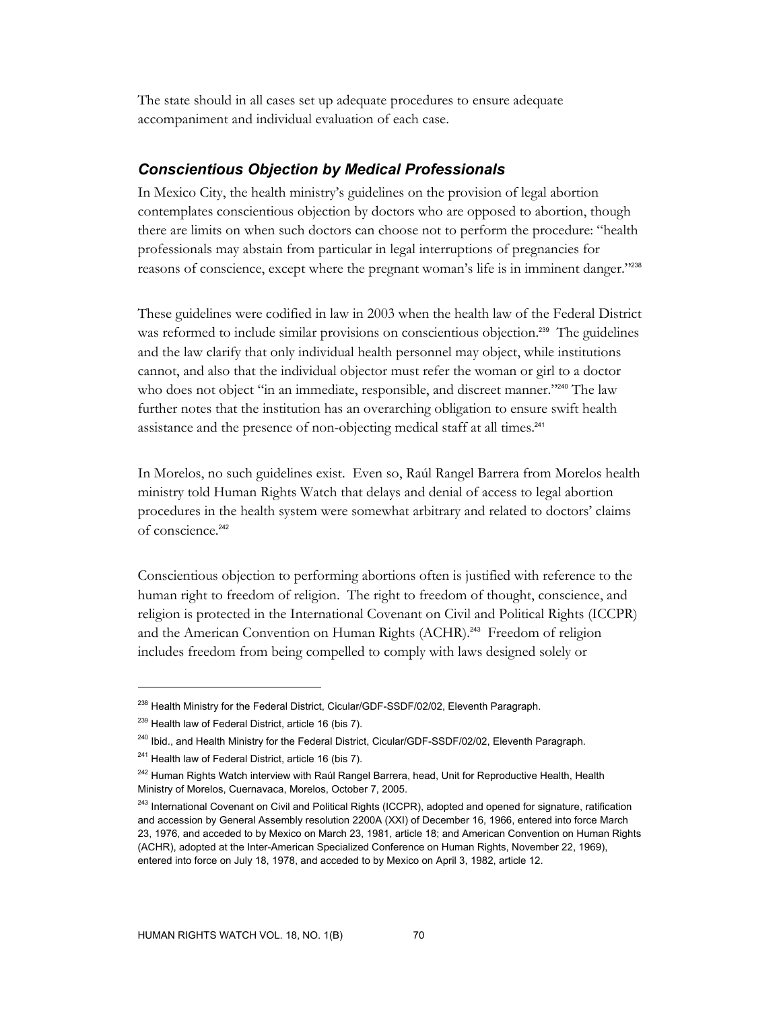The state should in all cases set up adequate procedures to ensure adequate accompaniment and individual evaluation of each case.

## *Conscientious Objection by Medical Professionals*

In Mexico City, the health ministry's guidelines on the provision of legal abortion contemplates conscientious objection by doctors who are opposed to abortion, though there are limits on when such doctors can choose not to perform the procedure: "health professionals may abstain from particular in legal interruptions of pregnancies for reasons of conscience, except where the pregnant woman's life is in imminent danger."<sup>238</sup>

These guidelines were codified in law in 2003 when the health law of the Federal District was reformed to include similar provisions on conscientious objection.<sup>239</sup> The guidelines and the law clarify that only individual health personnel may object, while institutions cannot, and also that the individual objector must refer the woman or girl to a doctor who does not object "in an immediate, responsible, and discreet manner."<sup>240</sup> The law further notes that the institution has an overarching obligation to ensure swift health assistance and the presence of non-objecting medical staff at all times.<sup>241</sup>

In Morelos, no such guidelines exist. Even so, Raúl Rangel Barrera from Morelos health ministry told Human Rights Watch that delays and denial of access to legal abortion procedures in the health system were somewhat arbitrary and related to doctors' claims of conscience.<sup>242</sup>

Conscientious objection to performing abortions often is justified with reference to the human right to freedom of religion. The right to freedom of thought, conscience, and religion is protected in the International Covenant on Civil and Political Rights (ICCPR) and the American Convention on Human Rights (ACHR).<sup>243</sup> Freedom of religion includes freedom from being compelled to comply with laws designed solely or

<sup>&</sup>lt;sup>238</sup> Health Ministry for the Federal District, Cicular/GDF-SSDF/02/02, Eleventh Paragraph.

<sup>&</sup>lt;sup>239</sup> Health law of Federal District, article 16 (bis 7).

<sup>&</sup>lt;sup>240</sup> Ibid., and Health Ministry for the Federal District, Cicular/GDF-SSDF/02/02, Eleventh Paragraph.

<sup>&</sup>lt;sup>241</sup> Health law of Federal District, article 16 (bis 7).

<sup>&</sup>lt;sup>242</sup> Human Rights Watch interview with Raúl Rangel Barrera, head, Unit for Reproductive Health, Health Ministry of Morelos, Cuernavaca, Morelos, October 7, 2005.

<sup>&</sup>lt;sup>243</sup> International Covenant on Civil and Political Rights (ICCPR), adopted and opened for signature, ratification and accession by General Assembly resolution 2200A (XXI) of December 16, 1966, entered into force March 23, 1976, and acceded to by Mexico on March 23, 1981, article 18; and American Convention on Human Rights (ACHR), adopted at the Inter-American Specialized Conference on Human Rights, November 22, 1969), entered into force on July 18, 1978, and acceded to by Mexico on April 3, 1982, article 12.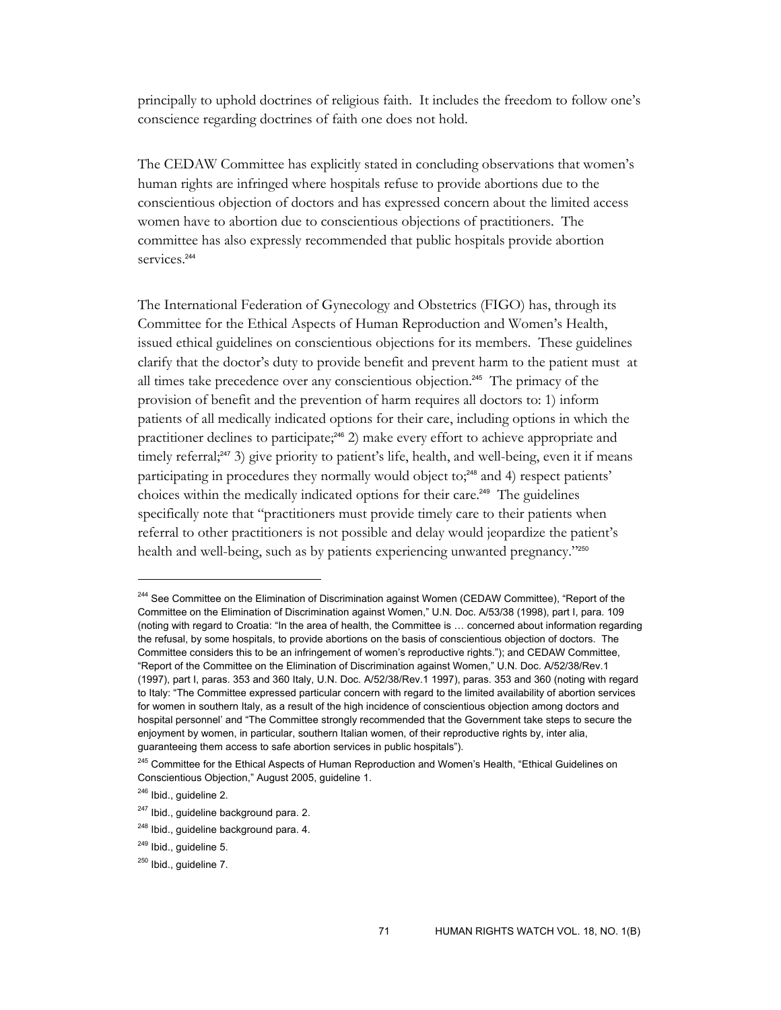principally to uphold doctrines of religious faith. It includes the freedom to follow one's conscience regarding doctrines of faith one does not hold.

The CEDAW Committee has explicitly stated in concluding observations that women's human rights are infringed where hospitals refuse to provide abortions due to the conscientious objection of doctors and has expressed concern about the limited access women have to abortion due to conscientious objections of practitioners. The committee has also expressly recommended that public hospitals provide abortion services.<sup>244</sup>

The International Federation of Gynecology and Obstetrics (FIGO) has, through its Committee for the Ethical Aspects of Human Reproduction and Women's Health, issued ethical guidelines on conscientious objections for its members. These guidelines clarify that the doctor's duty to provide benefit and prevent harm to the patient must at all times take precedence over any conscientious objection.245 The primacy of the provision of benefit and the prevention of harm requires all doctors to: 1) inform patients of all medically indicated options for their care, including options in which the practitioner declines to participate;246 2) make every effort to achieve appropriate and timely referral;<sup>247</sup> 3) give priority to patient's life, health, and well-being, even it if means participating in procedures they normally would object to;<sup>248</sup> and 4) respect patients' choices within the medically indicated options for their care.<sup>249</sup> The guidelines specifically note that "practitioners must provide timely care to their patients when referral to other practitioners is not possible and delay would jeopardize the patient's health and well-being, such as by patients experiencing unwanted pregnancy."250

<sup>&</sup>lt;sup>244</sup> See Committee on the Elimination of Discrimination against Women (CEDAW Committee), "Report of the Committee on the Elimination of Discrimination against Women," U.N. Doc. A/53/38 (1998), part I, para. 109 (noting with regard to Croatia: "In the area of health, the Committee is … concerned about information regarding the refusal, by some hospitals, to provide abortions on the basis of conscientious objection of doctors. The Committee considers this to be an infringement of women's reproductive rights."); and CEDAW Committee, "Report of the Committee on the Elimination of Discrimination against Women," U.N. Doc. A/52/38/Rev.1 (1997), part I, paras. 353 and 360 Italy, U.N. Doc. A/52/38/Rev.1 1997), paras. 353 and 360 (noting with regard to Italy: "The Committee expressed particular concern with regard to the limited availability of abortion services for women in southern Italy, as a result of the high incidence of conscientious objection among doctors and hospital personnel' and "The Committee strongly recommended that the Government take steps to secure the enjoyment by women, in particular, southern Italian women, of their reproductive rights by, inter alia, guaranteeing them access to safe abortion services in public hospitals").

<sup>&</sup>lt;sup>245</sup> Committee for the Ethical Aspects of Human Reproduction and Women's Health, "Ethical Guidelines on Conscientious Objection," August 2005, guideline 1.

<sup>&</sup>lt;sup>246</sup> Ibid., guideline 2.

<sup>&</sup>lt;sup>247</sup> Ibid., quideline background para. 2.

<sup>&</sup>lt;sup>248</sup> Ibid., quideline background para. 4.

<sup>249</sup> Ibid., guideline 5.

<sup>250</sup> Ibid., guideline 7.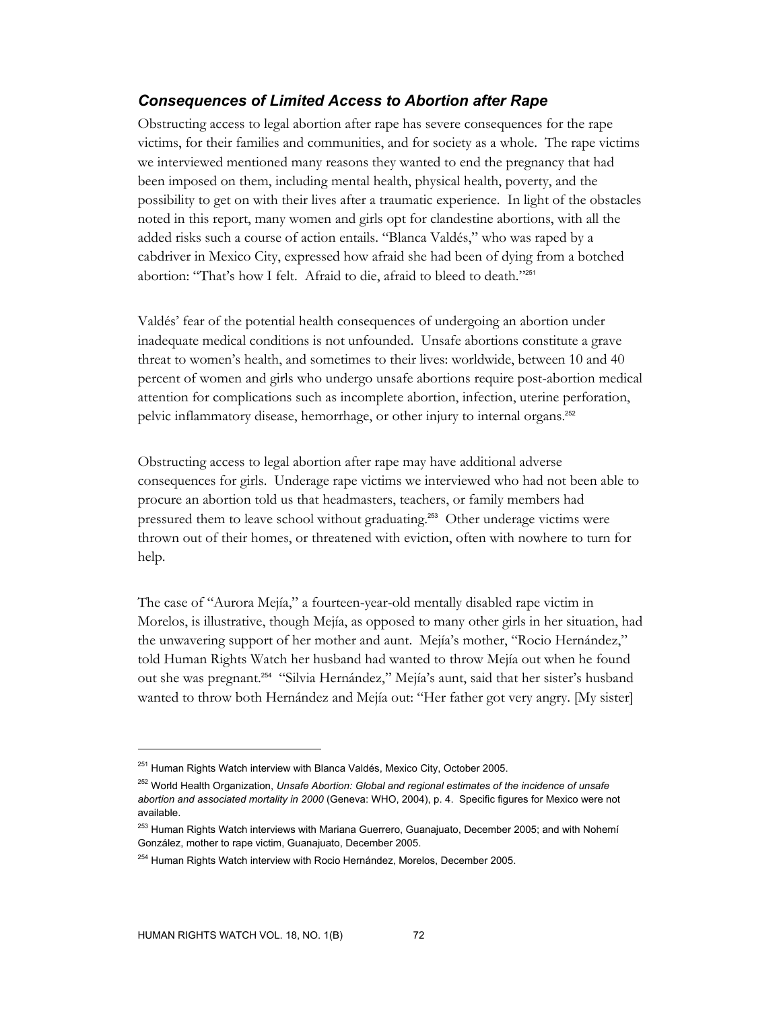### *Consequences of Limited Access to Abortion after Rape*

Obstructing access to legal abortion after rape has severe consequences for the rape victims, for their families and communities, and for society as a whole. The rape victims we interviewed mentioned many reasons they wanted to end the pregnancy that had been imposed on them, including mental health, physical health, poverty, and the possibility to get on with their lives after a traumatic experience. In light of the obstacles noted in this report, many women and girls opt for clandestine abortions, with all the added risks such a course of action entails. "Blanca Valdés," who was raped by a cabdriver in Mexico City, expressed how afraid she had been of dying from a botched abortion: "That's how I felt. Afraid to die, afraid to bleed to death."<sup>251</sup>

Valdés' fear of the potential health consequences of undergoing an abortion under inadequate medical conditions is not unfounded. Unsafe abortions constitute a grave threat to women's health, and sometimes to their lives: worldwide, between 10 and 40 percent of women and girls who undergo unsafe abortions require post-abortion medical attention for complications such as incomplete abortion, infection, uterine perforation, pelvic inflammatory disease, hemorrhage, or other injury to internal organs.<sup>252</sup>

Obstructing access to legal abortion after rape may have additional adverse consequences for girls. Underage rape victims we interviewed who had not been able to procure an abortion told us that headmasters, teachers, or family members had pressured them to leave school without graduating.<sup>253</sup> Other underage victims were thrown out of their homes, or threatened with eviction, often with nowhere to turn for help.

The case of "Aurora Mejía," a fourteen-year-old mentally disabled rape victim in Morelos, is illustrative, though Mejía, as opposed to many other girls in her situation, had the unwavering support of her mother and aunt. Mejía's mother, "Rocio Hernández," told Human Rights Watch her husband had wanted to throw Mejía out when he found out she was pregnant.<sup>254</sup> "Silvia Hernández," Mejía's aunt, said that her sister's husband wanted to throw both Hernández and Mejía out: "Her father got very angry. [My sister]

<sup>&</sup>lt;sup>251</sup> Human Rights Watch interview with Blanca Valdés, Mexico City, October 2005.

<sup>252</sup> World Health Organization, *Unsafe Abortion: Global and regional estimates of the incidence of unsafe abortion and associated mortality in 2000* (Geneva: WHO, 2004), p. 4. Specific figures for Mexico were not available.

<sup>&</sup>lt;sup>253</sup> Human Rights Watch interviews with Mariana Guerrero, Guanajuato, December 2005; and with Nohemí González, mother to rape victim, Guanajuato, December 2005.

<sup>&</sup>lt;sup>254</sup> Human Rights Watch interview with Rocio Hernández, Morelos, December 2005.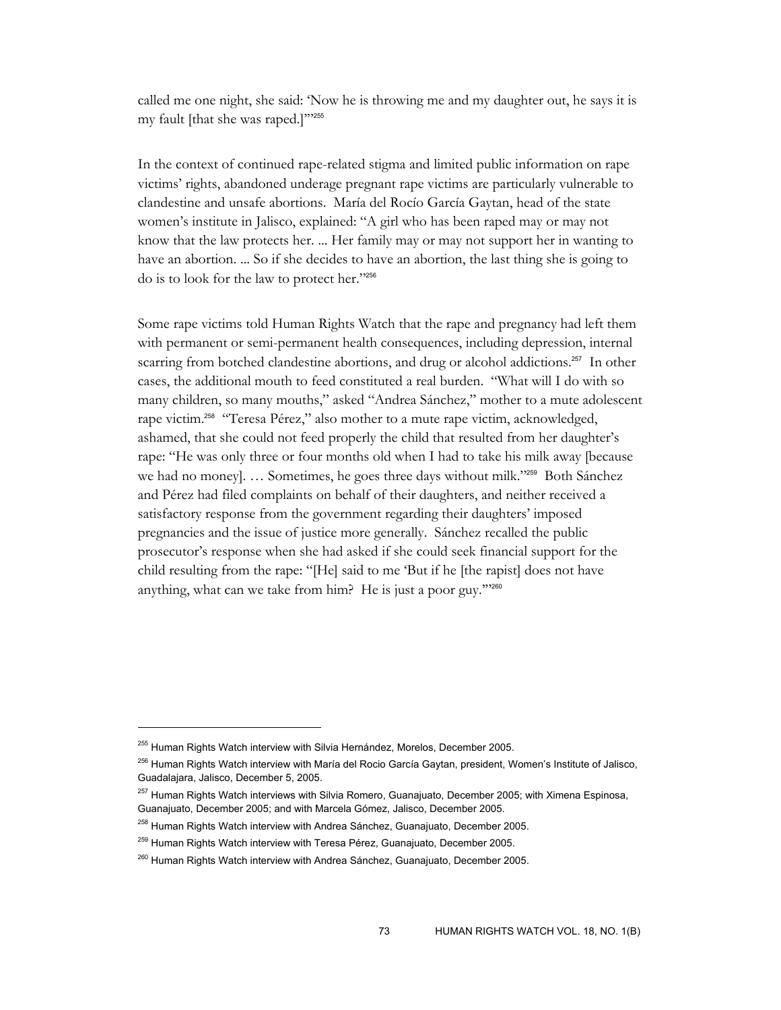called me one night, she said: 'Now he is throwing me and my daughter out, he says it is my fault [that she was raped.]'"<sup>255</sup>

In the context of continued rape-related stigma and limited public information on rape victims' rights, abandoned underage pregnant rape victims are particularly vulnerable to clandestine and unsafe abortions. María del Rocío García Gaytan, head of the state women's institute in Jalisco, explained: "A girl who has been raped may or may not know that the law protects her. ... Her family may or may not support her in wanting to have an abortion. ... So if she decides to have an abortion, the last thing she is going to do is to look for the law to protect her."<sup>256</sup>

Some rape victims told Human Rights Watch that the rape and pregnancy had left them with permanent or semi-permanent health consequences, including depression, internal scarring from botched clandestine abortions, and drug or alcohol addictions.<sup>257</sup> In other cases, the additional mouth to feed constituted a real burden. "What will I do with so many children, so many mouths," asked "Andrea Sánchez," mother to a mute adolescent rape victim.258 "Teresa Pérez," also mother to a mute rape victim, acknowledged, ashamed, that she could not feed properly the child that resulted from her daughter's rape: "He was only three or four months old when I had to take his milk away [because we had no money]. ... Sometimes, he goes three days without milk."<sup>259</sup> Both Sánchez and Pérez had filed complaints on behalf of their daughters, and neither received a satisfactory response from the government regarding their daughters' imposed pregnancies and the issue of justice more generally. Sánchez recalled the public prosecutor's response when she had asked if she could seek financial support for the child resulting from the rape: "[He] said to me 'But if he [the rapist] does not have anything, what can we take from him? He is just a poor guy.'"<sup>260</sup>

<sup>&</sup>lt;sup>255</sup> Human Rights Watch interview with Silvia Hernández, Morelos, December 2005.

<sup>256</sup> Human Rights Watch interview with María del Rocio García Gaytan, president, Women's Institute of Jalisco, Guadalajara, Jalisco, December 5, 2005.

<sup>&</sup>lt;sup>257</sup> Human Rights Watch interviews with Silvia Romero, Guanajuato, December 2005; with Ximena Espinosa, Guanajuato, December 2005; and with Marcela Gómez, Jalisco, December 2005.

<sup>&</sup>lt;sup>258</sup> Human Rights Watch interview with Andrea Sánchez, Guanajuato, December 2005.

<sup>&</sup>lt;sup>259</sup> Human Rights Watch interview with Teresa Pérez, Guanajuato, December 2005.

<sup>&</sup>lt;sup>260</sup> Human Rights Watch interview with Andrea Sánchez, Guanajuato, December 2005.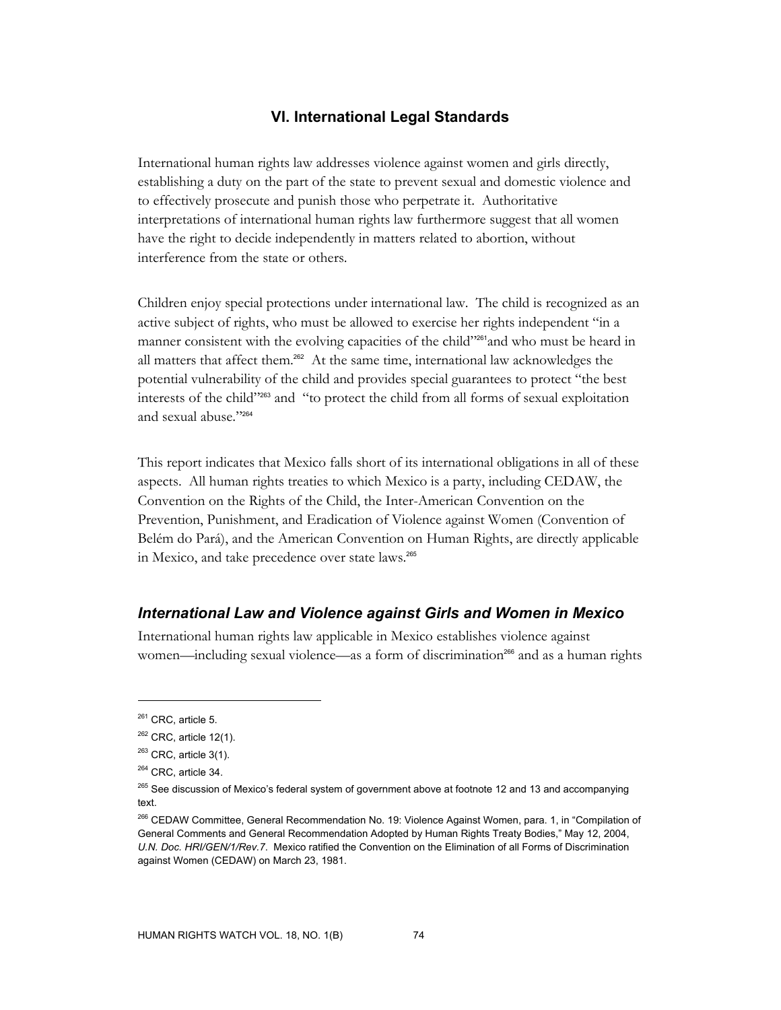#### **VI. International Legal Standards**

International human rights law addresses violence against women and girls directly, establishing a duty on the part of the state to prevent sexual and domestic violence and to effectively prosecute and punish those who perpetrate it. Authoritative interpretations of international human rights law furthermore suggest that all women have the right to decide independently in matters related to abortion, without interference from the state or others.

Children enjoy special protections under international law. The child is recognized as an active subject of rights, who must be allowed to exercise her rights independent "in a manner consistent with the evolving capacities of the child"<sup>261</sup>and who must be heard in all matters that affect them.262 At the same time, international law acknowledges the potential vulnerability of the child and provides special guarantees to protect "the best interests of the child"263 and "to protect the child from all forms of sexual exploitation and sexual abuse."<sup>264</sup>

This report indicates that Mexico falls short of its international obligations in all of these aspects. All human rights treaties to which Mexico is a party, including CEDAW, the Convention on the Rights of the Child, the Inter-American Convention on the Prevention, Punishment, and Eradication of Violence against Women (Convention of Belém do Pará), and the American Convention on Human Rights, are directly applicable in Mexico, and take precedence over state laws.<sup>265</sup>

#### *International Law and Violence against Girls and Women in Mexico*

International human rights law applicable in Mexico establishes violence against women—including sexual violence—as a form of discrimination<sup>266</sup> and as a human rights

 $261$  CRC, article 5.

 $262$  CRC, article 12(1).

 $263$  CRC, article 3(1).

 $264$  CRC, article 34.

<sup>&</sup>lt;sup>265</sup> See discussion of Mexico's federal system of government above at footnote 12 and 13 and accompanying text.

<sup>&</sup>lt;sup>266</sup> CEDAW Committee, General Recommendation No. 19: Violence Against Women, para. 1, in "Compilation of General Comments and General Recommendation Adopted by Human Rights Treaty Bodies," May 12, 2004, *U.N. Doc. HRI/GEN/1/Rev.7*. Mexico ratified the Convention on the Elimination of all Forms of Discrimination against Women (CEDAW) on March 23, 1981.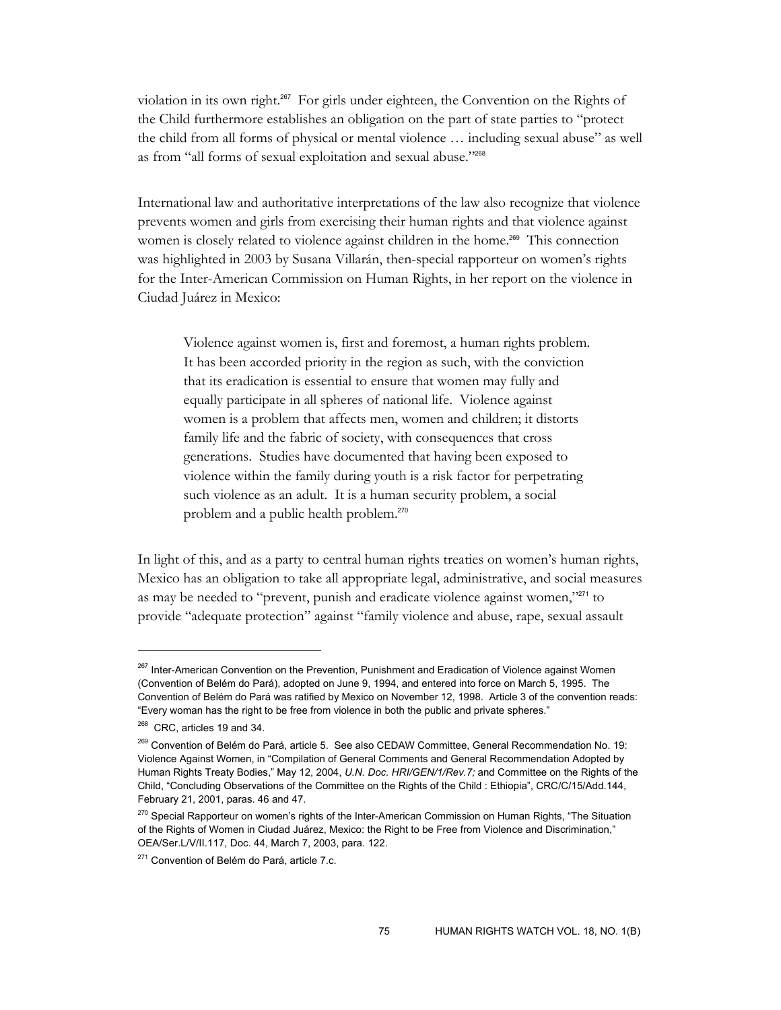violation in its own right.267 For girls under eighteen, the Convention on the Rights of the Child furthermore establishes an obligation on the part of state parties to "protect the child from all forms of physical or mental violence … including sexual abuse" as well as from "all forms of sexual exploitation and sexual abuse."<sup>268</sup>

International law and authoritative interpretations of the law also recognize that violence prevents women and girls from exercising their human rights and that violence against women is closely related to violence against children in the home.<sup>269</sup> This connection was highlighted in 2003 by Susana Villarán, then-special rapporteur on women's rights for the Inter-American Commission on Human Rights, in her report on the violence in Ciudad Juárez in Mexico:

Violence against women is, first and foremost, a human rights problem. It has been accorded priority in the region as such, with the conviction that its eradication is essential to ensure that women may fully and equally participate in all spheres of national life. Violence against women is a problem that affects men, women and children; it distorts family life and the fabric of society, with consequences that cross generations. Studies have documented that having been exposed to violence within the family during youth is a risk factor for perpetrating such violence as an adult. It is a human security problem, a social problem and a public health problem.<sup>270</sup>

In light of this, and as a party to central human rights treaties on women's human rights, Mexico has an obligation to take all appropriate legal, administrative, and social measures as may be needed to "prevent, punish and eradicate violence against women,"271 to provide "adequate protection" against "family violence and abuse, rape, sexual assault

<sup>&</sup>lt;sup>267</sup> Inter-American Convention on the Prevention, Punishment and Eradication of Violence against Women (Convention of Belém do Pará), adopted on June 9, 1994, and entered into force on March 5, 1995. The Convention of Belém do Pará was ratified by Mexico on November 12, 1998. Article 3 of the convention reads: "Every woman has the right to be free from violence in both the public and private spheres."

<sup>&</sup>lt;sup>268</sup> CRC, articles 19 and 34.

<sup>&</sup>lt;sup>269</sup> Convention of Belém do Pará, article 5. See also CEDAW Committee, General Recommendation No. 19: Violence Against Women, in "Compilation of General Comments and General Recommendation Adopted by Human Rights Treaty Bodies," May 12, 2004, *U.N. Doc. HRI/GEN/1/Rev.7;* and Committee on the Rights of the Child, "Concluding Observations of the Committee on the Rights of the Child : Ethiopia", CRC/C/15/Add.144, February 21, 2001, paras. 46 and 47.

 $270$  Special Rapporteur on women's rights of the Inter-American Commission on Human Rights, "The Situation of the Rights of Women in Ciudad Juárez, Mexico: the Right to be Free from Violence and Discrimination," OEA/Ser.L/V/II.117, Doc. 44, March 7, 2003, para. 122.

 $271$  Convention of Belém do Pará, article 7.c.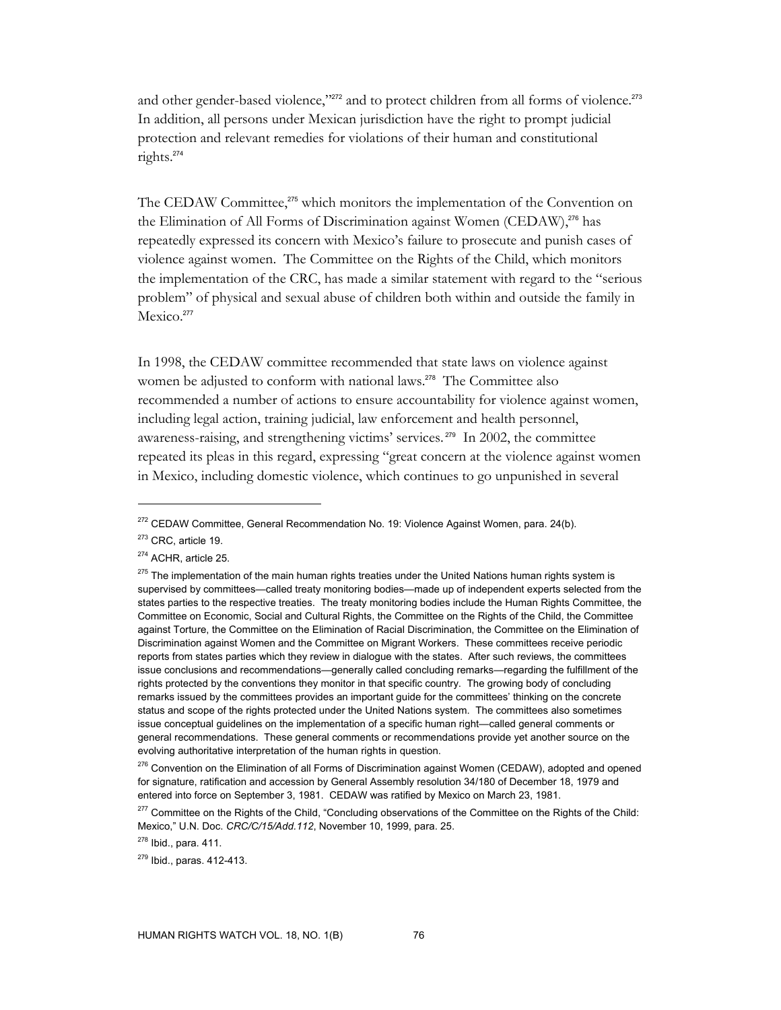and other gender-based violence,"<sup>272</sup> and to protect children from all forms of violence.<sup>273</sup> In addition, all persons under Mexican jurisdiction have the right to prompt judicial protection and relevant remedies for violations of their human and constitutional rights.<sup>274</sup>

The CEDAW Committee, $^{275}$  which monitors the implementation of the Convention on the Elimination of All Forms of Discrimination against Women (CEDAW),<sup>276</sup> has repeatedly expressed its concern with Mexico's failure to prosecute and punish cases of violence against women. The Committee on the Rights of the Child, which monitors the implementation of the CRC, has made a similar statement with regard to the "serious problem" of physical and sexual abuse of children both within and outside the family in Mexico.<sup>277</sup>

In 1998, the CEDAW committee recommended that state laws on violence against women be adjusted to conform with national laws.<sup>278</sup> The Committee also recommended a number of actions to ensure accountability for violence against women, including legal action, training judicial, law enforcement and health personnel, awareness-raising, and strengthening victims' services. 279 In 2002, the committee repeated its pleas in this regard, expressing "great concern at the violence against women in Mexico, including domestic violence, which continues to go unpunished in several

<sup>&</sup>lt;sup>272</sup> CEDAW Committee, General Recommendation No. 19: Violence Against Women, para. 24(b).  $273$  CRC, article 19.

<sup>&</sup>lt;sup>274</sup> ACHR, article 25.

<sup>&</sup>lt;sup>275</sup> The implementation of the main human rights treaties under the United Nations human rights system is supervised by committees—called treaty monitoring bodies—made up of independent experts selected from the states parties to the respective treaties. The treaty monitoring bodies include the Human Rights Committee, the Committee on Economic, Social and Cultural Rights, the Committee on the Rights of the Child, the Committee against Torture, the Committee on the Elimination of Racial Discrimination, the Committee on the Elimination of Discrimination against Women and the Committee on Migrant Workers. These committees receive periodic reports from states parties which they review in dialogue with the states. After such reviews, the committees issue conclusions and recommendations—generally called concluding remarks—regarding the fulfillment of the rights protected by the conventions they monitor in that specific country. The growing body of concluding remarks issued by the committees provides an important guide for the committees' thinking on the concrete status and scope of the rights protected under the United Nations system. The committees also sometimes issue conceptual guidelines on the implementation of a specific human right—called general comments or general recommendations. These general comments or recommendations provide yet another source on the evolving authoritative interpretation of the human rights in question.

<sup>&</sup>lt;sup>276</sup> Convention on the Elimination of all Forms of Discrimination against Women (CEDAW), adopted and opened for signature, ratification and accession by General Assembly resolution 34/180 of December 18, 1979 and entered into force on September 3, 1981. CEDAW was ratified by Mexico on March 23, 1981.

<sup>&</sup>lt;sup>277</sup> Committee on the Rights of the Child, "Concluding observations of the Committee on the Rights of the Child: Mexico," U.N. Doc. *CRC/C/15/Add.112*, November 10, 1999, para. 25.

<sup>278</sup> Ibid., para. 411.

<sup>279</sup> Ibid., paras. 412-413.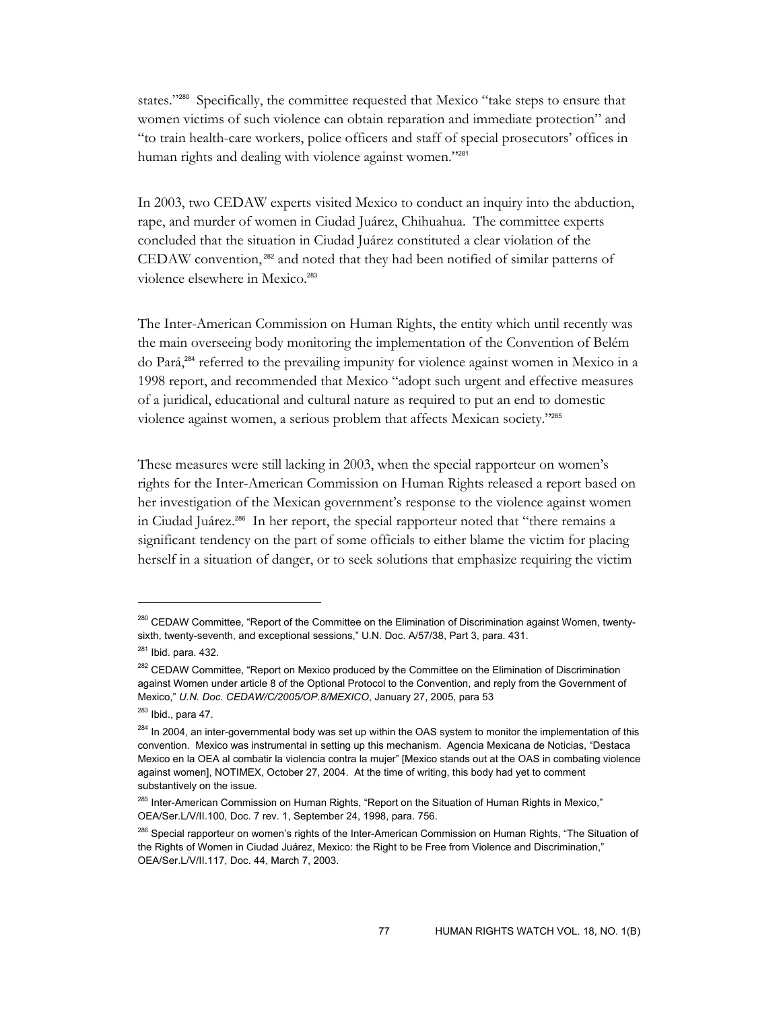states."280 Specifically, the committee requested that Mexico "take steps to ensure that women victims of such violence can obtain reparation and immediate protection" and "to train health-care workers, police officers and staff of special prosecutors' offices in human rights and dealing with violence against women."<sup>281</sup>

In 2003, two CEDAW experts visited Mexico to conduct an inquiry into the abduction, rape, and murder of women in Ciudad Juárez, Chihuahua. The committee experts concluded that the situation in Ciudad Juárez constituted a clear violation of the CEDAW convention, 282 and noted that they had been notified of similar patterns of violence elsewhere in Mexico.<sup>283</sup>

The Inter-American Commission on Human Rights, the entity which until recently was the main overseeing body monitoring the implementation of the Convention of Belém do Pará,<sup>284</sup> referred to the prevailing impunity for violence against women in Mexico in a 1998 report, and recommended that Mexico "adopt such urgent and effective measures of a juridical, educational and cultural nature as required to put an end to domestic violence against women, a serious problem that affects Mexican society."<sup>285</sup>

These measures were still lacking in 2003, when the special rapporteur on women's rights for the Inter-American Commission on Human Rights released a report based on her investigation of the Mexican government's response to the violence against women in Ciudad Juárez.286 In her report, the special rapporteur noted that "there remains a significant tendency on the part of some officials to either blame the victim for placing herself in a situation of danger, or to seek solutions that emphasize requiring the victim

<sup>&</sup>lt;sup>280</sup> CEDAW Committee, "Report of the Committee on the Elimination of Discrimination against Women, twentysixth, twenty-seventh, and exceptional sessions," U.N. Doc. A/57/38, Part 3, para. 431.

<sup>281</sup> Ibid. para. 432.

<sup>&</sup>lt;sup>282</sup> CEDAW Committee, "Report on Mexico produced by the Committee on the Elimination of Discrimination against Women under article 8 of the Optional Protocol to the Convention, and reply from the Government of Mexico," *U.N. Doc. CEDAW/C/2005/OP.8/MEXICO*, January 27, 2005, para 53

 $283$  Ibid., para 47.

<sup>&</sup>lt;sup>284</sup> In 2004, an inter-governmental body was set up within the OAS system to monitor the implementation of this convention. Mexico was instrumental in setting up this mechanism. Agencia Mexicana de Noticias, "Destaca Mexico en la OEA al combatir la violencia contra la mujer" [Mexico stands out at the OAS in combating violence against women], NOTIMEX, October 27, 2004. At the time of writing, this body had yet to comment substantively on the issue.

<sup>&</sup>lt;sup>285</sup> Inter-American Commission on Human Rights, "Report on the Situation of Human Rights in Mexico," OEA/Ser.L/V/II.100, Doc. 7 rev. 1, September 24, 1998, para. 756.

<sup>&</sup>lt;sup>286</sup> Special rapporteur on women's rights of the Inter-American Commission on Human Rights, "The Situation of the Rights of Women in Ciudad Juárez, Mexico: the Right to be Free from Violence and Discrimination," OEA/Ser.L/V/II.117, Doc. 44, March 7, 2003.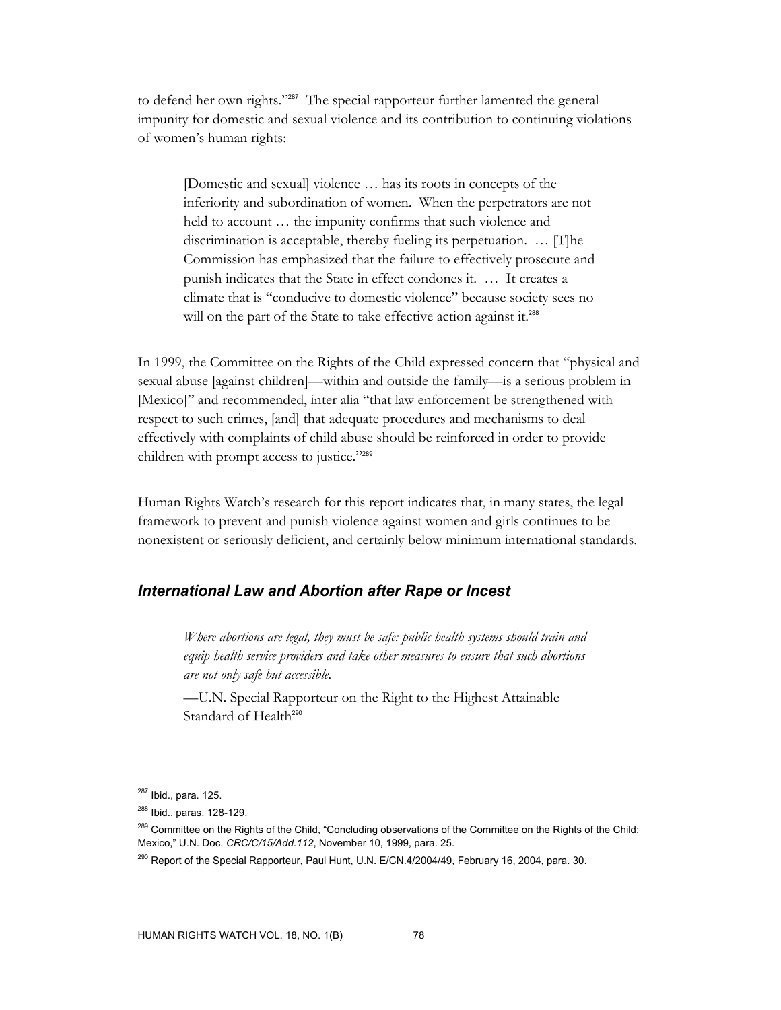to defend her own rights."287 The special rapporteur further lamented the general impunity for domestic and sexual violence and its contribution to continuing violations of women's human rights:

[Domestic and sexual] violence … has its roots in concepts of the inferiority and subordination of women. When the perpetrators are not held to account … the impunity confirms that such violence and discrimination is acceptable, thereby fueling its perpetuation. … [T]he Commission has emphasized that the failure to effectively prosecute and punish indicates that the State in effect condones it. … It creates a climate that is "conducive to domestic violence" because society sees no will on the part of the State to take effective action against it.<sup>288</sup>

In 1999, the Committee on the Rights of the Child expressed concern that "physical and sexual abuse [against children]—within and outside the family—is a serious problem in [Mexico]" and recommended, inter alia "that law enforcement be strengthened with respect to such crimes, [and] that adequate procedures and mechanisms to deal effectively with complaints of child abuse should be reinforced in order to provide children with prompt access to justice."<sup>289</sup>

Human Rights Watch's research for this report indicates that, in many states, the legal framework to prevent and punish violence against women and girls continues to be nonexistent or seriously deficient, and certainly below minimum international standards.

#### *International Law and Abortion after Rape or Incest*

*Where abortions are legal, they must be safe: public health systems should train and equip health service providers and take other measures to ensure that such abortions are not only safe but accessible.* 

—U.N. Special Rapporteur on the Right to the Highest Attainable Standard of Health<sup>290</sup>

<sup>287</sup> Ibid., para. 125.

<sup>288</sup> Ibid., paras. 128-129.

<sup>&</sup>lt;sup>289</sup> Committee on the Rights of the Child, "Concluding observations of the Committee on the Rights of the Child: Mexico," U.N. Doc. *CRC/C/15/Add.112*, November 10, 1999, para. 25.

<sup>&</sup>lt;sup>290</sup> Report of the Special Rapporteur, Paul Hunt, U.N. E/CN.4/2004/49, February 16, 2004, para. 30.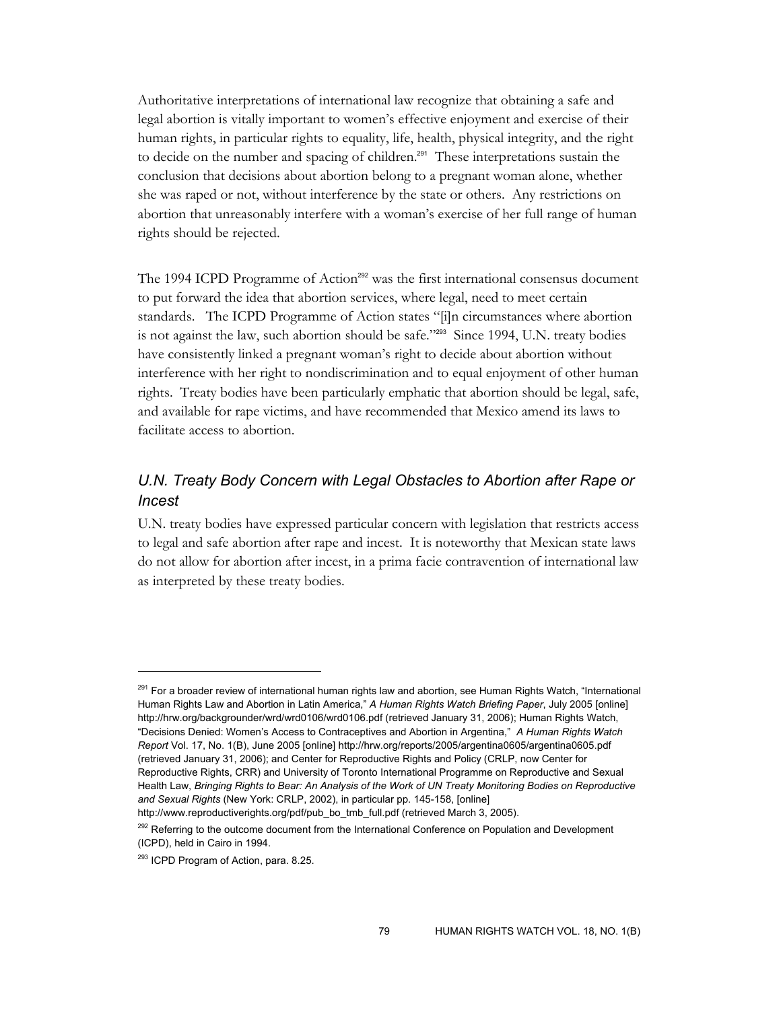Authoritative interpretations of international law recognize that obtaining a safe and legal abortion is vitally important to women's effective enjoyment and exercise of their human rights, in particular rights to equality, life, health, physical integrity, and the right to decide on the number and spacing of children.291 These interpretations sustain the conclusion that decisions about abortion belong to a pregnant woman alone, whether she was raped or not, without interference by the state or others. Any restrictions on abortion that unreasonably interfere with a woman's exercise of her full range of human rights should be rejected.

The 1994 ICPD Programme of Action<sup>292</sup> was the first international consensus document to put forward the idea that abortion services, where legal, need to meet certain standards. The ICPD Programme of Action states "[i]n circumstances where abortion is not against the law, such abortion should be safe."293 Since 1994, U.N. treaty bodies have consistently linked a pregnant woman's right to decide about abortion without interference with her right to nondiscrimination and to equal enjoyment of other human rights. Treaty bodies have been particularly emphatic that abortion should be legal, safe, and available for rape victims, and have recommended that Mexico amend its laws to facilitate access to abortion.

## *U.N. Treaty Body Concern with Legal Obstacles to Abortion after Rape or Incest*

U.N. treaty bodies have expressed particular concern with legislation that restricts access to legal and safe abortion after rape and incest. It is noteworthy that Mexican state laws do not allow for abortion after incest, in a prima facie contravention of international law as interpreted by these treaty bodies.

<sup>&</sup>lt;sup>291</sup> For a broader review of international human rights law and abortion, see Human Rights Watch, "International Human Rights Law and Abortion in Latin America," *A Human Rights Watch Briefing Paper*, July 2005 [online] http://hrw.org/backgrounder/wrd/wrd0106/wrd0106.pdf (retrieved January 31, 2006); Human Rights Watch, "Decisions Denied: Women's Access to Contraceptives and Abortion in Argentina," *A Human Rights Watch Report* Vol. 17, No. 1(B), June 2005 [online] http://hrw.org/reports/2005/argentina0605/argentina0605.pdf (retrieved January 31, 2006); and Center for Reproductive Rights and Policy (CRLP, now Center for Reproductive Rights, CRR) and University of Toronto International Programme on Reproductive and Sexual Health Law, *Bringing Rights to Bear: An Analysis of the Work of UN Treaty Monitoring Bodies on Reproductive and Sexual Rights* (New York: CRLP, 2002), in particular pp. 145-158, [online]

http://www.reproductiverights.org/pdf/pub\_bo\_tmb\_full.pdf (retrieved March 3, 2005).

<sup>&</sup>lt;sup>292</sup> Referring to the outcome document from the International Conference on Population and Development (ICPD), held in Cairo in 1994.

<sup>&</sup>lt;sup>293</sup> ICPD Program of Action, para. 8.25.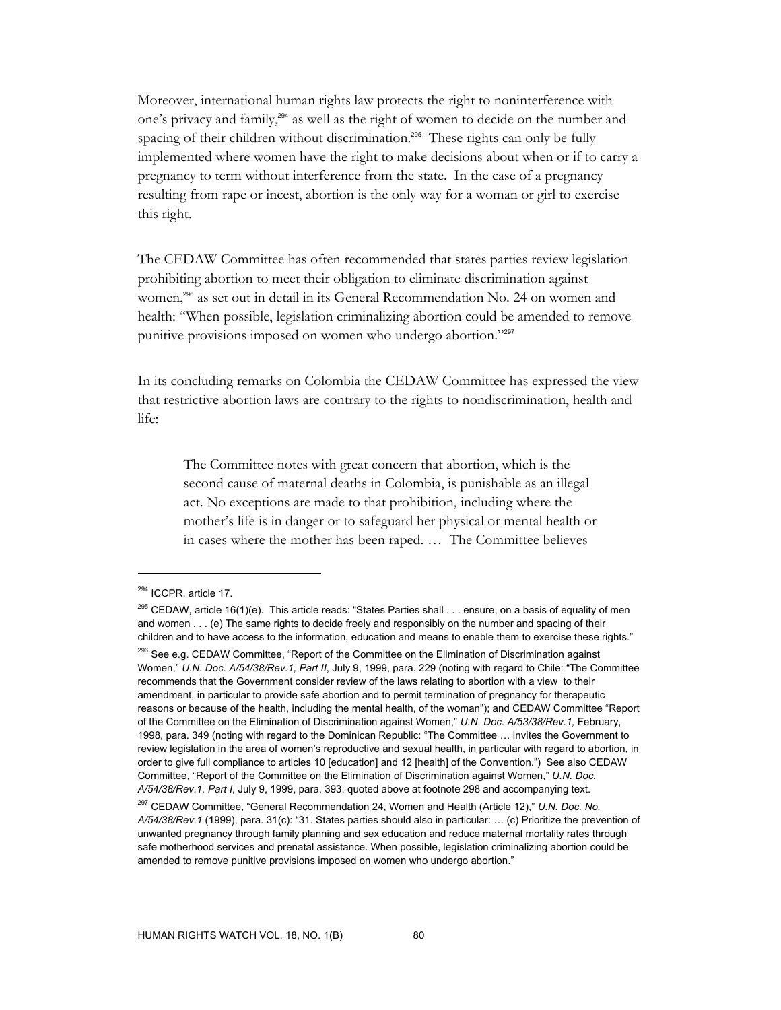Moreover, international human rights law protects the right to noninterference with one's privacy and family,<sup>294</sup> as well as the right of women to decide on the number and spacing of their children without discrimination.<sup>295</sup> These rights can only be fully implemented where women have the right to make decisions about when or if to carry a pregnancy to term without interference from the state. In the case of a pregnancy resulting from rape or incest, abortion is the only way for a woman or girl to exercise this right.

The CEDAW Committee has often recommended that states parties review legislation prohibiting abortion to meet their obligation to eliminate discrimination against women,<sup>296</sup> as set out in detail in its General Recommendation No. 24 on women and health: "When possible, legislation criminalizing abortion could be amended to remove punitive provisions imposed on women who undergo abortion."<sup>297</sup>

In its concluding remarks on Colombia the CEDAW Committee has expressed the view that restrictive abortion laws are contrary to the rights to nondiscrimination, health and life:

The Committee notes with great concern that abortion, which is the second cause of maternal deaths in Colombia, is punishable as an illegal act. No exceptions are made to that prohibition, including where the mother's life is in danger or to safeguard her physical or mental health or in cases where the mother has been raped. … The Committee believes

<sup>294</sup> ICCPR, article 17.

<sup>&</sup>lt;sup>295</sup> CEDAW, article 16(1)(e). This article reads: "States Parties shall . . . ensure, on a basis of equality of men and women . . . (e) The same rights to decide freely and responsibly on the number and spacing of their children and to have access to the information, education and means to enable them to exercise these rights." <sup>296</sup> See e.g. CEDAW Committee, "Report of the Committee on the Elimination of Discrimination against Women," *U.N. Doc. A/54/38/Rev.1, Part II*, July 9, 1999, para. 229 (noting with regard to Chile: "The Committee recommends that the Government consider review of the laws relating to abortion with a view to their amendment, in particular to provide safe abortion and to permit termination of pregnancy for therapeutic reasons or because of the health, including the mental health, of the woman"); and CEDAW Committee "Report of the Committee on the Elimination of Discrimination against Women," *U.N. Doc. A/53/38/Rev.1,* February, 1998, para. 349 (noting with regard to the Dominican Republic: "The Committee … invites the Government to review legislation in the area of women's reproductive and sexual health, in particular with regard to abortion, in order to give full compliance to articles 10 [education] and 12 [health] of the Convention.") See also CEDAW Committee, "Report of the Committee on the Elimination of Discrimination against Women," *U.N. Doc. A/54/38/Rev.1, Part I*, July 9, 1999, para. 393, quoted above at footnote 298 and accompanying text.

<sup>297</sup> CEDAW Committee, "General Recommendation 24, Women and Health (Article 12)," *U.N. Doc. No. A/54/38/Rev.1* (1999), para. 31(c): "31. States parties should also in particular: … (c) Prioritize the prevention of unwanted pregnancy through family planning and sex education and reduce maternal mortality rates through safe motherhood services and prenatal assistance. When possible, legislation criminalizing abortion could be amended to remove punitive provisions imposed on women who undergo abortion."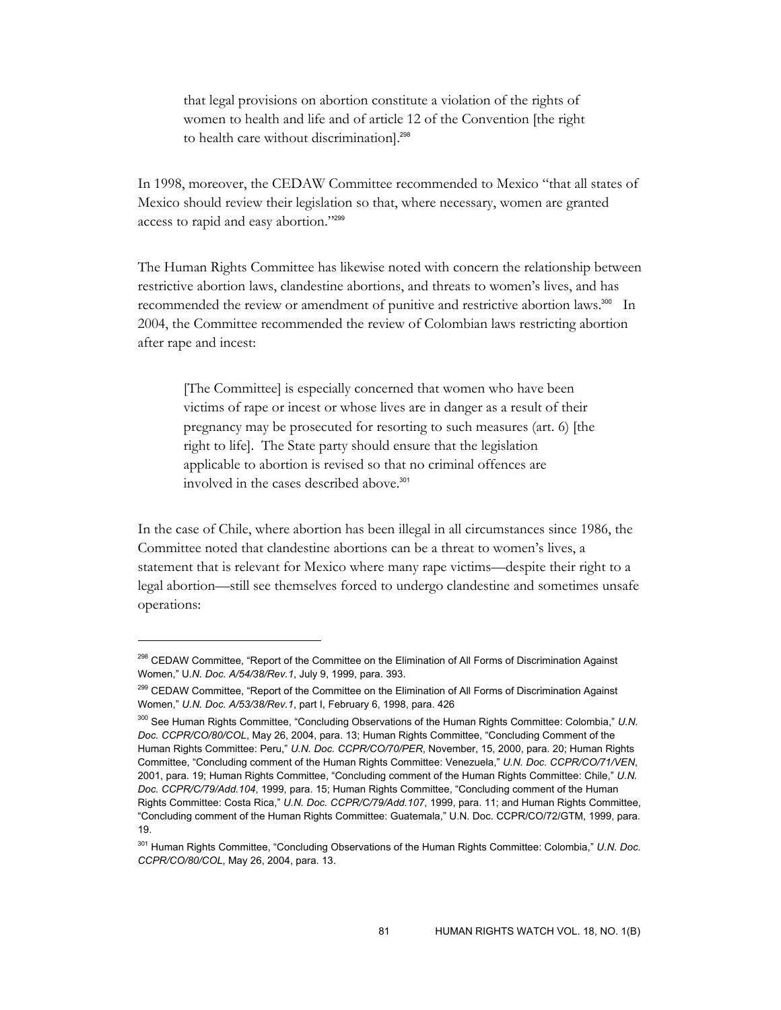that legal provisions on abortion constitute a violation of the rights of women to health and life and of article 12 of the Convention [the right to health care without discrimination].<sup>298</sup>

In 1998, moreover, the CEDAW Committee recommended to Mexico "that all states of Mexico should review their legislation so that, where necessary, women are granted access to rapid and easy abortion."<sup>299</sup>

The Human Rights Committee has likewise noted with concern the relationship between restrictive abortion laws, clandestine abortions, and threats to women's lives, and has recommended the review or amendment of punitive and restrictive abortion laws.<sup>300</sup> In 2004, the Committee recommended the review of Colombian laws restricting abortion after rape and incest:

[The Committee] is especially concerned that women who have been victims of rape or incest or whose lives are in danger as a result of their pregnancy may be prosecuted for resorting to such measures (art. 6) [the right to life]. The State party should ensure that the legislation applicable to abortion is revised so that no criminal offences are involved in the cases described above.<sup>301</sup>

In the case of Chile, where abortion has been illegal in all circumstances since 1986, the Committee noted that clandestine abortions can be a threat to women's lives, a statement that is relevant for Mexico where many rape victims—despite their right to a legal abortion—still see themselves forced to undergo clandestine and sometimes unsafe operations:

<sup>&</sup>lt;sup>298</sup> CEDAW Committee, "Report of the Committee on the Elimination of All Forms of Discrimination Against Women," U*.N. Doc. A/54/38/Rev.1*, July 9, 1999, para. 393.

<sup>&</sup>lt;sup>299</sup> CEDAW Committee, "Report of the Committee on the Elimination of All Forms of Discrimination Against Women," *U.N. Doc. A/53/38/Rev.1*, part I, February 6, 1998, para. 426

<sup>300</sup> See Human Rights Committee, "Concluding Observations of the Human Rights Committee: Colombia," *U.N. Doc. CCPR/CO/80/COL*, May 26, 2004, para. 13; Human Rights Committee, "Concluding Comment of the Human Rights Committee: Peru," *U.N. Doc. CCPR/CO/70/PER*, November, 15, 2000, para. 20; Human Rights Committee, "Concluding comment of the Human Rights Committee: Venezuela," *U.N. Doc. CCPR/CO/71/VEN*, 2001, para. 19; Human Rights Committee, "Concluding comment of the Human Rights Committee: Chile," *U.N. Doc. CCPR/C/79/Add.104*, 1999, para. 15; Human Rights Committee, "Concluding comment of the Human Rights Committee: Costa Rica," *U.N. Doc. CCPR/C/79/Add.107*, 1999, para. 11; and Human Rights Committee, "Concluding comment of the Human Rights Committee: Guatemala," U.N. Doc. CCPR/CO/72/GTM, 1999, para. 19.

<sup>301</sup> Human Rights Committee, "Concluding Observations of the Human Rights Committee: Colombia," *U.N. Doc. CCPR/CO/80/COL*, May 26, 2004, para. 13.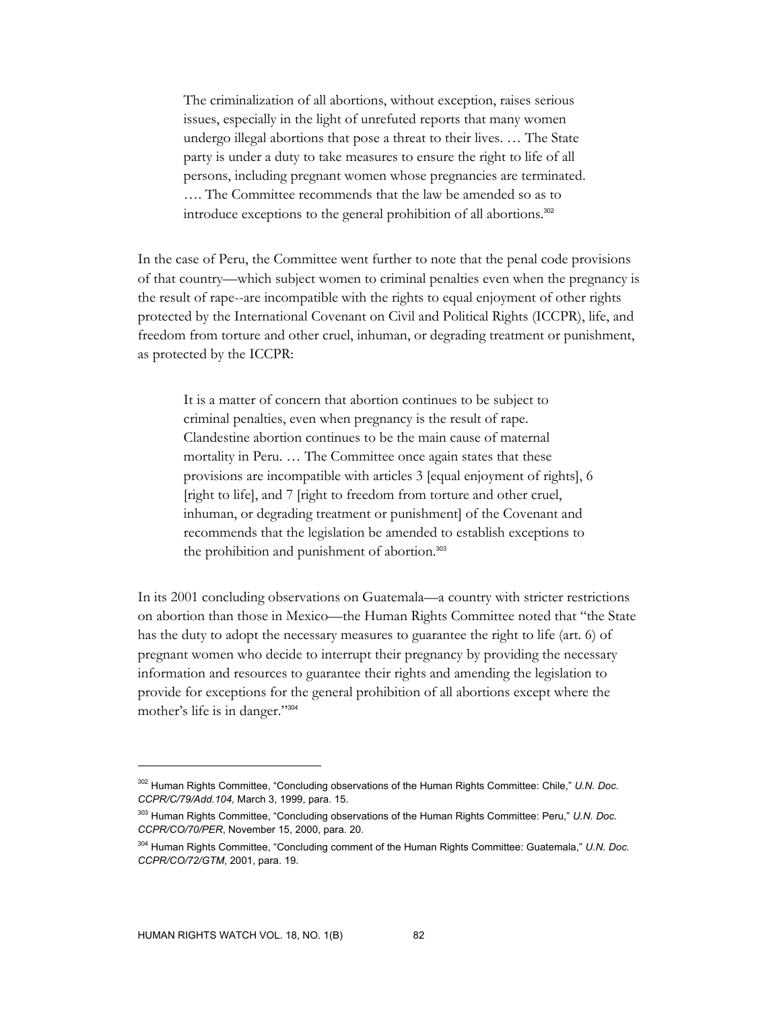The criminalization of all abortions, without exception, raises serious issues, especially in the light of unrefuted reports that many women undergo illegal abortions that pose a threat to their lives. … The State party is under a duty to take measures to ensure the right to life of all persons, including pregnant women whose pregnancies are terminated. …. The Committee recommends that the law be amended so as to introduce exceptions to the general prohibition of all abortions.<sup>302</sup>

In the case of Peru, the Committee went further to note that the penal code provisions of that country—which subject women to criminal penalties even when the pregnancy is the result of rape--are incompatible with the rights to equal enjoyment of other rights protected by the International Covenant on Civil and Political Rights (ICCPR), life, and freedom from torture and other cruel, inhuman, or degrading treatment or punishment, as protected by the ICCPR:

It is a matter of concern that abortion continues to be subject to criminal penalties, even when pregnancy is the result of rape. Clandestine abortion continues to be the main cause of maternal mortality in Peru. … The Committee once again states that these provisions are incompatible with articles 3 [equal enjoyment of rights], 6 [right to life], and 7 [right to freedom from torture and other cruel, inhuman, or degrading treatment or punishment] of the Covenant and recommends that the legislation be amended to establish exceptions to the prohibition and punishment of abortion.<sup>303</sup>

In its 2001 concluding observations on Guatemala—a country with stricter restrictions on abortion than those in Mexico—the Human Rights Committee noted that "the State has the duty to adopt the necessary measures to guarantee the right to life (art. 6) of pregnant women who decide to interrupt their pregnancy by providing the necessary information and resources to guarantee their rights and amending the legislation to provide for exceptions for the general prohibition of all abortions except where the mother's life is in danger."304

<sup>302</sup> Human Rights Committee, "Concluding observations of the Human Rights Committee: Chile," *U.N. Doc. CCPR/C/79/Add.104,* March 3, 1999, para. 15.

<sup>303</sup> Human Rights Committee, "Concluding observations of the Human Rights Committee: Peru," *U.N. Doc. CCPR/CO/70/PER*, November 15, 2000, para. 20.

<sup>304</sup> Human Rights Committee, "Concluding comment of the Human Rights Committee: Guatemala," *U.N. Doc. CCPR/CO/72/GTM*, 2001, para. 19.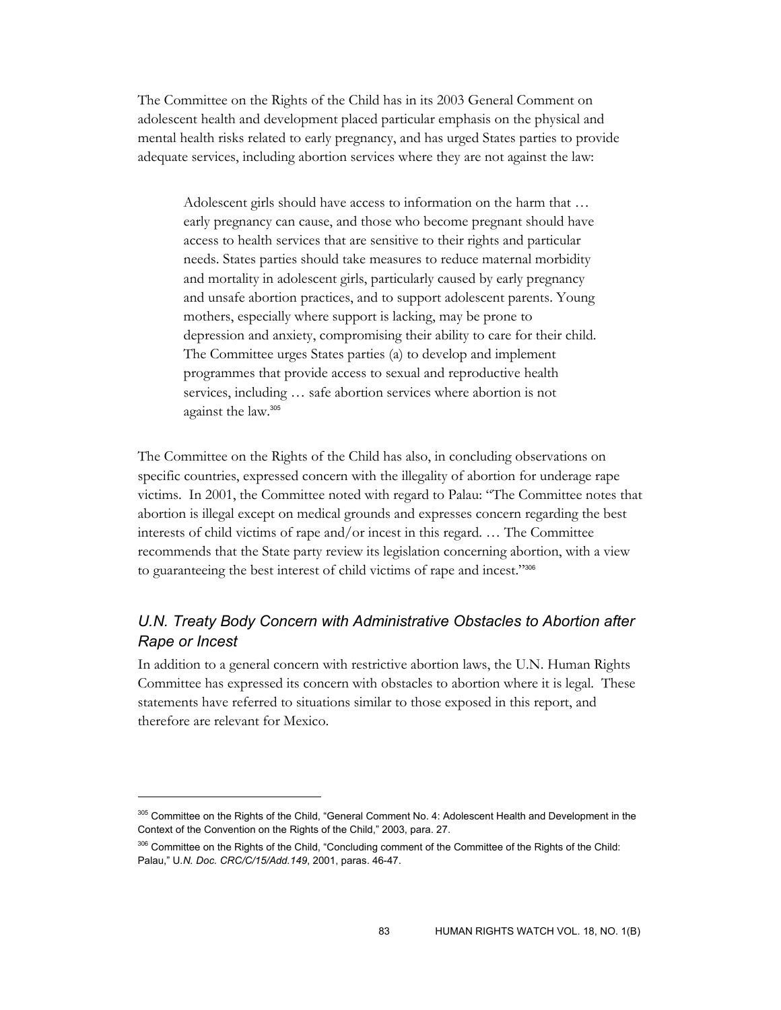The Committee on the Rights of the Child has in its 2003 General Comment on adolescent health and development placed particular emphasis on the physical and mental health risks related to early pregnancy, and has urged States parties to provide adequate services, including abortion services where they are not against the law:

Adolescent girls should have access to information on the harm that … early pregnancy can cause, and those who become pregnant should have access to health services that are sensitive to their rights and particular needs. States parties should take measures to reduce maternal morbidity and mortality in adolescent girls, particularly caused by early pregnancy and unsafe abortion practices, and to support adolescent parents. Young mothers, especially where support is lacking, may be prone to depression and anxiety, compromising their ability to care for their child. The Committee urges States parties (a) to develop and implement programmes that provide access to sexual and reproductive health services, including … safe abortion services where abortion is not against the law.<sup>305</sup>

The Committee on the Rights of the Child has also, in concluding observations on specific countries, expressed concern with the illegality of abortion for underage rape victims. In 2001, the Committee noted with regard to Palau: "The Committee notes that abortion is illegal except on medical grounds and expresses concern regarding the best interests of child victims of rape and/or incest in this regard. … The Committee recommends that the State party review its legislation concerning abortion, with a view to guaranteeing the best interest of child victims of rape and incest."<sup>306</sup>

## *U.N. Treaty Body Concern with Administrative Obstacles to Abortion after Rape or Incest*

In addition to a general concern with restrictive abortion laws, the U.N. Human Rights Committee has expressed its concern with obstacles to abortion where it is legal. These statements have referred to situations similar to those exposed in this report, and therefore are relevant for Mexico.

<sup>&</sup>lt;sup>305</sup> Committee on the Rights of the Child, "General Comment No. 4: Adolescent Health and Development in the Context of the Convention on the Rights of the Child," 2003, para. 27.

<sup>306</sup> Committee on the Rights of the Child, "Concluding comment of the Committee of the Rights of the Child: Palau," U*.N. Doc. CRC/C/15/Add.149*, 2001, paras. 46-47.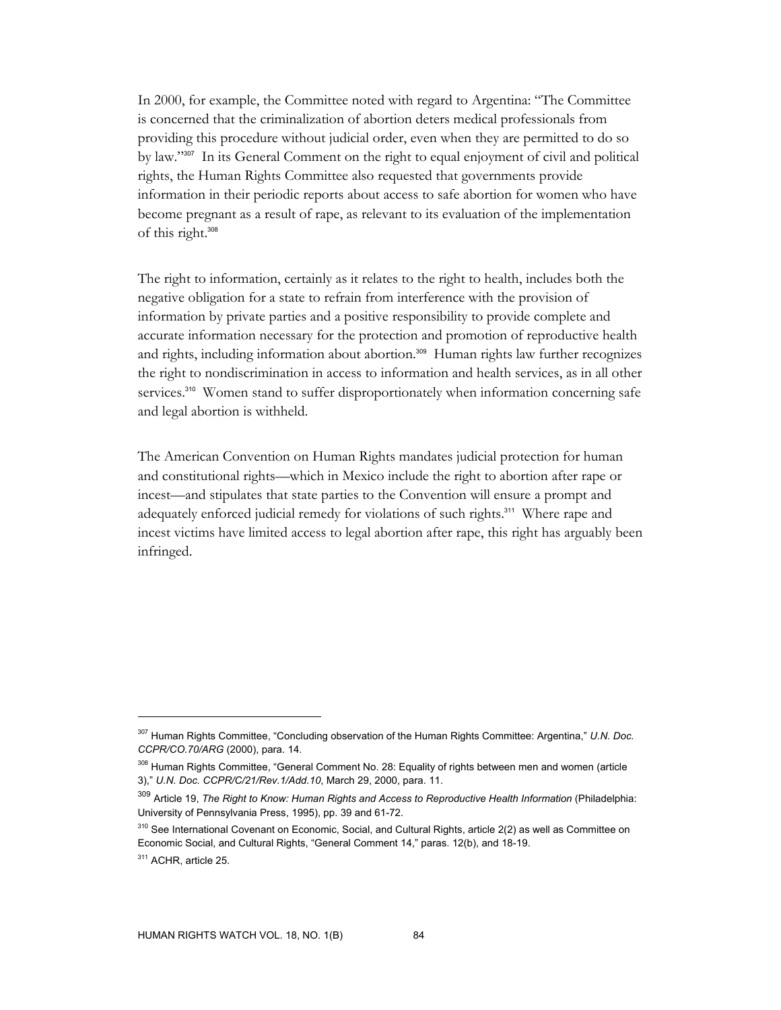In 2000, for example, the Committee noted with regard to Argentina: "The Committee is concerned that the criminalization of abortion deters medical professionals from providing this procedure without judicial order, even when they are permitted to do so by law."307 In its General Comment on the right to equal enjoyment of civil and political rights, the Human Rights Committee also requested that governments provide information in their periodic reports about access to safe abortion for women who have become pregnant as a result of rape, as relevant to its evaluation of the implementation of this right.<sup>308</sup>

The right to information, certainly as it relates to the right to health, includes both the negative obligation for a state to refrain from interference with the provision of information by private parties and a positive responsibility to provide complete and accurate information necessary for the protection and promotion of reproductive health and rights, including information about abortion.<sup>309</sup> Human rights law further recognizes the right to nondiscrimination in access to information and health services, as in all other services.<sup>310</sup> Women stand to suffer disproportionately when information concerning safe and legal abortion is withheld.

The American Convention on Human Rights mandates judicial protection for human and constitutional rights—which in Mexico include the right to abortion after rape or incest—and stipulates that state parties to the Convention will ensure a prompt and adequately enforced judicial remedy for violations of such rights.<sup>311</sup> Where rape and incest victims have limited access to legal abortion after rape, this right has arguably been infringed.

<sup>307</sup> Human Rights Committee, "Concluding observation of the Human Rights Committee: Argentina," *U.N. Doc. CCPR/CO.70/ARG* (2000), para. 14.

<sup>&</sup>lt;sup>308</sup> Human Rights Committee, "General Comment No. 28: Equality of rights between men and women (article 3)," *U.N. Doc. CCPR/C/21/Rev.1/Add.10*, March 29, 2000, para. 11.

<sup>309</sup> Article 19, *The Right to Know: Human Rights and Access to Reproductive Health Information* (Philadelphia: University of Pennsylvania Press, 1995), pp. 39 and 61-72.

<sup>310</sup> See International Covenant on Economic, Social, and Cultural Rights, article 2(2) as well as Committee on Economic Social, and Cultural Rights, "General Comment 14," paras. 12(b), and 18-19.

<sup>&</sup>lt;sup>311</sup> ACHR, article 25.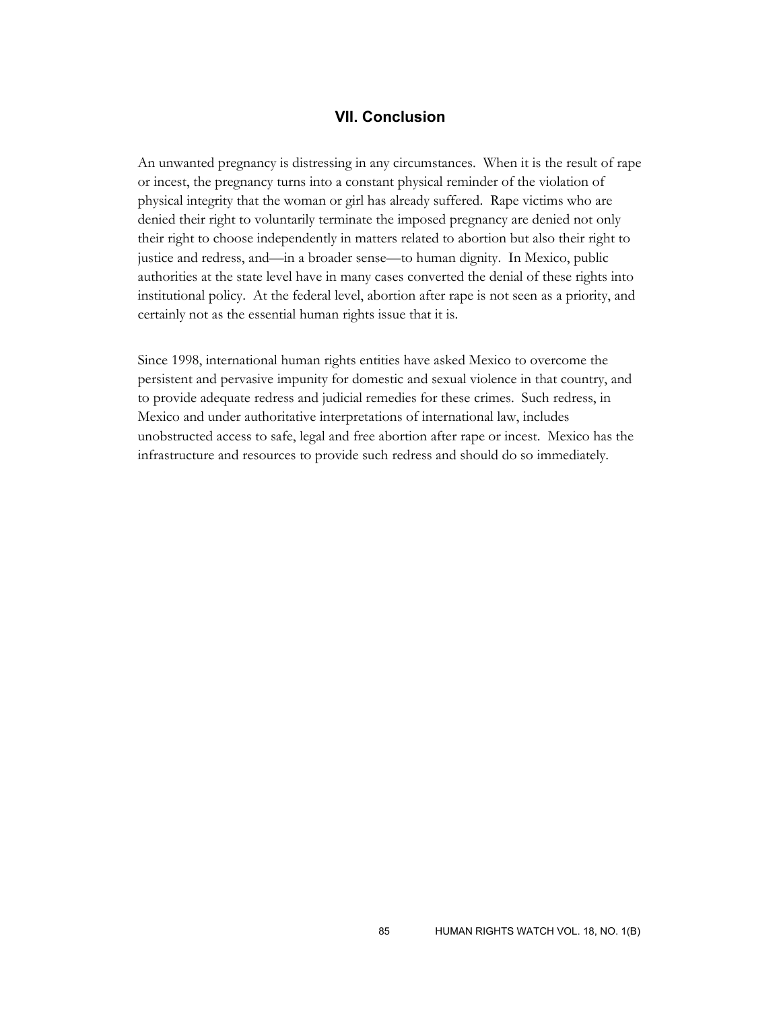### **VII. Conclusion**

An unwanted pregnancy is distressing in any circumstances. When it is the result of rape or incest, the pregnancy turns into a constant physical reminder of the violation of physical integrity that the woman or girl has already suffered. Rape victims who are denied their right to voluntarily terminate the imposed pregnancy are denied not only their right to choose independently in matters related to abortion but also their right to justice and redress, and—in a broader sense—to human dignity. In Mexico, public authorities at the state level have in many cases converted the denial of these rights into institutional policy. At the federal level, abortion after rape is not seen as a priority, and certainly not as the essential human rights issue that it is.

Since 1998, international human rights entities have asked Mexico to overcome the persistent and pervasive impunity for domestic and sexual violence in that country, and to provide adequate redress and judicial remedies for these crimes. Such redress, in Mexico and under authoritative interpretations of international law, includes unobstructed access to safe, legal and free abortion after rape or incest. Mexico has the infrastructure and resources to provide such redress and should do so immediately.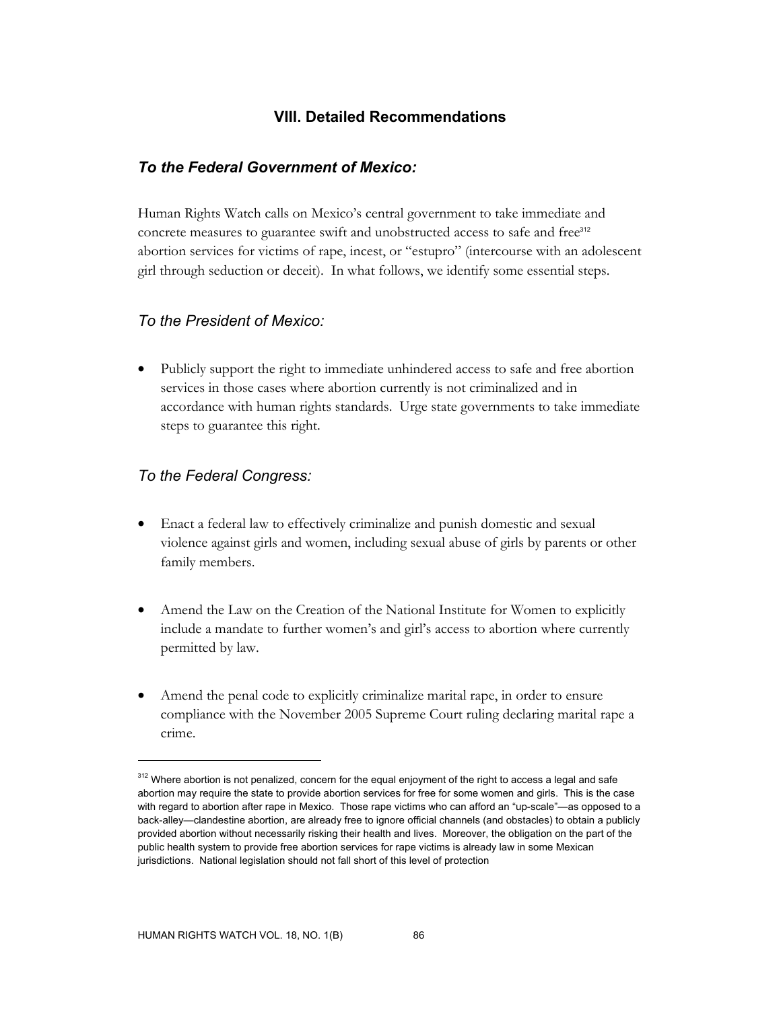### **VIII. Detailed Recommendations**

### *To the Federal Government of Mexico:*

Human Rights Watch calls on Mexico's central government to take immediate and concrete measures to guarantee swift and unobstructed access to safe and free<sup>312</sup> abortion services for victims of rape, incest, or "estupro" (intercourse with an adolescent girl through seduction or deceit). In what follows, we identify some essential steps.

#### *To the President of Mexico:*

• Publicly support the right to immediate unhindered access to safe and free abortion services in those cases where abortion currently is not criminalized and in accordance with human rights standards. Urge state governments to take immediate steps to guarantee this right.

#### *To the Federal Congress:*

- Enact a federal law to effectively criminalize and punish domestic and sexual violence against girls and women, including sexual abuse of girls by parents or other family members.
- Amend the Law on the Creation of the National Institute for Women to explicitly include a mandate to further women's and girl's access to abortion where currently permitted by law.
- Amend the penal code to explicitly criminalize marital rape, in order to ensure compliance with the November 2005 Supreme Court ruling declaring marital rape a crime.

<sup>&</sup>lt;sup>312</sup> Where abortion is not penalized, concern for the equal enjoyment of the right to access a legal and safe abortion may require the state to provide abortion services for free for some women and girls. This is the case with regard to abortion after rape in Mexico. Those rape victims who can afford an "up-scale"—as opposed to a back-alley—clandestine abortion, are already free to ignore official channels (and obstacles) to obtain a publicly provided abortion without necessarily risking their health and lives. Moreover, the obligation on the part of the public health system to provide free abortion services for rape victims is already law in some Mexican jurisdictions. National legislation should not fall short of this level of protection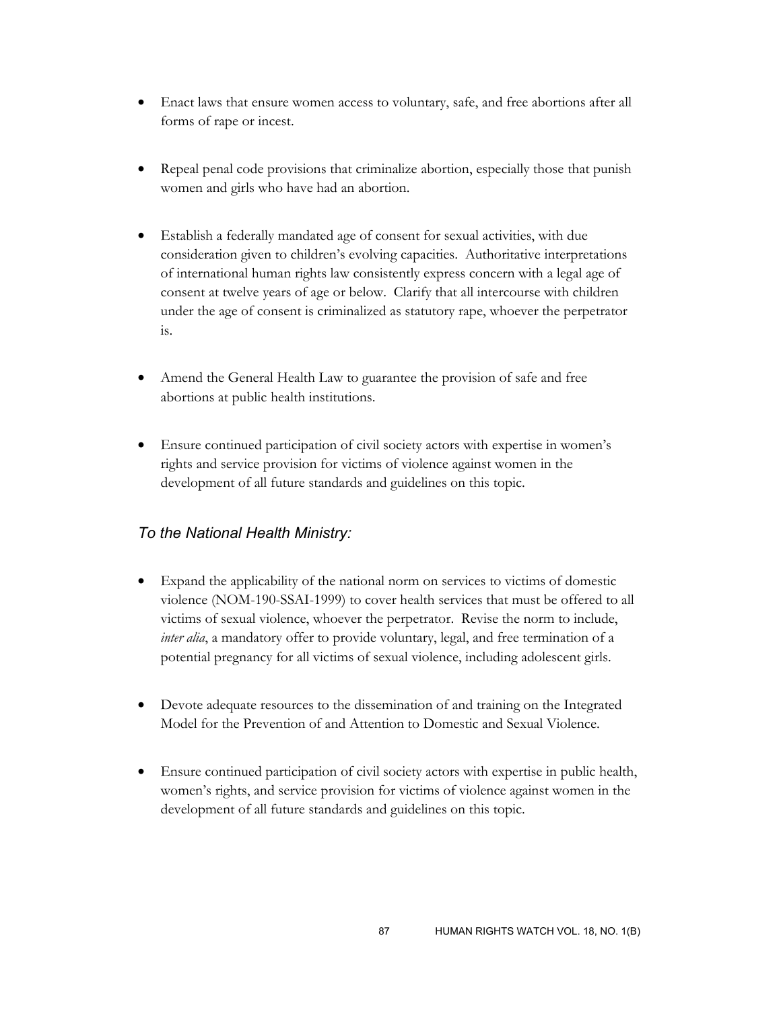- Enact laws that ensure women access to voluntary, safe, and free abortions after all forms of rape or incest.
- Repeal penal code provisions that criminalize abortion, especially those that punish women and girls who have had an abortion.
- Establish a federally mandated age of consent for sexual activities, with due consideration given to children's evolving capacities. Authoritative interpretations of international human rights law consistently express concern with a legal age of consent at twelve years of age or below. Clarify that all intercourse with children under the age of consent is criminalized as statutory rape, whoever the perpetrator is.
- Amend the General Health Law to guarantee the provision of safe and free abortions at public health institutions.
- Ensure continued participation of civil society actors with expertise in women's rights and service provision for victims of violence against women in the development of all future standards and guidelines on this topic.

## *To the National Health Ministry:*

- Expand the applicability of the national norm on services to victims of domestic violence (NOM-190-SSAI-1999) to cover health services that must be offered to all victims of sexual violence, whoever the perpetrator. Revise the norm to include, *inter alia*, a mandatory offer to provide voluntary, legal, and free termination of a potential pregnancy for all victims of sexual violence, including adolescent girls.
- Devote adequate resources to the dissemination of and training on the Integrated Model for the Prevention of and Attention to Domestic and Sexual Violence.
- Ensure continued participation of civil society actors with expertise in public health, women's rights, and service provision for victims of violence against women in the development of all future standards and guidelines on this topic.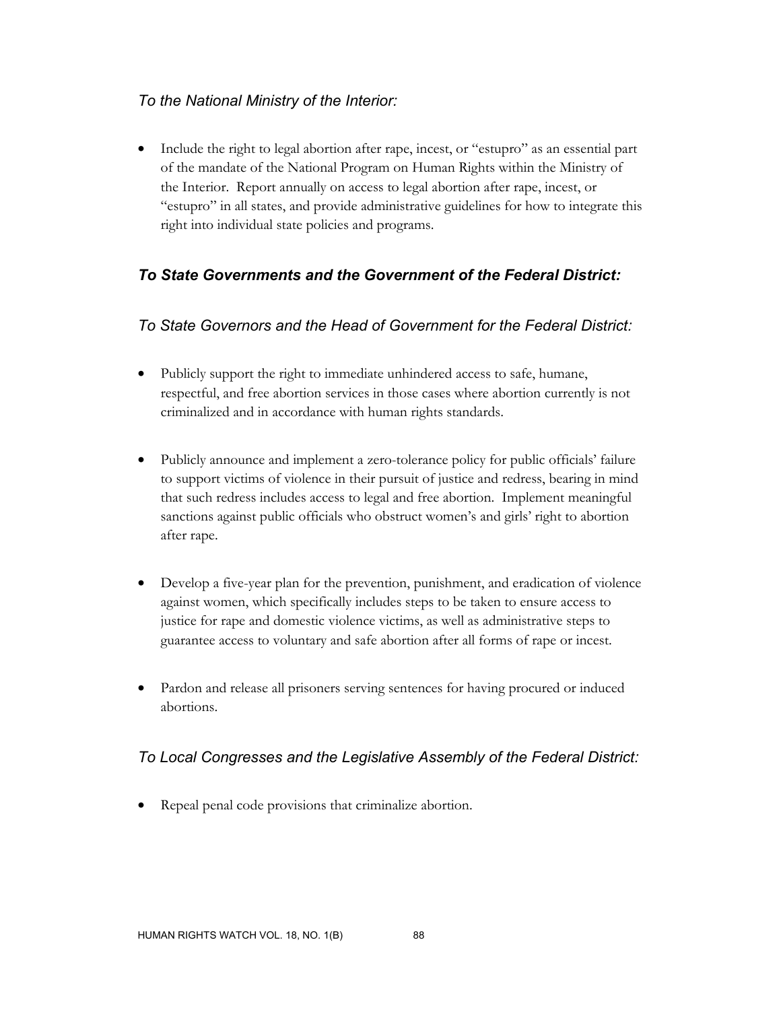## *To the National Ministry of the Interior:*

• Include the right to legal abortion after rape, incest, or "estupro" as an essential part of the mandate of the National Program on Human Rights within the Ministry of the Interior. Report annually on access to legal abortion after rape, incest, or "estupro" in all states, and provide administrative guidelines for how to integrate this right into individual state policies and programs.

## *To State Governments and the Government of the Federal District:*

### *To State Governors and the Head of Government for the Federal District:*

- Publicly support the right to immediate unhindered access to safe, humane, respectful, and free abortion services in those cases where abortion currently is not criminalized and in accordance with human rights standards.
- Publicly announce and implement a zero-tolerance policy for public officials' failure to support victims of violence in their pursuit of justice and redress, bearing in mind that such redress includes access to legal and free abortion. Implement meaningful sanctions against public officials who obstruct women's and girls' right to abortion after rape.
- Develop a five-year plan for the prevention, punishment, and eradication of violence against women, which specifically includes steps to be taken to ensure access to justice for rape and domestic violence victims, as well as administrative steps to guarantee access to voluntary and safe abortion after all forms of rape or incest.
- Pardon and release all prisoners serving sentences for having procured or induced abortions.

### *To Local Congresses and the Legislative Assembly of the Federal District:*

• Repeal penal code provisions that criminalize abortion.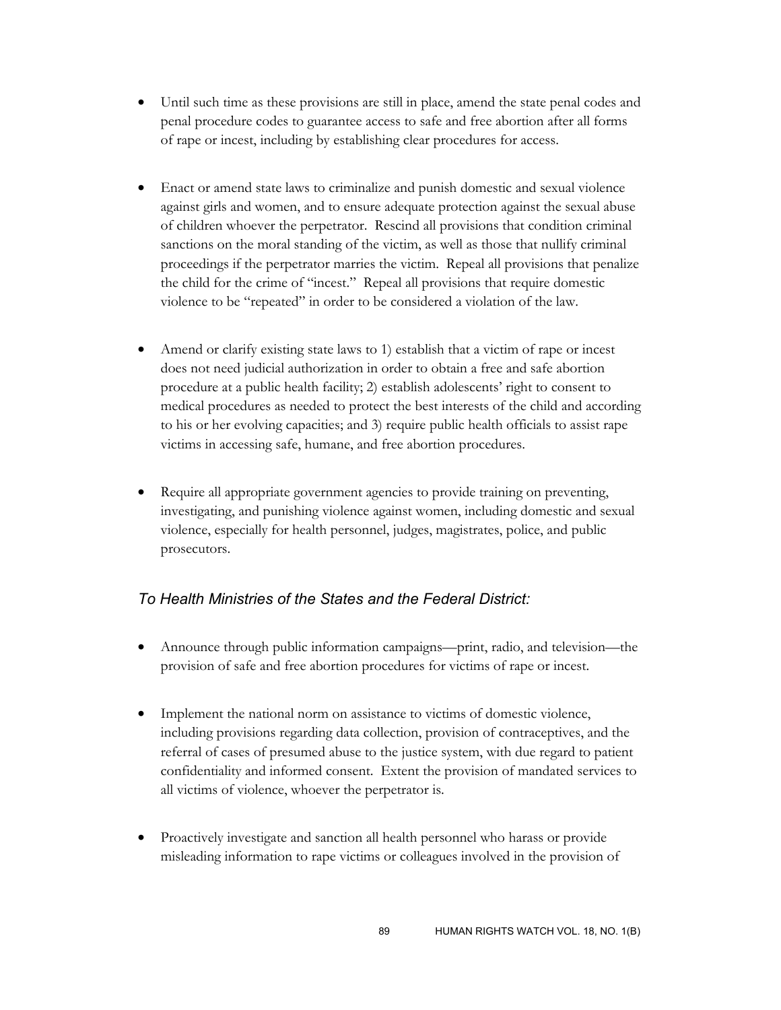- Until such time as these provisions are still in place, amend the state penal codes and penal procedure codes to guarantee access to safe and free abortion after all forms of rape or incest, including by establishing clear procedures for access.
- Enact or amend state laws to criminalize and punish domestic and sexual violence against girls and women, and to ensure adequate protection against the sexual abuse of children whoever the perpetrator. Rescind all provisions that condition criminal sanctions on the moral standing of the victim, as well as those that nullify criminal proceedings if the perpetrator marries the victim. Repeal all provisions that penalize the child for the crime of "incest." Repeal all provisions that require domestic violence to be "repeated" in order to be considered a violation of the law.
- Amend or clarify existing state laws to 1) establish that a victim of rape or incest does not need judicial authorization in order to obtain a free and safe abortion procedure at a public health facility; 2) establish adolescents' right to consent to medical procedures as needed to protect the best interests of the child and according to his or her evolving capacities; and 3) require public health officials to assist rape victims in accessing safe, humane, and free abortion procedures.
- Require all appropriate government agencies to provide training on preventing, investigating, and punishing violence against women, including domestic and sexual violence, especially for health personnel, judges, magistrates, police, and public prosecutors.

## *To Health Ministries of the States and the Federal District:*

- Announce through public information campaigns—print, radio, and television—the provision of safe and free abortion procedures for victims of rape or incest.
- Implement the national norm on assistance to victims of domestic violence, including provisions regarding data collection, provision of contraceptives, and the referral of cases of presumed abuse to the justice system, with due regard to patient confidentiality and informed consent. Extent the provision of mandated services to all victims of violence, whoever the perpetrator is.
- Proactively investigate and sanction all health personnel who harass or provide misleading information to rape victims or colleagues involved in the provision of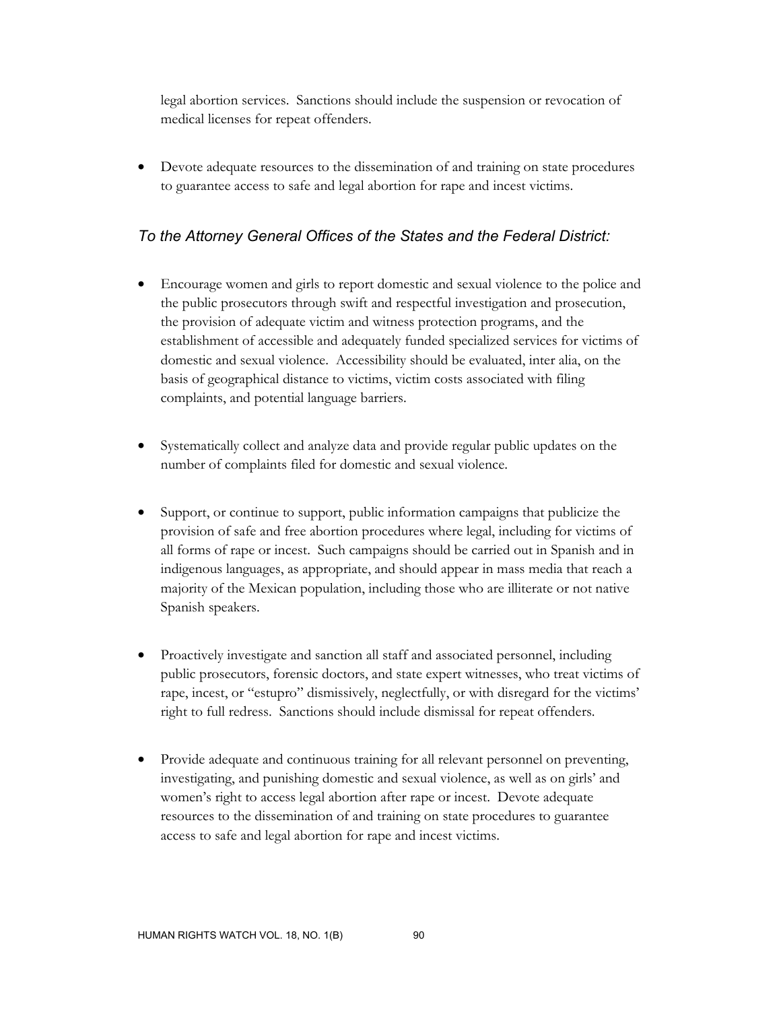legal abortion services. Sanctions should include the suspension or revocation of medical licenses for repeat offenders.

• Devote adequate resources to the dissemination of and training on state procedures to guarantee access to safe and legal abortion for rape and incest victims.

## *To the Attorney General Offices of the States and the Federal District:*

- Encourage women and girls to report domestic and sexual violence to the police and the public prosecutors through swift and respectful investigation and prosecution, the provision of adequate victim and witness protection programs, and the establishment of accessible and adequately funded specialized services for victims of domestic and sexual violence. Accessibility should be evaluated, inter alia, on the basis of geographical distance to victims, victim costs associated with filing complaints, and potential language barriers.
- Systematically collect and analyze data and provide regular public updates on the number of complaints filed for domestic and sexual violence.
- Support, or continue to support, public information campaigns that publicize the provision of safe and free abortion procedures where legal, including for victims of all forms of rape or incest. Such campaigns should be carried out in Spanish and in indigenous languages, as appropriate, and should appear in mass media that reach a majority of the Mexican population, including those who are illiterate or not native Spanish speakers.
- Proactively investigate and sanction all staff and associated personnel, including public prosecutors, forensic doctors, and state expert witnesses, who treat victims of rape, incest, or "estupro" dismissively, neglectfully, or with disregard for the victims' right to full redress. Sanctions should include dismissal for repeat offenders.
- Provide adequate and continuous training for all relevant personnel on preventing, investigating, and punishing domestic and sexual violence, as well as on girls' and women's right to access legal abortion after rape or incest. Devote adequate resources to the dissemination of and training on state procedures to guarantee access to safe and legal abortion for rape and incest victims.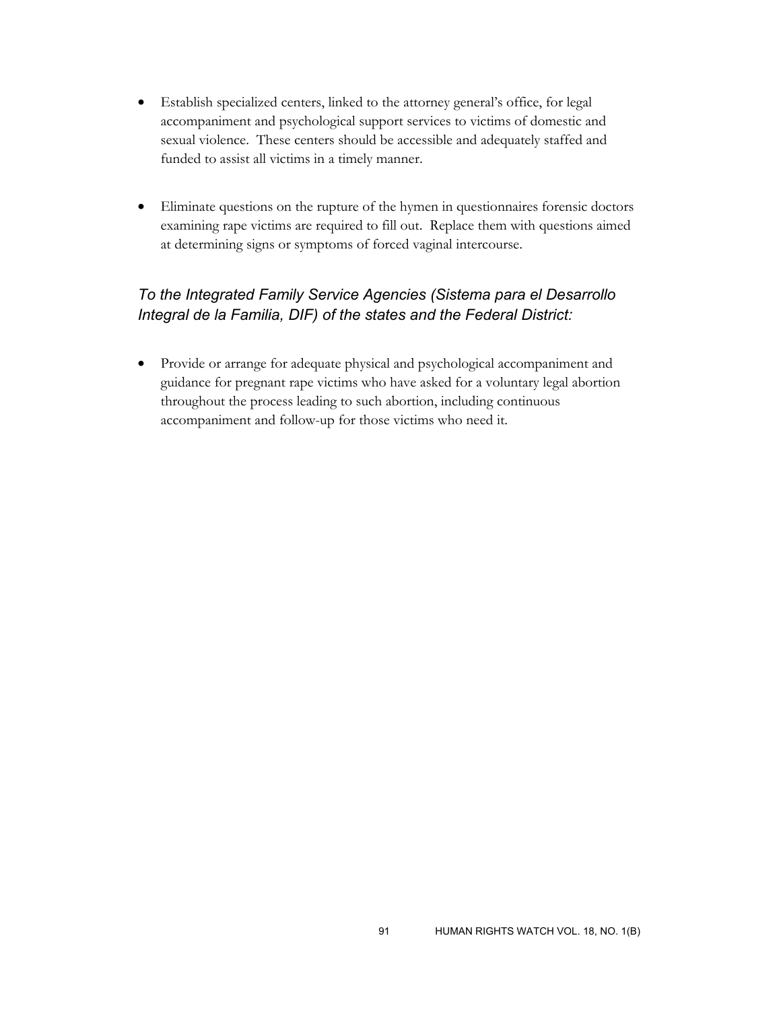- Establish specialized centers, linked to the attorney general's office, for legal accompaniment and psychological support services to victims of domestic and sexual violence. These centers should be accessible and adequately staffed and funded to assist all victims in a timely manner.
- Eliminate questions on the rupture of the hymen in questionnaires forensic doctors examining rape victims are required to fill out. Replace them with questions aimed at determining signs or symptoms of forced vaginal intercourse.

# *To the Integrated Family Service Agencies (Sistema para el Desarrollo Integral de la Familia, DIF) of the states and the Federal District:*

• Provide or arrange for adequate physical and psychological accompaniment and guidance for pregnant rape victims who have asked for a voluntary legal abortion throughout the process leading to such abortion, including continuous accompaniment and follow-up for those victims who need it.